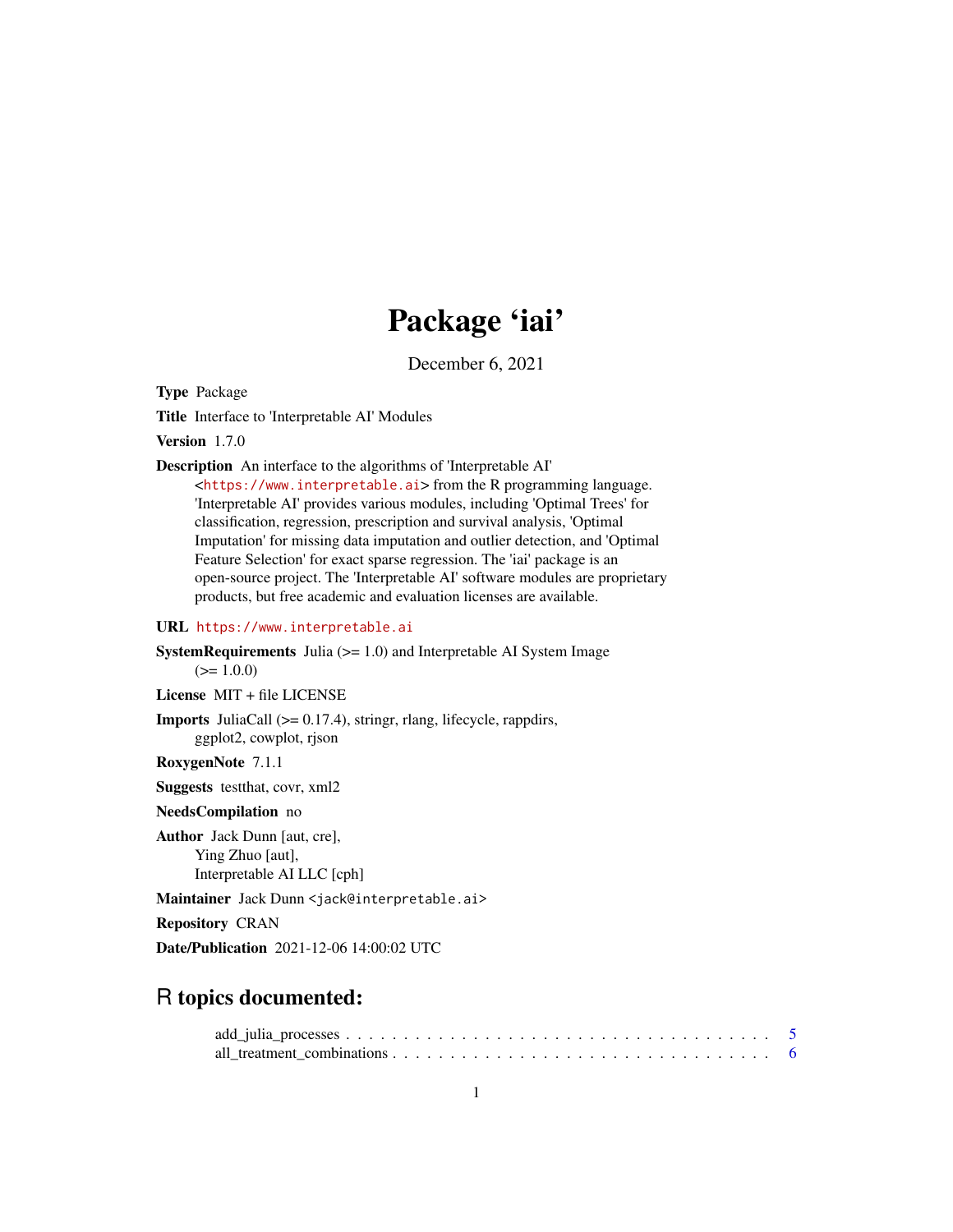# Package 'iai'

December 6, 2021

Type Package

Title Interface to 'Interpretable AI' Modules

Version 1.7.0

Description An interface to the algorithms of 'Interpretable AI'

<<https://www.interpretable.ai>> from the R programming language. 'Interpretable AI' provides various modules, including 'Optimal Trees' for classification, regression, prescription and survival analysis, 'Optimal Imputation' for missing data imputation and outlier detection, and 'Optimal Feature Selection' for exact sparse regression. The 'iai' package is an open-source project. The 'Interpretable AI' software modules are proprietary products, but free academic and evaluation licenses are available.

#### URL <https://www.interpretable.ai>

**SystemRequirements** Julia  $(>= 1.0)$  and Interpretable AI System Image  $(>= 1.0.0)$ 

License MIT + file LICENSE

Imports JuliaCall (>= 0.17.4), stringr, rlang, lifecycle, rappdirs, ggplot2, cowplot, rjson

RoxygenNote 7.1.1

Suggests testthat, covr, xml2

NeedsCompilation no

Author Jack Dunn [aut, cre], Ying Zhuo [aut], Interpretable AI LLC [cph]

Maintainer Jack Dunn <jack@interpretable.ai>

Repository CRAN

Date/Publication 2021-12-06 14:00:02 UTC

# R topics documented: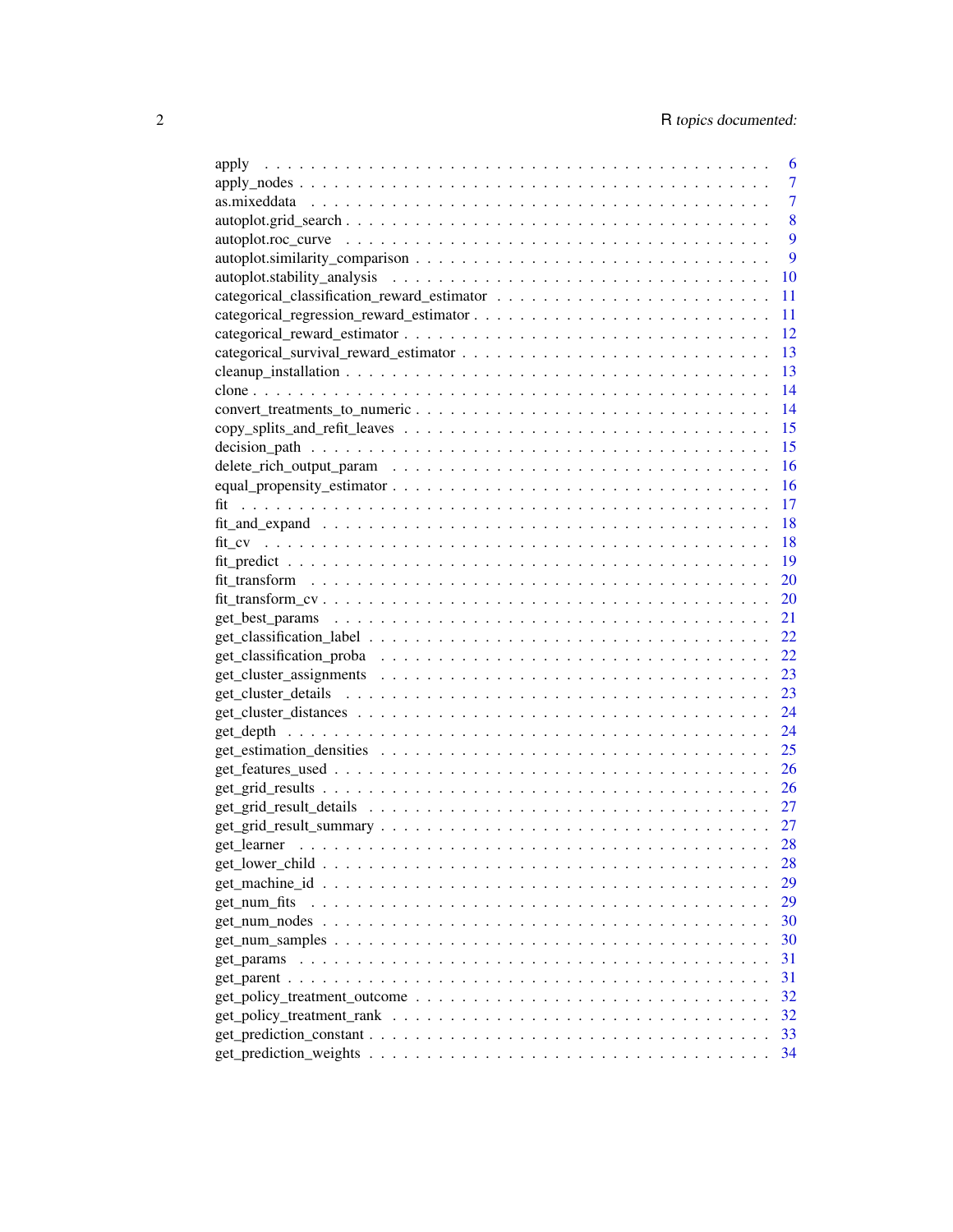| apply                                                                                            | 6  |
|--------------------------------------------------------------------------------------------------|----|
|                                                                                                  | 7  |
|                                                                                                  | 7  |
|                                                                                                  | 8  |
|                                                                                                  | 9  |
|                                                                                                  | 9  |
|                                                                                                  | 10 |
|                                                                                                  | 11 |
|                                                                                                  | 11 |
|                                                                                                  | 12 |
|                                                                                                  | 13 |
|                                                                                                  | 13 |
|                                                                                                  | 14 |
|                                                                                                  | 14 |
|                                                                                                  | 15 |
|                                                                                                  | 15 |
|                                                                                                  | 16 |
|                                                                                                  | 16 |
| fit                                                                                              | 17 |
|                                                                                                  | 18 |
|                                                                                                  | 18 |
|                                                                                                  | 19 |
|                                                                                                  | 20 |
|                                                                                                  | 20 |
|                                                                                                  | 21 |
|                                                                                                  | 22 |
|                                                                                                  | 22 |
|                                                                                                  | 23 |
|                                                                                                  | 23 |
|                                                                                                  | 24 |
|                                                                                                  | 24 |
|                                                                                                  | 25 |
|                                                                                                  | 26 |
|                                                                                                  | 26 |
|                                                                                                  | 27 |
|                                                                                                  | 27 |
|                                                                                                  | 28 |
|                                                                                                  | 28 |
|                                                                                                  | 29 |
| get_num_fits                                                                                     | 29 |
|                                                                                                  | 30 |
| $get\_num\_samples \ldots \ldots \ldots \ldots \ldots \ldots \ldots \ldots \ldots \ldots \ldots$ | 30 |
|                                                                                                  | 31 |
|                                                                                                  | 31 |
|                                                                                                  | 32 |
|                                                                                                  | 32 |
|                                                                                                  | 33 |
|                                                                                                  | 34 |
|                                                                                                  |    |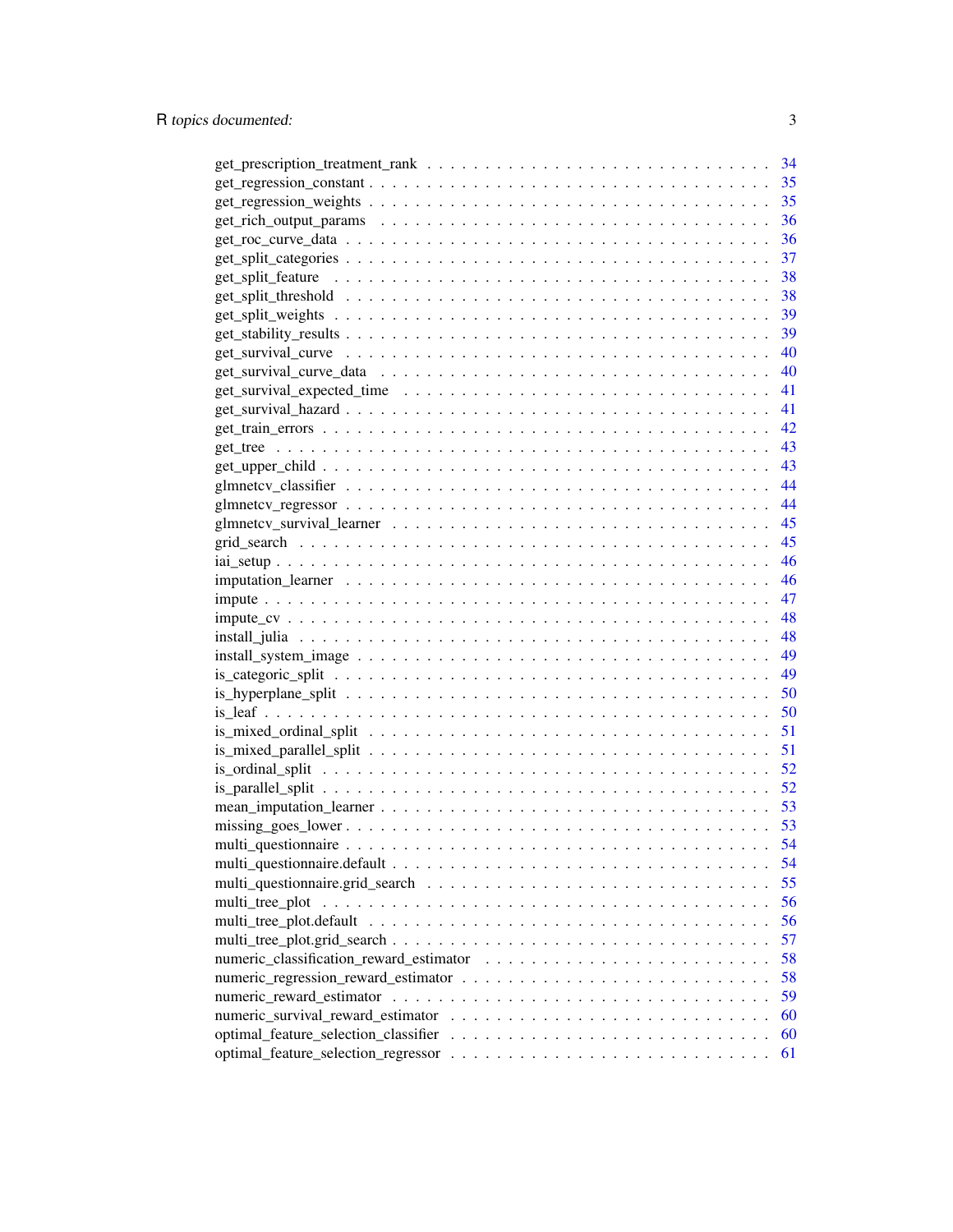|                                      | 34 |
|--------------------------------------|----|
|                                      | 35 |
|                                      | 35 |
|                                      | 36 |
|                                      | 36 |
|                                      |    |
|                                      |    |
|                                      |    |
|                                      |    |
|                                      |    |
|                                      |    |
|                                      |    |
|                                      |    |
|                                      |    |
|                                      |    |
|                                      |    |
|                                      |    |
|                                      |    |
|                                      |    |
|                                      |    |
|                                      | 45 |
|                                      | 46 |
|                                      | 46 |
|                                      | 47 |
|                                      | 48 |
|                                      |    |
|                                      |    |
|                                      |    |
|                                      | 50 |
|                                      | 50 |
|                                      | 51 |
|                                      | 51 |
|                                      | 52 |
|                                      | 52 |
|                                      |    |
|                                      |    |
|                                      | 54 |
|                                      | 54 |
|                                      | 55 |
| multi_tree_plot                      | 56 |
|                                      | 56 |
|                                      | 57 |
|                                      | 58 |
|                                      | 58 |
|                                      | 59 |
|                                      | 60 |
| optimal_feature_selection_classifier | 60 |
|                                      | 61 |
|                                      |    |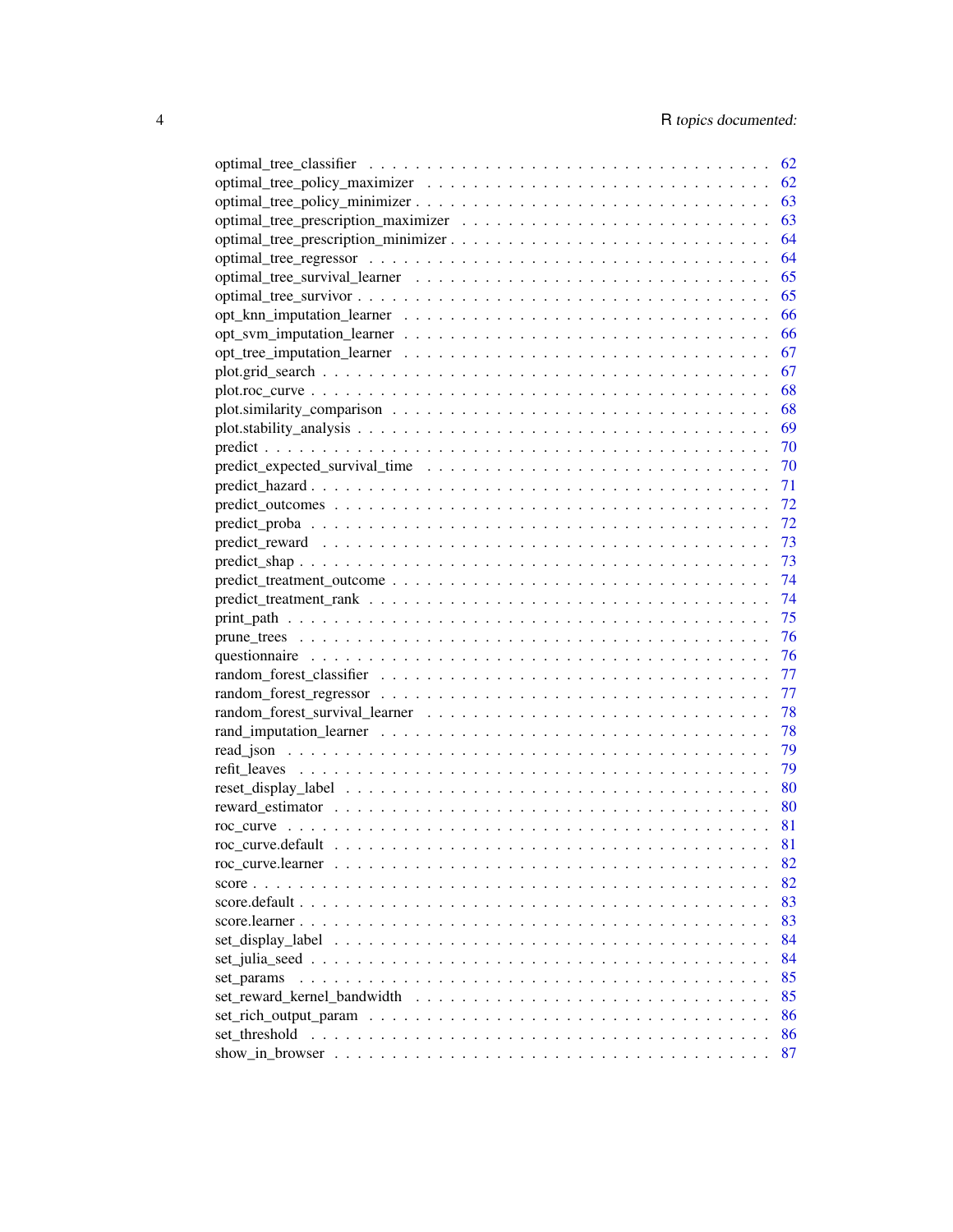|                                                                                                                 | 62 |
|-----------------------------------------------------------------------------------------------------------------|----|
|                                                                                                                 | 62 |
|                                                                                                                 | 63 |
|                                                                                                                 | 63 |
| optimal_tree_prescription_minimizer                                                                             | 64 |
|                                                                                                                 | 64 |
|                                                                                                                 | 65 |
|                                                                                                                 | 65 |
|                                                                                                                 | 66 |
|                                                                                                                 | 66 |
|                                                                                                                 | 67 |
|                                                                                                                 | 67 |
|                                                                                                                 | 68 |
|                                                                                                                 | 68 |
|                                                                                                                 | 69 |
|                                                                                                                 | 70 |
|                                                                                                                 | 70 |
|                                                                                                                 | 71 |
|                                                                                                                 | 72 |
|                                                                                                                 | 72 |
|                                                                                                                 | 73 |
|                                                                                                                 | 73 |
|                                                                                                                 |    |
|                                                                                                                 | 74 |
|                                                                                                                 | 74 |
|                                                                                                                 | 75 |
|                                                                                                                 | 76 |
|                                                                                                                 | 76 |
|                                                                                                                 | 77 |
|                                                                                                                 | 77 |
|                                                                                                                 | 78 |
|                                                                                                                 | 78 |
|                                                                                                                 | 79 |
|                                                                                                                 | 79 |
|                                                                                                                 | 80 |
|                                                                                                                 | 80 |
|                                                                                                                 | 81 |
|                                                                                                                 | 81 |
|                                                                                                                 | 82 |
| score $\ldots$ $\ldots$ $\ldots$                                                                                | 82 |
| $score.default \dots \dots \dots \dots \dots \dots \dots \dots \dots \dots \dots \dots \dots \dots \dots \dots$ | 83 |
|                                                                                                                 | 83 |
|                                                                                                                 | 84 |
|                                                                                                                 | 84 |
| set params                                                                                                      | 85 |
| set reward kernel bandwidth                                                                                     | 85 |
|                                                                                                                 | 86 |
|                                                                                                                 |    |
| set threshold                                                                                                   | 86 |
|                                                                                                                 | 87 |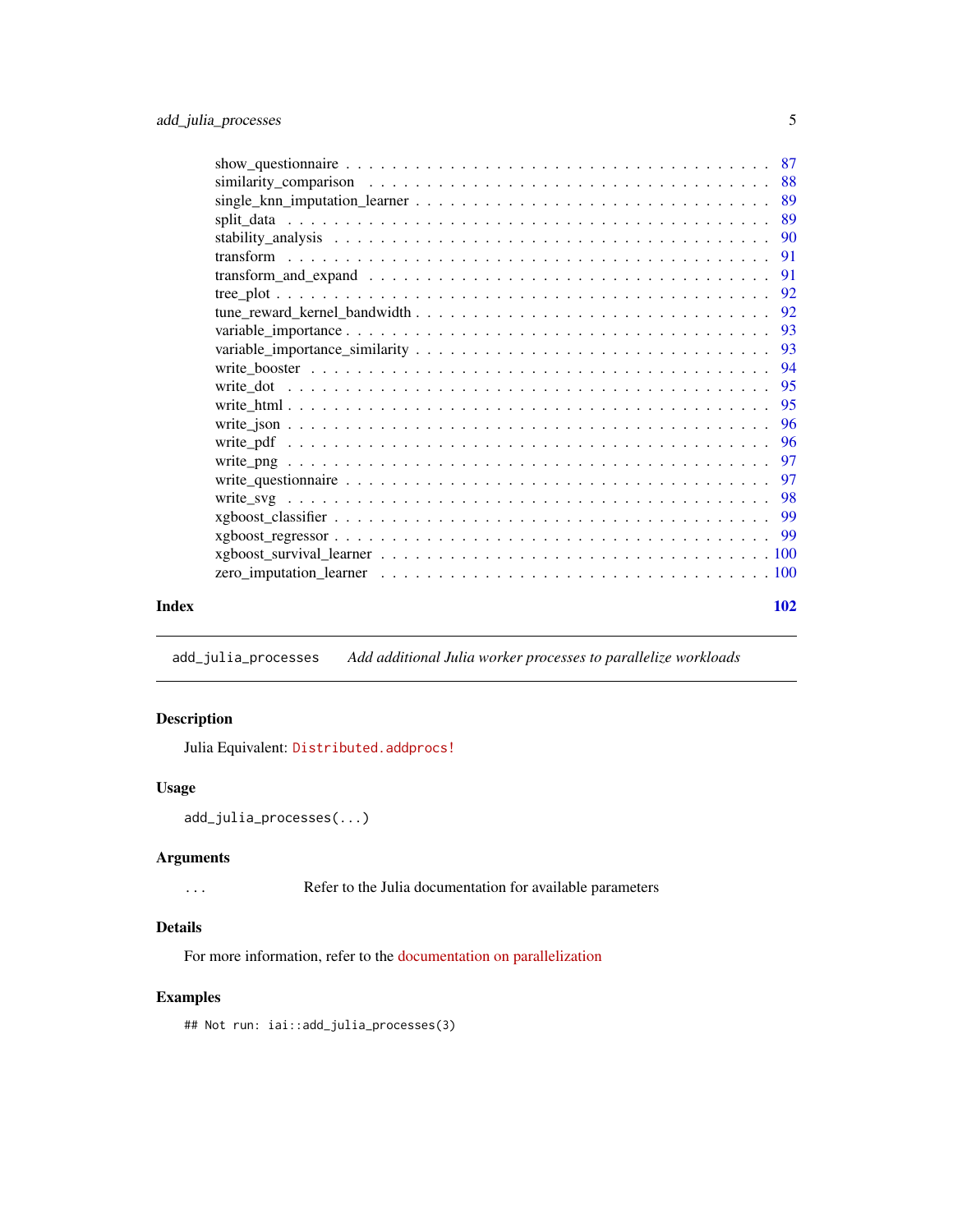<span id="page-4-0"></span>

| Index | 102 |
|-------|-----|
|       |     |

add\_julia\_processes *Add additional Julia worker processes to parallelize workloads*

# Description

Julia Equivalent: [Distributed.addprocs!](https://docs.julialang.org/en/v1/stdlib/Distributed/#Distributed.addprocs)

#### Usage

```
add_julia_processes(...)
```
# Arguments

... Refer to the Julia documentation for available parameters

# Details

For more information, refer to the [documentation on parallelization](https://docs.interpretable.ai/stable/IAIBase/advanced/#IAIBase-Parallelization-1)

# Examples

## Not run: iai::add\_julia\_processes(3)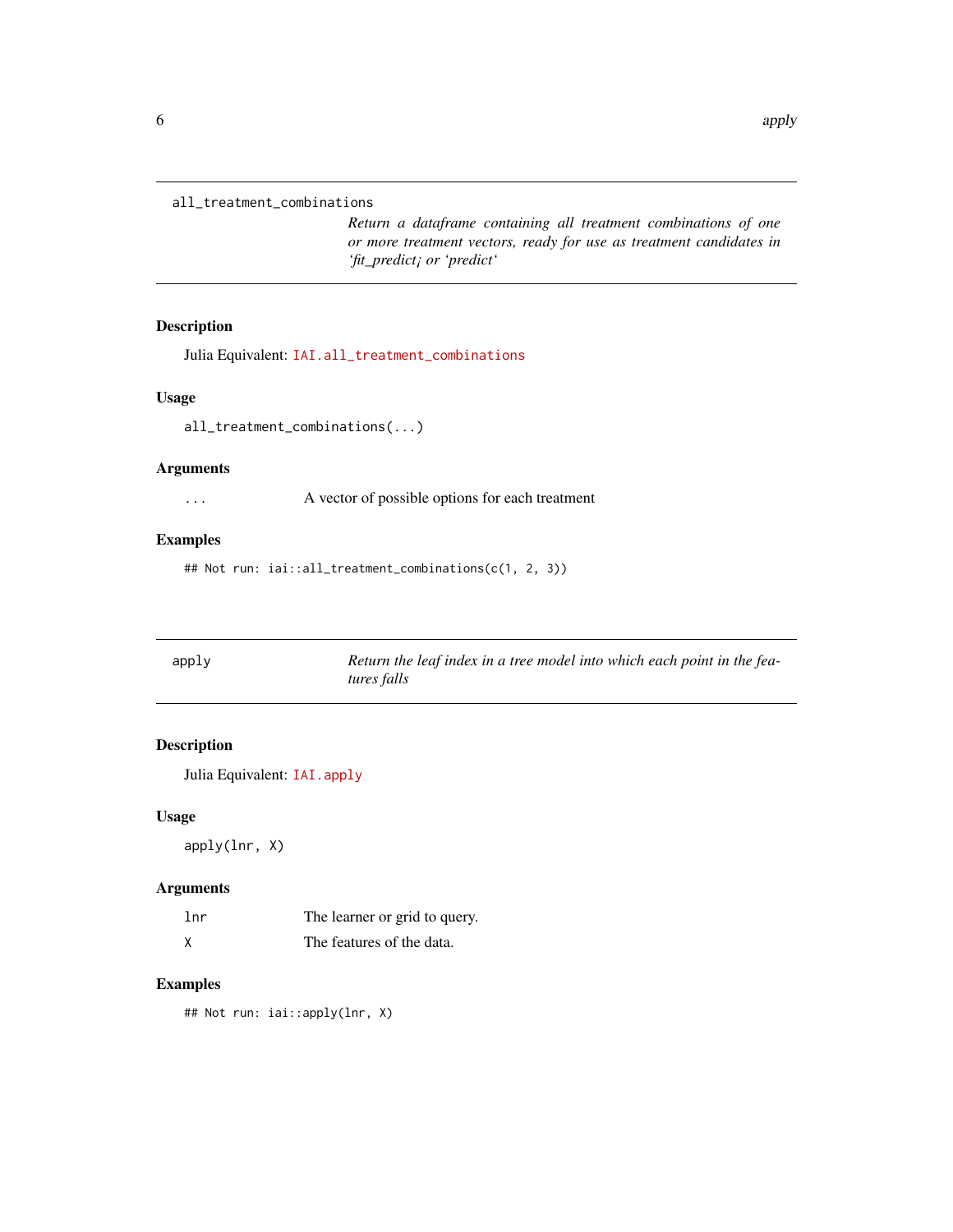```
all_treatment_combinations
```
*Return a dataframe containing all treatment combinations of one or more treatment vectors, ready for use as treatment candidates in 'fit\_predict¡ or 'predict'*

# Description

Julia Equivalent: [IAI.all\\_treatment\\_combinations](https://docs.interpretable.ai/v3.0.0/RewardEstimation/reference/#IAI.all_treatment_combinations)

#### Usage

all\_treatment\_combinations(...)

#### Arguments

... A vector of possible options for each treatment

# Examples

## Not run: iai::all\_treatment\_combinations(c(1, 2, 3))

| apply | Return the leaf index in a tree model into which each point in the fea- |
|-------|-------------------------------------------------------------------------|
|       | tures falls                                                             |

# Description

Julia Equivalent: [IAI.apply](https://docs.interpretable.ai/v3.0.0/IAITrees/reference/#IAI.apply)

#### Usage

apply(lnr, X)

# Arguments

| 1nr | The learner or grid to query. |
|-----|-------------------------------|
|     | The features of the data.     |

# Examples

## Not run: iai::apply(lnr, X)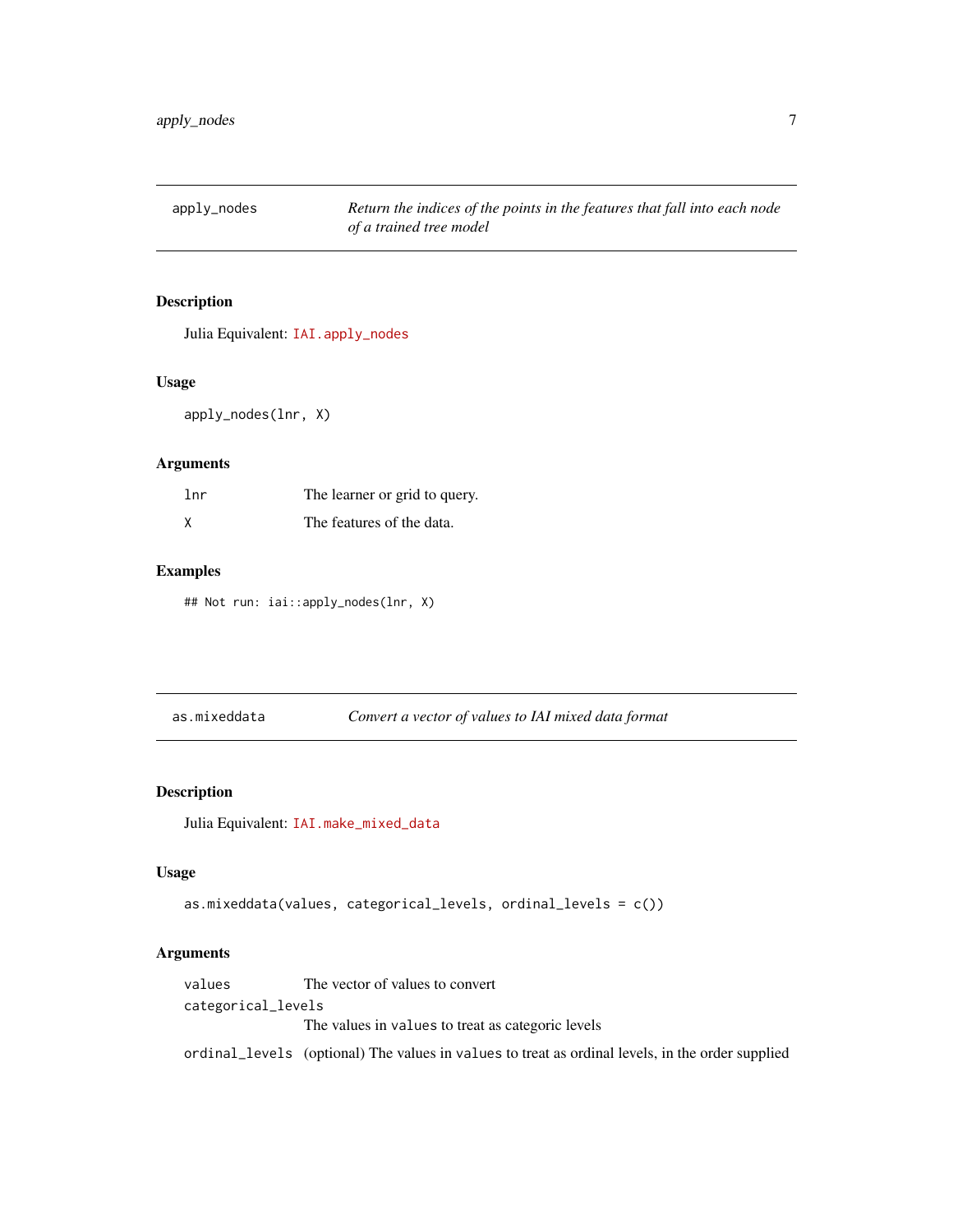<span id="page-6-0"></span>apply\_nodes *Return the indices of the points in the features that fall into each node of a trained tree model*

#### Description

Julia Equivalent: [IAI.apply\\_nodes](https://docs.interpretable.ai/v3.0.0/IAITrees/reference/#IAI.apply_nodes)

#### Usage

apply\_nodes(lnr, X)

#### Arguments

| 1nr | The learner or grid to query. |
|-----|-------------------------------|
|     | The features of the data.     |

#### Examples

## Not run: iai::apply\_nodes(lnr, X)

as.mixeddata *Convert a vector of values to IAI mixed data format*

#### Description

Julia Equivalent: [IAI.make\\_mixed\\_data](https://docs.interpretable.ai/v3.0.0/IAIBase/reference/#IAI.make_mixed_data)

#### Usage

```
as.mixeddata(values, categorical_levels, ordinal_levels = c())
```
# Arguments

values The vector of values to convert categorical\_levels The values in values to treat as categoric levels ordinal\_levels (optional) The values in values to treat as ordinal levels, in the order supplied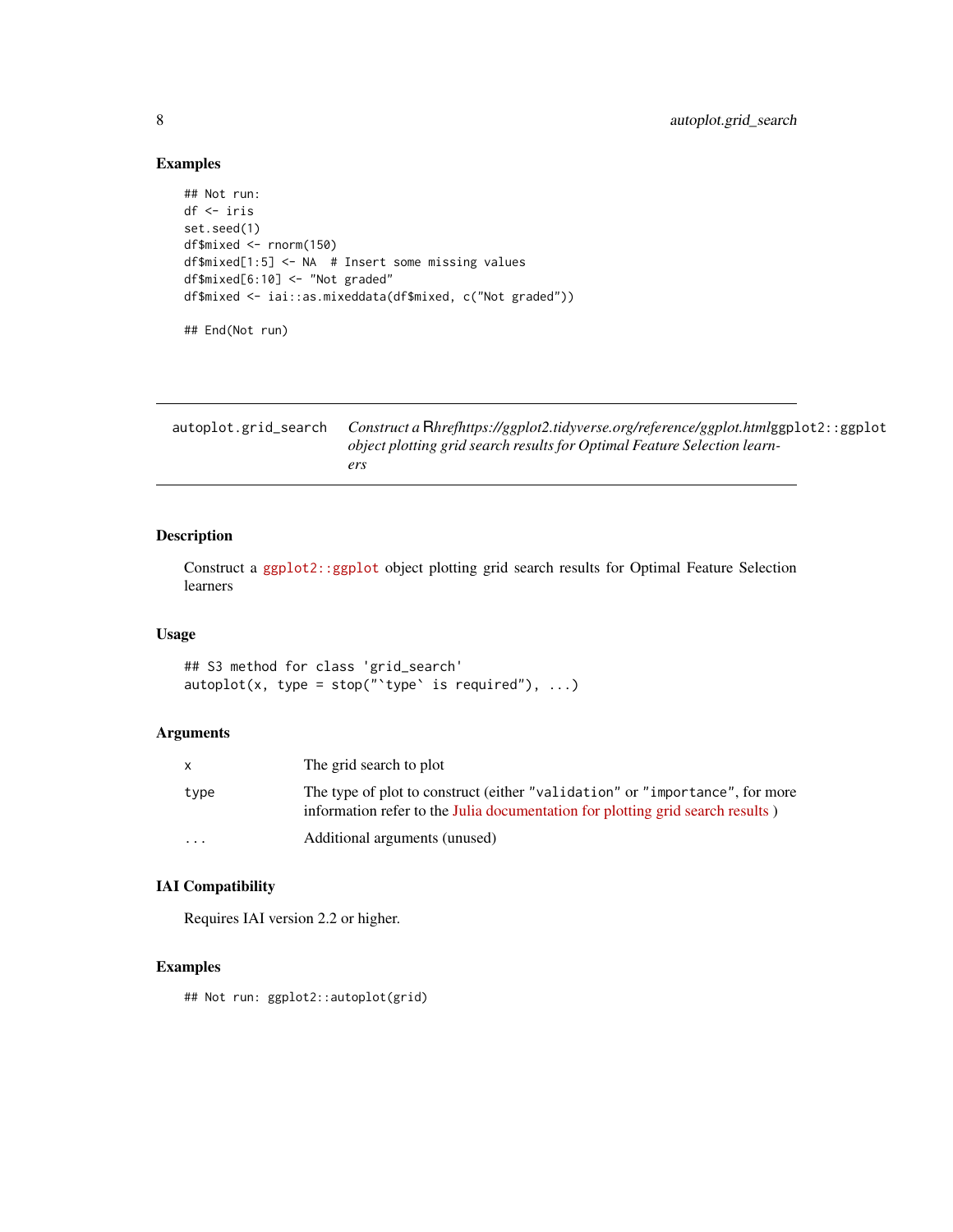# Examples

```
## Not run:
df <- iris
set.seed(1)
df$mixed <- rnorm(150)
df$mixed[1:5] <- NA # Insert some missing values
df$mixed[6:10] <- "Not graded"
df$mixed <- iai::as.mixeddata(df$mixed, c("Not graded"))
## End(Not run)
```

| autoplot.grid_search | Construct a Rhrefhttps://ggplot2.tidyverse.org/reference/ggplot.htmlggplot2::ggplot |
|----------------------|-------------------------------------------------------------------------------------|
|                      | object plotting grid search results for Optimal Feature Selection learn-            |
|                      | ers                                                                                 |

# Description

Construct a [ggplot2::ggplot](https://ggplot2.tidyverse.org/reference/ggplot.html) object plotting grid search results for Optimal Feature Selection learners

# Usage

## S3 method for class 'grid\_search'  $autoplot(x, type = stop(" 'type' is required"), ...)$ 

# Arguments

|                         | The grid search to plot                                                                                                                                        |
|-------------------------|----------------------------------------------------------------------------------------------------------------------------------------------------------------|
| type                    | The type of plot to construct (either "validation" or "importance", for more<br>information refer to the Julia documentation for plotting grid search results) |
| $\cdot$ $\cdot$ $\cdot$ | Additional arguments (unused)                                                                                                                                  |

# IAI Compatibility

Requires IAI version 2.2 or higher.

# Examples

## Not run: ggplot2::autoplot(grid)

<span id="page-7-0"></span>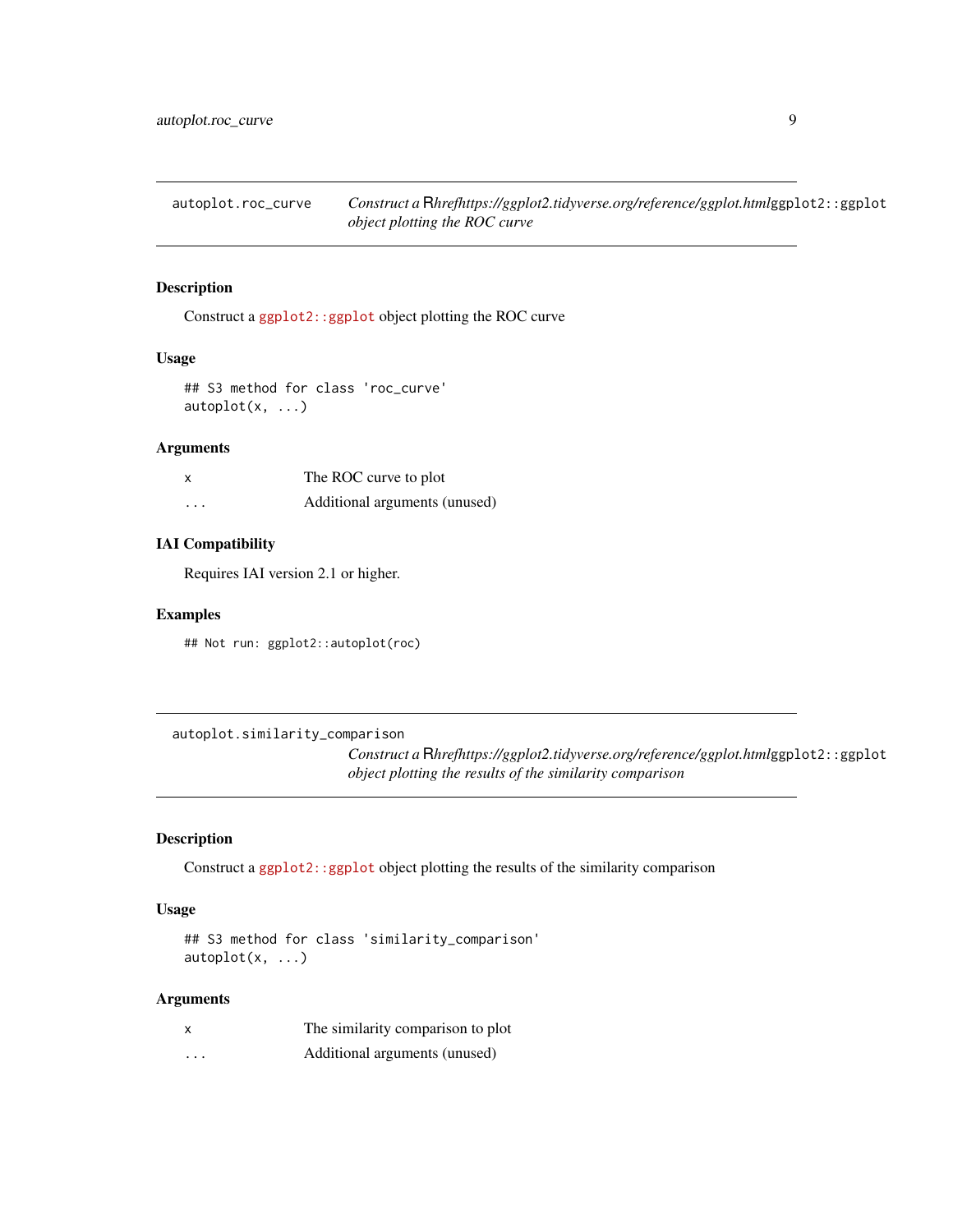<span id="page-8-0"></span>autoplot.roc\_curve *Construct a* R*hrefhttps://ggplot2.tidyverse.org/reference/ggplot.html*ggplot2::ggplot *object plotting the ROC curve*

#### Description

Construct a [ggplot2::ggplot](https://ggplot2.tidyverse.org/reference/ggplot.html) object plotting the ROC curve

#### Usage

## S3 method for class 'roc\_curve' autoplot(x, ...)

#### Arguments

| x                       | The ROC curve to plot         |
|-------------------------|-------------------------------|
| $\cdot$ $\cdot$ $\cdot$ | Additional arguments (unused) |

#### IAI Compatibility

Requires IAI version 2.1 or higher.

#### Examples

## Not run: ggplot2::autoplot(roc)

autoplot.similarity\_comparison

*Construct a* R*hrefhttps://ggplot2.tidyverse.org/reference/ggplot.html*ggplot2::ggplot *object plotting the results of the similarity comparison*

# Description

Construct a [ggplot2::ggplot](https://ggplot2.tidyverse.org/reference/ggplot.html) object plotting the results of the similarity comparison

#### Usage

```
## S3 method for class 'similarity_comparison'
autoplot(x, ...)
```
#### Arguments

| X                       | The similarity comparison to plot |
|-------------------------|-----------------------------------|
| $\cdot$ $\cdot$ $\cdot$ | Additional arguments (unused)     |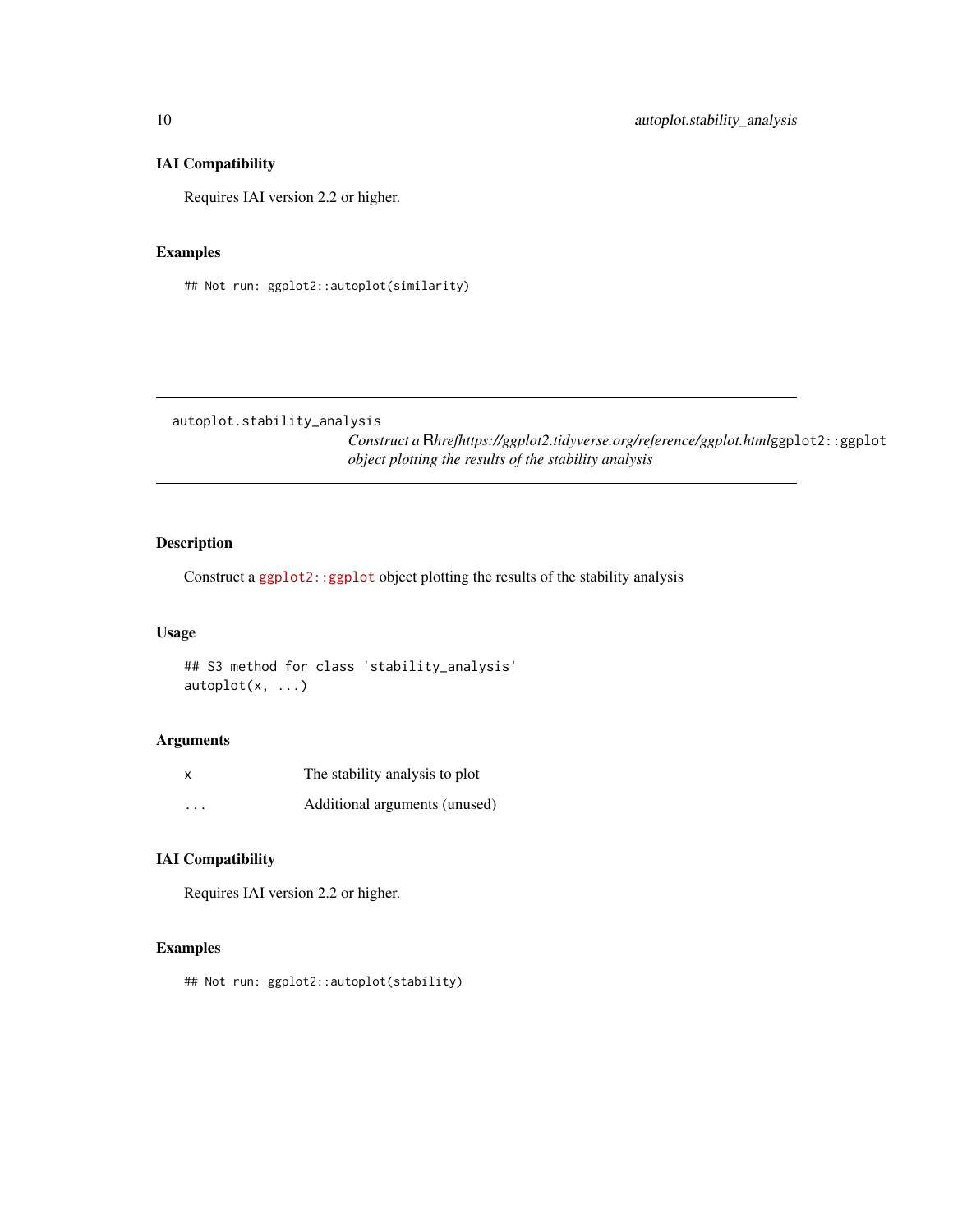# <span id="page-9-0"></span>IAI Compatibility

Requires IAI version 2.2 or higher.

#### Examples

## Not run: ggplot2::autoplot(similarity)

autoplot.stability\_analysis

*Construct a* R*hrefhttps://ggplot2.tidyverse.org/reference/ggplot.html*ggplot2::ggplot *object plotting the results of the stability analysis*

# Description

Construct a [ggplot2::ggplot](https://ggplot2.tidyverse.org/reference/ggplot.html) object plotting the results of the stability analysis

#### Usage

## S3 method for class 'stability\_analysis' autoplot(x, ...)

# Arguments

| $\boldsymbol{\mathsf{x}}$ | The stability analysis to plot |
|---------------------------|--------------------------------|
| $\cdots$                  | Additional arguments (unused)  |

# IAI Compatibility

Requires IAI version 2.2 or higher.

# Examples

## Not run: ggplot2::autoplot(stability)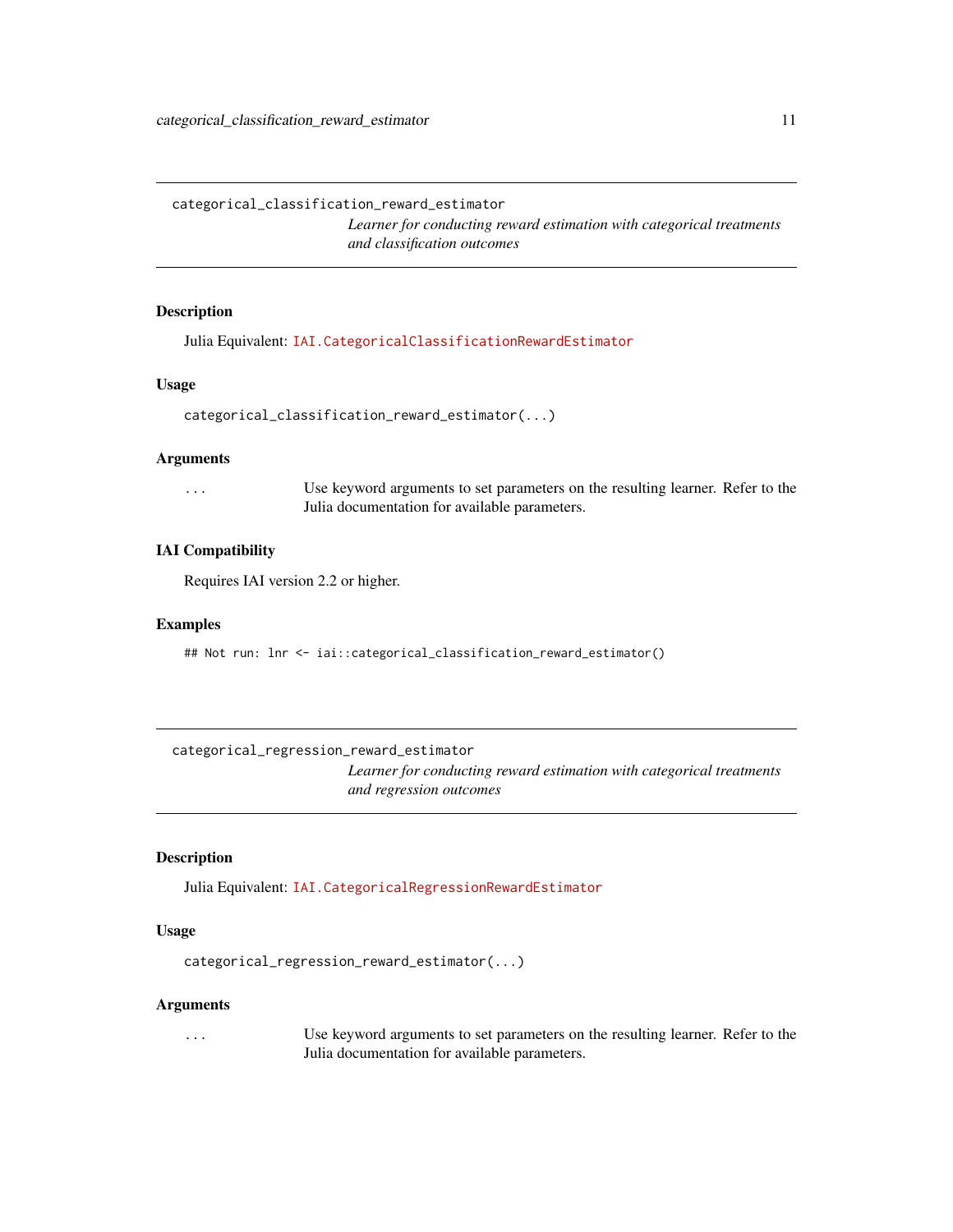<span id="page-10-0"></span>categorical\_classification\_reward\_estimator

*Learner for conducting reward estimation with categorical treatments and classification outcomes*

#### Description

Julia Equivalent: [IAI.CategoricalClassificationRewardEstimator](https://docs.interpretable.ai/v3.0.0/RewardEstimation/reference/#IAI.CategoricalClassificationRewardEstimator)

#### Usage

```
categorical_classification_reward_estimator(...)
```
#### Arguments

... Use keyword arguments to set parameters on the resulting learner. Refer to the Julia documentation for available parameters.

#### IAI Compatibility

Requires IAI version 2.2 or higher.

#### Examples

## Not run: lnr <- iai::categorical\_classification\_reward\_estimator()

categorical\_regression\_reward\_estimator

*Learner for conducting reward estimation with categorical treatments and regression outcomes*

#### Description

Julia Equivalent: [IAI.CategoricalRegressionRewardEstimator](https://docs.interpretable.ai/v3.0.0/RewardEstimation/reference/#IAI.CategoricalRegressionRewardEstimator)

#### Usage

```
categorical_regression_reward_estimator(...)
```
#### Arguments

... Use keyword arguments to set parameters on the resulting learner. Refer to the Julia documentation for available parameters.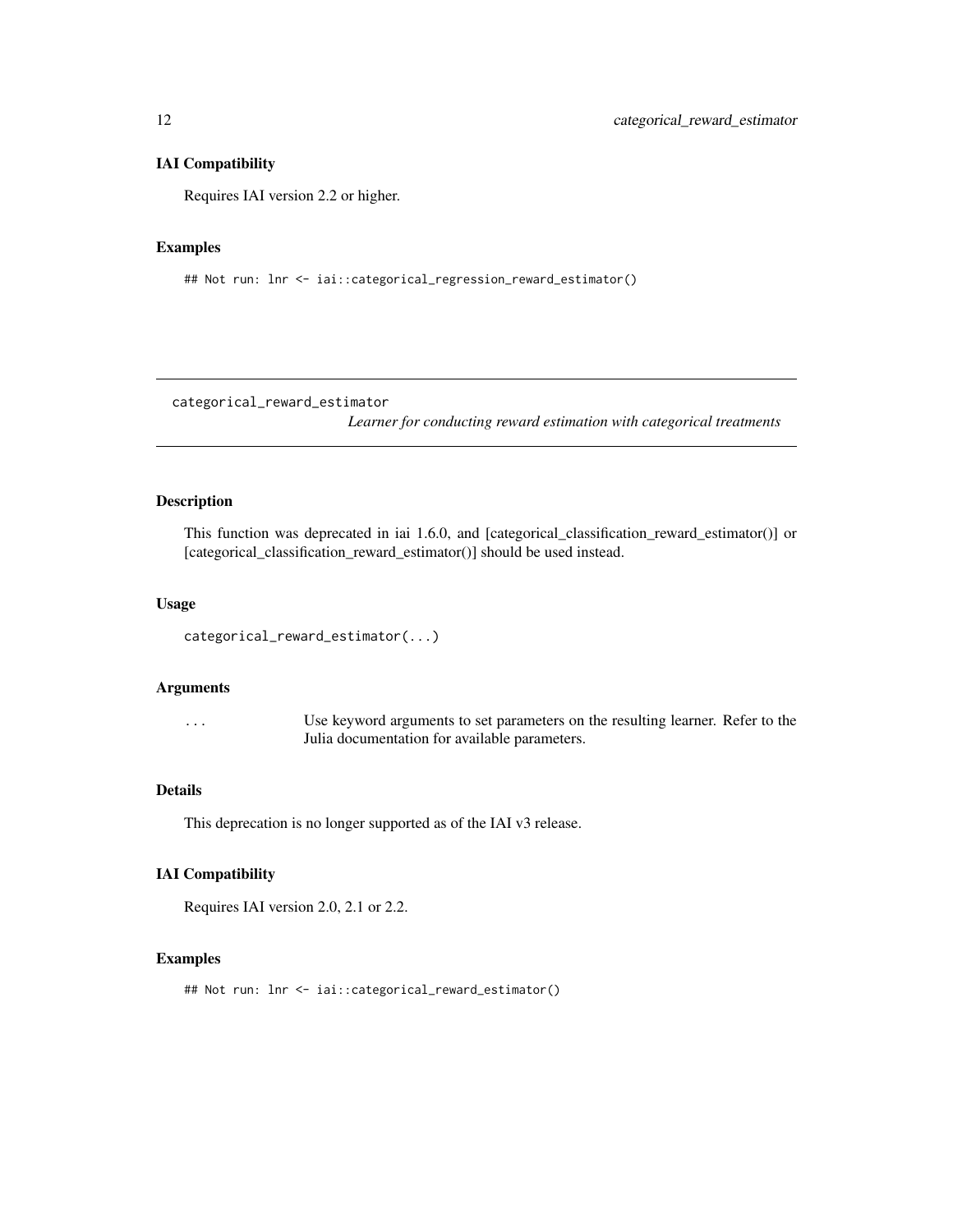#### IAI Compatibility

Requires IAI version 2.2 or higher.

#### Examples

## Not run: lnr <- iai::categorical\_regression\_reward\_estimator()

categorical\_reward\_estimator

*Learner for conducting reward estimation with categorical treatments*

#### Description

This function was deprecated in iai 1.6.0, and [categorical\_classification\_reward\_estimator()] or [categorical\_classification\_reward\_estimator()] should be used instead.

#### Usage

```
categorical_reward_estimator(...)
```
#### Arguments

... Use keyword arguments to set parameters on the resulting learner. Refer to the Julia documentation for available parameters.

#### Details

This deprecation is no longer supported as of the IAI v3 release.

#### IAI Compatibility

Requires IAI version 2.0, 2.1 or 2.2.

# Examples

## Not run: lnr <- iai::categorical\_reward\_estimator()

<span id="page-11-0"></span>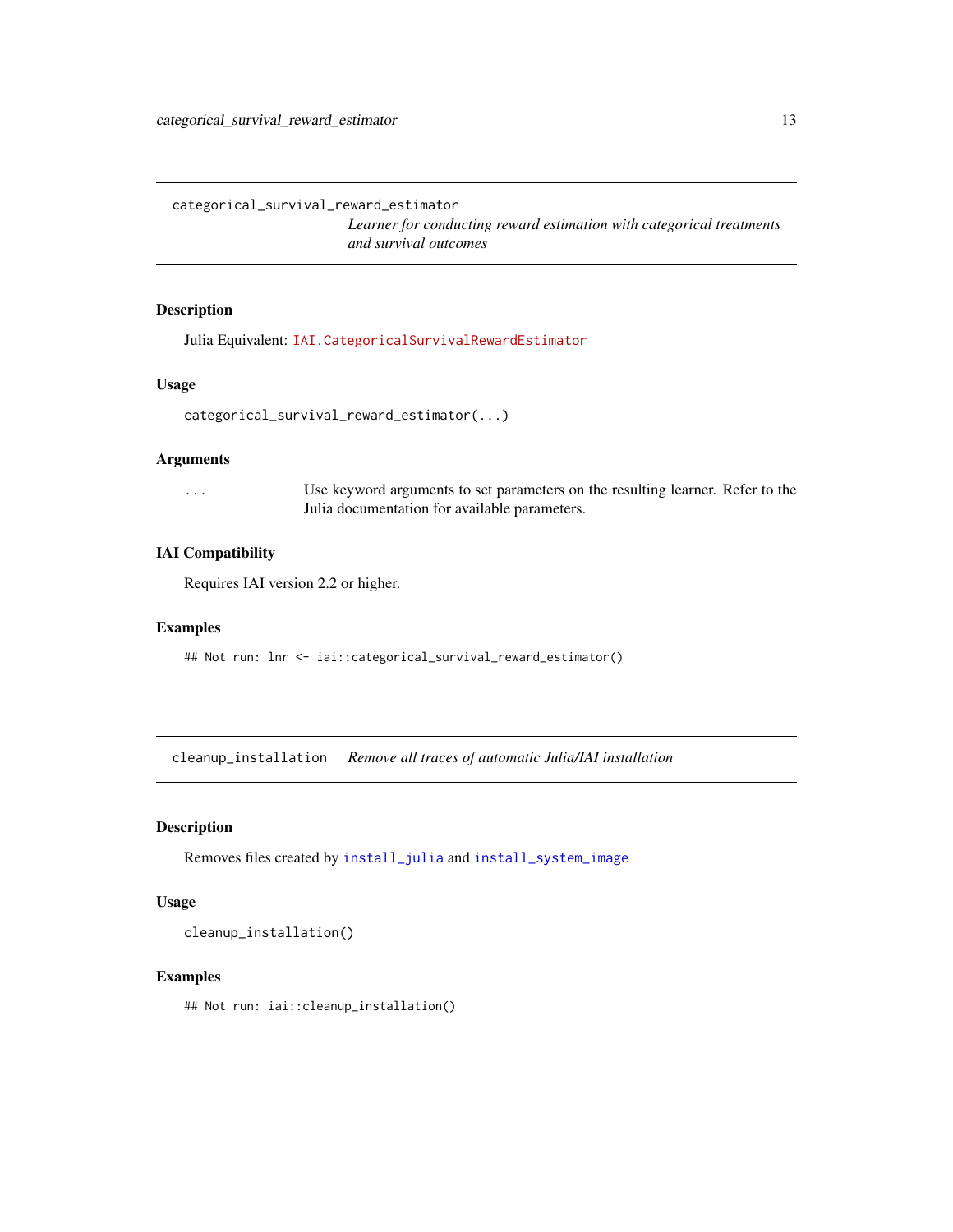<span id="page-12-0"></span>categorical\_survival\_reward\_estimator

*Learner for conducting reward estimation with categorical treatments and survival outcomes*

# Description

Julia Equivalent: [IAI.CategoricalSurvivalRewardEstimator](https://docs.interpretable.ai/v3.0.0/RewardEstimation/reference/#IAI.CategoricalSurvivalRewardEstimator)

#### Usage

```
categorical_survival_reward_estimator(...)
```
#### Arguments

... Use keyword arguments to set parameters on the resulting learner. Refer to the Julia documentation for available parameters.

#### IAI Compatibility

Requires IAI version 2.2 or higher.

#### Examples

## Not run: lnr <- iai::categorical\_survival\_reward\_estimator()

cleanup\_installation *Remove all traces of automatic Julia/IAI installation*

#### Description

Removes files created by [install\\_julia](#page-47-1) and [install\\_system\\_image](#page-48-1)

#### Usage

cleanup\_installation()

#### Examples

## Not run: iai::cleanup\_installation()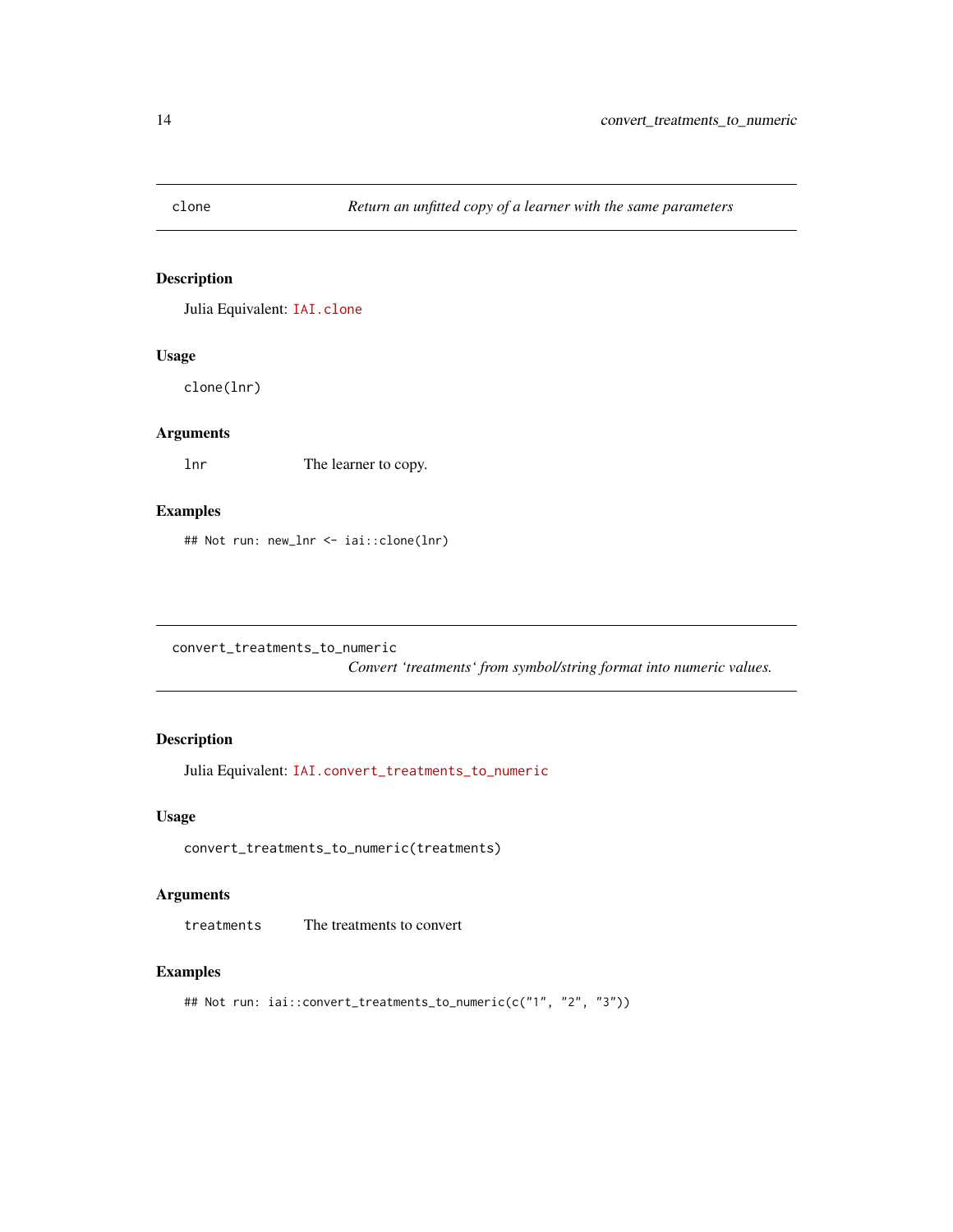<span id="page-13-0"></span>

# Description

Julia Equivalent: [IAI.clone](https://docs.interpretable.ai/v3.0.0/IAIBase/reference/#IAI.clone)

# Usage

clone(lnr)

# Arguments

lnr The learner to copy.

# Examples

## Not run: new\_lnr <- iai::clone(lnr)

convert\_treatments\_to\_numeric

*Convert 'treatments' from symbol/string format into numeric values.*

# Description

Julia Equivalent: [IAI.convert\\_treatments\\_to\\_numeric](https://docs.interpretable.ai/v3.0.0/RewardEstimation/reference/#IAI.convert_treatments_to_numeric)

#### Usage

convert\_treatments\_to\_numeric(treatments)

#### Arguments

treatments The treatments to convert

#### Examples

## Not run: iai::convert\_treatments\_to\_numeric(c("1", "2", "3"))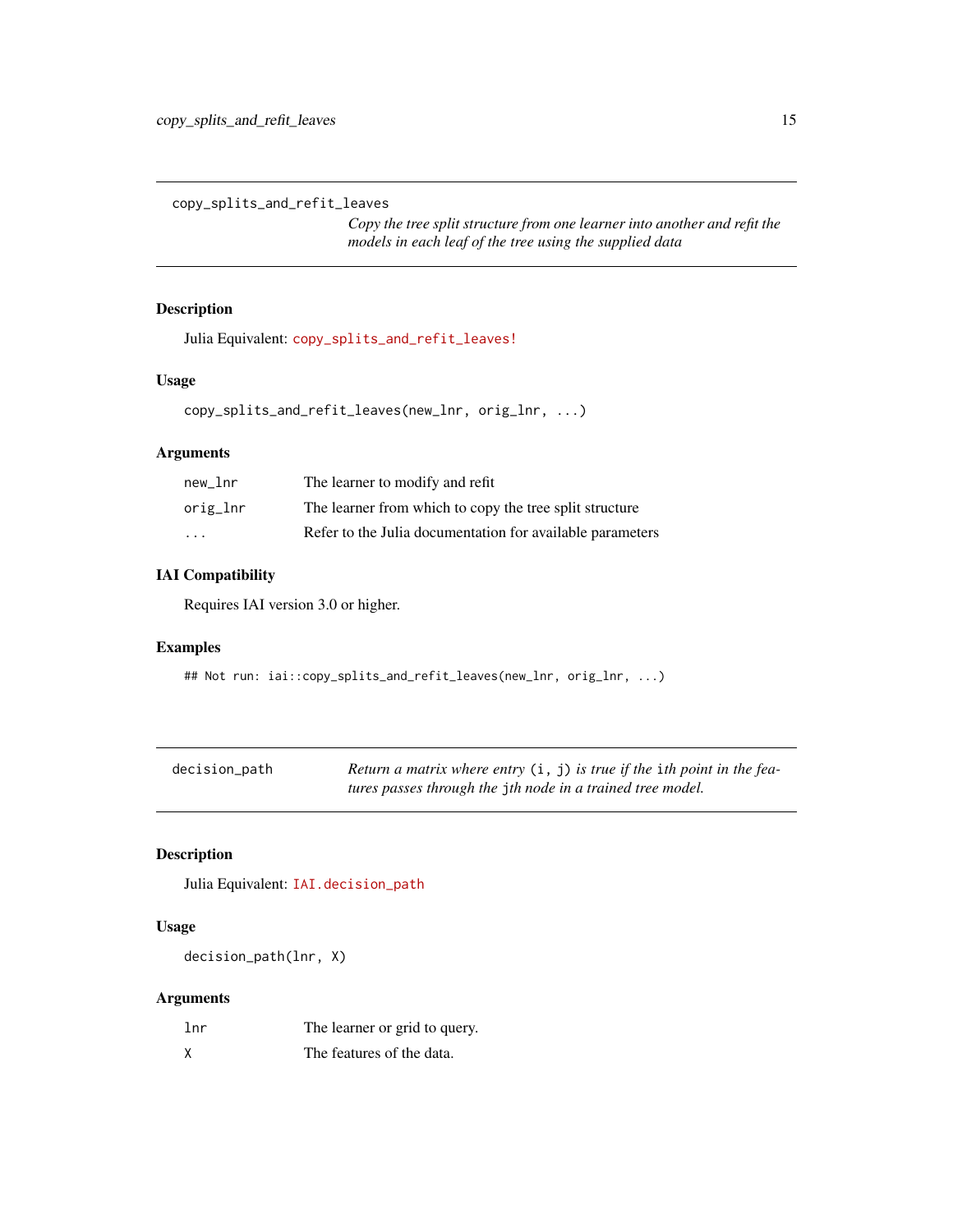<span id="page-14-0"></span>copy\_splits\_and\_refit\_leaves

*Copy the tree split structure from one learner into another and refit the models in each leaf of the tree using the supplied data*

# Description

Julia Equivalent: [copy\\_splits\\_and\\_refit\\_leaves!](https://docs.interpretable.ai/v3.0.0/OptimalTrees/reference/#IAI.copy_splits_and_refit_leaves!)

#### Usage

copy\_splits\_and\_refit\_leaves(new\_lnr, orig\_lnr, ...)

# Arguments

| new lnr  | The learner to modify and refit                           |
|----------|-----------------------------------------------------------|
| orig_lnr | The learner from which to copy the tree split structure   |
| .        | Refer to the Julia documentation for available parameters |

# IAI Compatibility

Requires IAI version 3.0 or higher.

#### Examples

```
## Not run: iai::copy_splits_and_refit_leaves(new_lnr, orig_lnr, ...)
```

| decision_path | Return a matrix where entry $(i, j)$ is true if the ith point in the fea- |
|---------------|---------------------------------------------------------------------------|
|               | tures passes through the jth node in a trained tree model.                |

# Description

Julia Equivalent: [IAI.decision\\_path](https://docs.interpretable.ai/v3.0.0/IAITrees/reference/#IAI.decision_path)

#### Usage

decision\_path(lnr, X)

# Arguments

| 1nr | The learner or grid to query. |
|-----|-------------------------------|
| X   | The features of the data.     |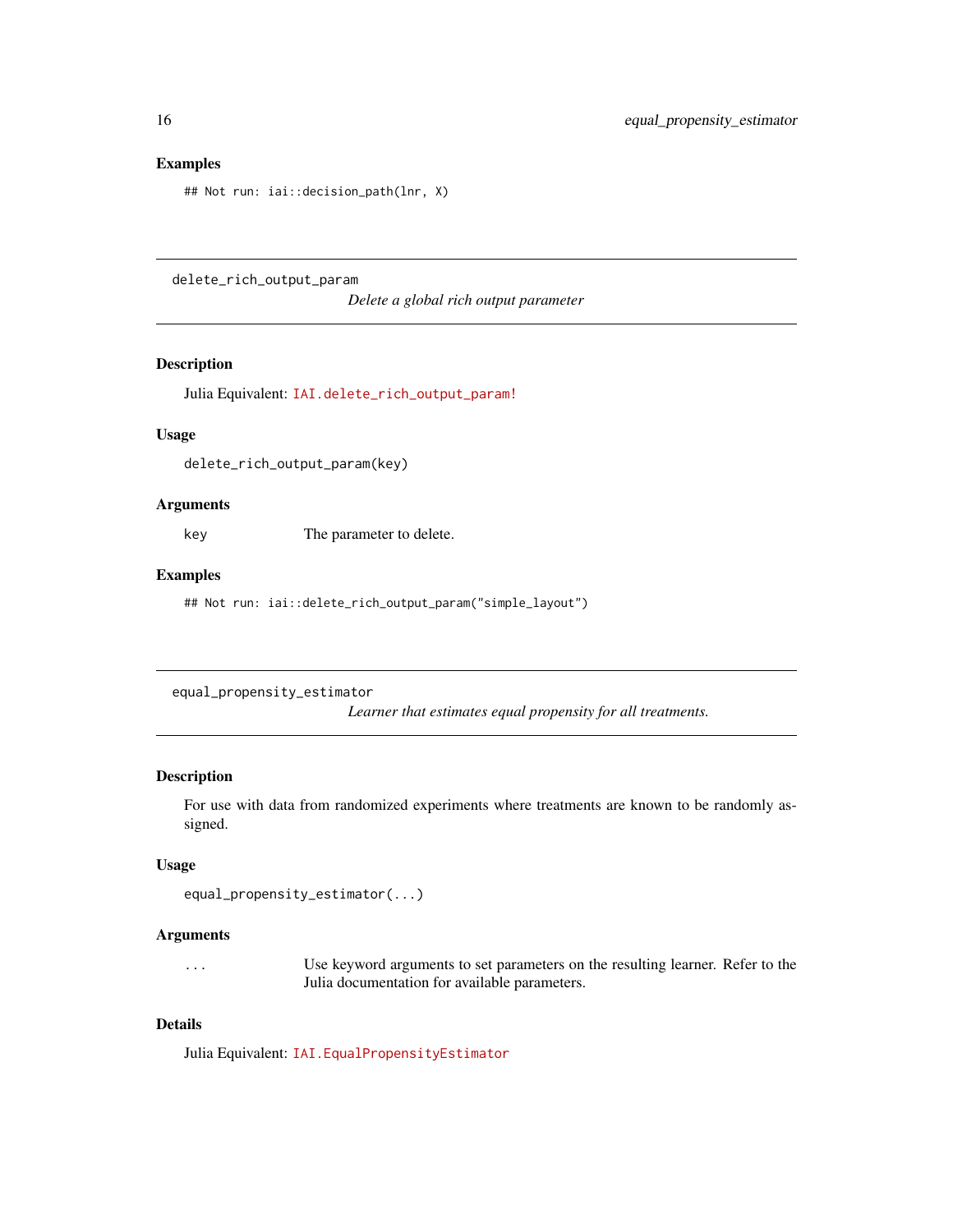#### <span id="page-15-0"></span>Examples

## Not run: iai::decision\_path(lnr, X)

delete\_rich\_output\_param

*Delete a global rich output parameter*

#### Description

Julia Equivalent: [IAI.delete\\_rich\\_output\\_param!](https://docs.interpretable.ai/v3.0.0/IAIBase/reference/#IAI.delete_rich_output_param!)

#### Usage

delete\_rich\_output\_param(key)

# Arguments

key The parameter to delete.

#### Examples

## Not run: iai::delete\_rich\_output\_param("simple\_layout")

equal\_propensity\_estimator

*Learner that estimates equal propensity for all treatments.*

#### Description

For use with data from randomized experiments where treatments are known to be randomly assigned.

#### Usage

```
equal_propensity_estimator(...)
```
#### Arguments

... Use keyword arguments to set parameters on the resulting learner. Refer to the Julia documentation for available parameters.

#### Details

Julia Equivalent: [IAI.EqualPropensityEstimator](https://docs.interpretable.ai/v3.0.0/RewardEstimation/reference/#IAI.EqualPropensityEstimator)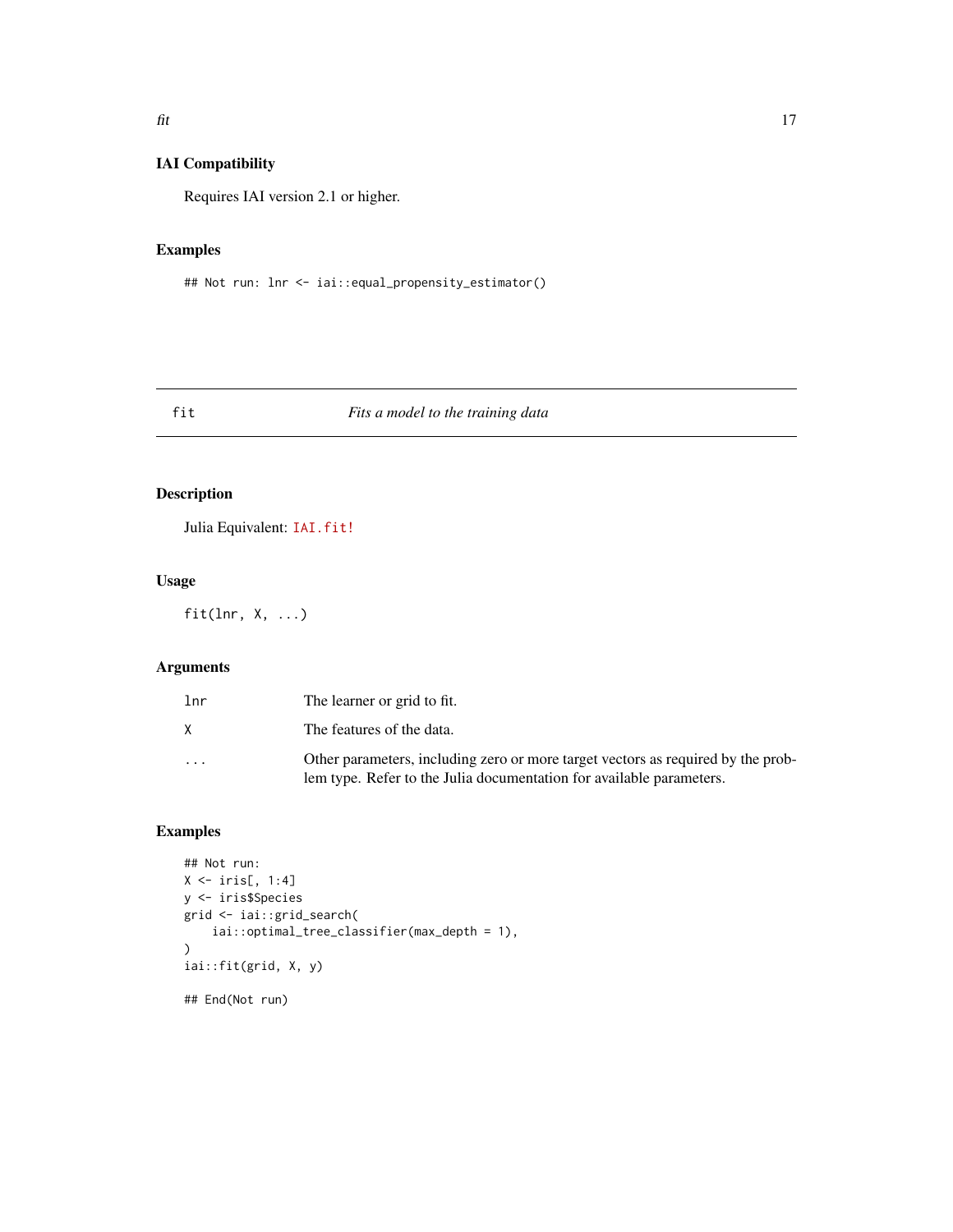# <span id="page-16-0"></span>IAI Compatibility

Requires IAI version 2.1 or higher.

# Examples

## Not run: lnr <- iai::equal\_propensity\_estimator()

# fit *Fits a model to the training data*

# Description

Julia Equivalent: [IAI.fit!](https://docs.interpretable.ai/v3.0.0/IAIBase/reference/#IAI.fit!)

# Usage

fit(lnr,  $X, \ldots$ )

# Arguments

| 1 <sub>nr</sub> | The learner or grid to fit.                                                                                                                              |
|-----------------|----------------------------------------------------------------------------------------------------------------------------------------------------------|
| X               | The features of the data.                                                                                                                                |
| $\cdots$        | Other parameters, including zero or more target vectors as required by the prob-<br>lem type. Refer to the Julia documentation for available parameters. |

# Examples

```
## Not run:
X \leftarrow \text{iris}[, 1:4]y <- iris$Species
grid <- iai::grid_search(
    iai::optimal_tree_classifier(max_depth = 1),
\mathcal{L}iai::fit(grid, X, y)
## End(Not run)
```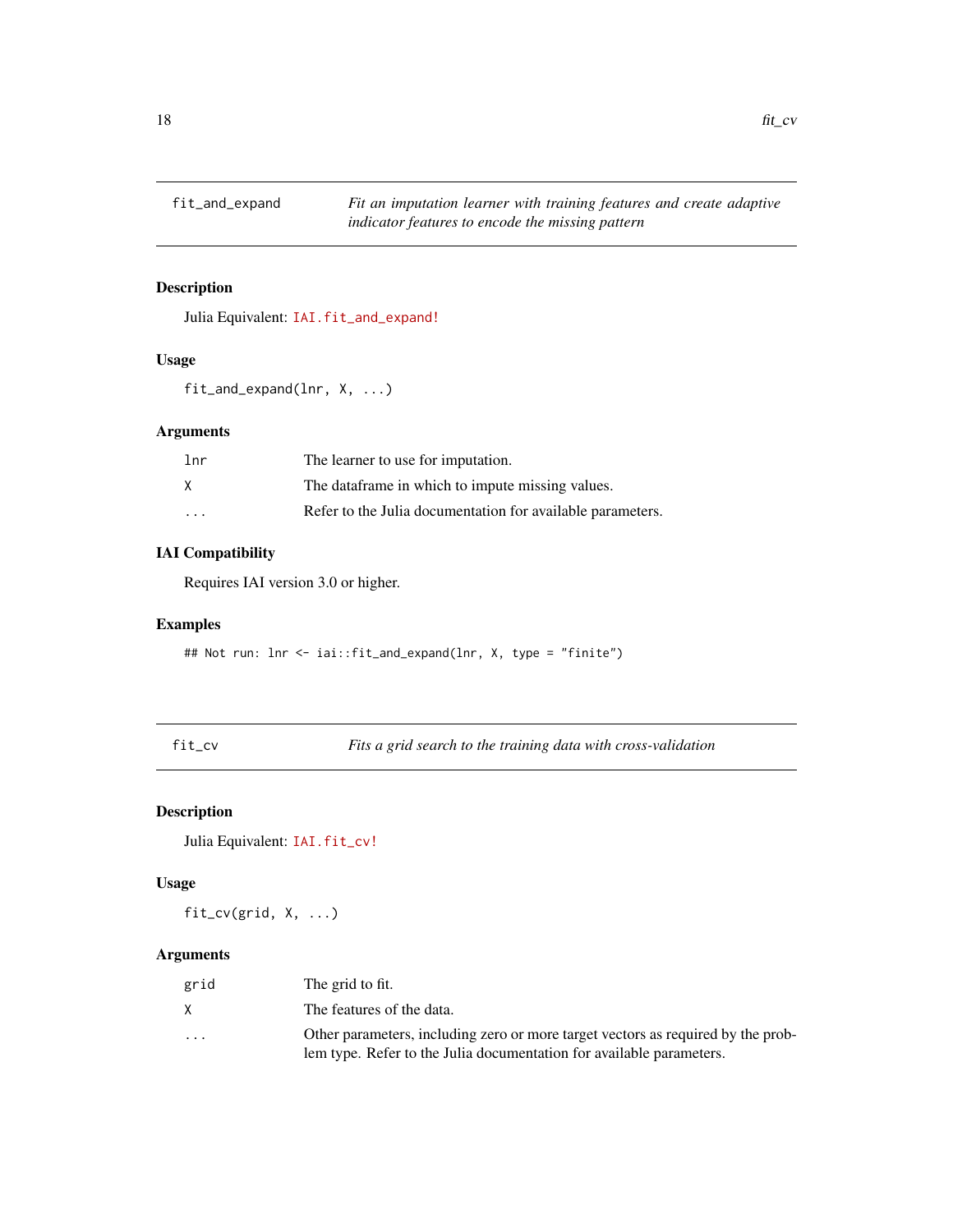<span id="page-17-0"></span>

# Description

Julia Equivalent: [IAI.fit\\_and\\_expand!](https://docs.interpretable.ai/v3.0.0/OptImpute/reference/#IAI.fit_and_expand!)

#### Usage

fit\_and\_expand(lnr, X, ...)

# Arguments

| lnr      | The learner to use for imputation.                         |
|----------|------------------------------------------------------------|
|          | The dataframe in which to impute missing values.           |
| $\cdots$ | Refer to the Julia documentation for available parameters. |

# IAI Compatibility

Requires IAI version 3.0 or higher.

#### Examples

## Not run: lnr <- iai::fit\_and\_expand(lnr, X, type = "finite")

fit\_cv *Fits a grid search to the training data with cross-validation*

# Description

Julia Equivalent: [IAI.fit\\_cv!](https://docs.interpretable.ai/v3.0.0/IAIBase/reference/#IAI.fit_cv!)

#### Usage

fit\_cv(grid, X, ...)

# Arguments

| grid     | The grid to fit.                                                                                                                                         |
|----------|----------------------------------------------------------------------------------------------------------------------------------------------------------|
| X        | The features of the data.                                                                                                                                |
| $\cdots$ | Other parameters, including zero or more target vectors as required by the prob-<br>lem type. Refer to the Julia documentation for available parameters. |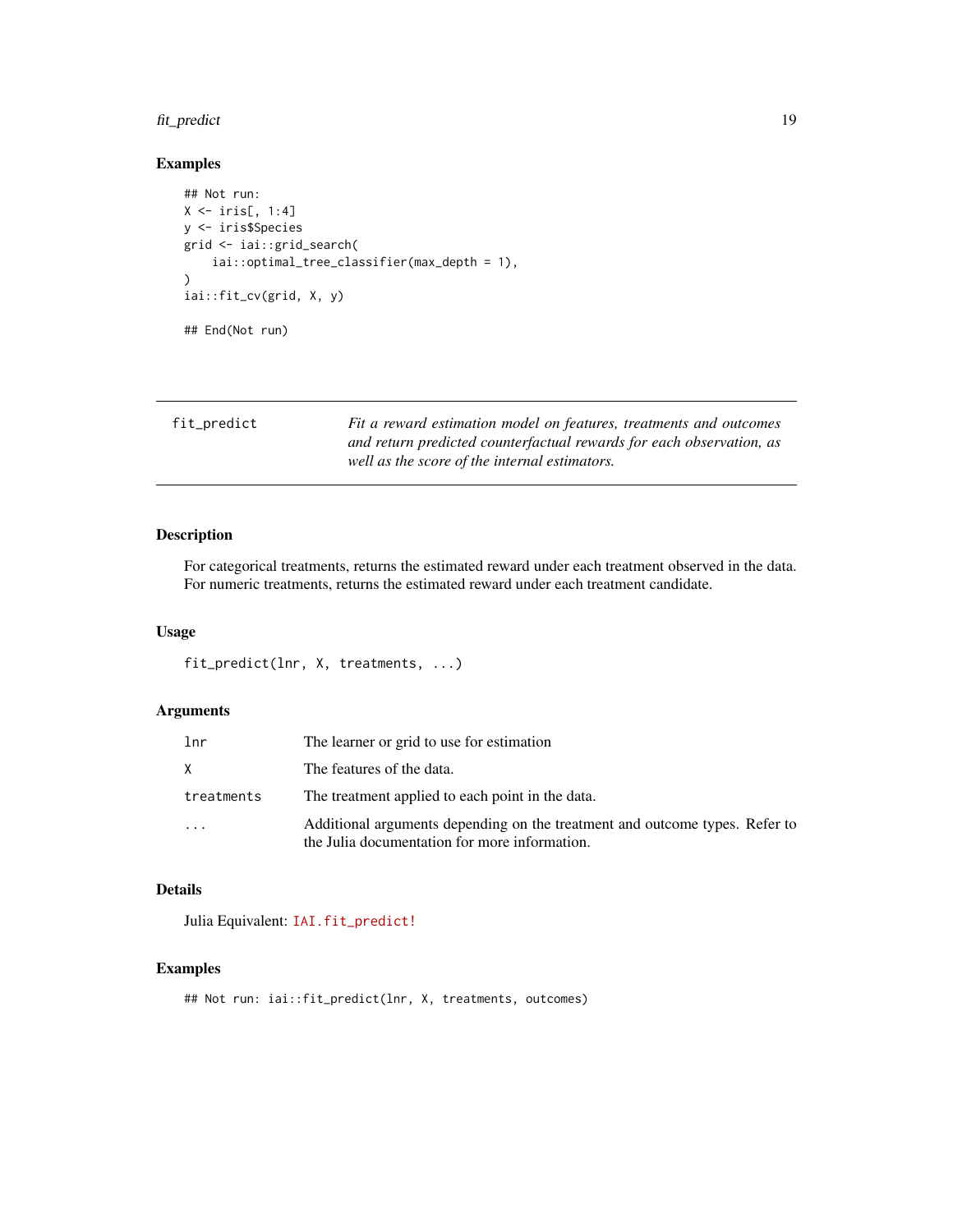# <span id="page-18-0"></span>fit\_predict 19

# Examples

```
## Not run:
X \leftarrow \text{iris}[, 1:4]y <- iris$Species
grid <- iai::grid_search(
    iai::optimal_tree_classifier(max_depth = 1),
)
iai::fit_cv(grid, X, y)
## End(Not run)
```

| fit_predict | Fit a reward estimation model on features, treatments and outcomes   |
|-------------|----------------------------------------------------------------------|
|             | and return predicted counterfactual rewards for each observation, as |
|             | well as the score of the internal estimators.                        |

# Description

For categorical treatments, returns the estimated reward under each treatment observed in the data. For numeric treatments, returns the estimated reward under each treatment candidate.

#### Usage

```
fit_predict(lnr, X, treatments, ...)
```
#### Arguments

| lnr        | The learner or grid to use for estimation                                                                                    |
|------------|------------------------------------------------------------------------------------------------------------------------------|
| X          | The features of the data.                                                                                                    |
| treatments | The treatment applied to each point in the data.                                                                             |
| .          | Additional arguments depending on the treatment and outcome types. Refer to<br>the Julia documentation for more information. |

# Details

Julia Equivalent: [IAI.fit\\_predict!](https://docs.interpretable.ai/v3.0.0/RewardEstimation/reference/#IAI.fit_predict!)

#### Examples

```
## Not run: iai::fit_predict(lnr, X, treatments, outcomes)
```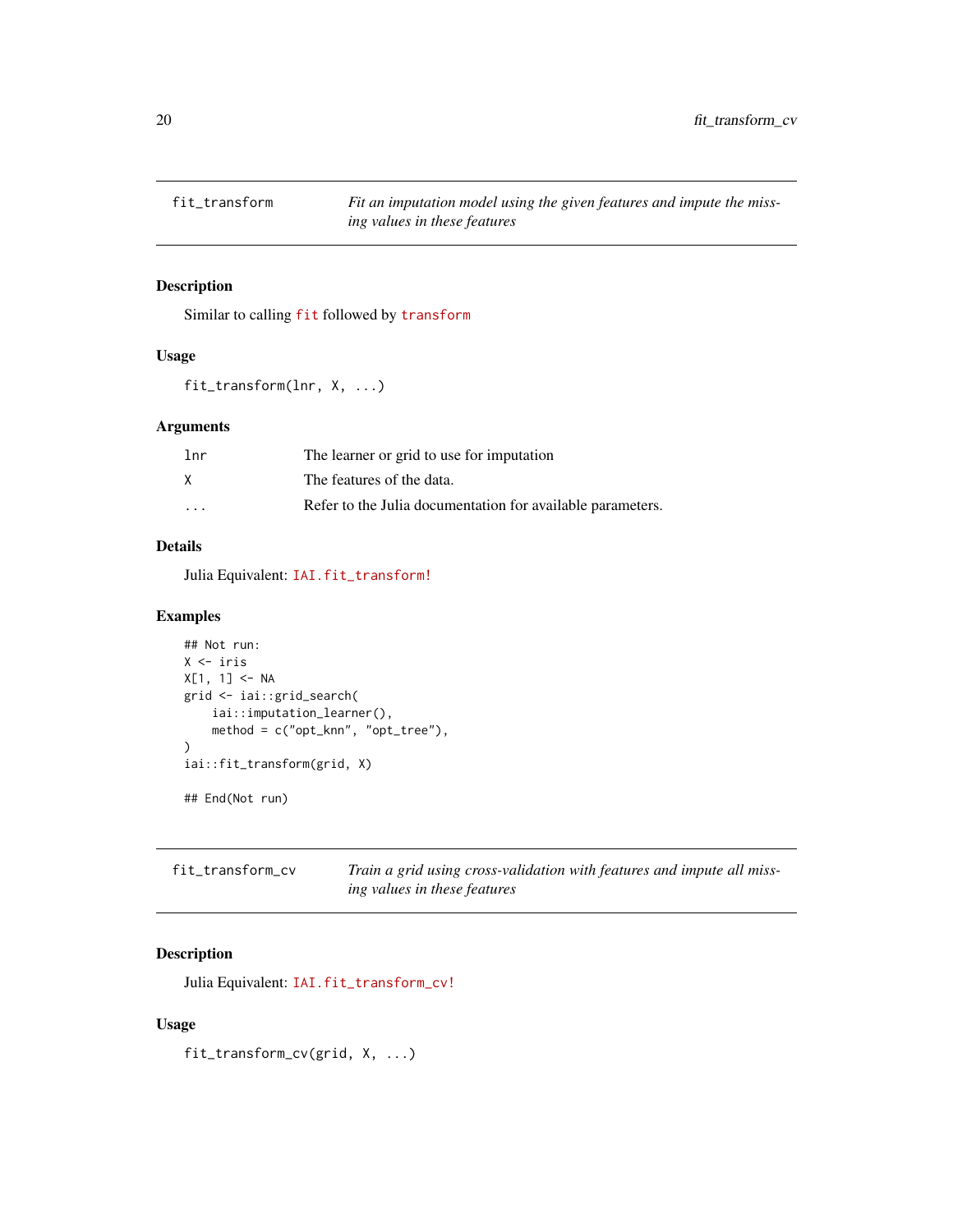<span id="page-19-0"></span>

#### Description

Similar to calling [fit](https://docs.interpretable.ai/v3.0.0/IAI-R/reference/#iai::fit) followed by [transform](https://docs.interpretable.ai/v3.0.0/IAI-R/reference/#iai::transform)

#### Usage

```
fit_transform(lnr, X, ...)
```
# Arguments

| 1 <sub>nr</sub> | The learner or grid to use for imputation                  |
|-----------------|------------------------------------------------------------|
| X               | The features of the data.                                  |
| $\cdots$        | Refer to the Julia documentation for available parameters. |

# Details

Julia Equivalent: [IAI.fit\\_transform!](https://docs.interpretable.ai/v3.0.0/IAIBase/reference/#IAI.fit_transform!)

#### Examples

```
## Not run:
X <- iris
X[1, 1] <- NA
grid <- iai::grid_search(
    iai::imputation_learner(),
   method = c("opt_knn", "opt_tree"),
)
iai::fit_transform(grid, X)
## End(Not run)
```

| fit_transform_cv | Train a grid using cross-validation with features and impute all miss- |
|------------------|------------------------------------------------------------------------|
|                  | ing values in these features                                           |

# Description

Julia Equivalent: [IAI.fit\\_transform\\_cv!](https://docs.interpretable.ai/v3.0.0/IAIBase/reference/#IAI.fit_transform_cv!)

# Usage

fit\_transform\_cv(grid, X, ...)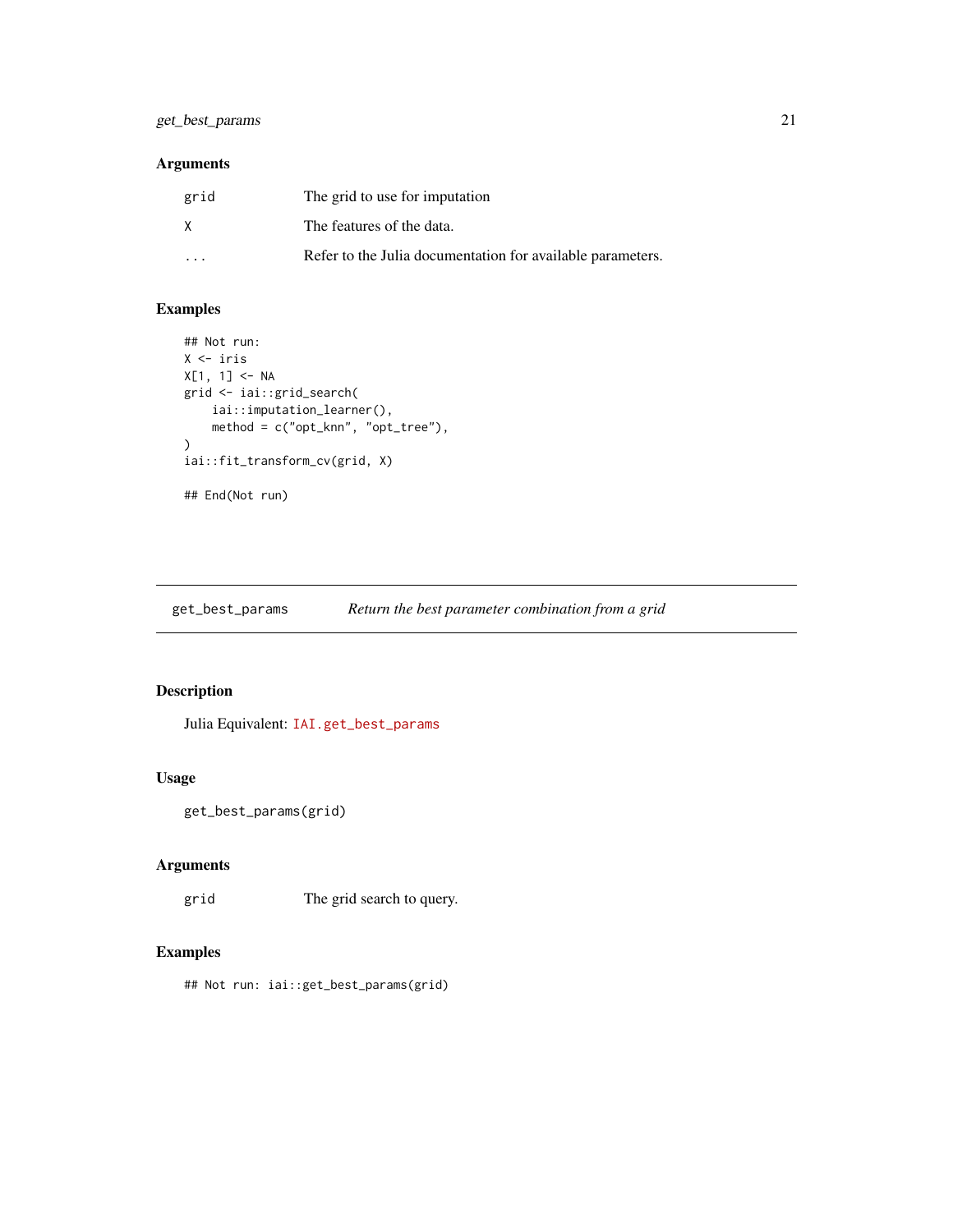# <span id="page-20-0"></span>get\_best\_params 21

# Arguments

| grid                    | The grid to use for imputation                             |
|-------------------------|------------------------------------------------------------|
| X                       | The features of the data.                                  |
| $\cdot$ $\cdot$ $\cdot$ | Refer to the Julia documentation for available parameters. |

# Examples

```
## Not run:
X <- iris
X[1, 1] <- NA
grid <- iai::grid_search(
    iai::imputation_learner(),
    method = c("opt_knn", "opt_tree"),
\lambdaiai::fit_transform_cv(grid, X)
## End(Not run)
```
get\_best\_params *Return the best parameter combination from a grid*

# Description

Julia Equivalent: [IAI.get\\_best\\_params](https://docs.interpretable.ai/v3.0.0/IAIBase/reference/#IAI.get_best_params)

# Usage

```
get_best_params(grid)
```
# Arguments

grid The grid search to query.

# Examples

## Not run: iai::get\_best\_params(grid)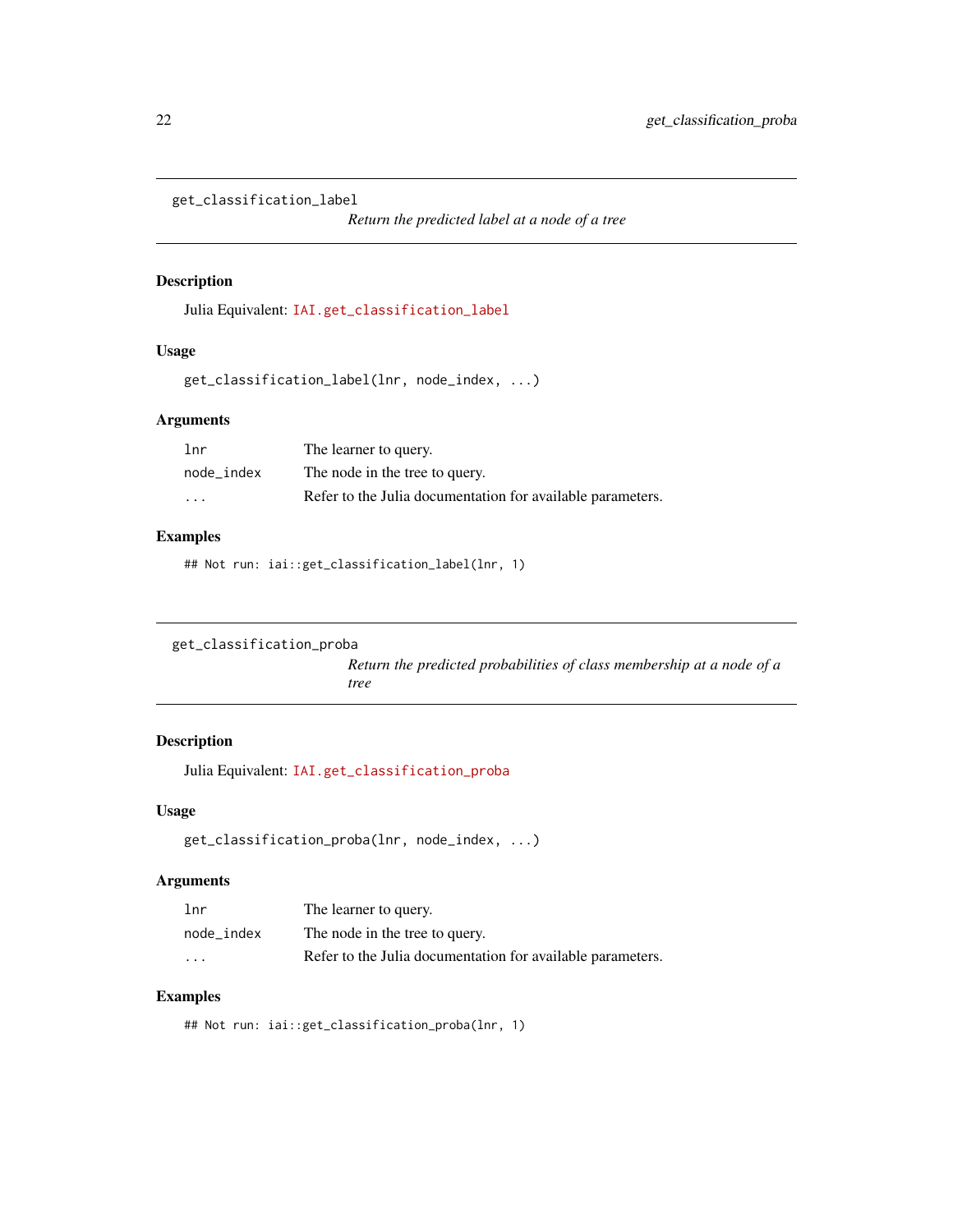```
get_classification_label
```
*Return the predicted label at a node of a tree*

# Description

Julia Equivalent: [IAI.get\\_classification\\_label](https://docs.interpretable.ai/v3.0.0/IAITrees/reference/#IAI.get_classification_label)

#### Usage

```
get_classification_label(lnr, node_index, ...)
```
# Arguments

| lnr                     | The learner to query.                                      |
|-------------------------|------------------------------------------------------------|
| node index              | The node in the tree to query.                             |
| $\cdot$ $\cdot$ $\cdot$ | Refer to the Julia documentation for available parameters. |

#### Examples

## Not run: iai::get\_classification\_label(lnr, 1)

```
get_classification_proba
```
*Return the predicted probabilities of class membership at a node of a tree*

#### Description

Julia Equivalent: [IAI.get\\_classification\\_proba](https://docs.interpretable.ai/v3.0.0/IAITrees/reference/#IAI.get_classification_proba)

#### Usage

```
get_classification_proba(lnr, node_index, ...)
```
# Arguments

| lnr                     | The learner to query.                                      |
|-------------------------|------------------------------------------------------------|
| node index              | The node in the tree to query.                             |
| $\cdot$ $\cdot$ $\cdot$ | Refer to the Julia documentation for available parameters. |

#### Examples

## Not run: iai::get\_classification\_proba(lnr, 1)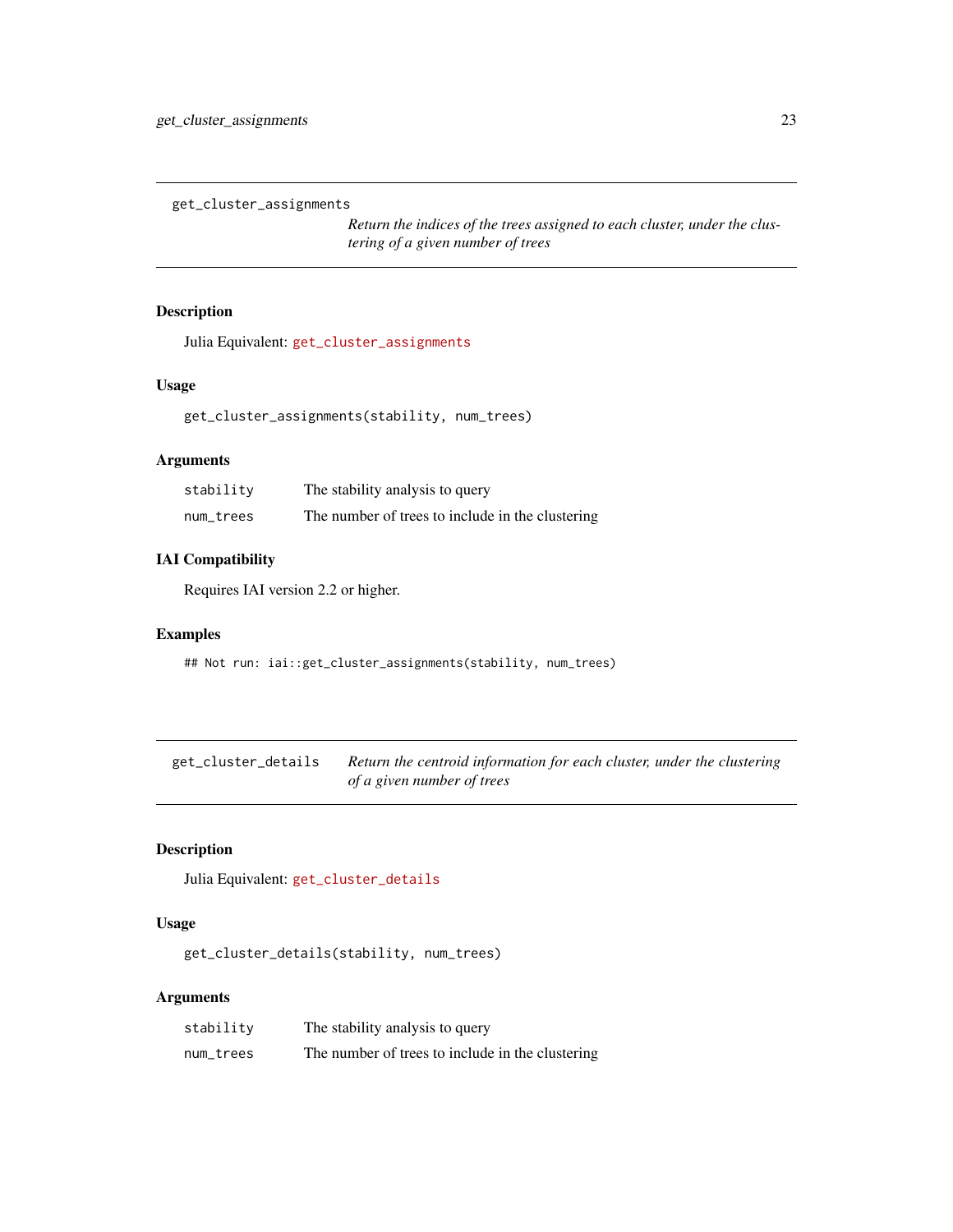<span id="page-22-0"></span>get\_cluster\_assignments

*Return the indices of the trees assigned to each cluster, under the clustering of a given number of trees*

# Description

Julia Equivalent: [get\\_cluster\\_assignments](https://docs.interpretable.ai/v3.0.0/IAITrees/reference/#IAI.get_cluster_assignments)

#### Usage

```
get_cluster_assignments(stability, num_trees)
```
# Arguments

| stability | The stability analysis to query                  |
|-----------|--------------------------------------------------|
| num_trees | The number of trees to include in the clustering |

# IAI Compatibility

Requires IAI version 2.2 or higher.

#### Examples

## Not run: iai::get\_cluster\_assignments(stability, num\_trees)

get\_cluster\_details *Return the centroid information for each cluster, under the clustering of a given number of trees*

#### Description

Julia Equivalent: [get\\_cluster\\_details](https://docs.interpretable.ai/v3.0.0/IAITrees/reference/#IAI.get_cluster_details)

#### Usage

get\_cluster\_details(stability, num\_trees)

#### Arguments

| stability | The stability analysis to query                  |
|-----------|--------------------------------------------------|
| num_trees | The number of trees to include in the clustering |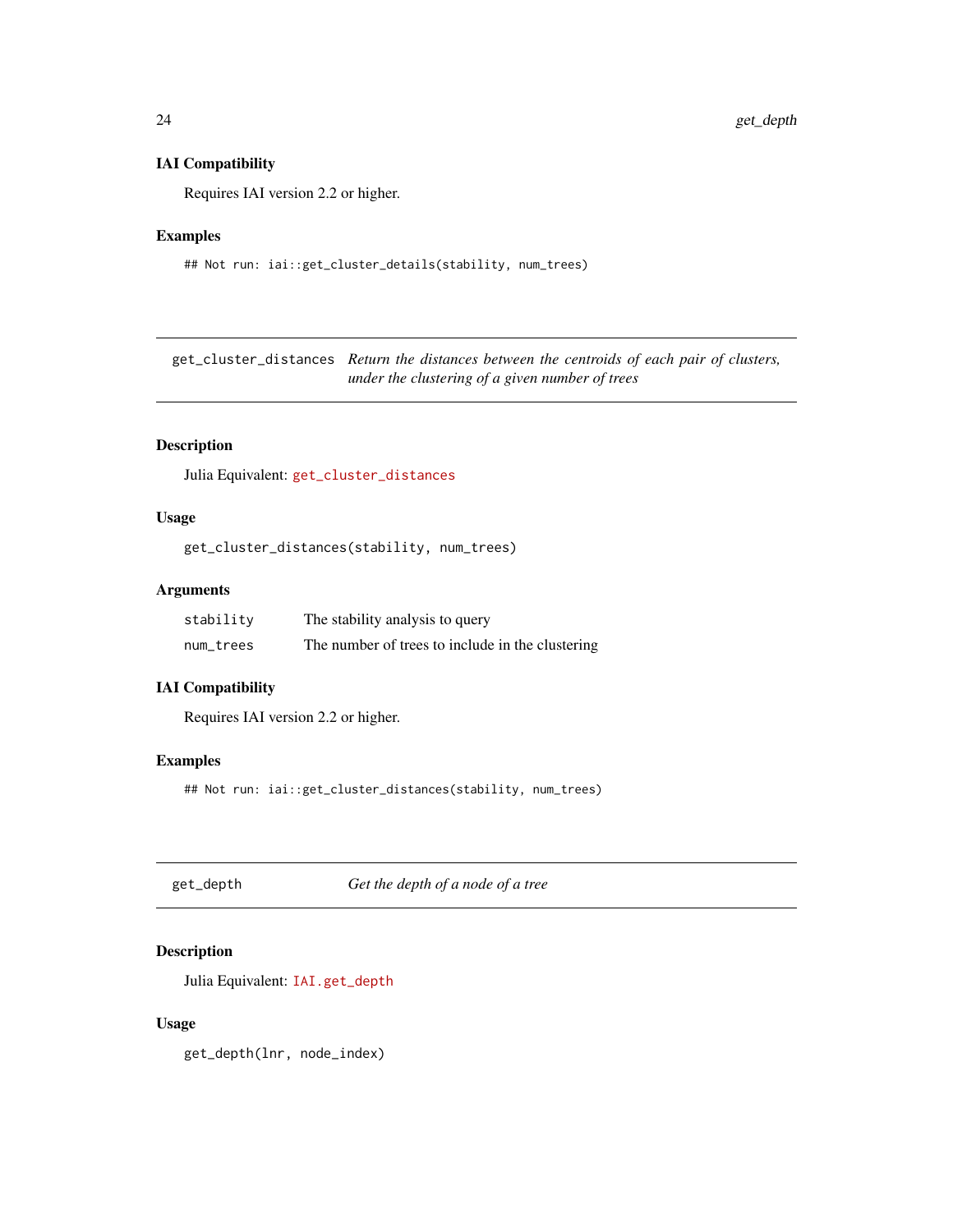#### <span id="page-23-0"></span>IAI Compatibility

Requires IAI version 2.2 or higher.

#### Examples

## Not run: iai::get\_cluster\_details(stability, num\_trees)

get\_cluster\_distances *Return the distances between the centroids of each pair of clusters, under the clustering of a given number of trees*

# Description

Julia Equivalent: [get\\_cluster\\_distances](https://docs.interpretable.ai/v3.0.0/IAITrees/reference/#IAI.get_cluster_distances)

#### Usage

get\_cluster\_distances(stability, num\_trees)

# Arguments

| stability | The stability analysis to query                  |
|-----------|--------------------------------------------------|
| num_trees | The number of trees to include in the clustering |

#### IAI Compatibility

Requires IAI version 2.2 or higher.

# Examples

## Not run: iai::get\_cluster\_distances(stability, num\_trees)

get\_depth *Get the depth of a node of a tree*

# Description

Julia Equivalent: [IAI.get\\_depth](https://docs.interpretable.ai/v3.0.0/IAITrees/reference/#IAI.get_depth)

#### Usage

get\_depth(lnr, node\_index)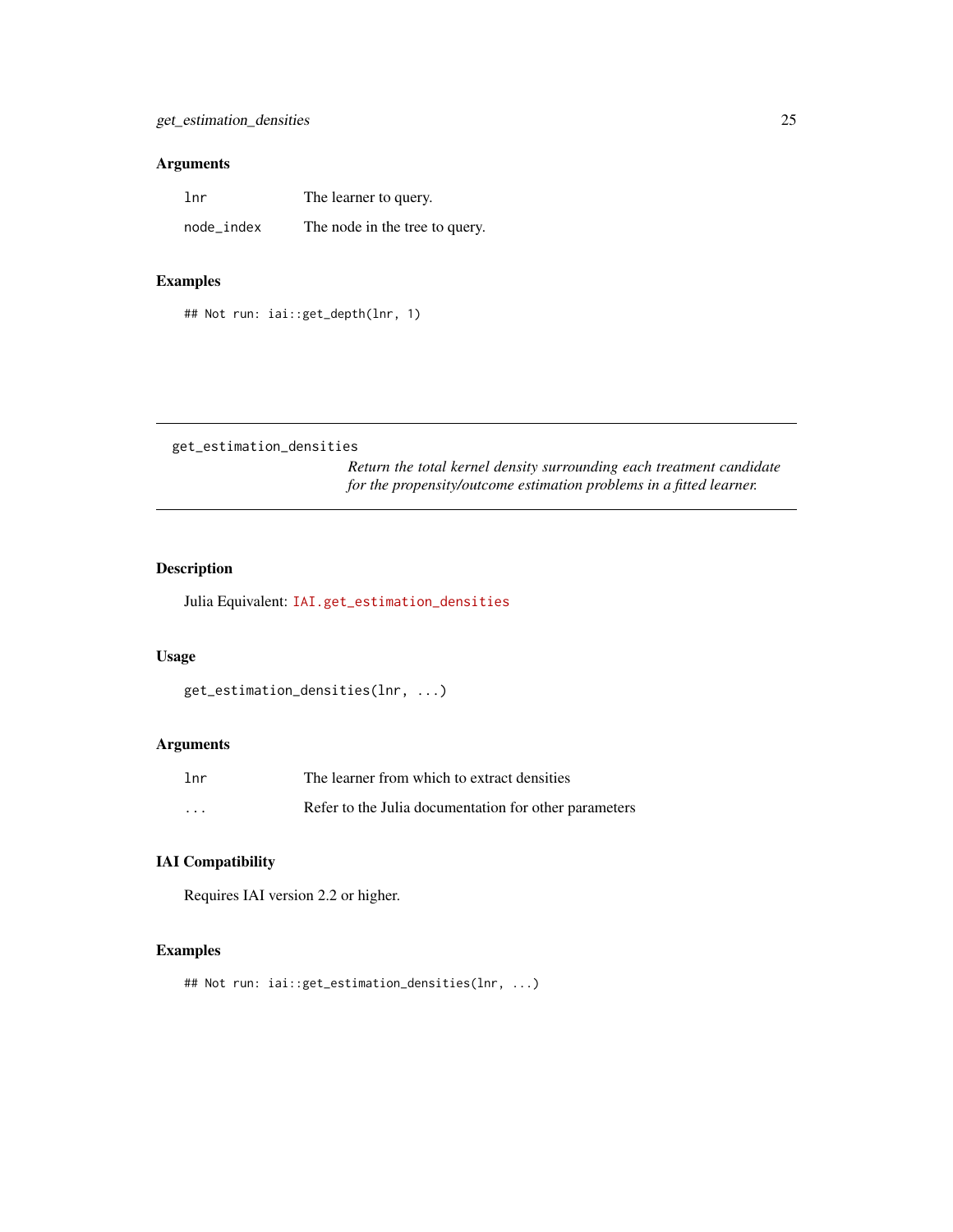# <span id="page-24-0"></span>Arguments

| 1 <sub>nr</sub> | The learner to query.          |
|-----------------|--------------------------------|
| node_index      | The node in the tree to query. |

# Examples

## Not run: iai::get\_depth(lnr, 1)

get\_estimation\_densities

*Return the total kernel density surrounding each treatment candidate for the propensity/outcome estimation problems in a fitted learner.*

# Description

Julia Equivalent: [IAI.get\\_estimation\\_densities](https://docs.interpretable.ai/v3.0.0/RewardEstimation/reference/#IAI.get_estimation_densities)

#### Usage

```
get_estimation_densities(lnr, ...)
```
# Arguments

| 1 <sub>nr</sub> | The learner from which to extract densities           |
|-----------------|-------------------------------------------------------|
| $\cdots$        | Refer to the Julia documentation for other parameters |

# IAI Compatibility

Requires IAI version 2.2 or higher.

# Examples

```
## Not run: iai::get_estimation_densities(lnr, ...)
```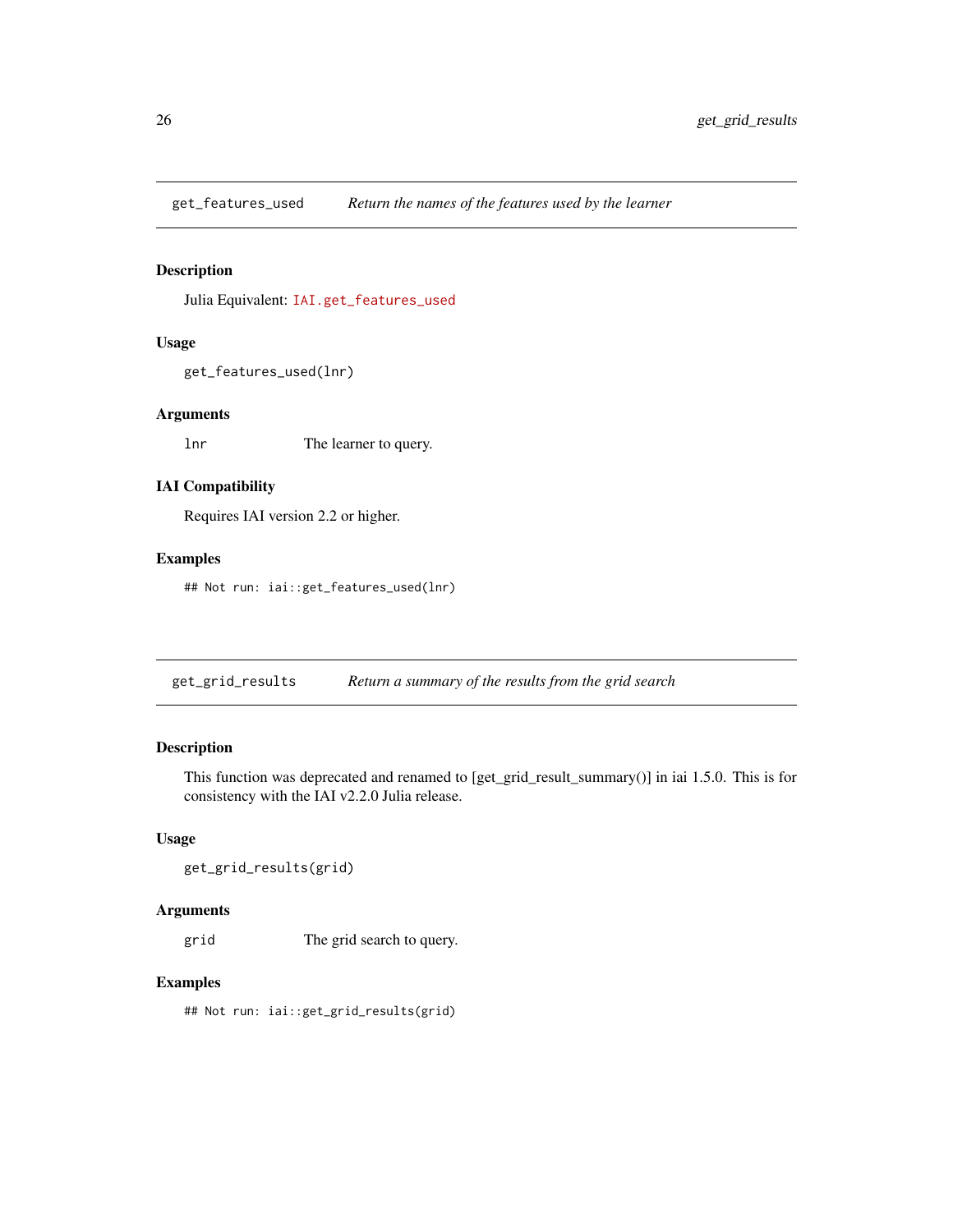<span id="page-25-0"></span>get\_features\_used *Return the names of the features used by the learner*

#### Description

Julia Equivalent: [IAI.get\\_features\\_used](https://docs.interpretable.ai/v3.0.0/IAIBase/reference/#IAI.get_features_used)

### Usage

get\_features\_used(lnr)

#### Arguments

lnr The learner to query.

# IAI Compatibility

Requires IAI version 2.2 or higher.

#### Examples

## Not run: iai::get\_features\_used(lnr)

get\_grid\_results *Return a summary of the results from the grid search*

#### Description

This function was deprecated and renamed to [get\_grid\_result\_summary()] in iai 1.5.0. This is for consistency with the IAI v2.2.0 Julia release.

# Usage

```
get_grid_results(grid)
```
#### Arguments

grid The grid search to query.

# Examples

## Not run: iai::get\_grid\_results(grid)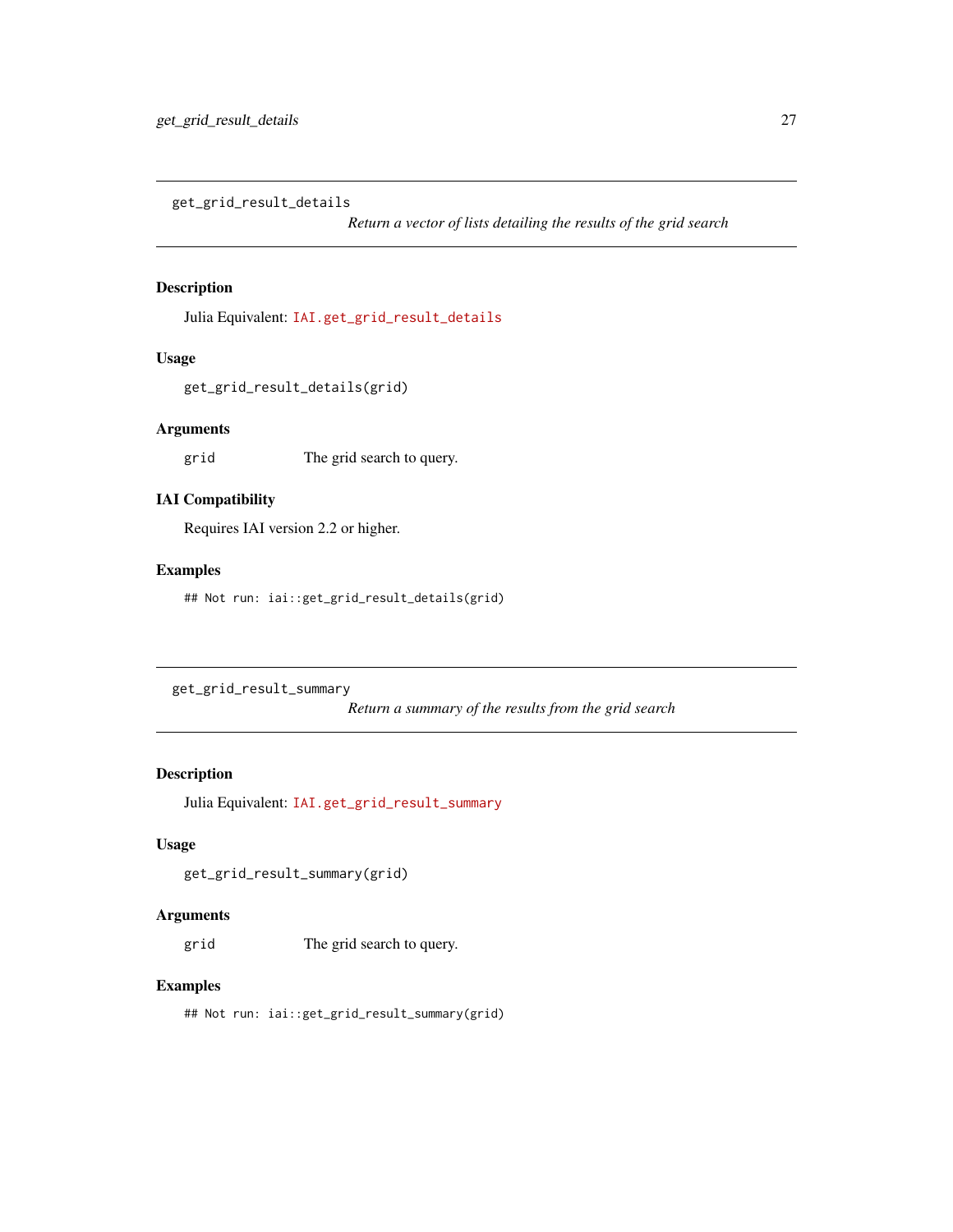<span id="page-26-0"></span>get\_grid\_result\_details

*Return a vector of lists detailing the results of the grid search*

# Description

Julia Equivalent: [IAI.get\\_grid\\_result\\_details](https://docs.interpretable.ai/v3.0.0/IAIBase/reference/#IAI.get_grid_result_details)

#### Usage

get\_grid\_result\_details(grid)

#### Arguments

grid The grid search to query.

# IAI Compatibility

Requires IAI version 2.2 or higher.

#### Examples

## Not run: iai::get\_grid\_result\_details(grid)

get\_grid\_result\_summary

*Return a summary of the results from the grid search*

#### Description

Julia Equivalent: [IAI.get\\_grid\\_result\\_summary](https://docs.interpretable.ai/v3.0.0/IAIBase/reference/#IAI.get_grid_result_summary)

#### Usage

```
get_grid_result_summary(grid)
```
#### Arguments

grid The grid search to query.

#### Examples

## Not run: iai::get\_grid\_result\_summary(grid)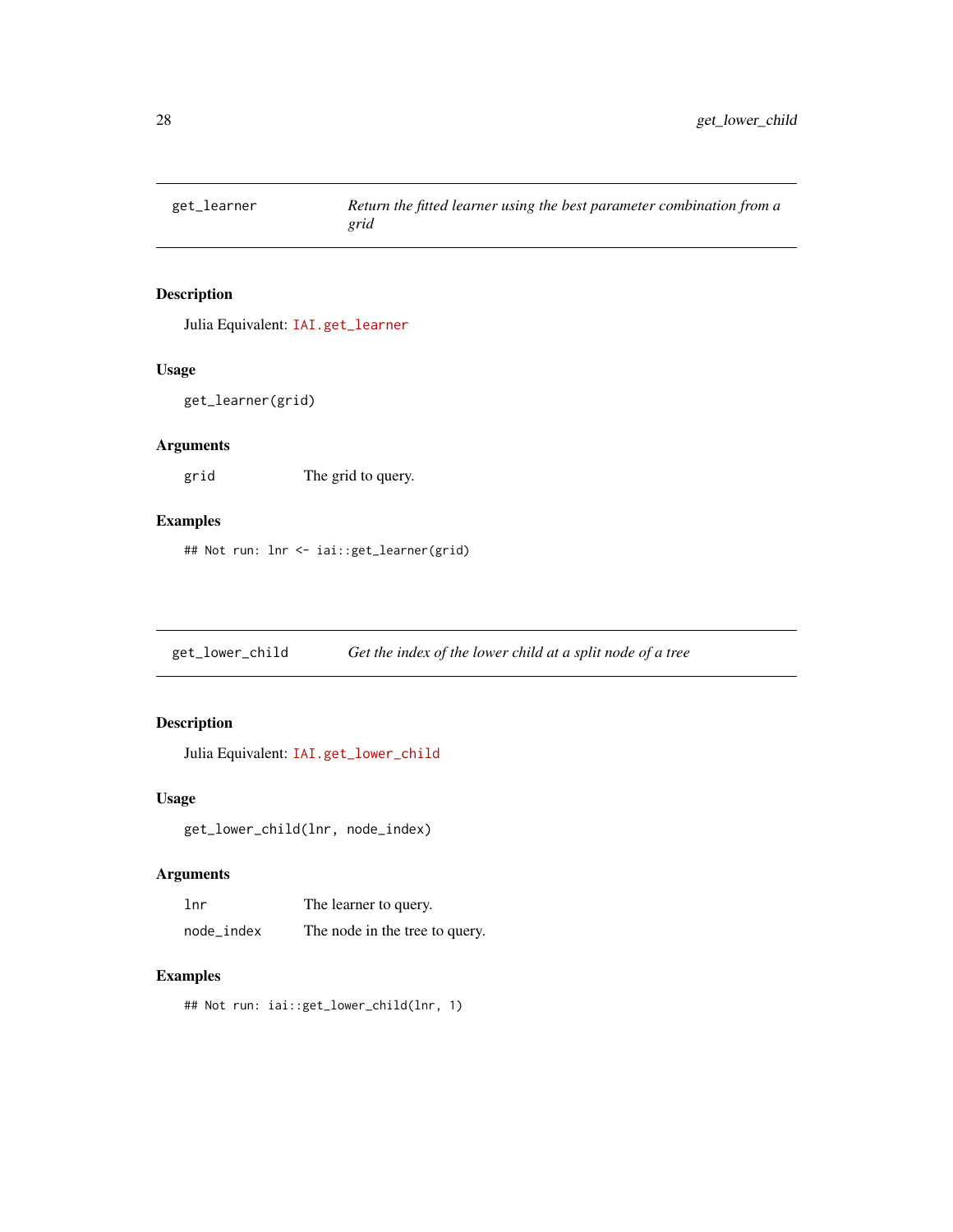<span id="page-27-0"></span>

# Description

Julia Equivalent: [IAI.get\\_learner](https://docs.interpretable.ai/v3.0.0/IAIBase/reference/#IAI.get_learner)

#### Usage

get\_learner(grid)

# Arguments

grid The grid to query.

#### Examples

## Not run: lnr <- iai::get\_learner(grid)

get\_lower\_child *Get the index of the lower child at a split node of a tree*

# Description

Julia Equivalent: [IAI.get\\_lower\\_child](https://docs.interpretable.ai/v3.0.0/IAITrees/reference/#IAI.get_lower_child)

#### Usage

get\_lower\_child(lnr, node\_index)

# Arguments

| lnr        | The learner to query.          |
|------------|--------------------------------|
| node_index | The node in the tree to query. |

# Examples

## Not run: iai::get\_lower\_child(lnr, 1)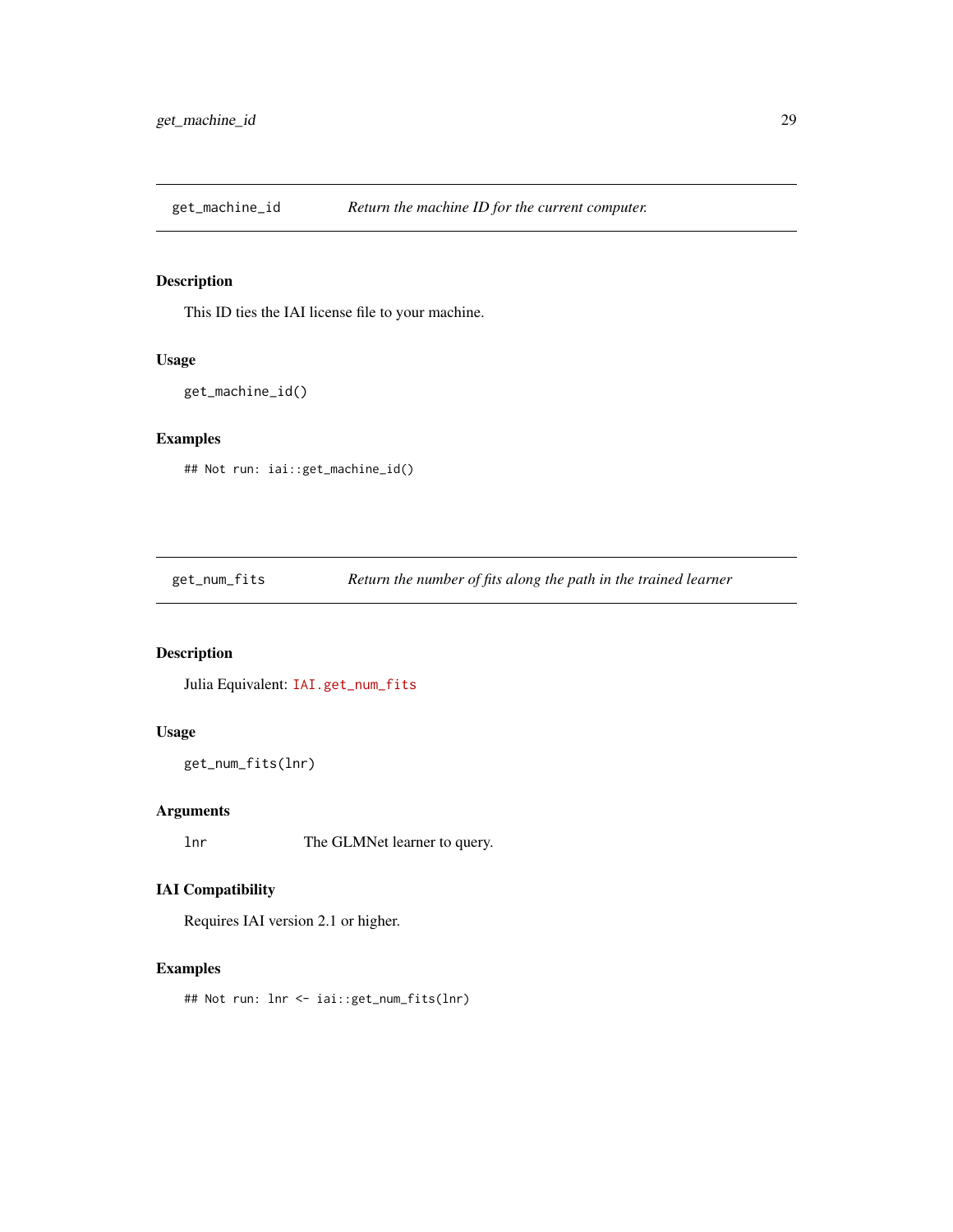<span id="page-28-0"></span>get\_machine\_id *Return the machine ID for the current computer.*

# Description

This ID ties the IAI license file to your machine.

#### Usage

```
get_machine_id()
```
# Examples

## Not run: iai::get\_machine\_id()

get\_num\_fits *Return the number of fits along the path in the trained learner*

# Description

Julia Equivalent: [IAI.get\\_num\\_fits](https://docs.interpretable.ai/v3.0.0/Heuristics/reference/#IAI.get_num_fits)

#### Usage

```
get_num_fits(lnr)
```
# Arguments

lnr The GLMNet learner to query.

# IAI Compatibility

Requires IAI version 2.1 or higher.

#### Examples

## Not run: lnr <- iai::get\_num\_fits(lnr)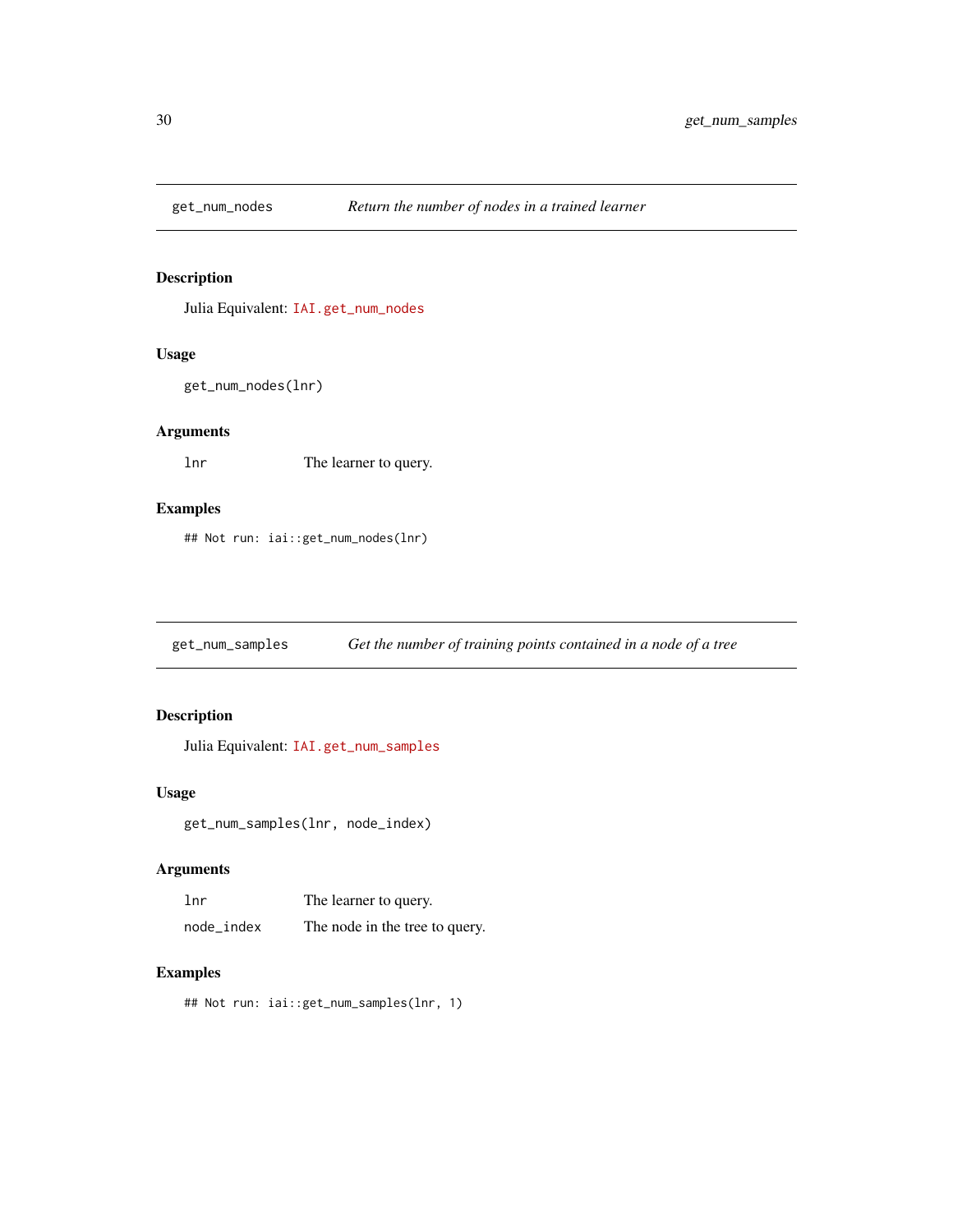<span id="page-29-0"></span>

# Description

Julia Equivalent: [IAI.get\\_num\\_nodes](https://docs.interpretable.ai/v3.0.0/IAITrees/reference/#IAI.get_num_nodes)

#### Usage

```
get_num_nodes(lnr)
```
# Arguments

lnr The learner to query.

# Examples

## Not run: iai::get\_num\_nodes(lnr)

get\_num\_samples *Get the number of training points contained in a node of a tree*

# Description

Julia Equivalent: [IAI.get\\_num\\_samples](https://docs.interpretable.ai/v3.0.0/IAITrees/reference/#IAI.get_num_samples)

#### Usage

get\_num\_samples(lnr, node\_index)

#### Arguments

| 1 <sub>nr</sub> | The learner to query.          |
|-----------------|--------------------------------|
| node_index      | The node in the tree to query. |

# Examples

## Not run: iai::get\_num\_samples(lnr, 1)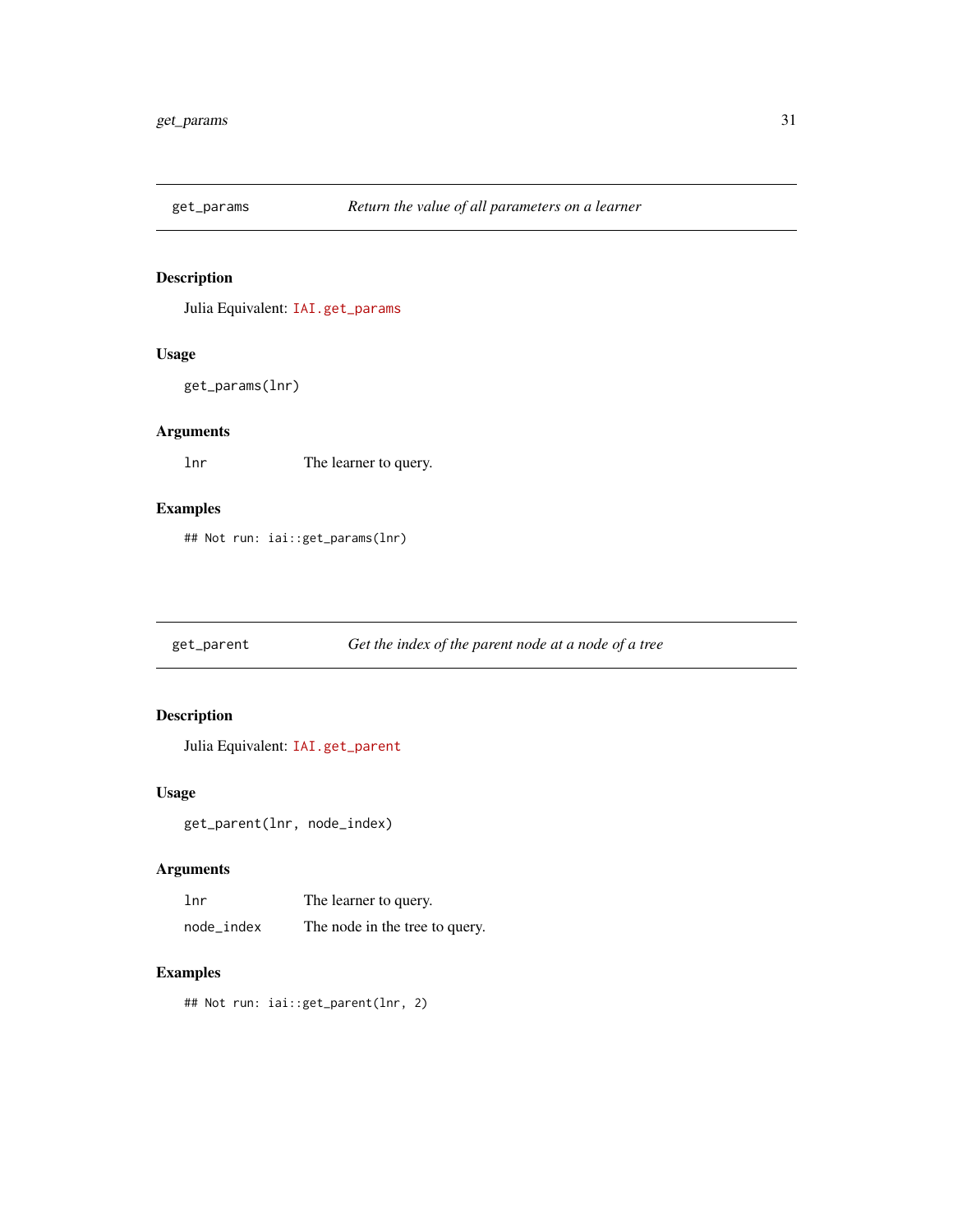<span id="page-30-0"></span>

# Description

Julia Equivalent: [IAI.get\\_params](https://docs.interpretable.ai/v3.0.0/IAIBase/reference/#IAI.get_params)

# Usage

get\_params(lnr)

# Arguments

lnr The learner to query.

# Examples

## Not run: iai::get\_params(lnr)

get\_parent *Get the index of the parent node at a node of a tree*

# Description

Julia Equivalent: [IAI.get\\_parent](https://docs.interpretable.ai/v3.0.0/IAITrees/reference/#IAI.get_parent)

# Usage

get\_parent(lnr, node\_index)

# Arguments

| 1 <sub>nr</sub> | The learner to query.          |
|-----------------|--------------------------------|
| node_index      | The node in the tree to query. |

#### Examples

## Not run: iai::get\_parent(lnr, 2)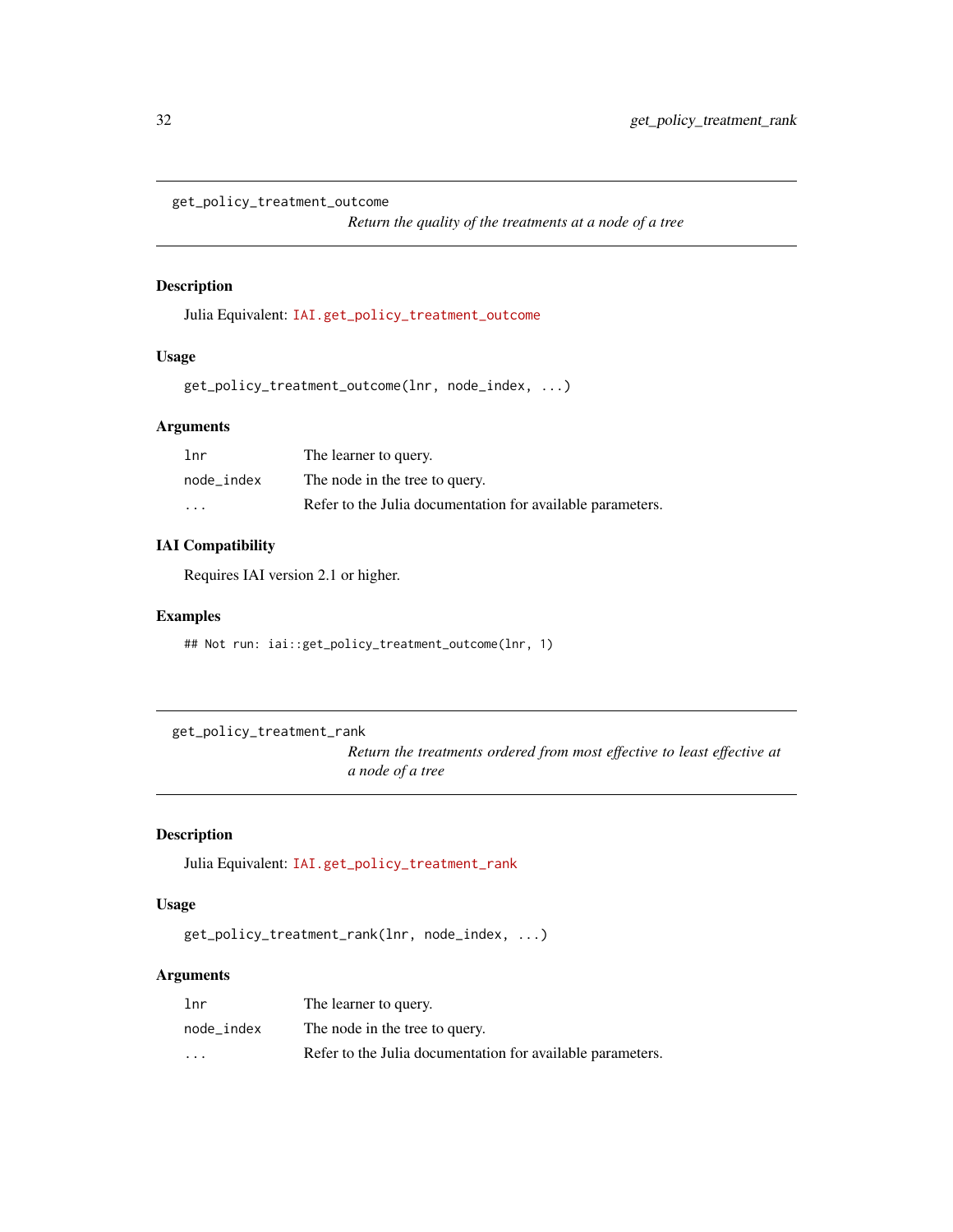<span id="page-31-0"></span>get\_policy\_treatment\_outcome

*Return the quality of the treatments at a node of a tree*

#### Description

Julia Equivalent: [IAI.get\\_policy\\_treatment\\_outcome](https://docs.interpretable.ai/v3.0.0/IAITrees/reference/#IAI.get_policy_treatment_outcome)

#### Usage

get\_policy\_treatment\_outcome(lnr, node\_index, ...)

# Arguments

| lnr                     | The learner to query.                                      |
|-------------------------|------------------------------------------------------------|
| node index              | The node in the tree to query.                             |
| $\cdot$ $\cdot$ $\cdot$ | Refer to the Julia documentation for available parameters. |

#### IAI Compatibility

Requires IAI version 2.1 or higher.

# Examples

## Not run: iai::get\_policy\_treatment\_outcome(lnr, 1)

get\_policy\_treatment\_rank

*Return the treatments ordered from most effective to least effective at a node of a tree*

# Description

Julia Equivalent: [IAI.get\\_policy\\_treatment\\_rank](https://docs.interpretable.ai/v3.0.0/IAITrees/reference/#IAI.get_policy_treatment_rank)

#### Usage

get\_policy\_treatment\_rank(lnr, node\_index, ...)

# Arguments

| 1 <sub>nr</sub> | The learner to query.                                      |
|-----------------|------------------------------------------------------------|
| node index      | The node in the tree to query.                             |
| $\cdot$         | Refer to the Julia documentation for available parameters. |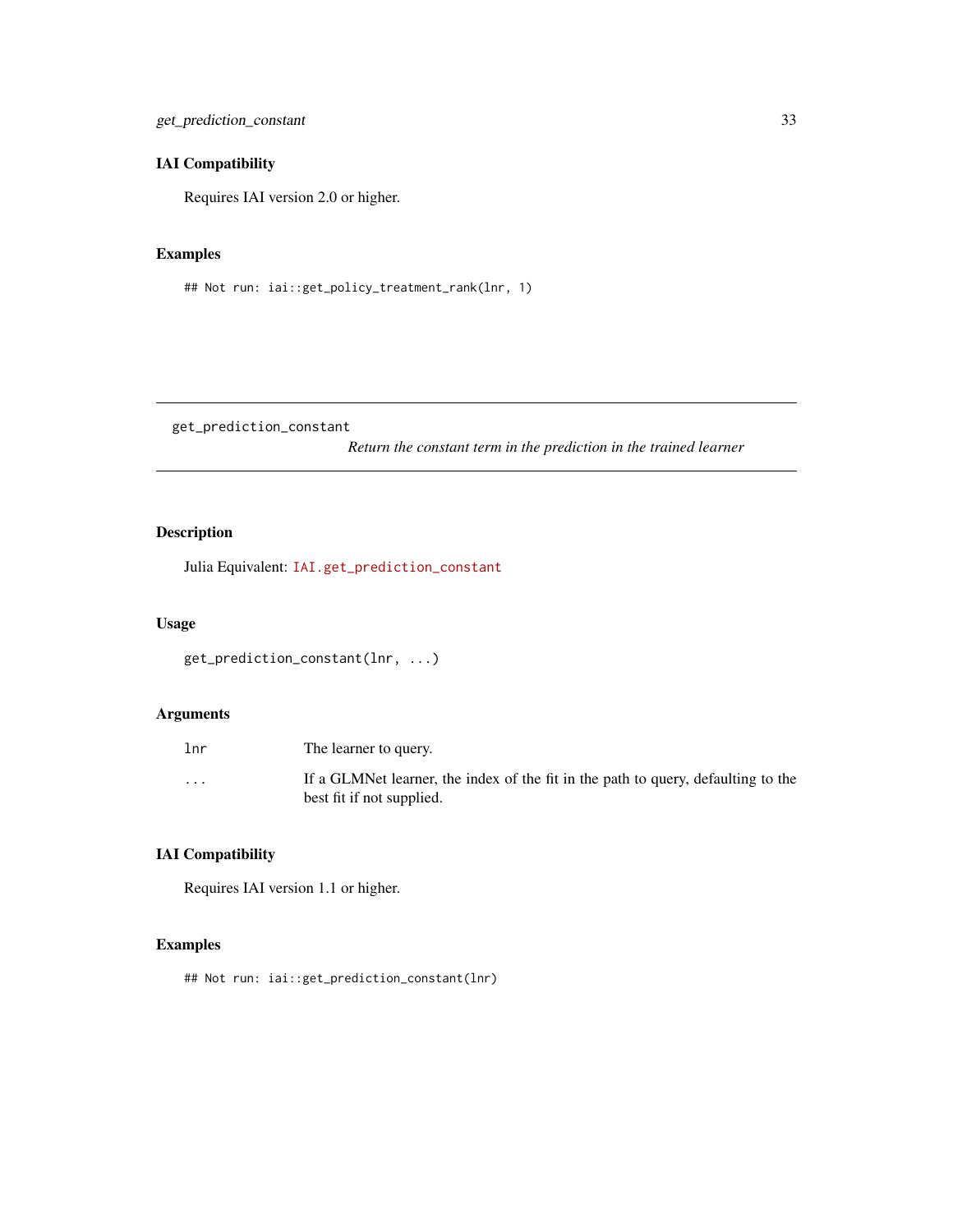<span id="page-32-0"></span>get\_prediction\_constant 33

# IAI Compatibility

Requires IAI version 2.0 or higher.

# Examples

## Not run: iai::get\_policy\_treatment\_rank(lnr, 1)

get\_prediction\_constant

*Return the constant term in the prediction in the trained learner*

# Description

Julia Equivalent: [IAI.get\\_prediction\\_constant](https://docs.interpretable.ai/v3.0.0/OptimalFeatureSelection/reference/#IAI.get_prediction_constant)

#### Usage

```
get_prediction_constant(lnr, ...)
```
# Arguments

| lnr     | The learner to query.                                                                                          |
|---------|----------------------------------------------------------------------------------------------------------------|
| $\cdot$ | If a GLMNet learner, the index of the fit in the path to query, defaulting to the<br>best fit if not supplied. |

# IAI Compatibility

Requires IAI version 1.1 or higher.

# Examples

## Not run: iai::get\_prediction\_constant(lnr)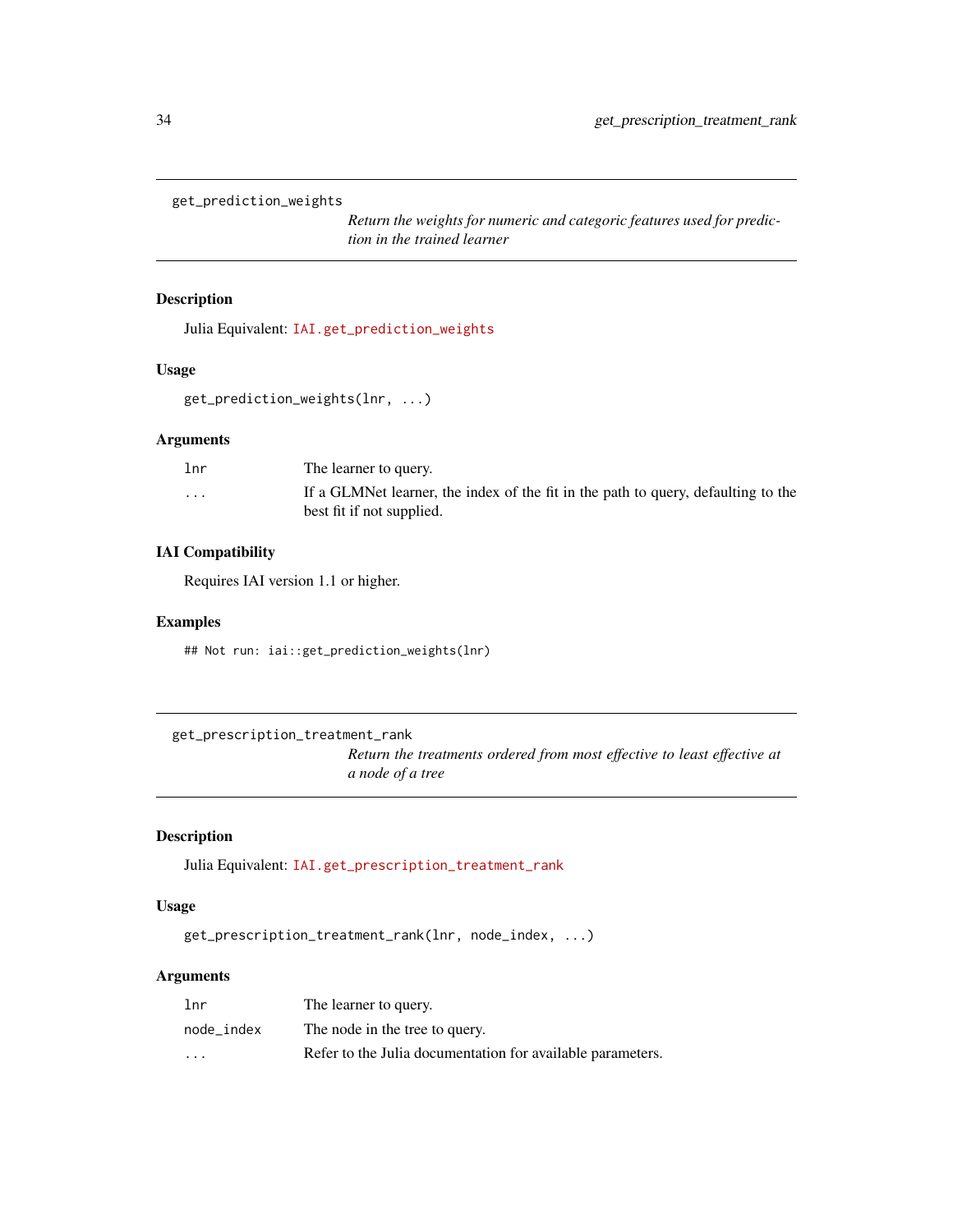```
get_prediction_weights
```
*Return the weights for numeric and categoric features used for prediction in the trained learner*

# Description

Julia Equivalent: [IAI.get\\_prediction\\_weights](https://docs.interpretable.ai/v3.0.0/OptimalFeatureSelection/reference/#IAI.get_prediction_weights)

#### Usage

```
get_prediction_weights(lnr, ...)
```
#### Arguments

| lnr                     | The learner to query.                                                                                          |
|-------------------------|----------------------------------------------------------------------------------------------------------------|
| $\cdot$ $\cdot$ $\cdot$ | If a GLMNet learner, the index of the fit in the path to query, defaulting to the<br>best fit if not supplied. |
|                         |                                                                                                                |

# IAI Compatibility

Requires IAI version 1.1 or higher.

#### Examples

## Not run: iai::get\_prediction\_weights(lnr)

```
get_prescription_treatment_rank
```
*Return the treatments ordered from most effective to least effective at a node of a tree*

#### Description

Julia Equivalent: [IAI.get\\_prescription\\_treatment\\_rank](https://docs.interpretable.ai/v3.0.0/IAITrees/reference/#IAI.get_prescription_treatment_rank)

#### Usage

get\_prescription\_treatment\_rank(lnr, node\_index, ...)

#### Arguments

| 1 <sub>nr</sub> | The learner to query.                                      |
|-----------------|------------------------------------------------------------|
| node index      | The node in the tree to query.                             |
| $\cdot$         | Refer to the Julia documentation for available parameters. |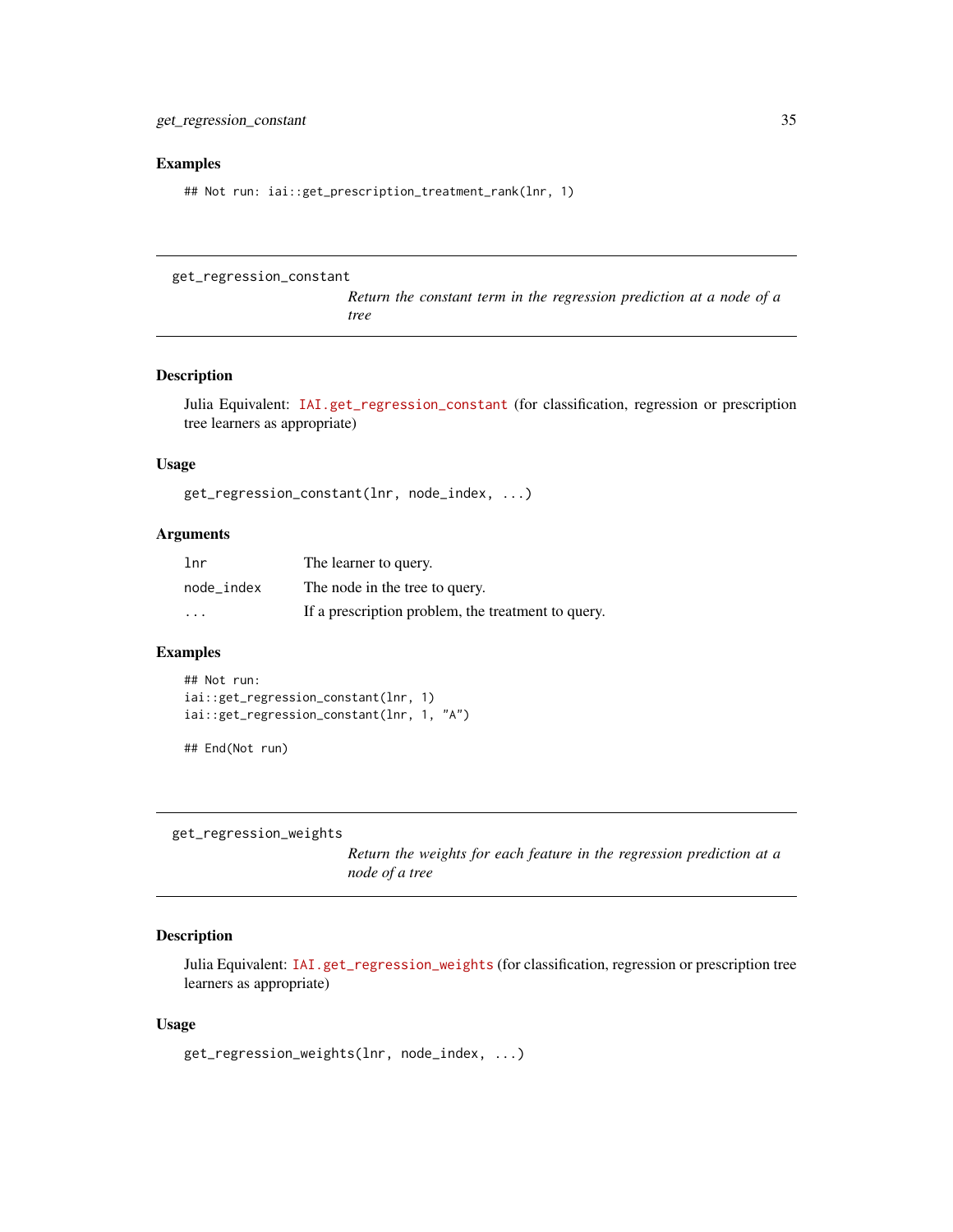#### <span id="page-34-0"></span>Examples

## Not run: iai::get\_prescription\_treatment\_rank(lnr, 1)

```
get_regression_constant
```
*Return the constant term in the regression prediction at a node of a tree*

# Description

Julia Equivalent: [IAI.get\\_regression\\_constant](https://docs.interpretable.ai/v3.0.0/IAITrees/reference/#IAITrees-API-Reference-1) (for classification, regression or prescription tree learners as appropriate)

#### Usage

get\_regression\_constant(lnr, node\_index, ...)

#### Arguments

| 1 <sub>nr</sub> | The learner to query.                              |
|-----------------|----------------------------------------------------|
| node index      | The node in the tree to query.                     |
| $\cdots$        | If a prescription problem, the treatment to query. |

#### Examples

```
## Not run:
iai::get_regression_constant(lnr, 1)
iai::get_regression_constant(lnr, 1, "A")
```
## End(Not run)

get\_regression\_weights

*Return the weights for each feature in the regression prediction at a node of a tree*

#### Description

Julia Equivalent: [IAI.get\\_regression\\_weights](https://docs.interpretable.ai/v3.0.0/IAITrees/reference/#IAITrees-API-Reference-1) (for classification, regression or prescription tree learners as appropriate)

#### Usage

```
get_regression_weights(lnr, node_index, ...)
```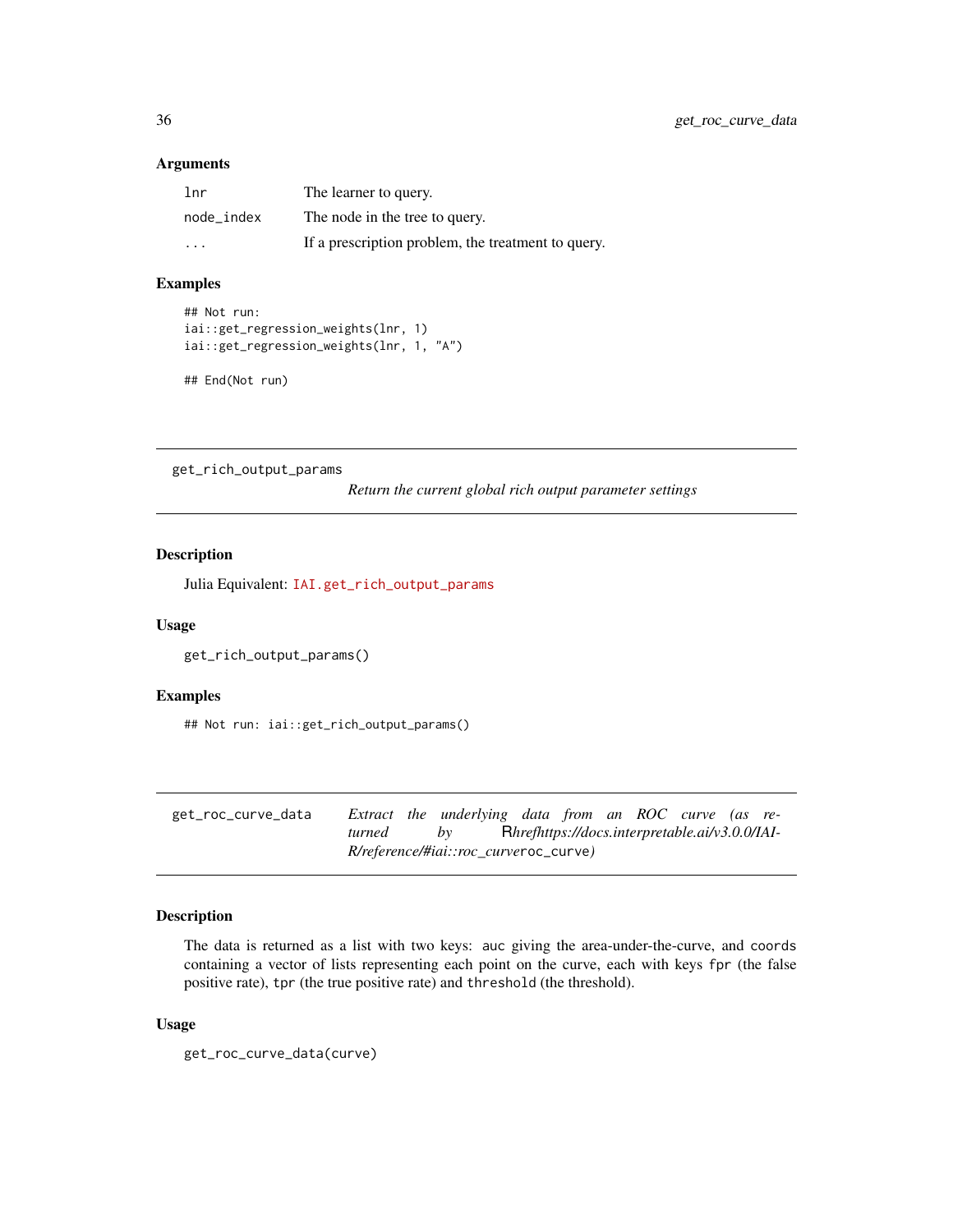#### <span id="page-35-0"></span>Arguments

| 1 <sub>nr</sub> | The learner to query.                              |
|-----------------|----------------------------------------------------|
| node index      | The node in the tree to query.                     |
| $\cdot$         | If a prescription problem, the treatment to query. |

#### Examples

```
## Not run:
iai::get_regression_weights(lnr, 1)
iai::get_regression_weights(lnr, 1, "A")
```

```
## End(Not run)
```
get\_rich\_output\_params

*Return the current global rich output parameter settings*

# Description

Julia Equivalent: [IAI.get\\_rich\\_output\\_params](https://docs.interpretable.ai/v3.0.0/IAIBase/reference/#IAI.get_rich_output_params)

# Usage

```
get_rich_output_params()
```
#### Examples

## Not run: iai::get\_rich\_output\_params()

| get_roc_curve_data |                                              |  | Extract the underlying data from an ROC curve (as re- |  |  |  |  |                                                |  |  |
|--------------------|----------------------------------------------|--|-------------------------------------------------------|--|--|--|--|------------------------------------------------|--|--|
|                    | turned                                       |  | hv                                                    |  |  |  |  | Rhrefhttps://docs.interpretable.ai/v3.0.0/IAI- |  |  |
|                    | <i>R/reference/#iai::roc curveroc_curve)</i> |  |                                                       |  |  |  |  |                                                |  |  |

# Description

The data is returned as a list with two keys: auc giving the area-under-the-curve, and coords containing a vector of lists representing each point on the curve, each with keys fpr (the false positive rate), tpr (the true positive rate) and threshold (the threshold).

#### Usage

get\_roc\_curve\_data(curve)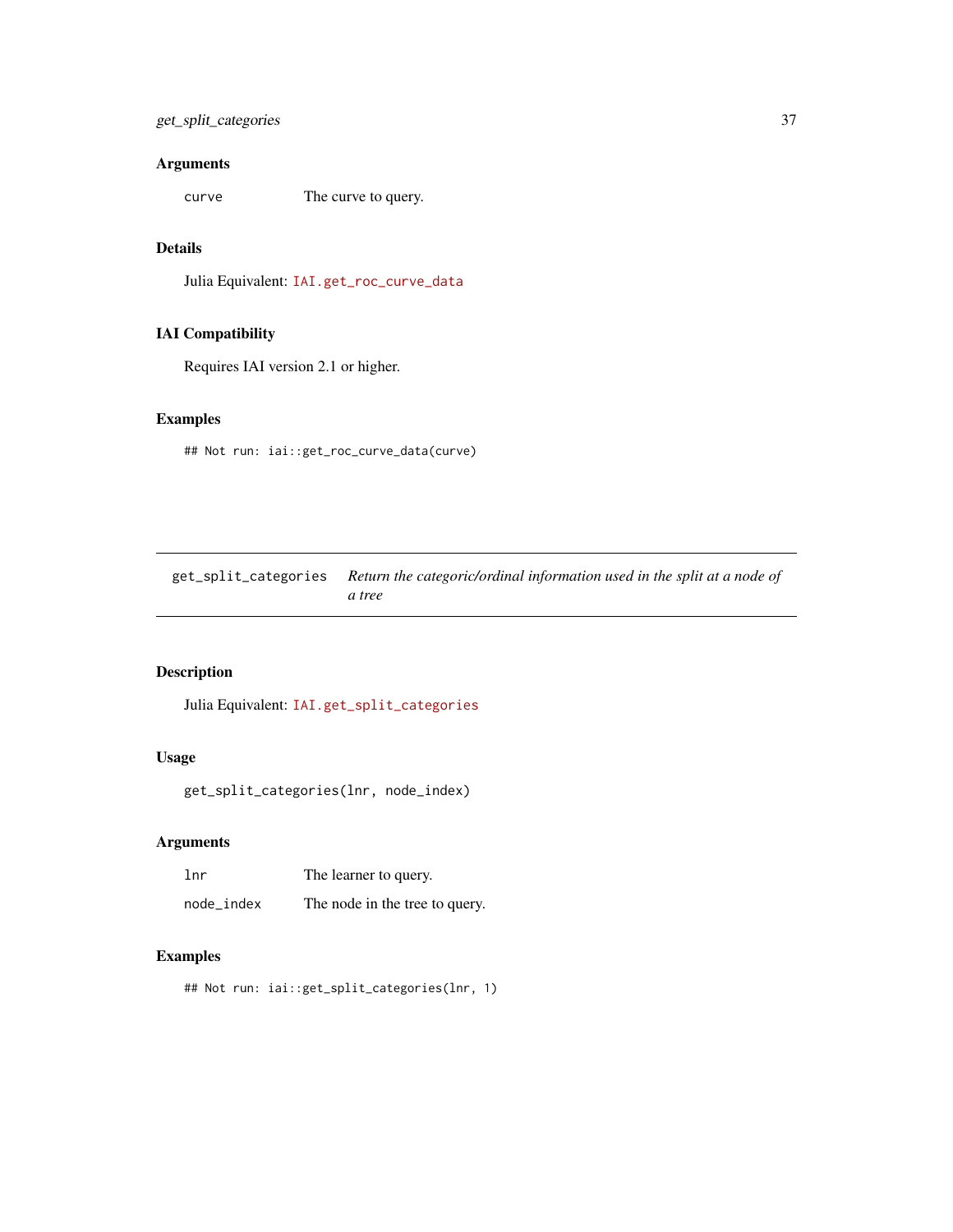# Arguments

curve The curve to query.

# Details

Julia Equivalent: [IAI.get\\_roc\\_curve\\_data](https://docs.interpretable.ai/v3.0.0/IAIBase/reference/#IAI.get_roc_curve_data)

# IAI Compatibility

Requires IAI version 2.1 or higher.

## Examples

## Not run: iai::get\_roc\_curve\_data(curve)

| get_split_categories Return the categoric/ordinal information used in the split at a node of |
|----------------------------------------------------------------------------------------------|
| a tree                                                                                       |

# Description

Julia Equivalent: [IAI.get\\_split\\_categories](https://docs.interpretable.ai/v3.0.0/IAITrees/reference/#IAI.get_split_categories)

# Usage

```
get_split_categories(lnr, node_index)
```
#### Arguments

| 1 <sub>nr</sub> | The learner to query.          |  |  |
|-----------------|--------------------------------|--|--|
| node_index      | The node in the tree to query. |  |  |

## Examples

```
## Not run: iai::get_split_categories(lnr, 1)
```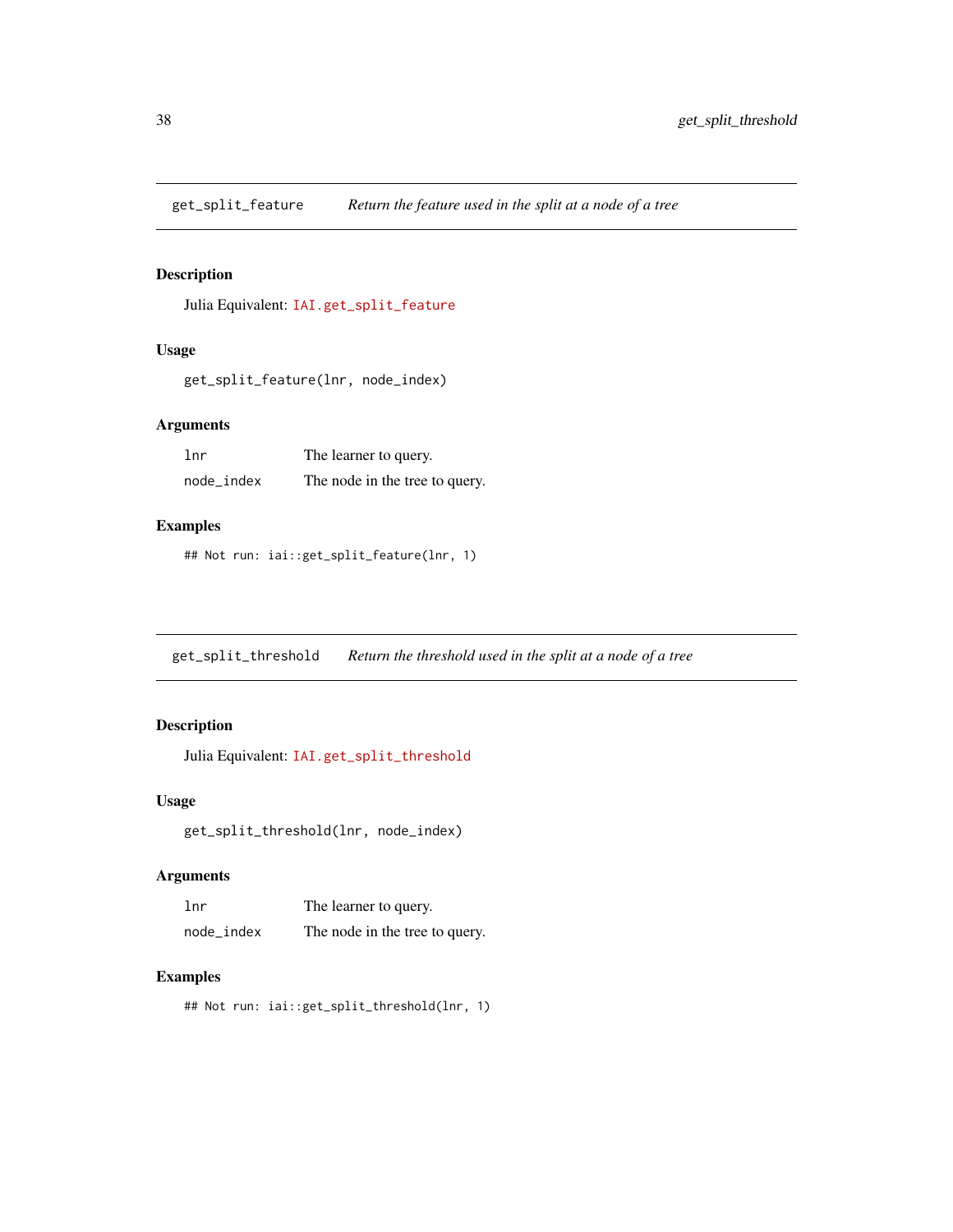get\_split\_feature *Return the feature used in the split at a node of a tree*

#### Description

Julia Equivalent: [IAI.get\\_split\\_feature](https://docs.interpretable.ai/v3.0.0/IAITrees/reference/#IAI.get_split_feature)

#### Usage

```
get_split_feature(lnr, node_index)
```
## Arguments

| lnr        | The learner to query.          |  |  |
|------------|--------------------------------|--|--|
| node_index | The node in the tree to query. |  |  |

## Examples

## Not run: iai::get\_split\_feature(lnr, 1)

get\_split\_threshold *Return the threshold used in the split at a node of a tree*

## Description

Julia Equivalent: [IAI.get\\_split\\_threshold](https://docs.interpretable.ai/v3.0.0/IAITrees/reference/#IAI.get_split_threshold)

#### Usage

get\_split\_threshold(lnr, node\_index)

#### Arguments

| 1 <sub>nr</sub> | The learner to query.          |  |  |
|-----------------|--------------------------------|--|--|
| node_index      | The node in the tree to query. |  |  |

#### Examples

## Not run: iai::get\_split\_threshold(lnr, 1)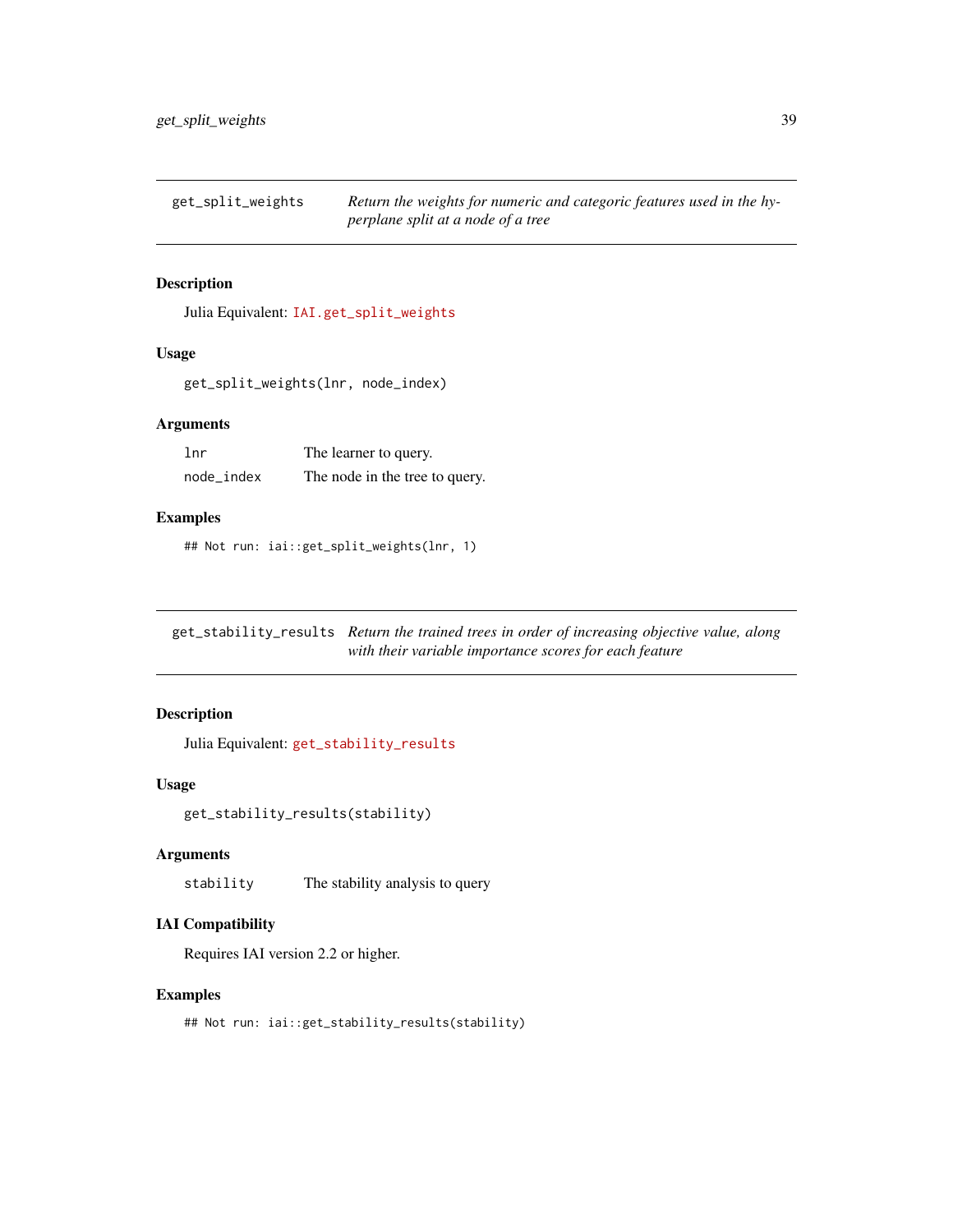get\_split\_weights *Return the weights for numeric and categoric features used in the hyperplane split at a node of a tree*

## Description

Julia Equivalent: [IAI.get\\_split\\_weights](https://docs.interpretable.ai/v3.0.0/IAITrees/reference/#IAI.get_split_weights)

#### Usage

get\_split\_weights(lnr, node\_index)

## Arguments

| lnr        | The learner to query.          |  |  |
|------------|--------------------------------|--|--|
| node_index | The node in the tree to query. |  |  |

#### Examples

## Not run: iai::get\_split\_weights(lnr, 1)

get\_stability\_results *Return the trained trees in order of increasing objective value, along with their variable importance scores for each feature*

#### Description

Julia Equivalent: [get\\_stability\\_results](https://docs.interpretable.ai/v3.0.0/IAITrees/reference/#IAI.get_stability_results)

#### Usage

get\_stability\_results(stability)

## Arguments

stability The stability analysis to query

#### IAI Compatibility

Requires IAI version 2.2 or higher.

#### Examples

## Not run: iai::get\_stability\_results(stability)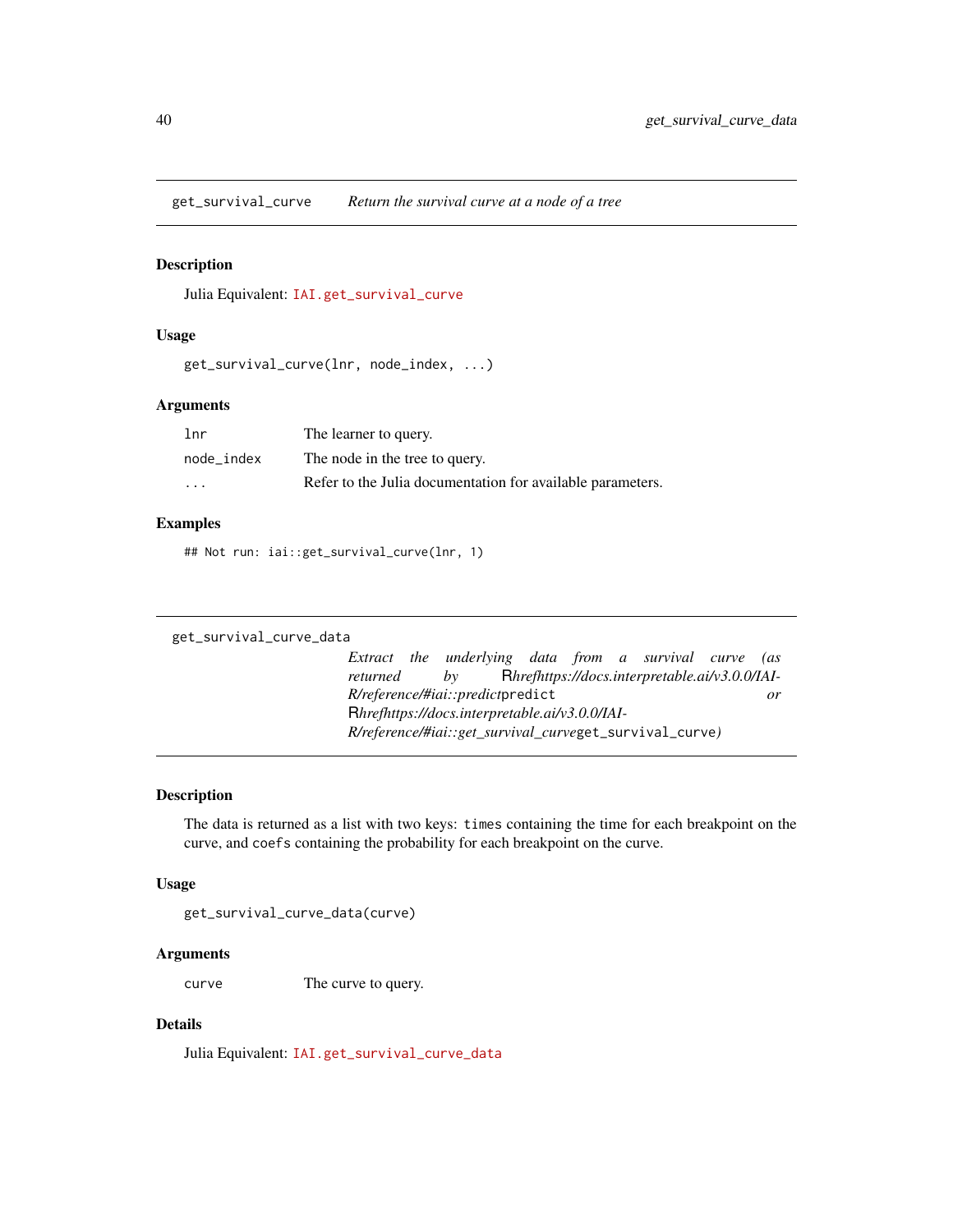get\_survival\_curve *Return the survival curve at a node of a tree*

## Description

Julia Equivalent: [IAI.get\\_survival\\_curve](https://docs.interpretable.ai/v3.0.0/IAITrees/reference/#IAI.get_survival_curve)

#### Usage

```
get_survival_curve(lnr, node_index, ...)
```
#### Arguments

| 1 <sub>nr</sub> | The learner to query.                                      |
|-----------------|------------------------------------------------------------|
| node index      | The node in the tree to query.                             |
| $\cdots$        | Refer to the Julia documentation for available parameters. |

## Examples

## Not run: iai::get\_survival\_curve(lnr, 1)

#### get\_survival\_curve\_data

*Extract the underlying data from a survival curve (as returned by* R*hrefhttps://docs.interpretable.ai/v3.0.0/IAI-R/reference/#iai::predict*predict *or* R*hrefhttps://docs.interpretable.ai/v3.0.0/IAI-R/reference/#iai::get\_survival\_curve*get\_survival\_curve*)*

## Description

The data is returned as a list with two keys: times containing the time for each breakpoint on the curve, and coefs containing the probability for each breakpoint on the curve.

#### Usage

get\_survival\_curve\_data(curve)

#### Arguments

curve The curve to query.

## Details

Julia Equivalent: [IAI.get\\_survival\\_curve\\_data](https://docs.interpretable.ai/v3.0.0/IAIBase/reference/#IAI.get_survival_curve_data)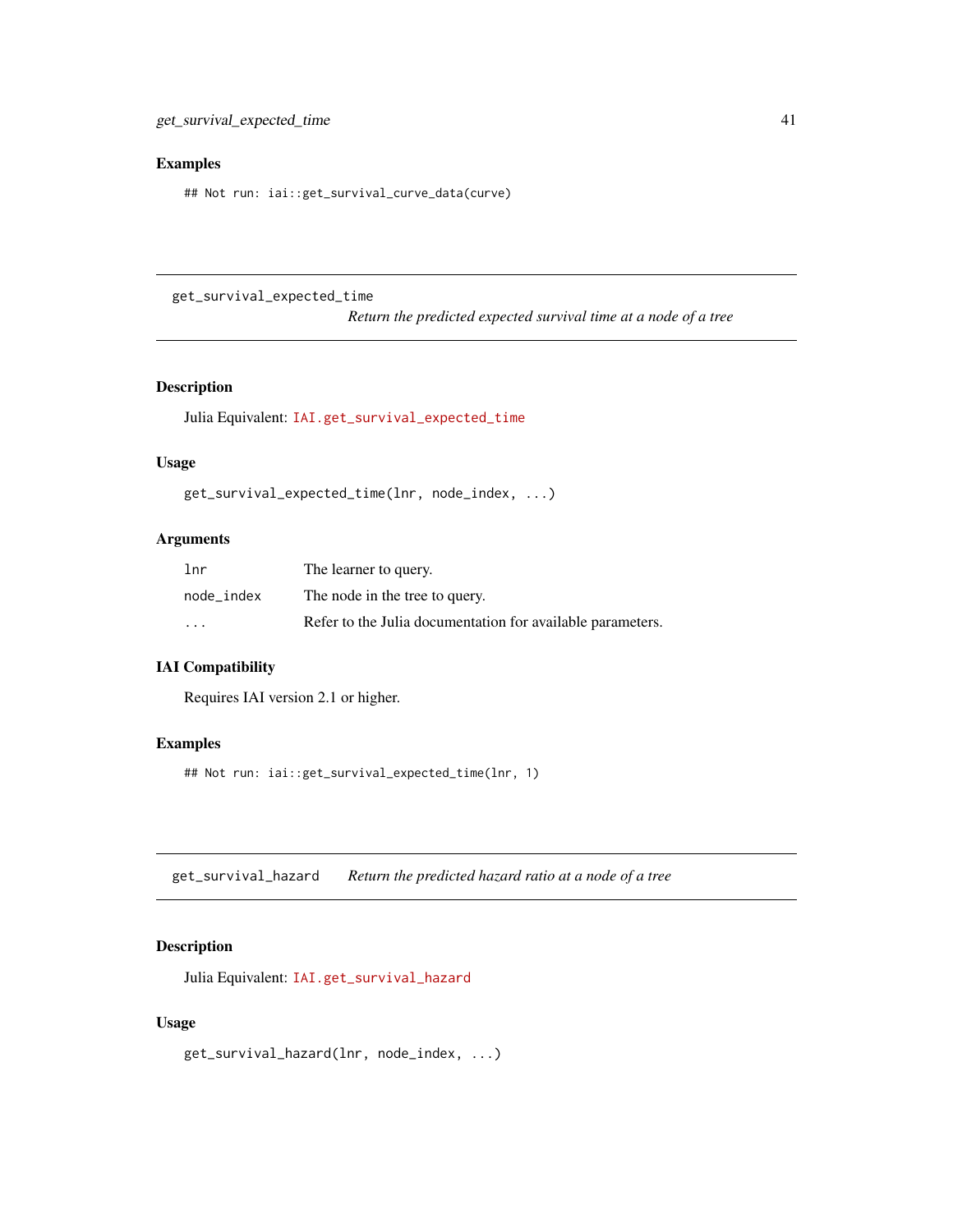#### Examples

## Not run: iai::get\_survival\_curve\_data(curve)

get\_survival\_expected\_time

*Return the predicted expected survival time at a node of a tree*

#### Description

Julia Equivalent: [IAI.get\\_survival\\_expected\\_time](https://docs.interpretable.ai/v3.0.0/IAITrees/reference/#IAI.get_survival_expected_time)

#### Usage

```
get_survival_expected_time(lnr, node_index, ...)
```
## Arguments

| 1 <sub>nr</sub> | The learner to query.                                      |
|-----------------|------------------------------------------------------------|
| node index      | The node in the tree to query.                             |
| $\cdots$        | Refer to the Julia documentation for available parameters. |

# IAI Compatibility

Requires IAI version 2.1 or higher.

#### Examples

## Not run: iai::get\_survival\_expected\_time(lnr, 1)

get\_survival\_hazard *Return the predicted hazard ratio at a node of a tree*

#### Description

Julia Equivalent: [IAI.get\\_survival\\_hazard](https://docs.interpretable.ai/v3.0.0/IAITrees/reference/#IAI.get_survival_hazard)

#### Usage

get\_survival\_hazard(lnr, node\_index, ...)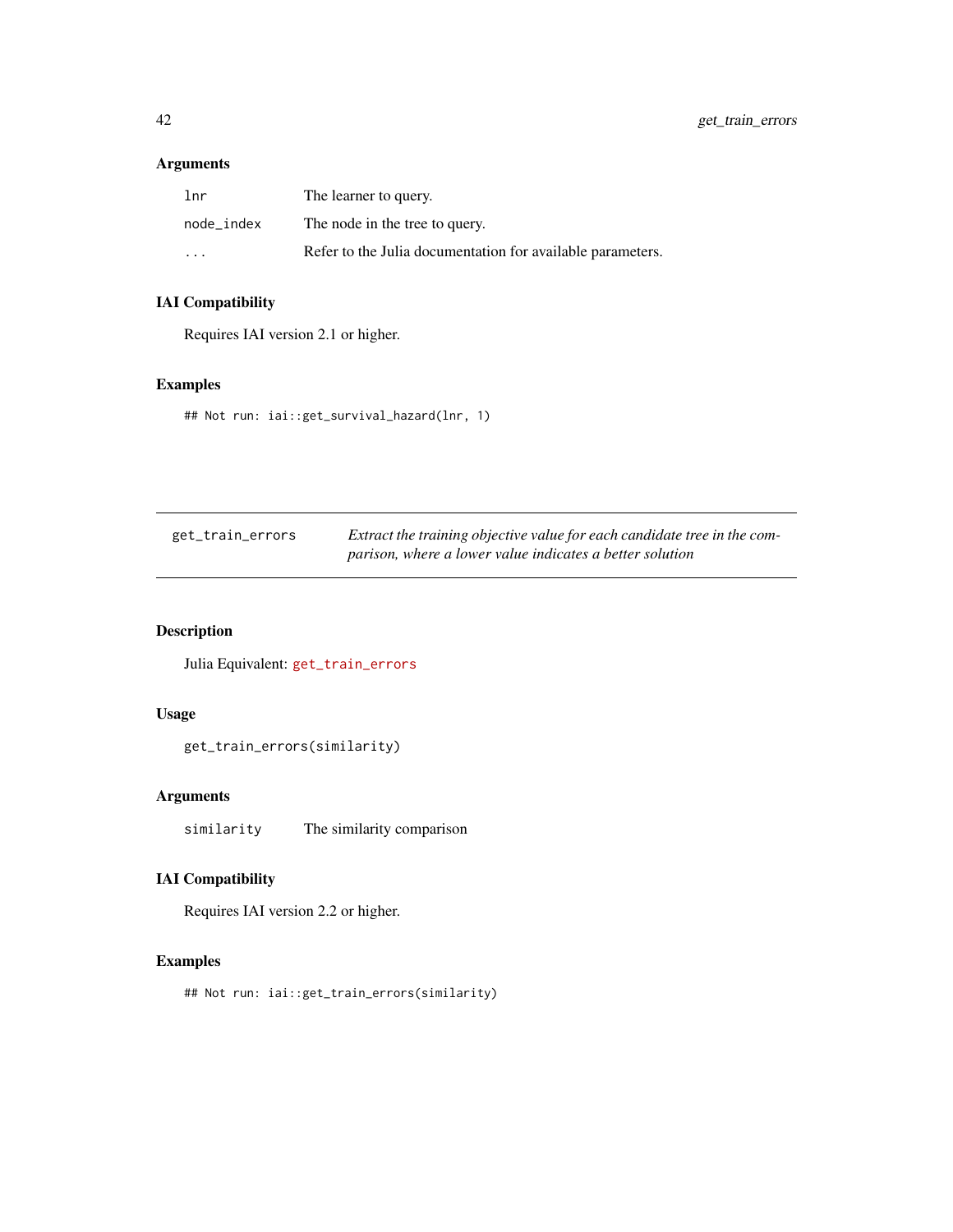# Arguments

| lnr        | The learner to query.                                      |
|------------|------------------------------------------------------------|
| node index | The node in the tree to query.                             |
| .          | Refer to the Julia documentation for available parameters. |

# IAI Compatibility

Requires IAI version 2.1 or higher.

# Examples

## Not run: iai::get\_survival\_hazard(lnr, 1)

| get_train_errors | Extract the training objective value for each candidate tree in the com- |  |  |
|------------------|--------------------------------------------------------------------------|--|--|
|                  | parison, where a lower value indicates a better solution                 |  |  |

# Description

Julia Equivalent: [get\\_train\\_errors](https://docs.interpretable.ai/v3.0.0/IAITrees/reference/#IAI.get_train_errors)

#### Usage

get\_train\_errors(similarity)

# Arguments

similarity The similarity comparison

## IAI Compatibility

Requires IAI version 2.2 or higher.

## Examples

## Not run: iai::get\_train\_errors(similarity)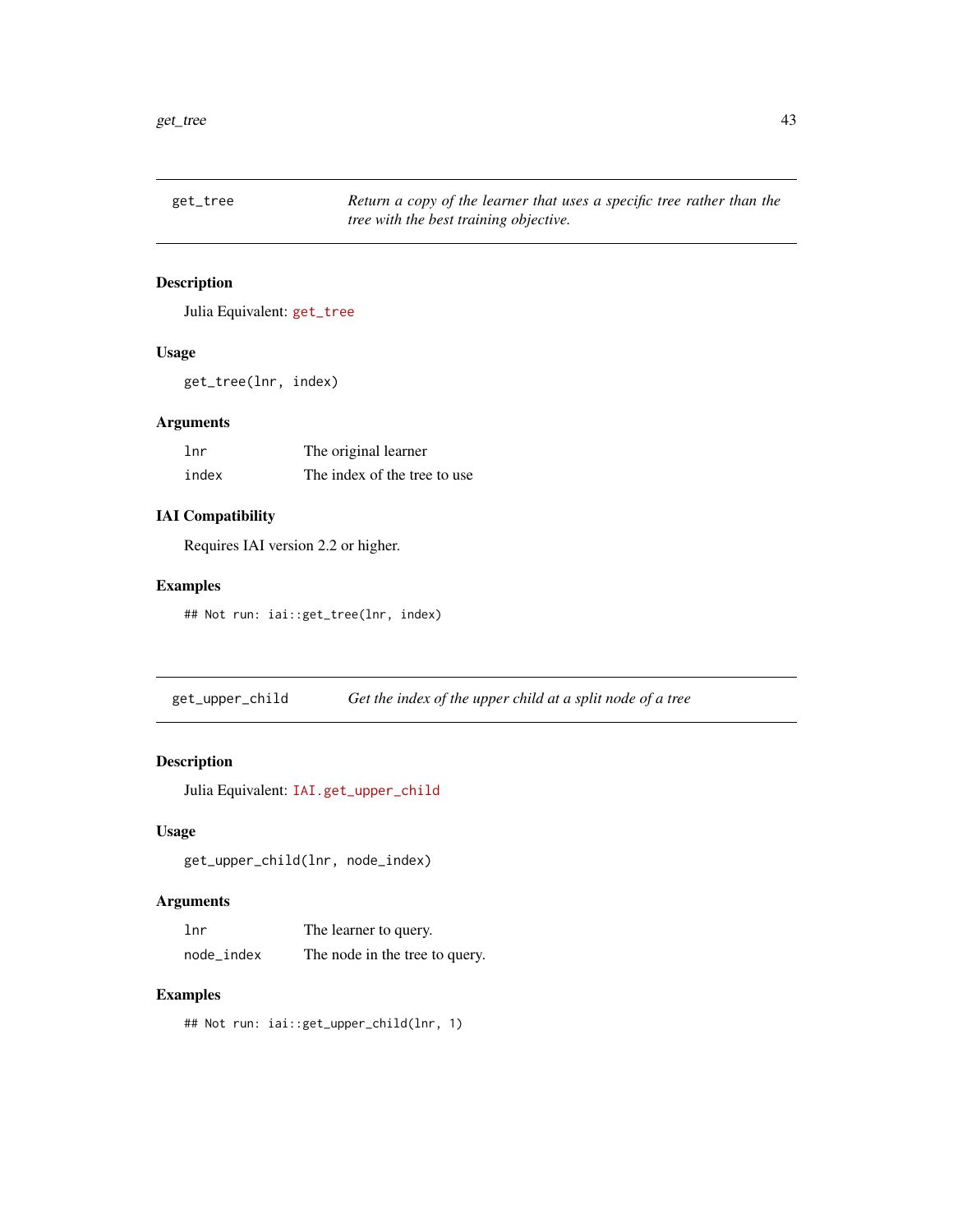get\_tree *Return a copy of the learner that uses a specific tree rather than the tree with the best training objective.*

# Description

Julia Equivalent: [get\\_tree](https://docs.interpretable.ai/v3.0.0/IAITrees/reference/#IAI.get_tree)

## Usage

get\_tree(lnr, index)

## Arguments

| lnr   | The original learner         |  |  |
|-------|------------------------------|--|--|
| index | The index of the tree to use |  |  |

## IAI Compatibility

Requires IAI version 2.2 or higher.

#### Examples

## Not run: iai::get\_tree(lnr, index)

get\_upper\_child *Get the index of the upper child at a split node of a tree*

# Description

Julia Equivalent: [IAI.get\\_upper\\_child](https://docs.interpretable.ai/v3.0.0/IAITrees/reference/#IAI.get_upper_child)

## Usage

get\_upper\_child(lnr, node\_index)

## Arguments

| lnr        | The learner to query.          |  |  |
|------------|--------------------------------|--|--|
| node_index | The node in the tree to query. |  |  |

#### Examples

## Not run: iai::get\_upper\_child(lnr, 1)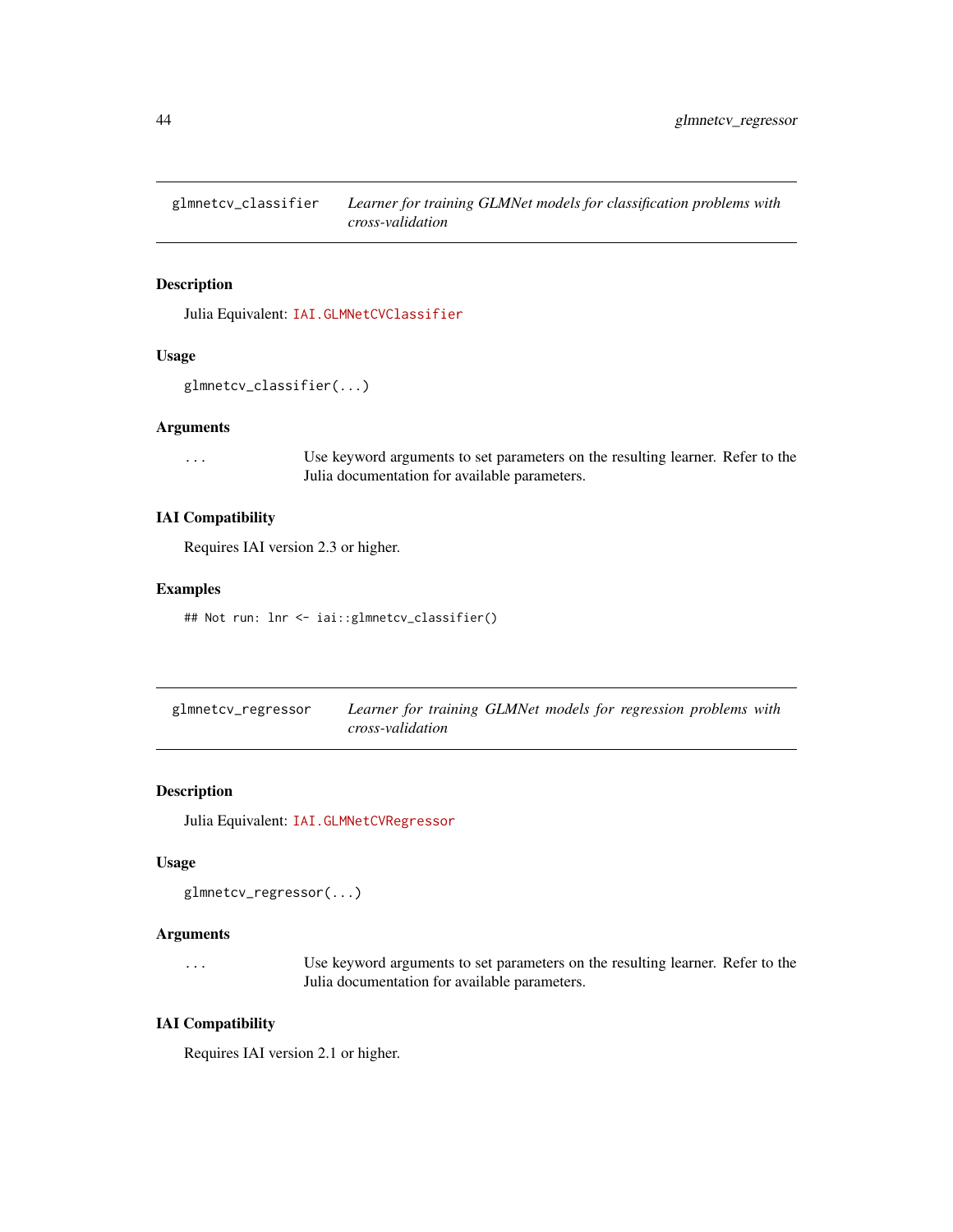glmnetcv\_classifier *Learner for training GLMNet models for classification problems with cross-validation*

## Description

Julia Equivalent: [IAI.GLMNetCVClassifier](https://docs.interpretable.ai/v3.0.0/Heuristics/reference/#IAI.GLMNetCVClassifier)

## Usage

```
glmnetcv_classifier(...)
```
## Arguments

... Use keyword arguments to set parameters on the resulting learner. Refer to the Julia documentation for available parameters.

#### IAI Compatibility

Requires IAI version 2.3 or higher.

## Examples

## Not run: lnr <- iai::glmnetcv\_classifier()

| glmnetcv_regressor | Learner for training GLMNet models for regression problems with |  |  |
|--------------------|-----------------------------------------------------------------|--|--|
|                    | cross-validation                                                |  |  |

## Description

Julia Equivalent: [IAI.GLMNetCVRegressor](https://docs.interpretable.ai/v3.0.0/Heuristics/reference/#IAI.GLMNetCVRegressor)

#### Usage

```
glmnetcv_regressor(...)
```
#### Arguments

... Use keyword arguments to set parameters on the resulting learner. Refer to the Julia documentation for available parameters.

## IAI Compatibility

Requires IAI version 2.1 or higher.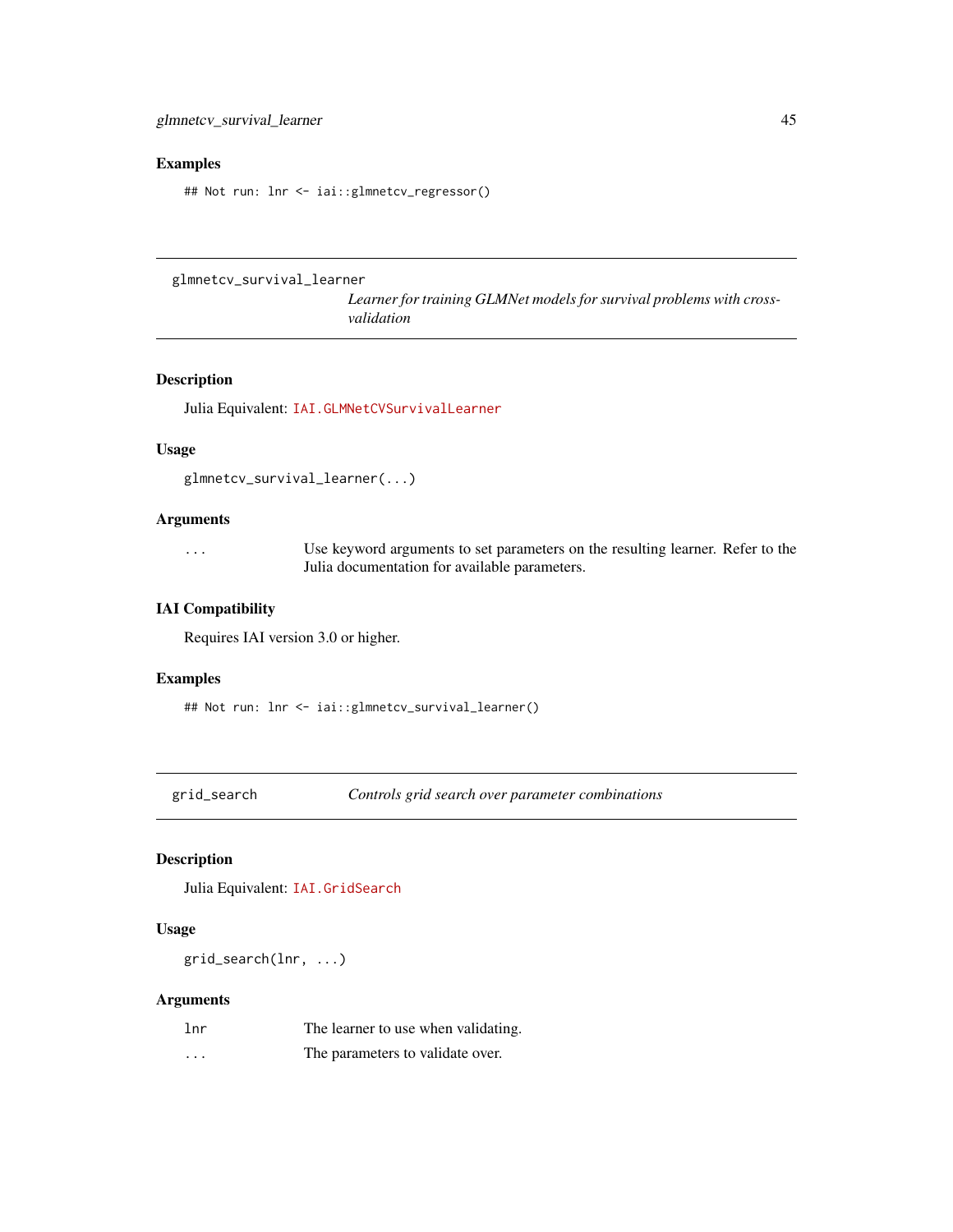## Examples

## Not run: lnr <- iai::glmnetcv\_regressor()

glmnetcv\_survival\_learner

*Learner for training GLMNet models for survival problems with crossvalidation*

#### Description

Julia Equivalent: [IAI.GLMNetCVSurvivalLearner](https://docs.interpretable.ai/v3.0.0/Heuristics/reference/#IAI.GLMNetCVSurvivalLearner)

#### Usage

```
glmnetcv_survival_learner(...)
```
#### Arguments

... Use keyword arguments to set parameters on the resulting learner. Refer to the Julia documentation for available parameters.

#### IAI Compatibility

Requires IAI version 3.0 or higher.

#### Examples

```
## Not run: lnr <- iai::glmnetcv_survival_learner()
```
grid\_search *Controls grid search over parameter combinations*

## Description

Julia Equivalent: [IAI.GridSearch](https://docs.interpretable.ai/v3.0.0/IAIBase/reference/#IAI.GridSearch)

#### Usage

grid\_search(lnr, ...)

## Arguments

| 1 <sub>nr</sub> | The learner to use when validating. |
|-----------------|-------------------------------------|
| .               | The parameters to validate over.    |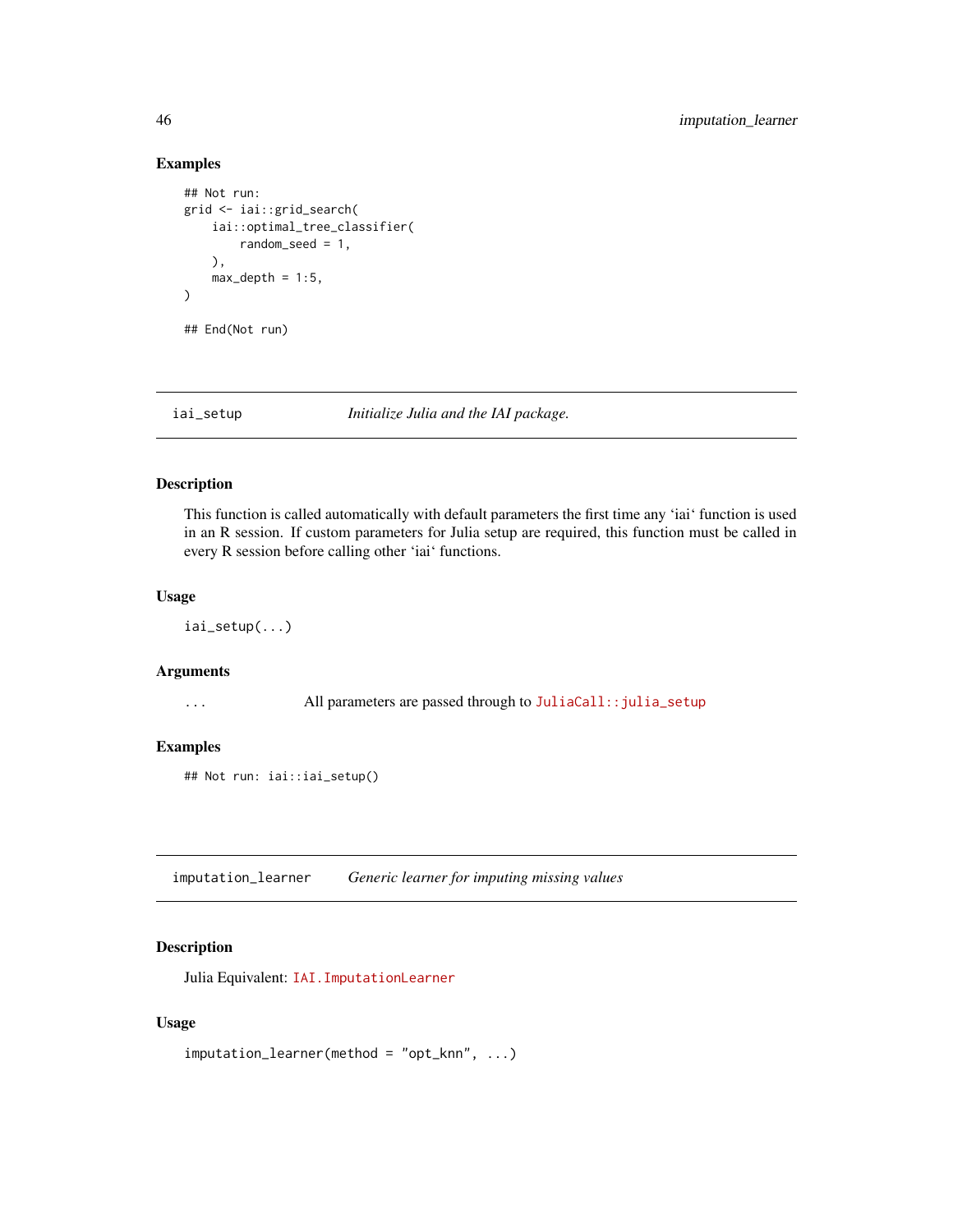## Examples

```
## Not run:
grid <- iai::grid_search(
    iai::optimal_tree_classifier(
        random_seed = 1,
    ),
    max\_depth = 1:5,
)
## End(Not run)
```
iai\_setup *Initialize Julia and the IAI package.*

## Description

This function is called automatically with default parameters the first time any 'iai' function is used in an R session. If custom parameters for Julia setup are required, this function must be called in every R session before calling other 'iai' functions.

#### Usage

iai\_setup(...)

#### Arguments

... All parameters are passed through to [JuliaCall::julia\\_setup](https://www.rdocumentation.org/packages/JuliaCall/topics/julia_setup)

#### Examples

## Not run: iai::iai\_setup()

imputation\_learner *Generic learner for imputing missing values*

## Description

Julia Equivalent: [IAI.ImputationLearner](https://docs.interpretable.ai/v3.0.0/OptImpute/reference/#IAI.ImputationLearner)

#### Usage

```
imputation_learner(method = "opt_knn", ...)
```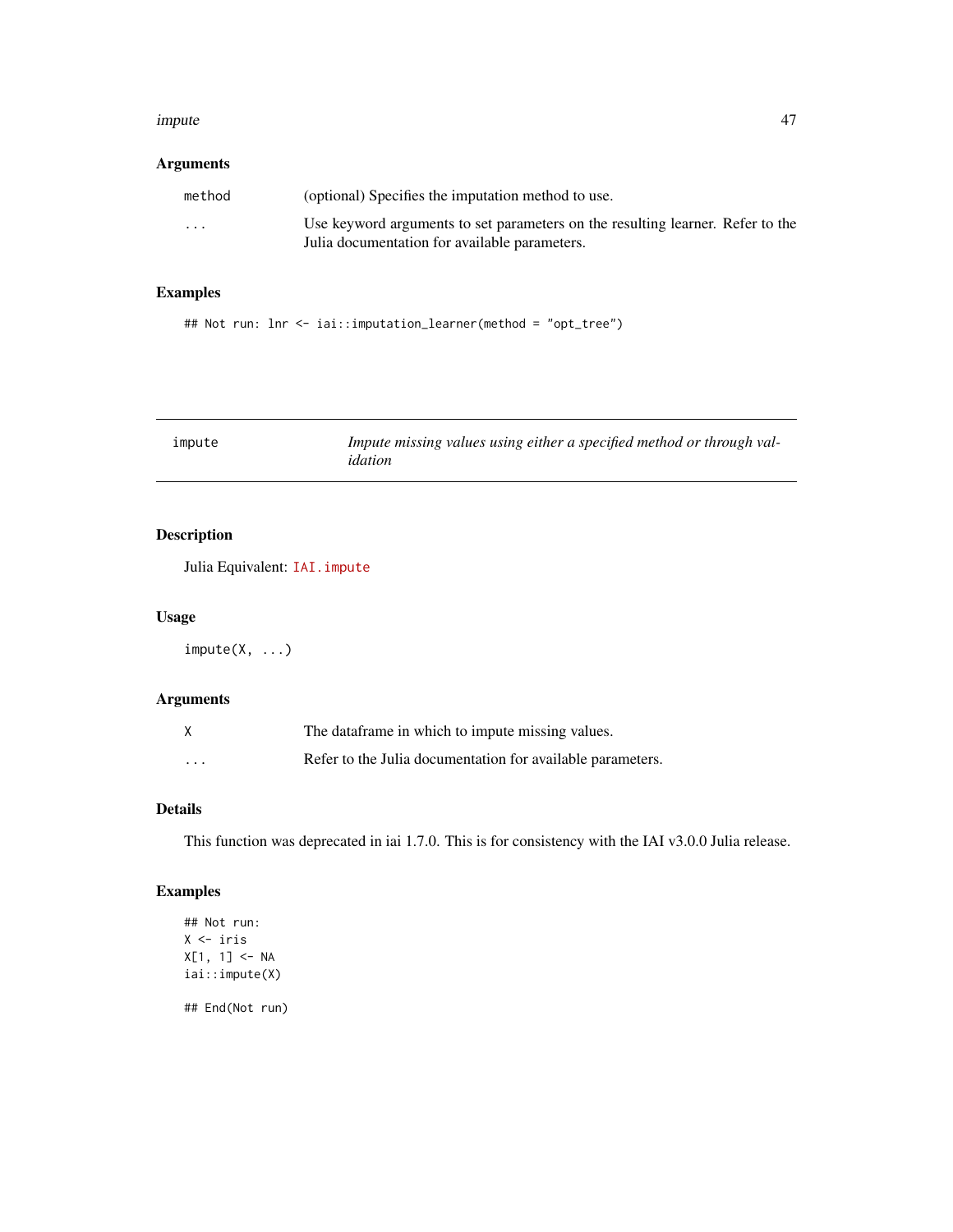#### impute that the contract of the contract of the contract of the contract of the contract of the contract of the contract of the contract of the contract of the contract of the contract of the contract of the contract of th

## Arguments

| method  | (optional) Specifies the imputation method to use.                             |
|---------|--------------------------------------------------------------------------------|
| $\cdot$ | Use keyword arguments to set parameters on the resulting learner. Refer to the |
|         | Julia documentation for available parameters.                                  |

# Examples

## Not run: lnr <- iai::imputation\_learner(method = "opt\_tree")

| impute | Impute missing values using either a specified method or through val- |
|--------|-----------------------------------------------------------------------|
|        | idation                                                               |

# Description

Julia Equivalent: [IAI.impute](https://docs.interpretable.ai/v3.0.0/OptImpute/reference/#IAI.impute)

#### Usage

 $impute(X, ...)$ 

## Arguments

|          | The dataframe in which to impute missing values.           |
|----------|------------------------------------------------------------|
| $\cdots$ | Refer to the Julia documentation for available parameters. |

#### Details

This function was deprecated in iai 1.7.0. This is for consistency with the IAI v3.0.0 Julia release.

# Examples

```
## Not run:
X <- iris
X[1, 1] <- NA
iai::impute(X)
## End(Not run)
```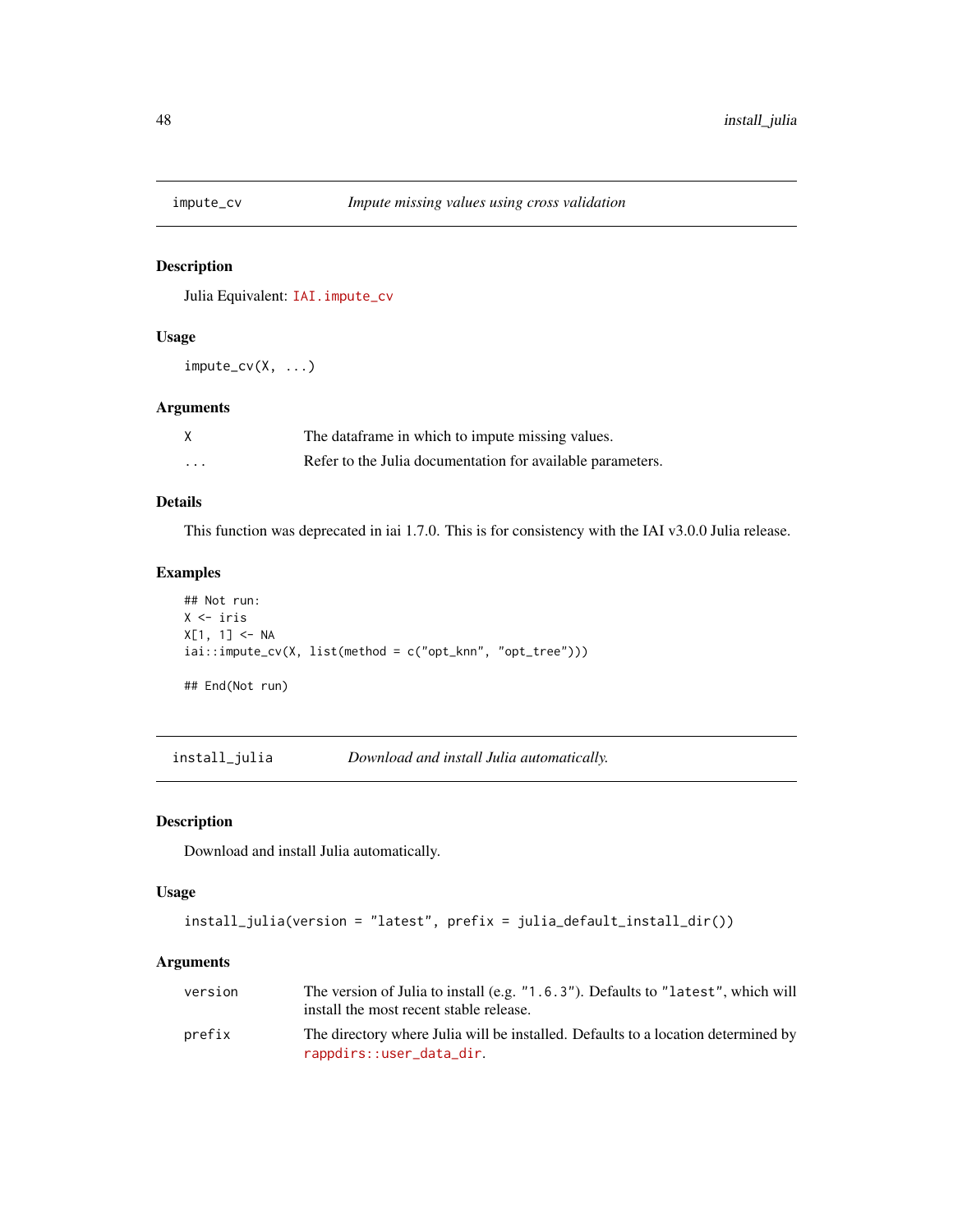## Description

Julia Equivalent: [IAI.impute\\_cv](https://docs.interpretable.ai/v3.0.0/OptImpute/reference/#IAI.impute_cv)

#### Usage

impute\_cv(X, ...)

## Arguments

|         | The dataframe in which to impute missing values.           |
|---------|------------------------------------------------------------|
| $\cdot$ | Refer to the Julia documentation for available parameters. |

#### Details

This function was deprecated in iai 1.7.0. This is for consistency with the IAI v3.0.0 Julia release.

## Examples

```
## Not run:
X <- iris
X[1, 1] <- NA
iai::importe_cv(X, list(method = c("opt_knn", "opt_tree"))## End(Not run)
```
install\_julia *Download and install Julia automatically.*

#### Description

Download and install Julia automatically.

#### Usage

```
install_julia(version = "latest", prefix = julia_default_install_dir())
```
## Arguments

| version | The version of Julia to install (e.g. "1.6.3"). Defaults to "latest", which will<br>install the most recent stable release. |
|---------|-----------------------------------------------------------------------------------------------------------------------------|
| prefix  | The directory where Julia will be installed. Defaults to a location determined by<br>rappdirs::user_data_dir.               |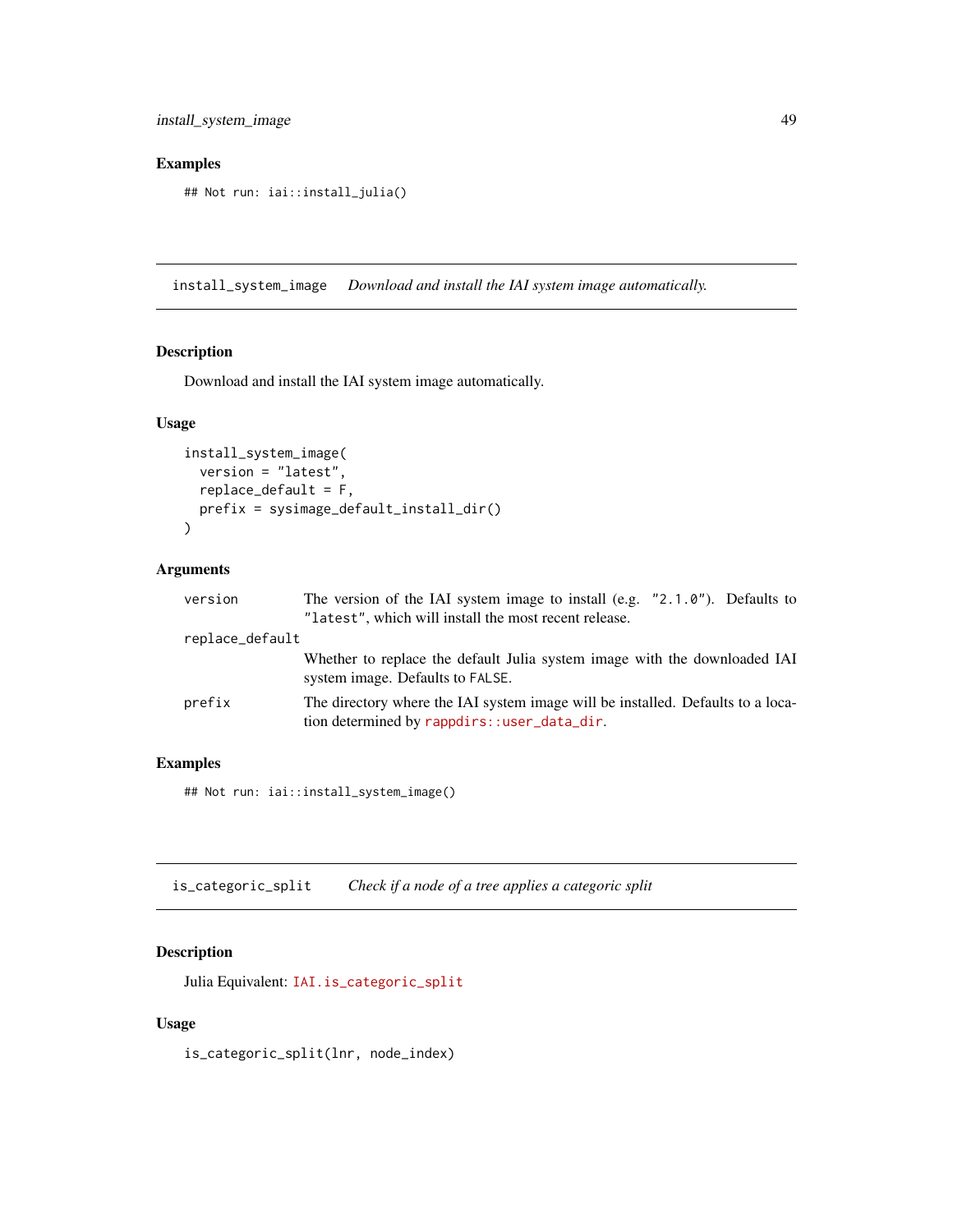## Examples

## Not run: iai::install\_julia()

install\_system\_image *Download and install the IAI system image automatically.*

# Description

Download and install the IAI system image automatically.

#### Usage

```
install_system_image(
  version = "latest",
  replace_default = F,
  prefix = sysimage_default_install_dir()
\mathcal{L}
```
#### Arguments

| version         | The version of the IAI system image to install (e.g. $"2.1.0"$ ). Defaults to                                                  |
|-----------------|--------------------------------------------------------------------------------------------------------------------------------|
|                 | "latest", which will install the most recent release.                                                                          |
| replace_default |                                                                                                                                |
|                 | Whether to replace the default Julia system image with the downloaded IAI<br>system image. Defaults to FALSE.                  |
| prefix          | The directory where the IAI system image will be installed. Defaults to a loca-<br>tion determined by rappdirs::user_data_dir. |

## Examples

## Not run: iai::install\_system\_image()

is\_categoric\_split *Check if a node of a tree applies a categoric split*

## Description

Julia Equivalent: [IAI.is\\_categoric\\_split](https://docs.interpretable.ai/v3.0.0/IAITrees/reference/#IAI.is_categoric_split)

# Usage

is\_categoric\_split(lnr, node\_index)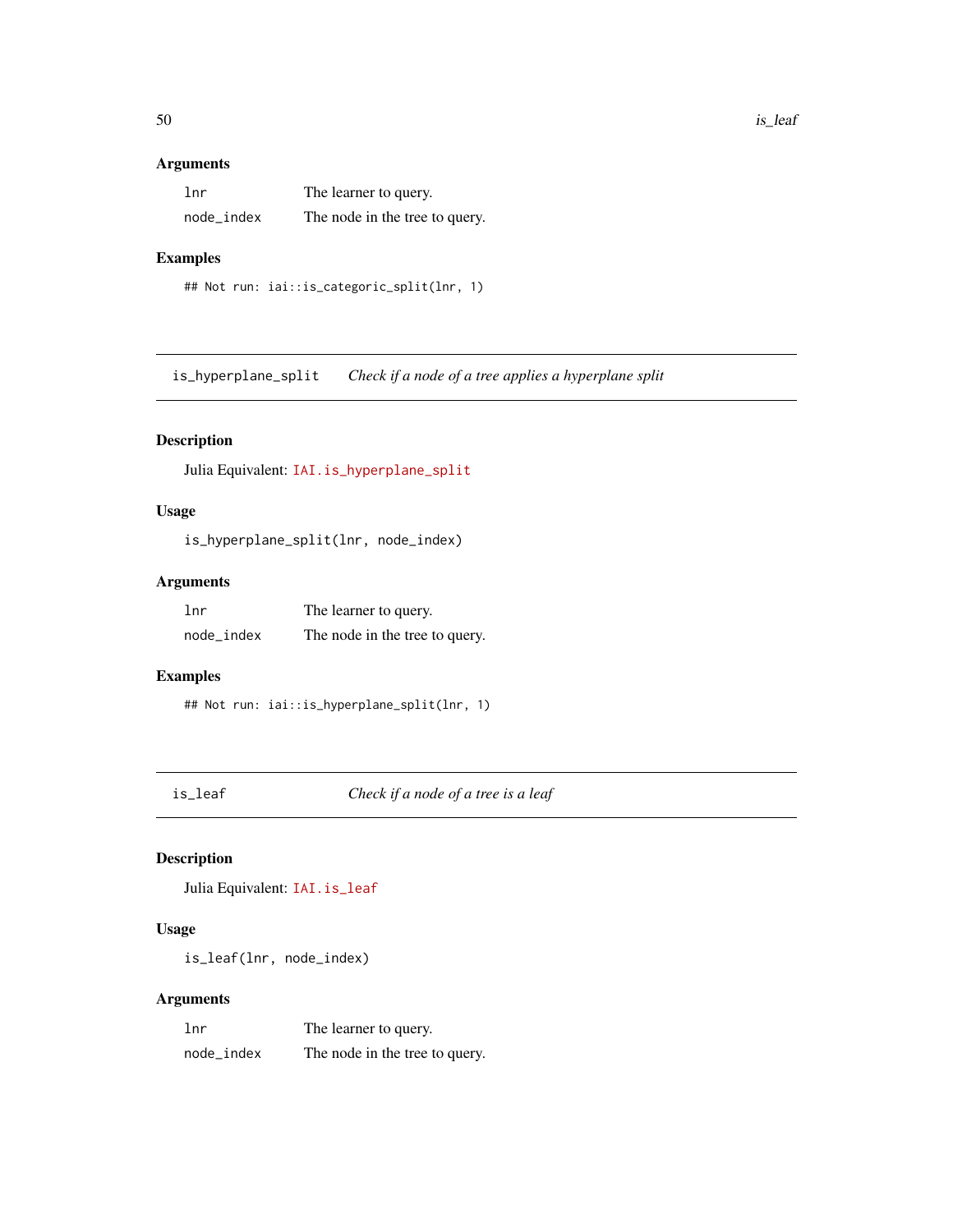#### Arguments

| 1 <sub>nr</sub> | The learner to query.          |
|-----------------|--------------------------------|
| node_index      | The node in the tree to query. |

#### Examples

```
## Not run: iai::is_categoric_split(lnr, 1)
```
is\_hyperplane\_split *Check if a node of a tree applies a hyperplane split*

## Description

Julia Equivalent: [IAI.is\\_hyperplane\\_split](https://docs.interpretable.ai/v3.0.0/IAITrees/reference/#IAI.is_hyperplane_split)

## Usage

is\_hyperplane\_split(lnr, node\_index)

#### Arguments

| lnr        | The learner to query.          |
|------------|--------------------------------|
| node_index | The node in the tree to query. |

# Examples

```
## Not run: iai::is_hyperplane_split(lnr, 1)
```
is\_leaf *Check if a node of a tree is a leaf*

# Description

Julia Equivalent: [IAI.is\\_leaf](https://docs.interpretable.ai/v3.0.0/IAITrees/reference/#IAI.is_leaf)

# Usage

is\_leaf(lnr, node\_index)

## Arguments

| lnr        | The learner to query.          |
|------------|--------------------------------|
| node index | The node in the tree to query. |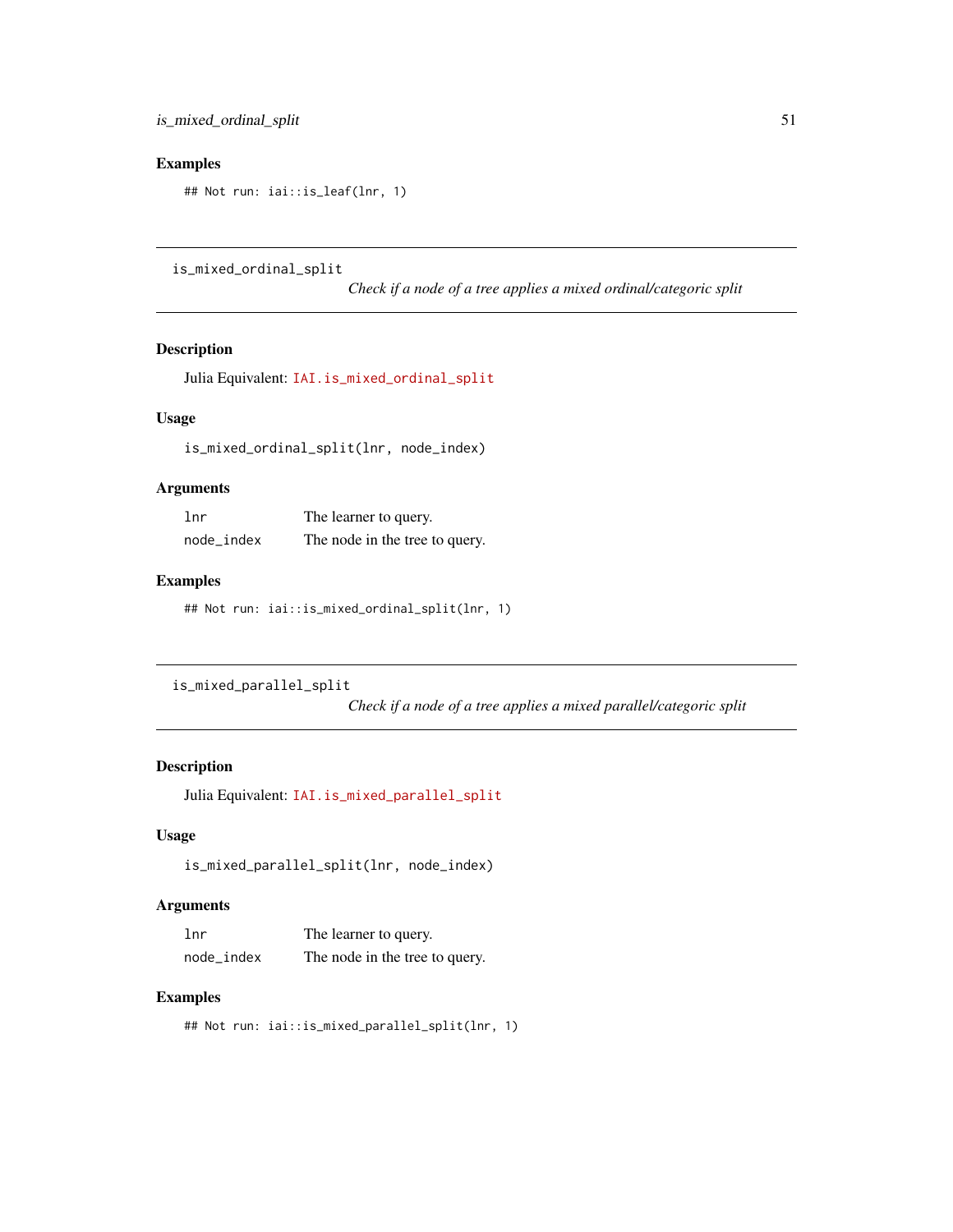## Examples

## Not run: iai::is\_leaf(lnr, 1)

is\_mixed\_ordinal\_split

*Check if a node of a tree applies a mixed ordinal/categoric split*

## Description

Julia Equivalent: [IAI.is\\_mixed\\_ordinal\\_split](https://docs.interpretable.ai/v3.0.0/IAITrees/reference/#IAI.is_mixed_ordinal_split)

# Usage

is\_mixed\_ordinal\_split(lnr, node\_index)

## Arguments

| 1nr        | The learner to query.          |
|------------|--------------------------------|
| node_index | The node in the tree to query. |

## Examples

## Not run: iai::is\_mixed\_ordinal\_split(lnr, 1)

is\_mixed\_parallel\_split

*Check if a node of a tree applies a mixed parallel/categoric split*

# Description

Julia Equivalent: [IAI.is\\_mixed\\_parallel\\_split](https://docs.interpretable.ai/v3.0.0/IAITrees/reference/#IAI.is_mixed_parallel_split)

#### Usage

```
is_mixed_parallel_split(lnr, node_index)
```
## Arguments

| 1 <sub>nr</sub> | The learner to query.          |
|-----------------|--------------------------------|
| node_index      | The node in the tree to query. |

#### Examples

## Not run: iai::is\_mixed\_parallel\_split(lnr, 1)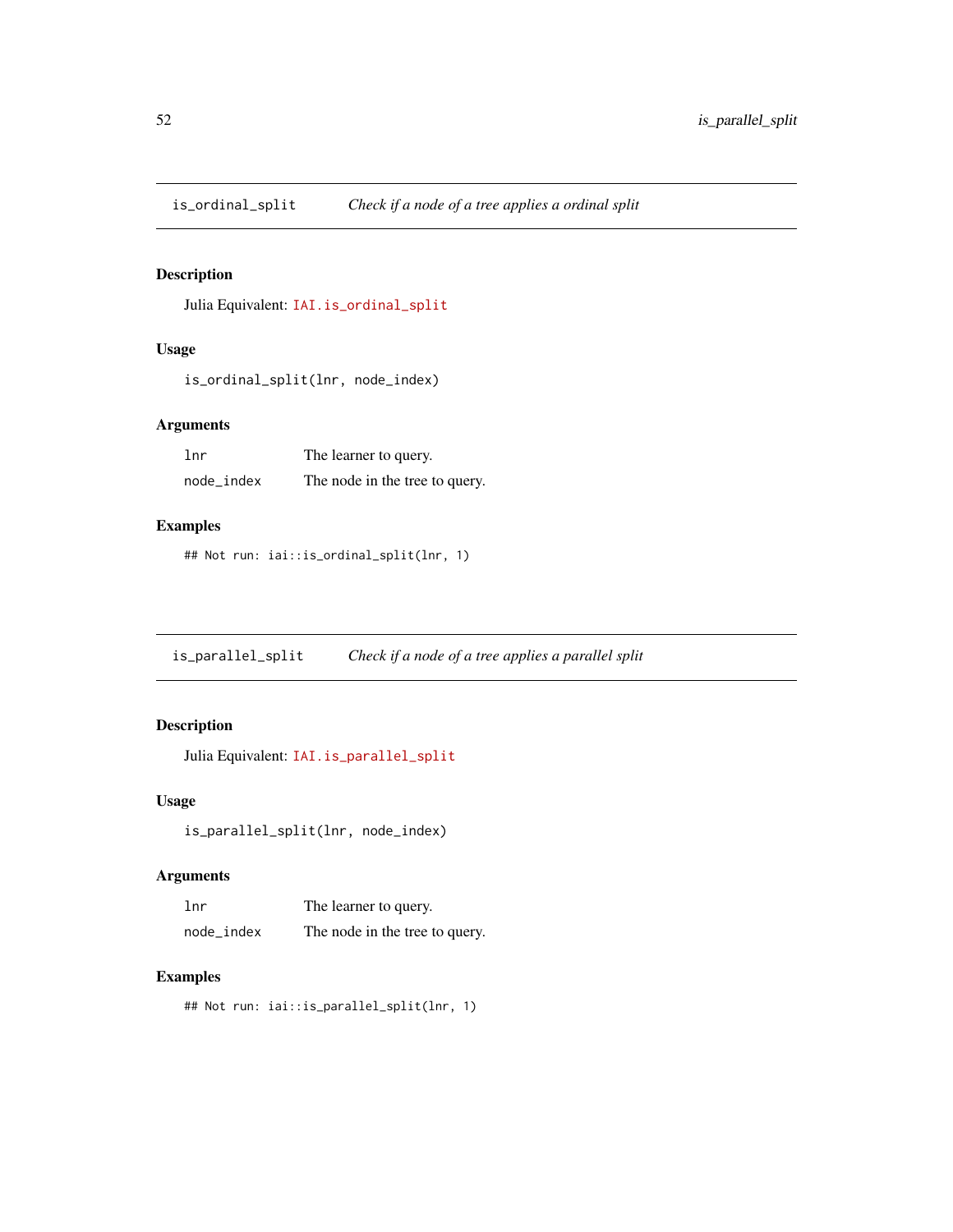is\_ordinal\_split *Check if a node of a tree applies a ordinal split*

#### Description

Julia Equivalent: [IAI.is\\_ordinal\\_split](https://docs.interpretable.ai/v3.0.0/IAITrees/reference/#IAI.is_ordinal_split)

## Usage

is\_ordinal\_split(lnr, node\_index)

## Arguments

| lnr        | The learner to query.          |
|------------|--------------------------------|
| node_index | The node in the tree to query. |

## Examples

## Not run: iai::is\_ordinal\_split(lnr, 1)

is\_parallel\_split *Check if a node of a tree applies a parallel split*

## Description

Julia Equivalent: [IAI.is\\_parallel\\_split](https://docs.interpretable.ai/v3.0.0/IAITrees/reference/#IAI.is_parallel_split)

#### Usage

```
is_parallel_split(lnr, node_index)
```
#### Arguments

| 1 <sub>nr</sub> | The learner to query.          |
|-----------------|--------------------------------|
| node_index      | The node in the tree to query. |

#### Examples

```
## Not run: iai::is_parallel_split(lnr, 1)
```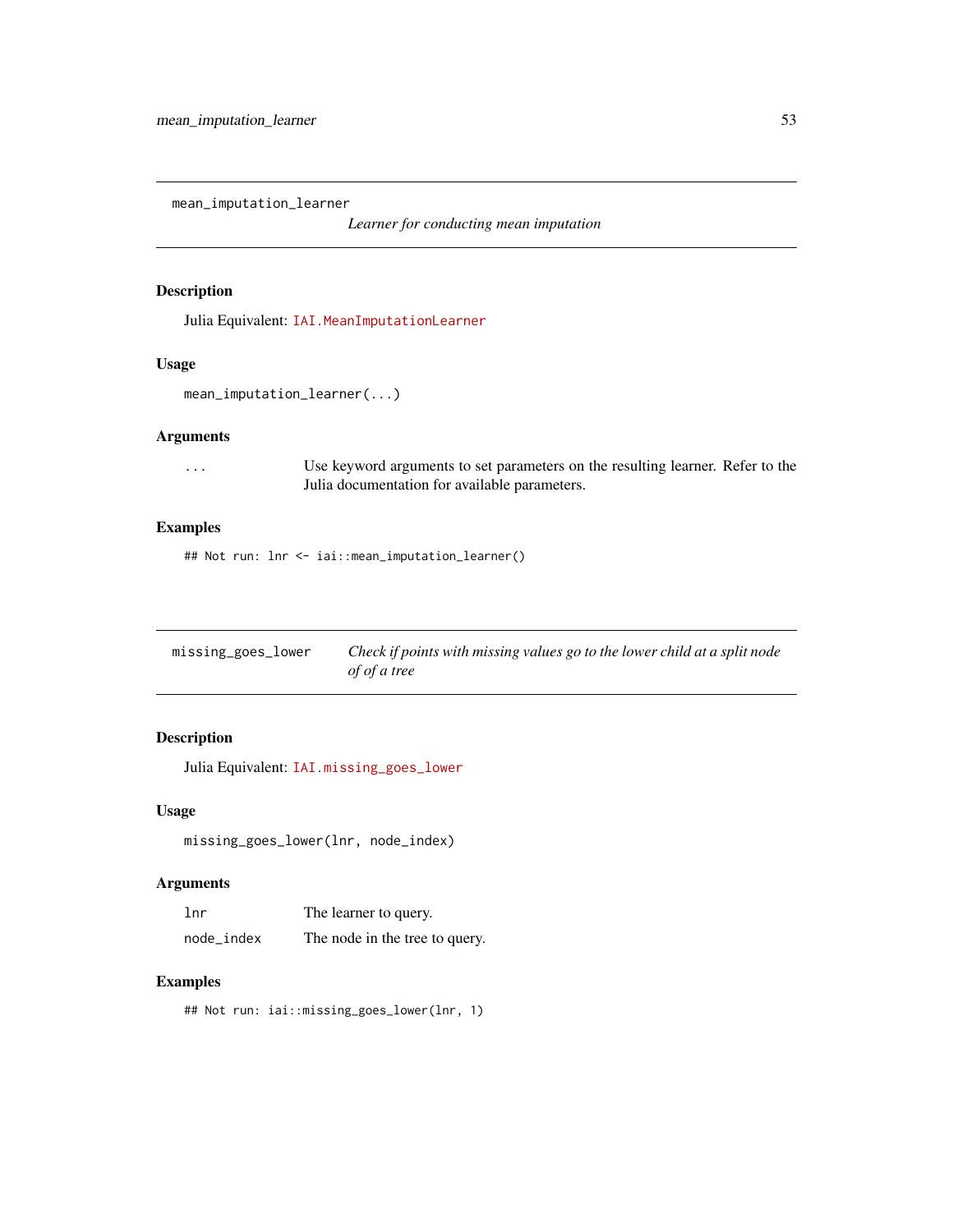mean\_imputation\_learner

*Learner for conducting mean imputation*

#### Description

Julia Equivalent: [IAI.MeanImputationLearner](https://docs.interpretable.ai/v3.0.0/OptImpute/reference/#IAI.MeanImputationLearner)

#### Usage

mean\_imputation\_learner(...)

## Arguments

... Use keyword arguments to set parameters on the resulting learner. Refer to the Julia documentation for available parameters.

## Examples

## Not run: lnr <- iai::mean\_imputation\_learner()

| missing_goes_lower | Check if points with missing values go to the lower child at a split node |
|--------------------|---------------------------------------------------------------------------|
|                    | of of a tree                                                              |

# Description

Julia Equivalent: [IAI.missing\\_goes\\_lower](https://docs.interpretable.ai/v3.0.0/IAITrees/reference/#IAI.missing_goes_lower)

#### Usage

missing\_goes\_lower(lnr, node\_index)

#### Arguments

| 1 <sub>nr</sub> | The learner to query.          |
|-----------------|--------------------------------|
| node_index      | The node in the tree to query. |

#### Examples

## Not run: iai::missing\_goes\_lower(lnr, 1)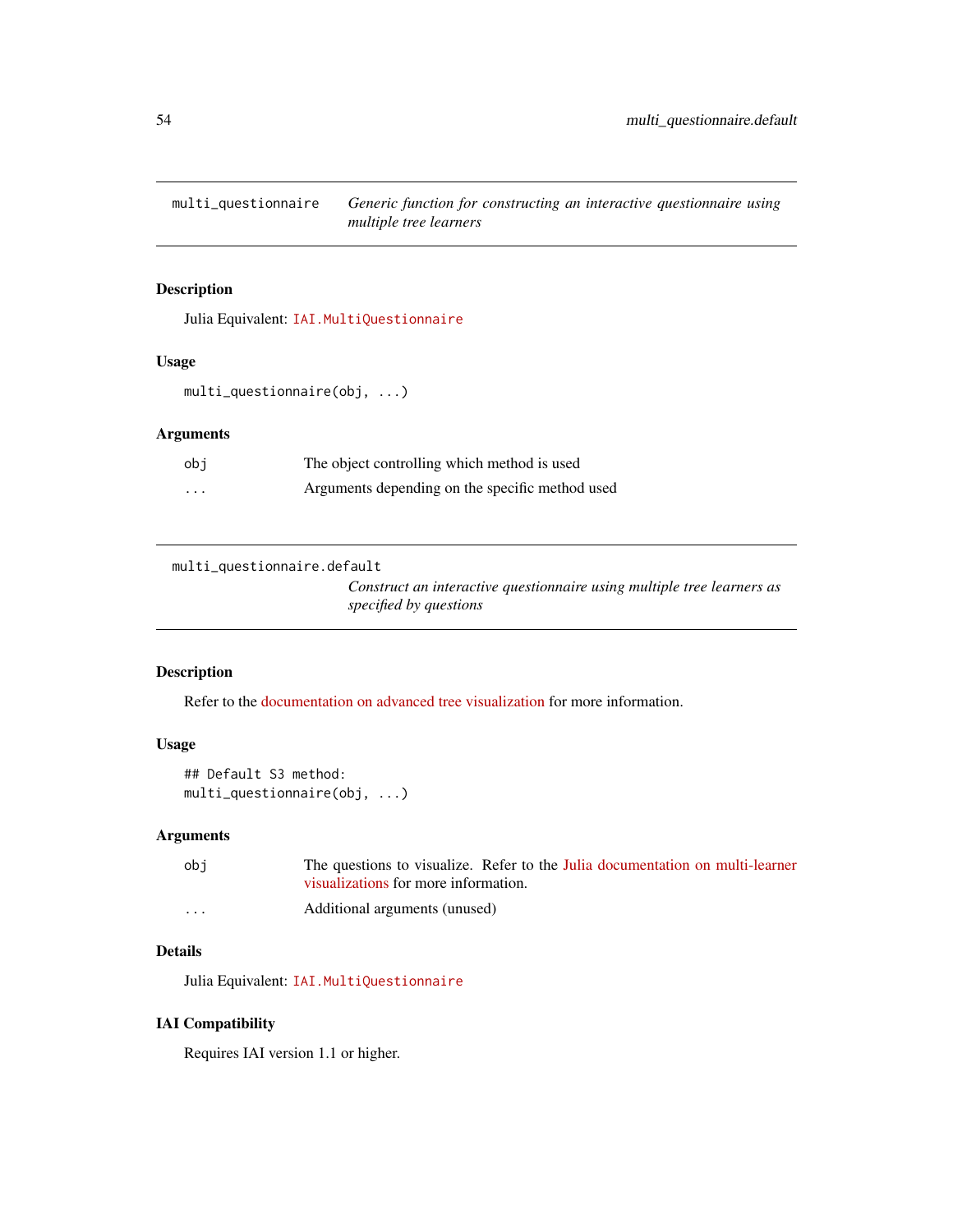## Description

Julia Equivalent: [IAI.MultiQuestionnaire](https://docs.interpretable.ai/v3.0.0/IAITrees/reference/#IAI.MultiQuestionnaire)

#### Usage

multi\_questionnaire(obj, ...)

#### Arguments

| obi      | The object controlling which method is used     |
|----------|-------------------------------------------------|
| $\cdots$ | Arguments depending on the specific method used |

multi\_questionnaire.default

*Construct an interactive questionnaire using multiple tree learners as specified by questions*

#### Description

Refer to the [documentation on advanced tree visualization](https://docs.interpretable.ai/v3.0.0/IAI-R/julia/#R-Interactive-Visualizations-1) for more information.

## Usage

```
## Default S3 method:
multi_questionnaire(obj, ...)
```
## Arguments

| obi      | The questions to visualize. Refer to the Julia documentation on multi-learner |
|----------|-------------------------------------------------------------------------------|
|          | visualizations for more information.                                          |
| $\cdots$ | Additional arguments (unused)                                                 |

# Details

Julia Equivalent: [IAI.MultiQuestionnaire](https://docs.interpretable.ai/v3.0.0/IAITrees/reference/#IAI.MultiQuestionnaire)

## IAI Compatibility

Requires IAI version 1.1 or higher.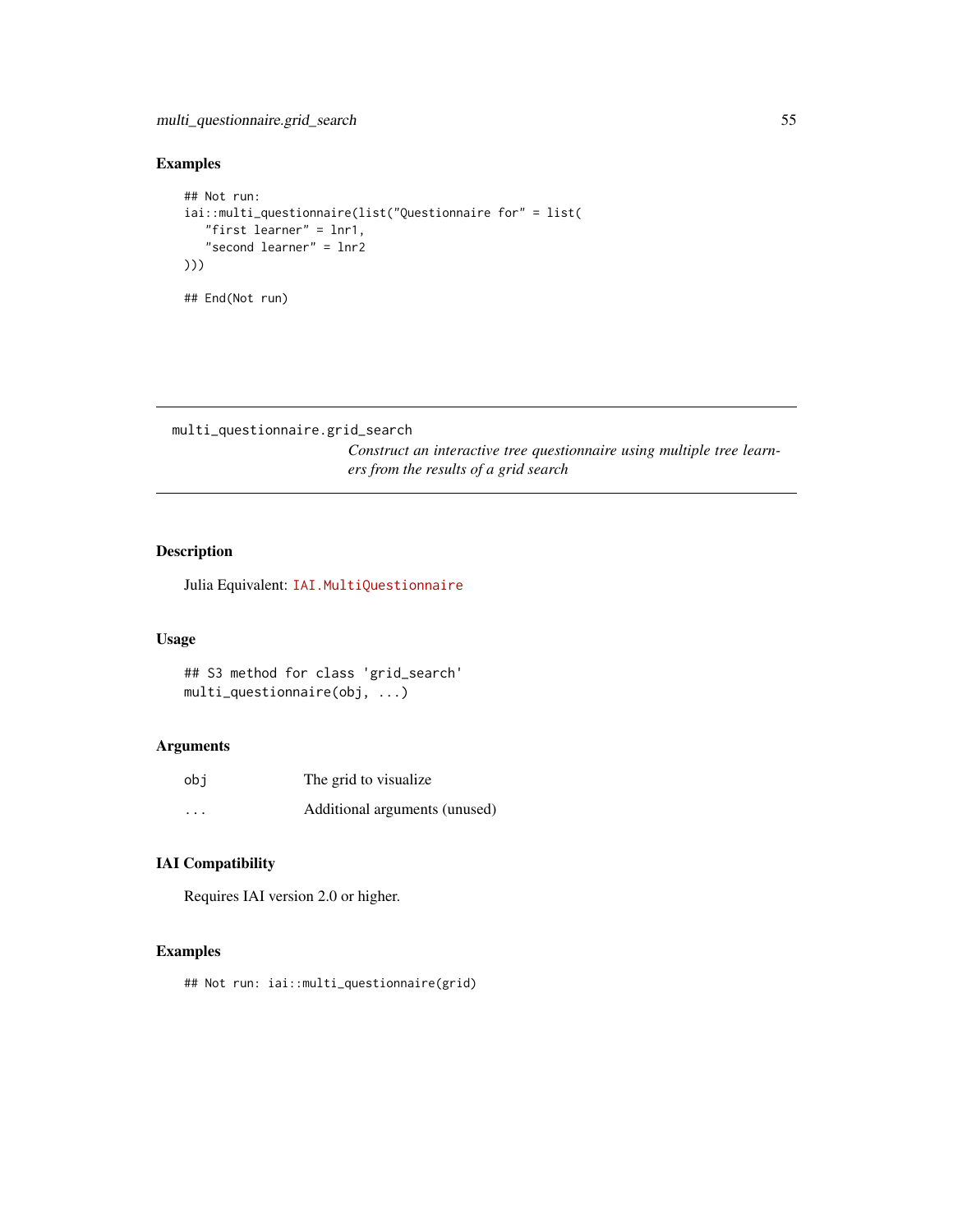# Examples

```
## Not run:
iai::multi_questionnaire(list("Questionnaire for" = list(
   "first learner" = lnr1,
   "second learner" = lnr2
)))
## End(Not run)
```
multi\_questionnaire.grid\_search

*Construct an interactive tree questionnaire using multiple tree learners from the results of a grid search*

## Description

Julia Equivalent: [IAI.MultiQuestionnaire](https://docs.interpretable.ai/v3.0.0/IAITrees/reference/#IAI.MultiQuestionnaire)

#### Usage

```
## S3 method for class 'grid_search'
multi_questionnaire(obj, ...)
```
#### Arguments

| obi      | The grid to visualize.        |
|----------|-------------------------------|
| $\cdots$ | Additional arguments (unused) |

## IAI Compatibility

Requires IAI version 2.0 or higher.

#### Examples

## Not run: iai::multi\_questionnaire(grid)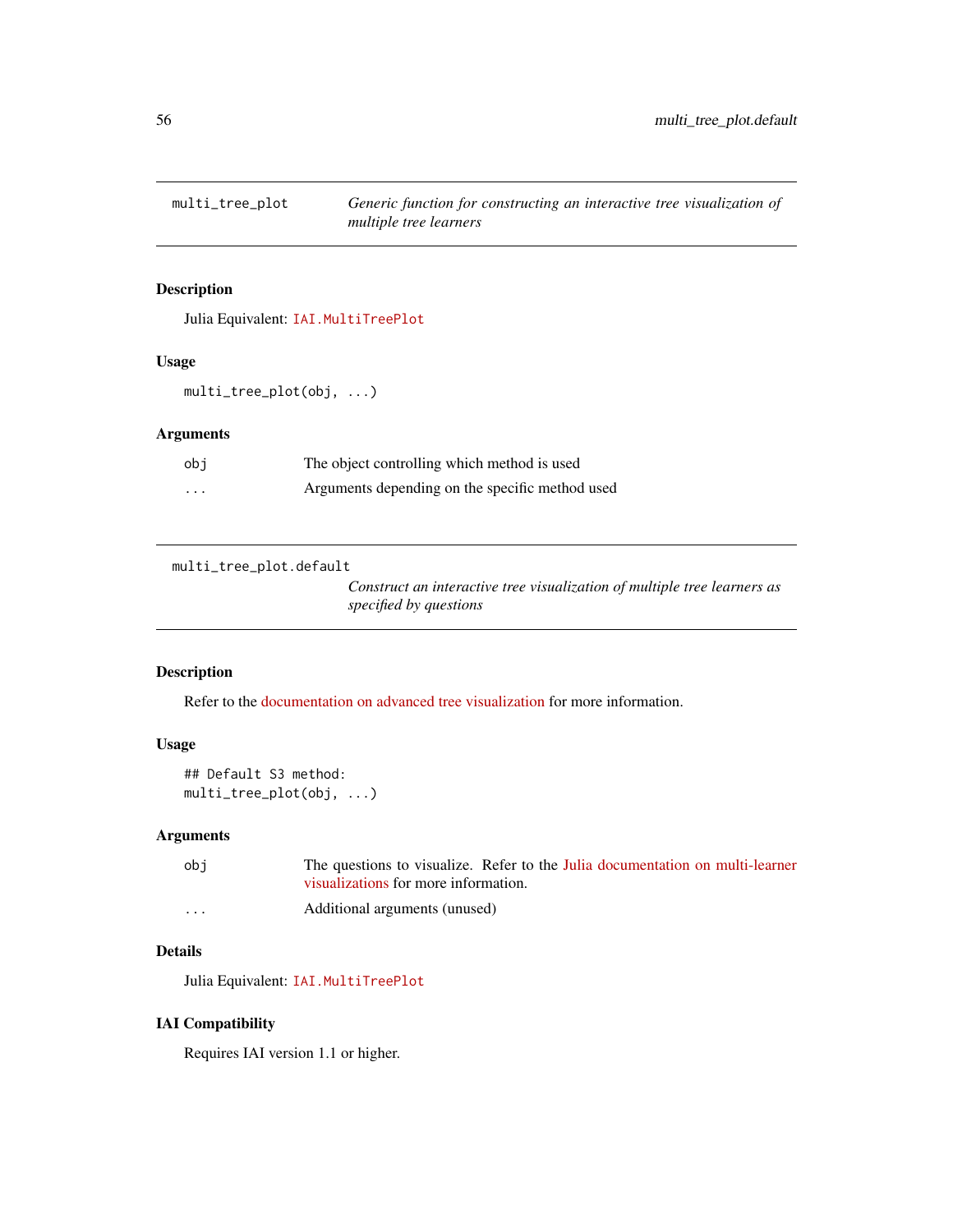## Description

Julia Equivalent: [IAI.MultiTreePlot](https://docs.interpretable.ai/v3.0.0/IAITrees/reference/#IAI.MultiTreePlot)

#### Usage

multi\_tree\_plot(obj, ...)

## Arguments

| obi      | The object controlling which method is used     |
|----------|-------------------------------------------------|
| $\cdots$ | Arguments depending on the specific method used |

multi\_tree\_plot.default

*Construct an interactive tree visualization of multiple tree learners as specified by questions*

#### Description

Refer to the [documentation on advanced tree visualization](https://docs.interpretable.ai/v3.0.0/IAI-R/julia/#R-Interactive-Visualizations-1) for more information.

## Usage

```
## Default S3 method:
multi_tree_plot(obj, ...)
```
## Arguments

| obi      | The questions to visualize. Refer to the Julia documentation on multi-learner |
|----------|-------------------------------------------------------------------------------|
|          | visualizations for more information.                                          |
| $\cdots$ | Additional arguments (unused)                                                 |

# Details

Julia Equivalent: [IAI.MultiTreePlot](https://docs.interpretable.ai/v3.0.0/IAITrees/reference/#IAI.MultiTreePlot)

## IAI Compatibility

Requires IAI version 1.1 or higher.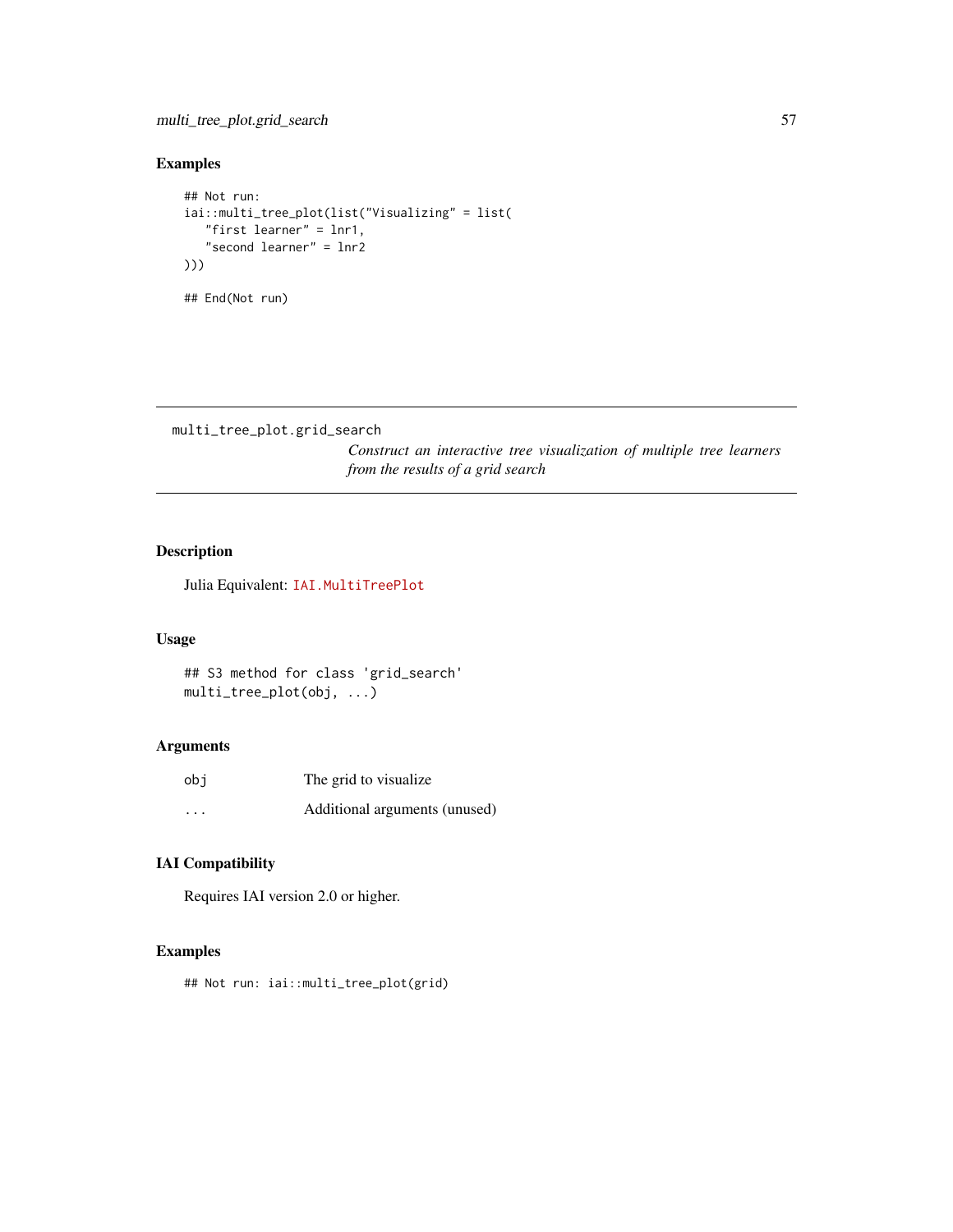# Examples

```
## Not run:
iai::multi_tree_plot(list("Visualizing" = list(
   "first learner" = lnr1,
   "second learner" = lnr2
)))
## End(Not run)
```

```
multi_tree_plot.grid_search
```
*Construct an interactive tree visualization of multiple tree learners from the results of a grid search*

## Description

Julia Equivalent: [IAI.MultiTreePlot](https://docs.interpretable.ai/v3.0.0/IAITrees/reference/#IAI.MultiTreePlot)

#### Usage

```
## S3 method for class 'grid_search'
multi_tree_plot(obj, ...)
```
#### Arguments

| obi      | The grid to visualize.        |
|----------|-------------------------------|
| $\cdots$ | Additional arguments (unused) |

## IAI Compatibility

Requires IAI version 2.0 or higher.

#### Examples

## Not run: iai::multi\_tree\_plot(grid)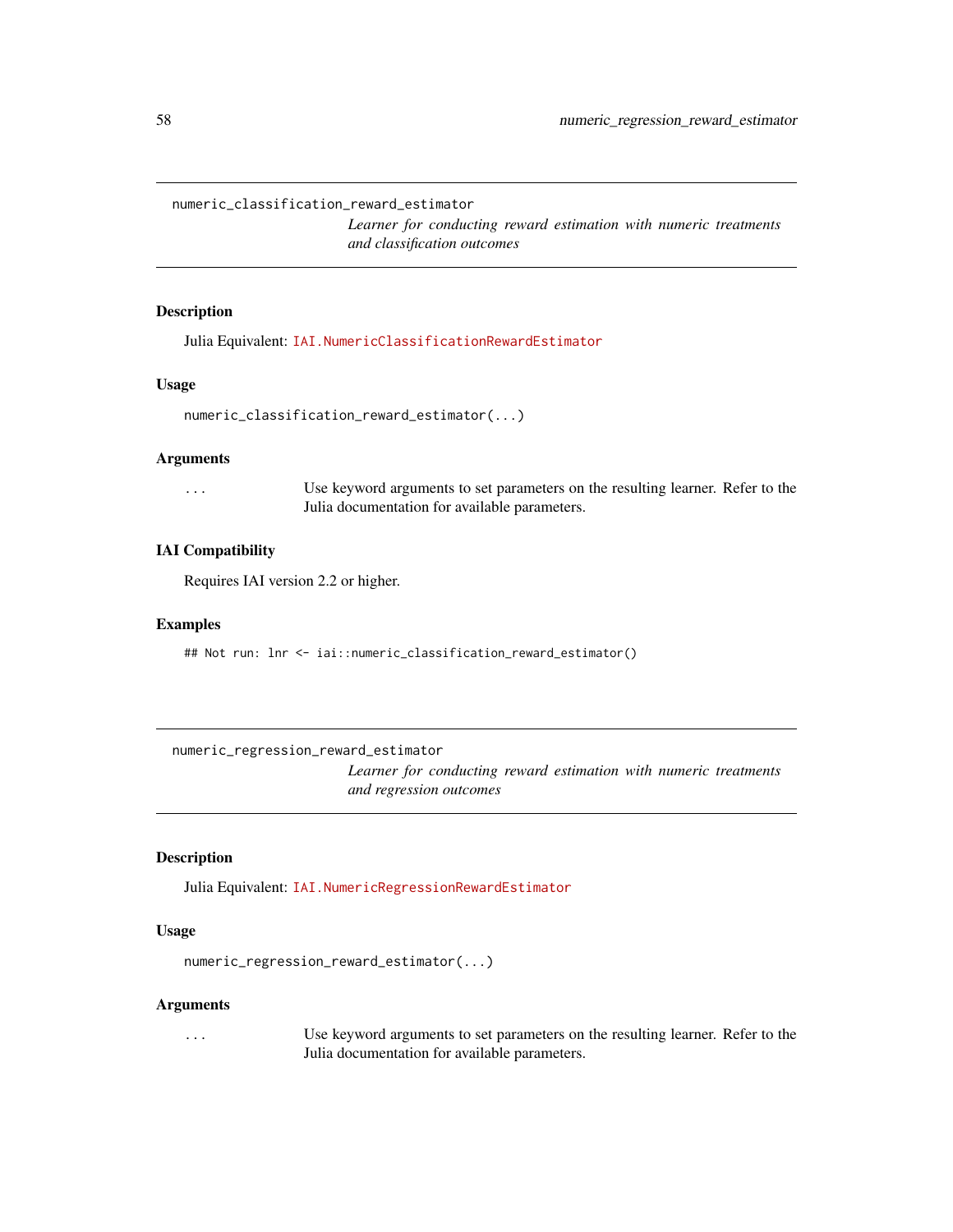numeric\_classification\_reward\_estimator

*Learner for conducting reward estimation with numeric treatments and classification outcomes*

#### Description

Julia Equivalent: [IAI.NumericClassificationRewardEstimator](https://docs.interpretable.ai/v3.0.0/RewardEstimation/reference/#IAI.NumericClassificationRewardEstimator)

#### Usage

```
numeric_classification_reward_estimator(...)
```
#### **Arguments**

... Use keyword arguments to set parameters on the resulting learner. Refer to the Julia documentation for available parameters.

#### IAI Compatibility

Requires IAI version 2.2 or higher.

#### Examples

## Not run: lnr <- iai::numeric\_classification\_reward\_estimator()

numeric\_regression\_reward\_estimator

*Learner for conducting reward estimation with numeric treatments and regression outcomes*

#### Description

Julia Equivalent: [IAI.NumericRegressionRewardEstimator](https://docs.interpretable.ai/v3.0.0/RewardEstimation/reference/#IAI.NumericRegressionRewardEstimator)

#### Usage

```
numeric_regression_reward_estimator(...)
```
#### Arguments

... Use keyword arguments to set parameters on the resulting learner. Refer to the Julia documentation for available parameters.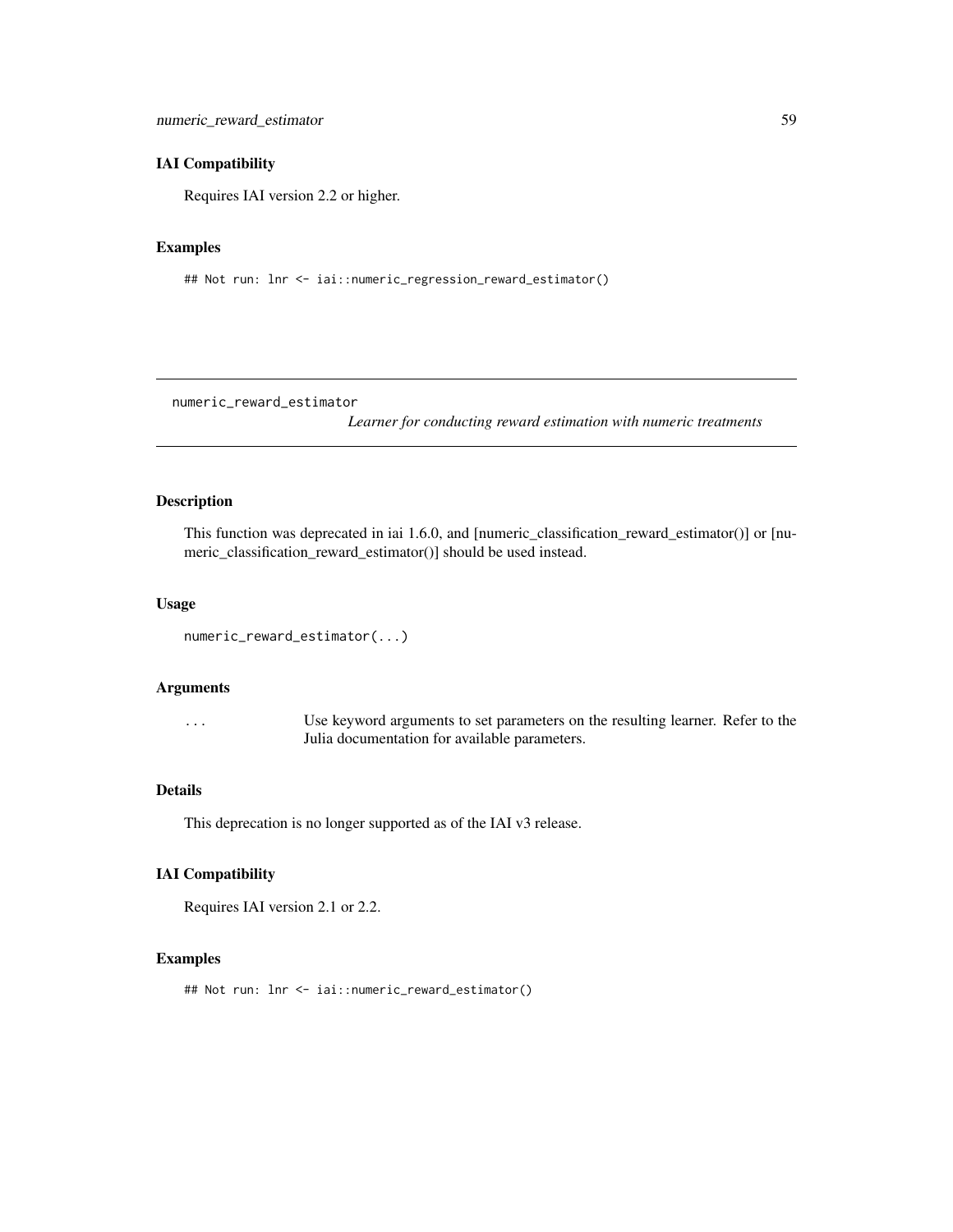#### IAI Compatibility

Requires IAI version 2.2 or higher.

#### Examples

## Not run: lnr <- iai::numeric\_regression\_reward\_estimator()

numeric\_reward\_estimator

*Learner for conducting reward estimation with numeric treatments*

#### Description

This function was deprecated in iai 1.6.0, and [numeric\_classification\_reward\_estimator()] or [numeric\_classification\_reward\_estimator()] should be used instead.

#### Usage

```
numeric_reward_estimator(...)
```
#### Arguments

... Use keyword arguments to set parameters on the resulting learner. Refer to the Julia documentation for available parameters.

#### Details

This deprecation is no longer supported as of the IAI v3 release.

#### IAI Compatibility

Requires IAI version 2.1 or 2.2.

## Examples

## Not run: lnr <- iai::numeric\_reward\_estimator()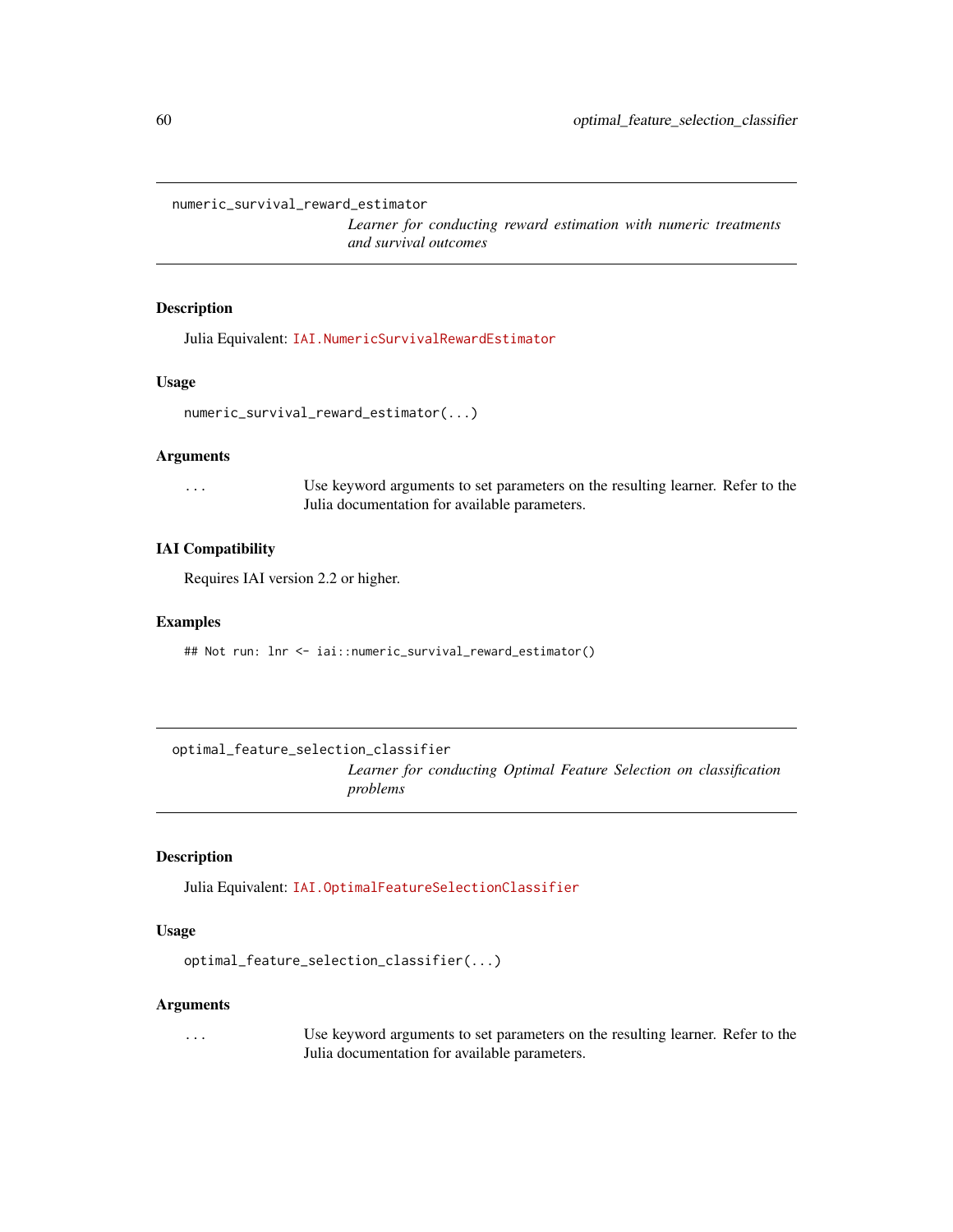numeric\_survival\_reward\_estimator

*Learner for conducting reward estimation with numeric treatments and survival outcomes*

#### Description

Julia Equivalent: [IAI.NumericSurvivalRewardEstimator](https://docs.interpretable.ai/v3.0.0/RewardEstimation/reference/#IAI.NumericSurvivalRewardEstimator)

#### Usage

```
numeric_survival_reward_estimator(...)
```
#### Arguments

... Use keyword arguments to set parameters on the resulting learner. Refer to the Julia documentation for available parameters.

#### IAI Compatibility

Requires IAI version 2.2 or higher.

#### Examples

## Not run: lnr <- iai::numeric\_survival\_reward\_estimator()

optimal\_feature\_selection\_classifier

*Learner for conducting Optimal Feature Selection on classification problems*

#### Description

Julia Equivalent: [IAI.OptimalFeatureSelectionClassifier](https://docs.interpretable.ai/v3.0.0/OptimalFeatureSelection/reference/#IAI.OptimalFeatureSelectionClassifier)

#### Usage

```
optimal_feature_selection_classifier(...)
```
#### Arguments

... Use keyword arguments to set parameters on the resulting learner. Refer to the Julia documentation for available parameters.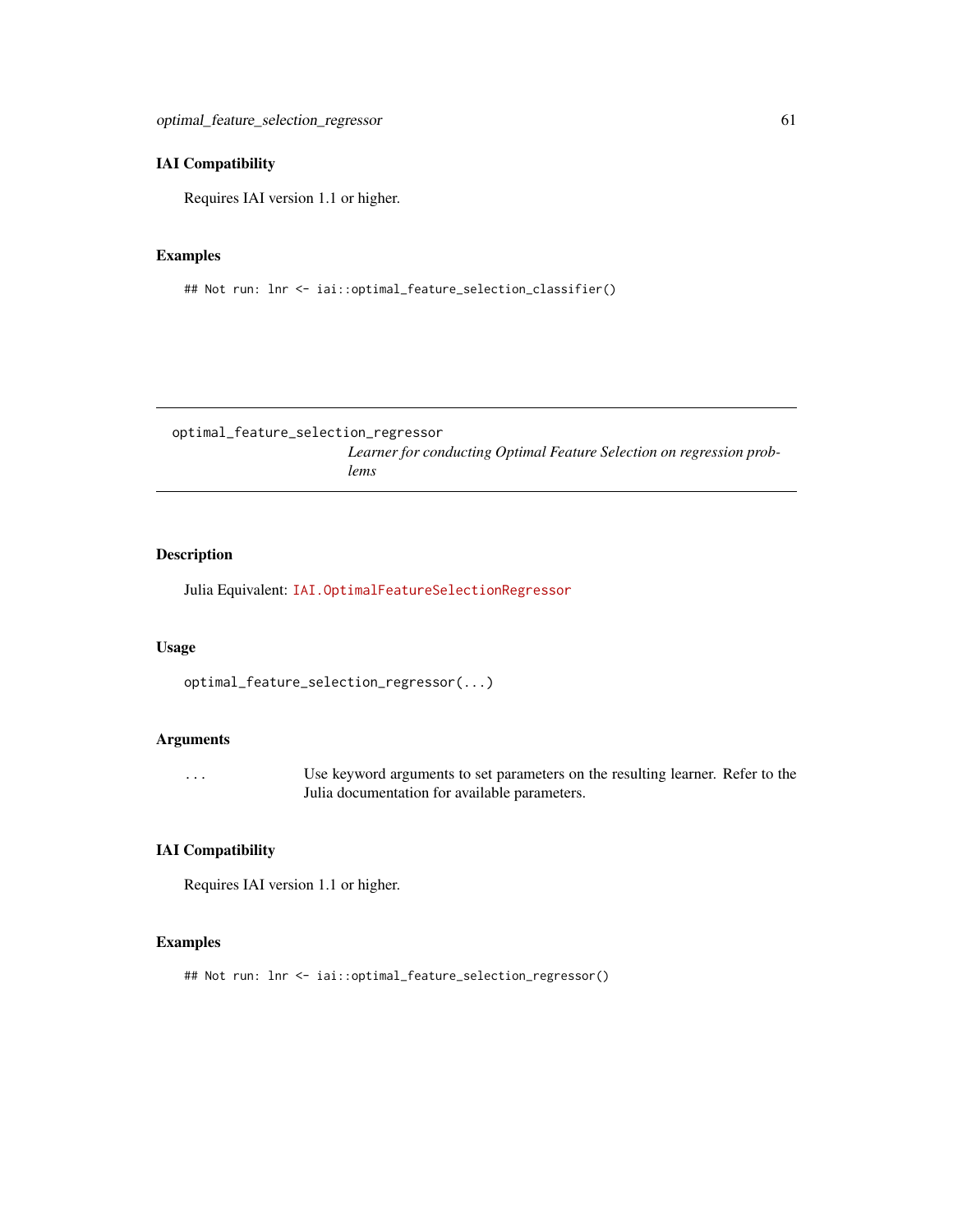#### IAI Compatibility

Requires IAI version 1.1 or higher.

## Examples

## Not run: lnr <- iai::optimal\_feature\_selection\_classifier()

optimal\_feature\_selection\_regressor *Learner for conducting Optimal Feature Selection on regression problems*

## Description

Julia Equivalent: [IAI.OptimalFeatureSelectionRegressor](https://docs.interpretable.ai/v3.0.0/OptimalFeatureSelection/reference/#IAI.OptimalFeatureSelectionRegressor)

#### Usage

```
optimal_feature_selection_regressor(...)
```
## Arguments

... Use keyword arguments to set parameters on the resulting learner. Refer to the Julia documentation for available parameters.

#### IAI Compatibility

Requires IAI version 1.1 or higher.

#### Examples

## Not run: lnr <- iai::optimal\_feature\_selection\_regressor()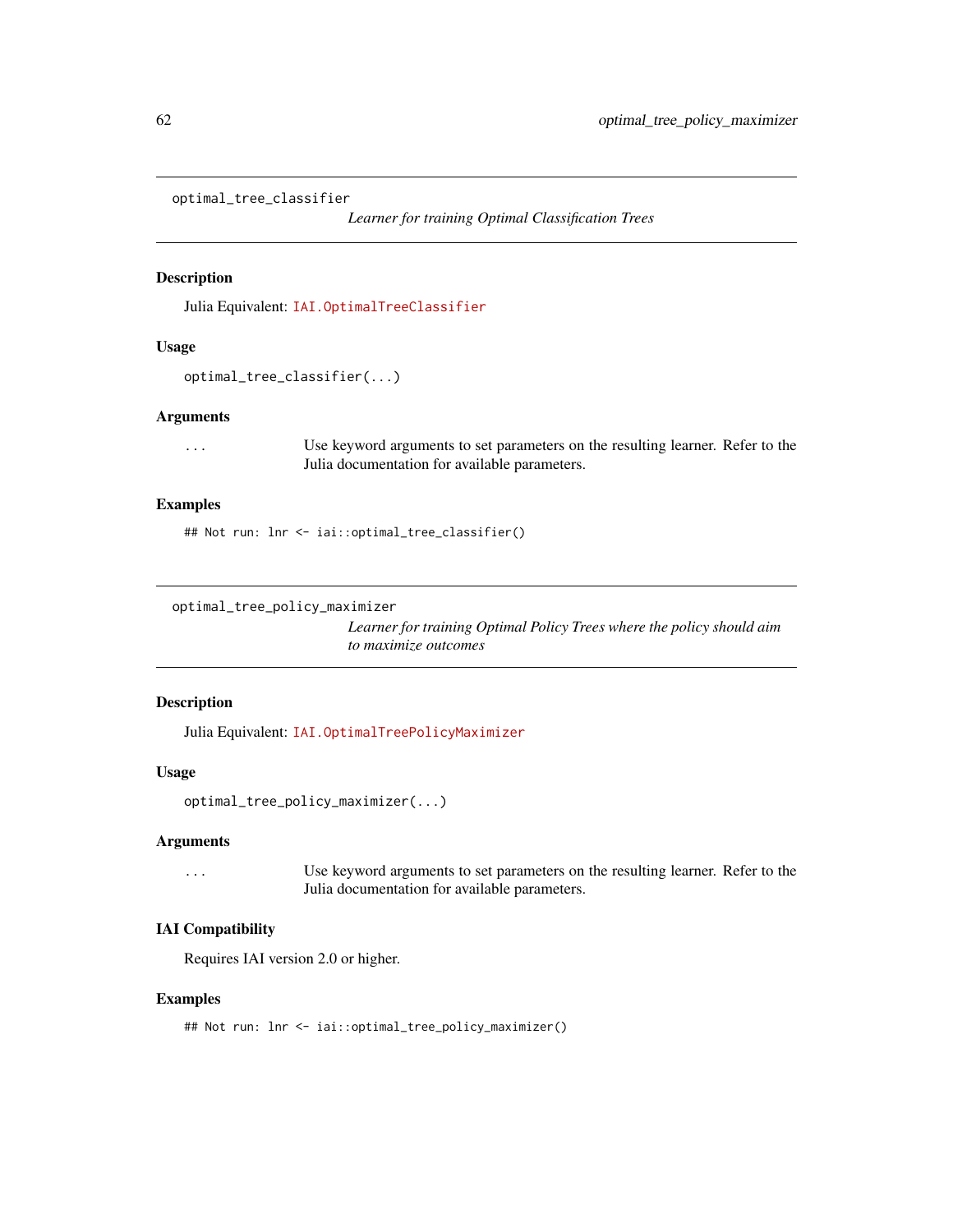```
optimal_tree_classifier
```
*Learner for training Optimal Classification Trees*

#### Description

Julia Equivalent: [IAI.OptimalTreeClassifier](https://docs.interpretable.ai/v3.0.0/OptimalTrees/reference/#IAI.OptimalTreeClassifier)

#### Usage

```
optimal_tree_classifier(...)
```
#### Arguments

... Use keyword arguments to set parameters on the resulting learner. Refer to the Julia documentation for available parameters.

# Examples

## Not run: lnr <- iai::optimal\_tree\_classifier()

```
optimal_tree_policy_maximizer
```
*Learner for training Optimal Policy Trees where the policy should aim to maximize outcomes*

## Description

Julia Equivalent: [IAI.OptimalTreePolicyMaximizer](https://docs.interpretable.ai/v3.0.0/OptimalTrees/reference/#IAI.OptimalTreePolicyMaximizer)

#### Usage

```
optimal_tree_policy_maximizer(...)
```
#### Arguments

... Use keyword arguments to set parameters on the resulting learner. Refer to the Julia documentation for available parameters.

# IAI Compatibility

Requires IAI version 2.0 or higher.

#### Examples

## Not run: lnr <- iai::optimal\_tree\_policy\_maximizer()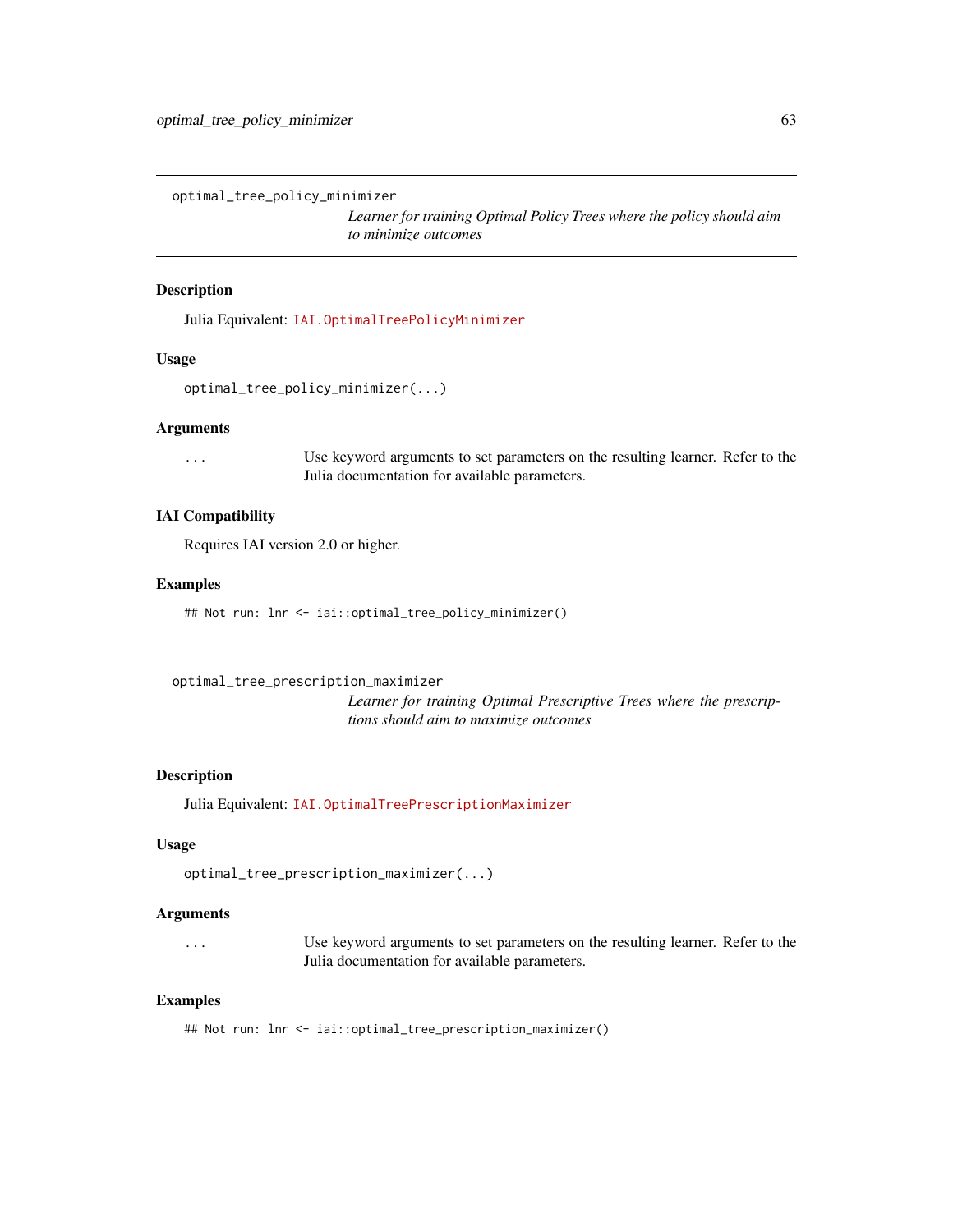optimal\_tree\_policy\_minimizer

*Learner for training Optimal Policy Trees where the policy should aim to minimize outcomes*

#### Description

Julia Equivalent: [IAI.OptimalTreePolicyMinimizer](https://docs.interpretable.ai/v3.0.0/OptimalTrees/reference/#IAI.OptimalTreePolicyMinimizer)

#### Usage

```
optimal_tree_policy_minimizer(...)
```
## Arguments

... Use keyword arguments to set parameters on the resulting learner. Refer to the Julia documentation for available parameters.

## IAI Compatibility

Requires IAI version 2.0 or higher.

#### Examples

## Not run: lnr <- iai::optimal\_tree\_policy\_minimizer()

```
optimal_tree_prescription_maximizer
```
*Learner for training Optimal Prescriptive Trees where the prescriptions should aim to maximize outcomes*

#### Description

Julia Equivalent: [IAI.OptimalTreePrescriptionMaximizer](https://docs.interpretable.ai/v3.0.0/OptimalTrees/reference/#IAI.OptimalTreePrescriptionMaximizer)

#### Usage

optimal\_tree\_prescription\_maximizer(...)

#### Arguments

... Use keyword arguments to set parameters on the resulting learner. Refer to the Julia documentation for available parameters.

#### Examples

## Not run: lnr <- iai::optimal\_tree\_prescription\_maximizer()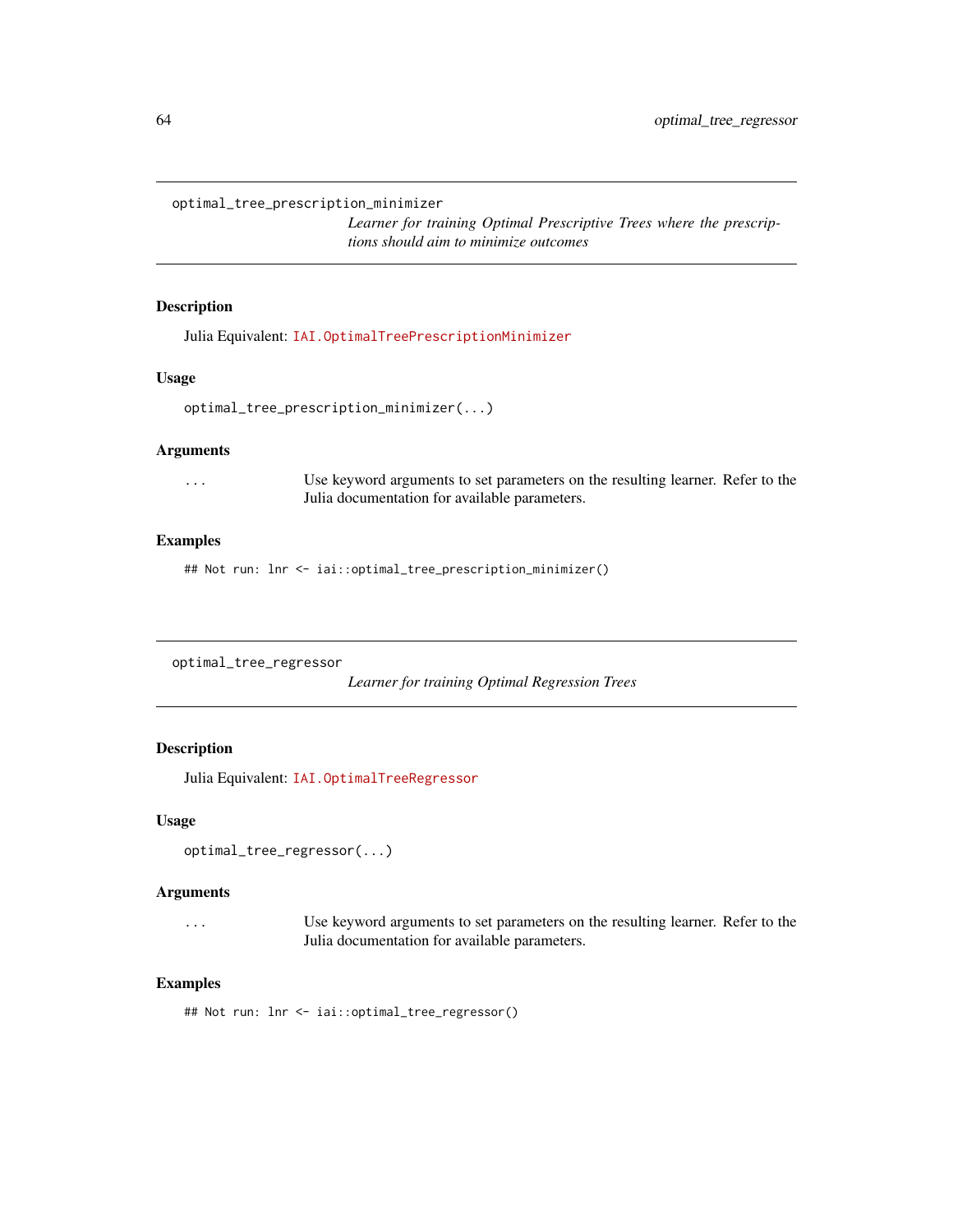optimal\_tree\_prescription\_minimizer

*Learner for training Optimal Prescriptive Trees where the prescriptions should aim to minimize outcomes*

#### Description

Julia Equivalent: [IAI.OptimalTreePrescriptionMinimizer](https://docs.interpretable.ai/v3.0.0/OptimalTrees/reference/#IAI.OptimalTreePrescriptionMinimizer)

## Usage

optimal\_tree\_prescription\_minimizer(...)

#### Arguments

... Use keyword arguments to set parameters on the resulting learner. Refer to the Julia documentation for available parameters.

#### Examples

## Not run: lnr <- iai::optimal\_tree\_prescription\_minimizer()

```
optimal_tree_regressor
```
*Learner for training Optimal Regression Trees*

## Description

Julia Equivalent: [IAI.OptimalTreeRegressor](https://docs.interpretable.ai/v3.0.0/OptimalTrees/reference/#IAI.OptimalTreeRegressor)

#### Usage

```
optimal_tree_regressor(...)
```
#### Arguments

... Use keyword arguments to set parameters on the resulting learner. Refer to the Julia documentation for available parameters.

## Examples

## Not run: lnr <- iai::optimal\_tree\_regressor()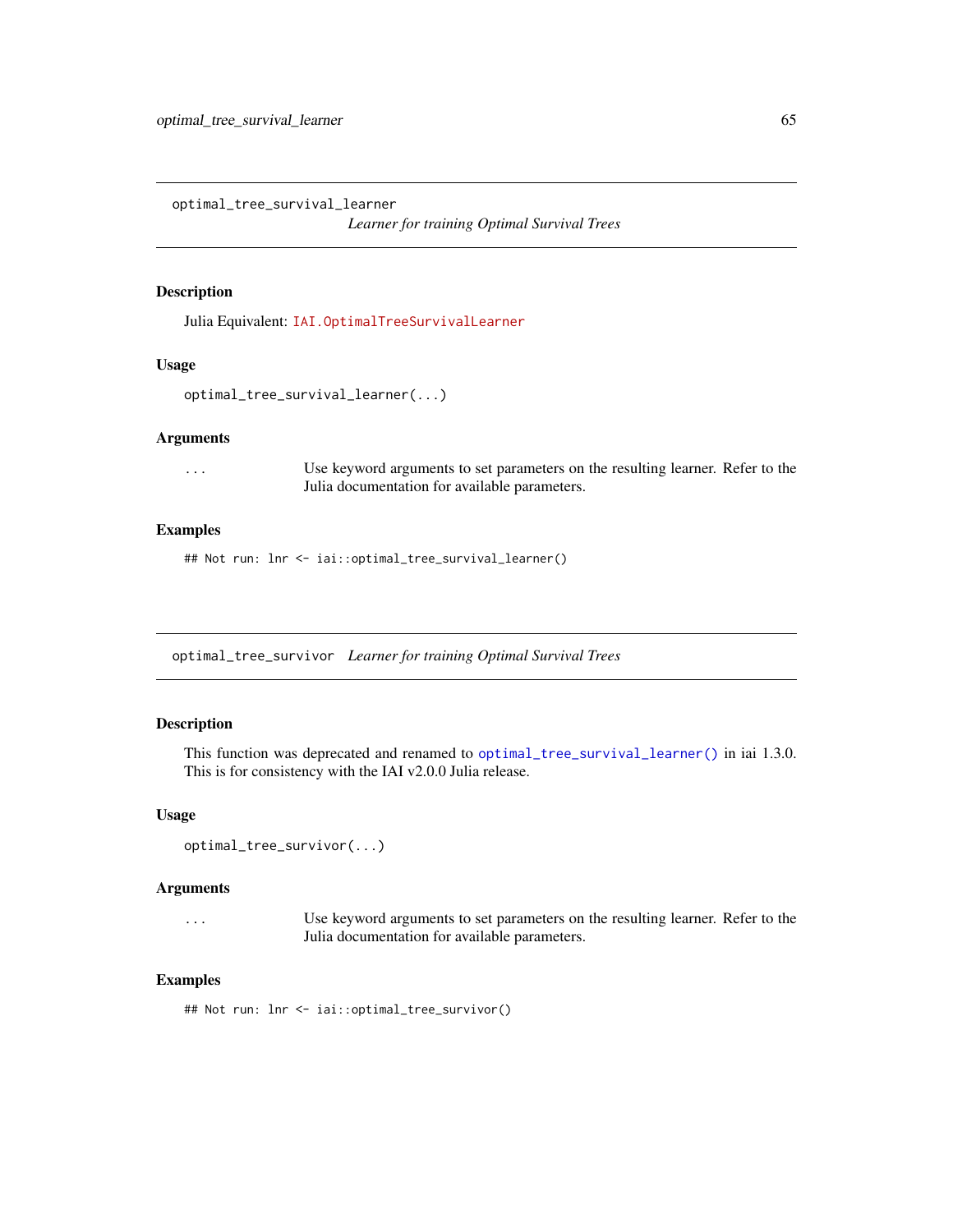<span id="page-64-0"></span>optimal\_tree\_survival\_learner

*Learner for training Optimal Survival Trees*

### Description

Julia Equivalent: [IAI.OptimalTreeSurvivalLearner](https://docs.interpretable.ai/v3.0.0/OptimalTrees/reference/#IAI.OptimalTreeSurvivalLearner)

#### Usage

```
optimal_tree_survival_learner(...)
```
#### Arguments

... Use keyword arguments to set parameters on the resulting learner. Refer to the Julia documentation for available parameters.

## Examples

## Not run: lnr <- iai::optimal\_tree\_survival\_learner()

optimal\_tree\_survivor *Learner for training Optimal Survival Trees*

#### Description

This function was deprecated and renamed to [optimal\\_tree\\_survival\\_learner\(\)](#page-64-0) in iai 1.3.0. This is for consistency with the IAI v2.0.0 Julia release.

#### Usage

```
optimal_tree_survivor(...)
```
#### Arguments

... Use keyword arguments to set parameters on the resulting learner. Refer to the Julia documentation for available parameters.

#### Examples

## Not run: lnr <- iai::optimal\_tree\_survivor()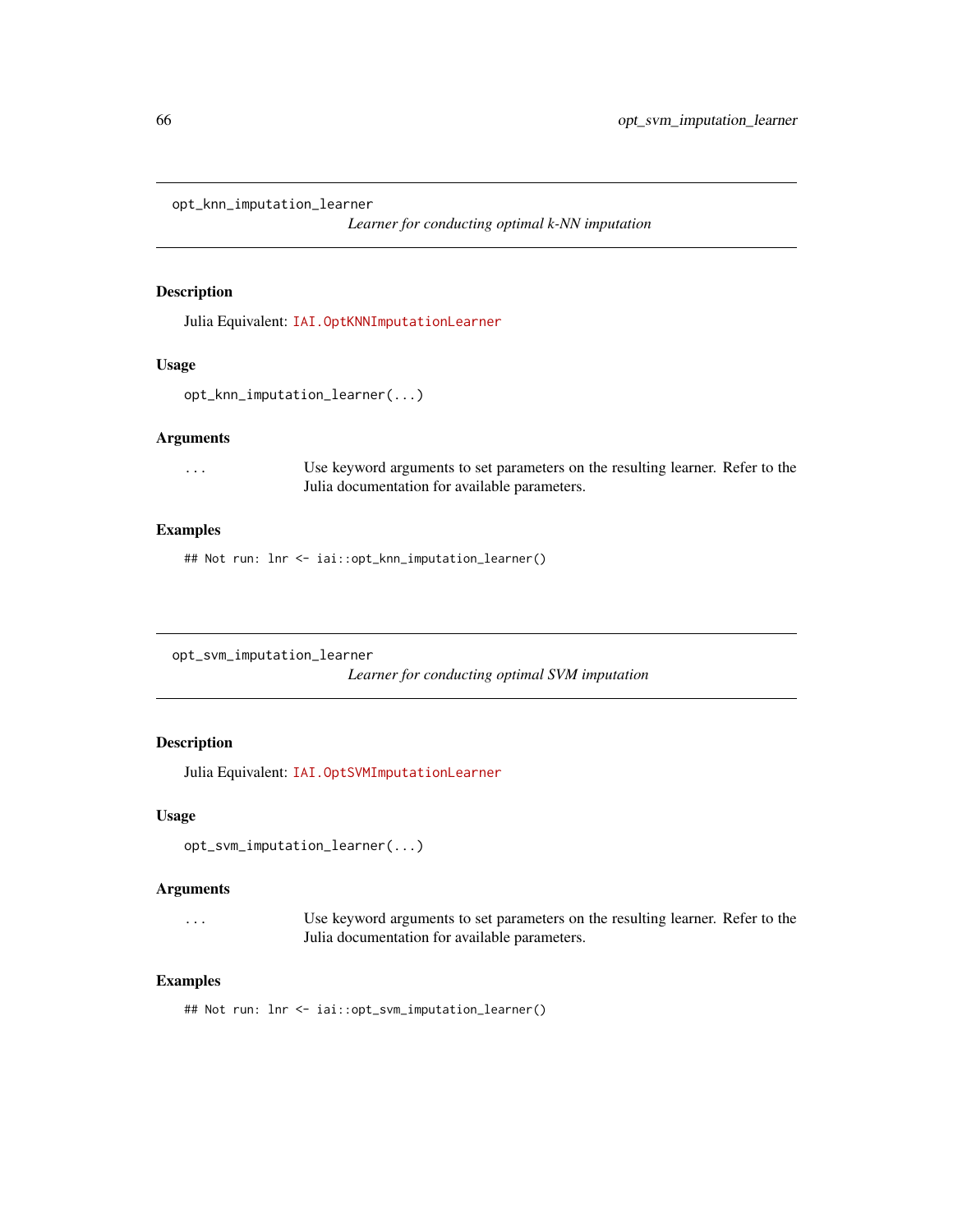opt\_knn\_imputation\_learner

*Learner for conducting optimal k-NN imputation*

#### Description

Julia Equivalent: [IAI.OptKNNImputationLearner](https://docs.interpretable.ai/v3.0.0/OptImpute/reference/#IAI.OptKNNImputationLearner)

#### Usage

```
opt_knn_imputation_learner(...)
```
#### Arguments

... Use keyword arguments to set parameters on the resulting learner. Refer to the Julia documentation for available parameters.

#### Examples

## Not run: lnr <- iai::opt\_knn\_imputation\_learner()

opt\_svm\_imputation\_learner

*Learner for conducting optimal SVM imputation*

## Description

Julia Equivalent: [IAI.OptSVMImputationLearner](https://docs.interpretable.ai/v3.0.0/OptImpute/reference/#IAI.OptSVMImputationLearner)

#### Usage

```
opt_svm_imputation_learner(...)
```
## Arguments

... Use keyword arguments to set parameters on the resulting learner. Refer to the Julia documentation for available parameters.

#### Examples

## Not run: lnr <- iai::opt\_svm\_imputation\_learner()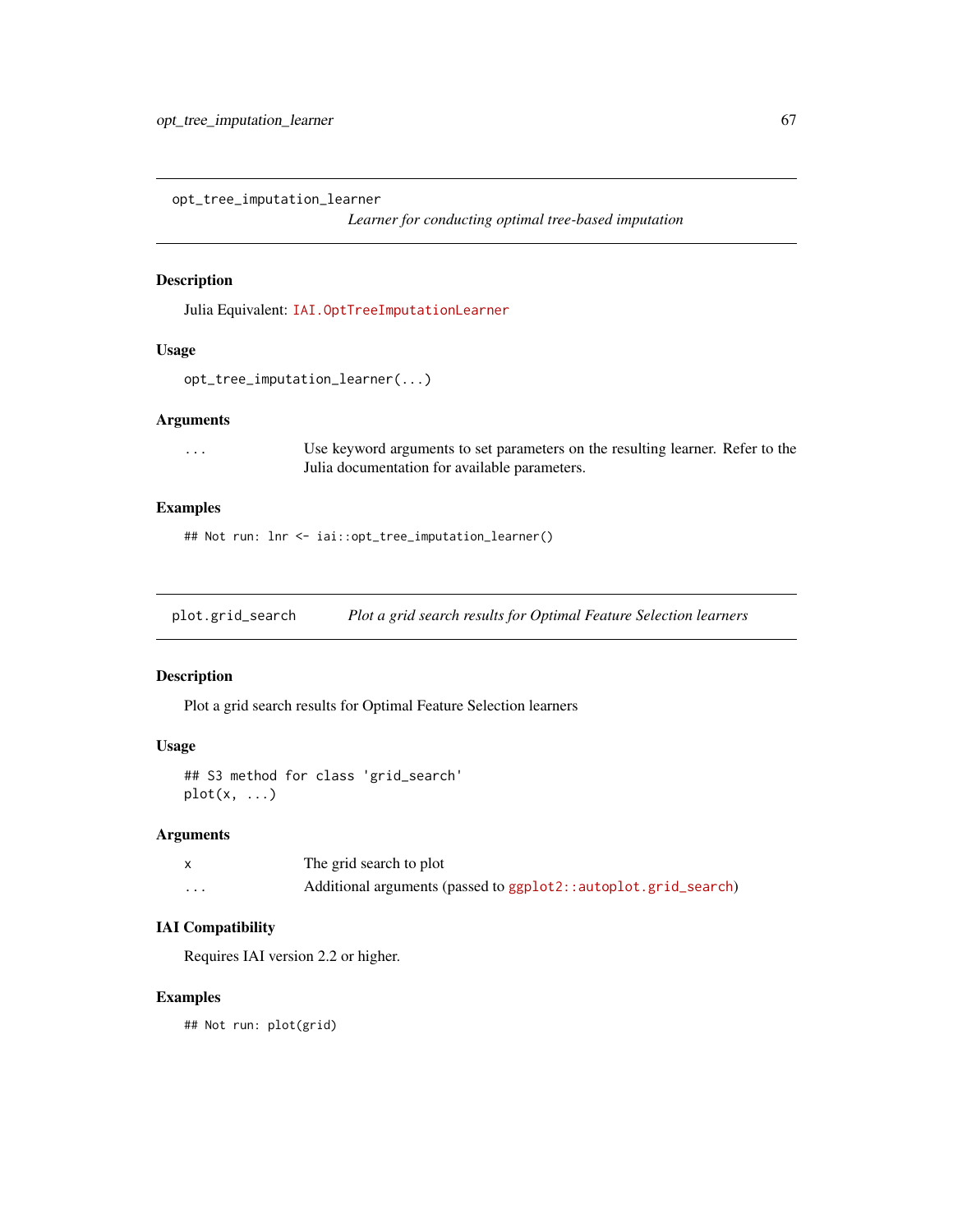opt\_tree\_imputation\_learner

*Learner for conducting optimal tree-based imputation*

## Description

Julia Equivalent: [IAI.OptTreeImputationLearner](https://docs.interpretable.ai/v3.0.0/OptImpute/reference/#IAI.OptTreeImputationLearner)

## Usage

```
opt_tree_imputation_learner(...)
```
## Arguments

... Use keyword arguments to set parameters on the resulting learner. Refer to the Julia documentation for available parameters.

## Examples

## Not run: lnr <- iai::opt\_tree\_imputation\_learner()

plot.grid\_search *Plot a grid search results for Optimal Feature Selection learners*

## Description

Plot a grid search results for Optimal Feature Selection learners

#### Usage

```
## S3 method for class 'grid_search'
plot(x, ...)
```
## Arguments

|   | The grid search to plot                                        |
|---|----------------------------------------------------------------|
| . | Additional arguments (passed to ggplot2::autoplot.grid_search) |

## IAI Compatibility

Requires IAI version 2.2 or higher.

#### Examples

## Not run: plot(grid)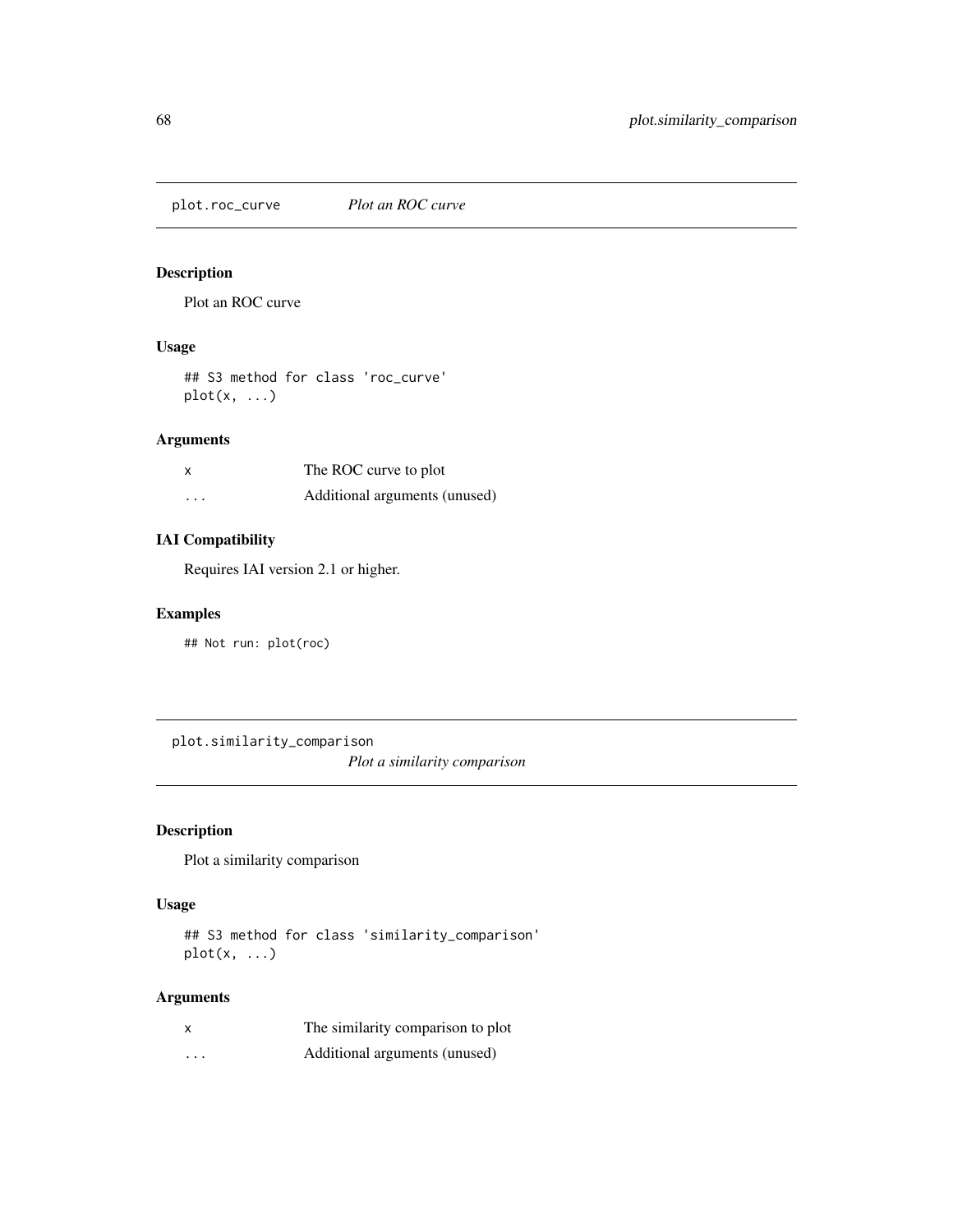plot.roc\_curve *Plot an ROC curve*

## Description

Plot an ROC curve

#### Usage

## S3 method for class 'roc\_curve'  $plot(x, \ldots)$ 

## Arguments

|          | The ROC curve to plot         |
|----------|-------------------------------|
| $\cdots$ | Additional arguments (unused) |

## IAI Compatibility

Requires IAI version 2.1 or higher.

## Examples

## Not run: plot(roc)

plot.similarity\_comparison *Plot a similarity comparison*

# Description

Plot a similarity comparison

#### Usage

## S3 method for class 'similarity\_comparison'  $plot(x, \ldots)$ 

## Arguments

|   | The similarity comparison to plot |
|---|-----------------------------------|
| . | Additional arguments (unused)     |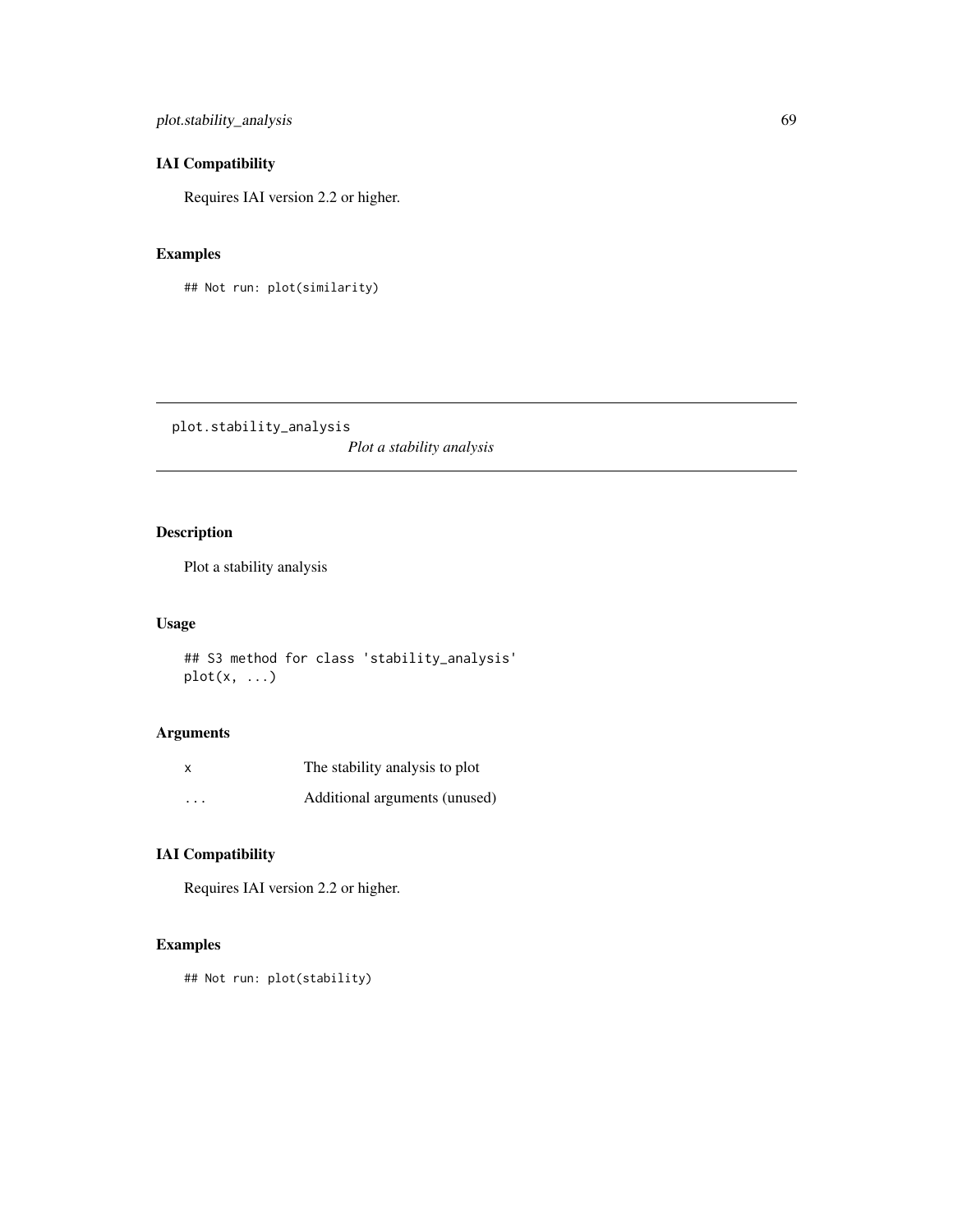plot.stability\_analysis 69

# IAI Compatibility

Requires IAI version 2.2 or higher.

## Examples

## Not run: plot(similarity)

plot.stability\_analysis *Plot a stability analysis*

# Description

Plot a stability analysis

## Usage

## S3 method for class 'stability\_analysis'  $plot(x, \ldots)$ 

## Arguments

| $\boldsymbol{\mathsf{x}}$ | The stability analysis to plot |
|---------------------------|--------------------------------|
| $\cdots$                  | Additional arguments (unused)  |

# IAI Compatibility

Requires IAI version 2.2 or higher.

## Examples

## Not run: plot(stability)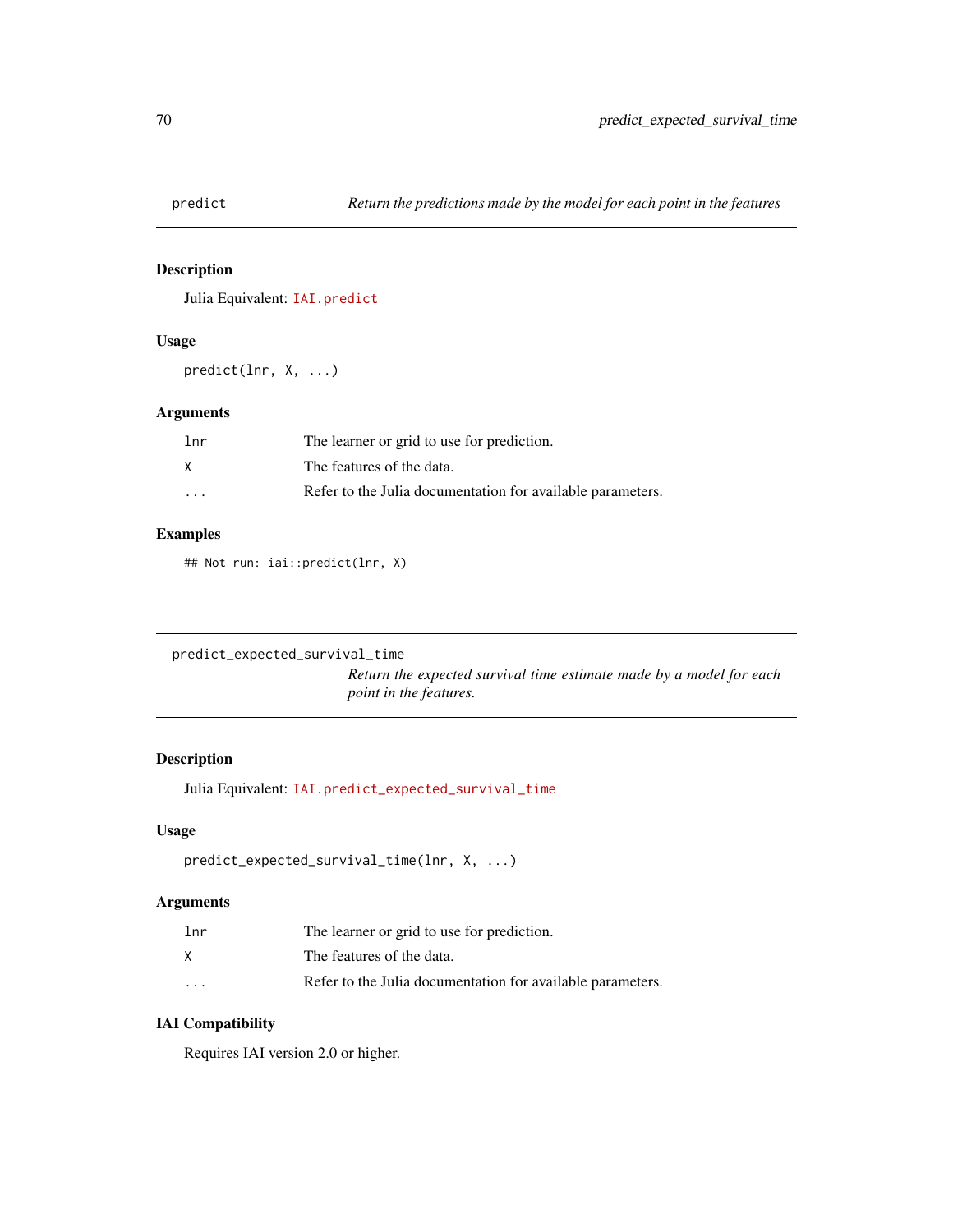## Description

Julia Equivalent: [IAI.predict](https://docs.interpretable.ai/v3.0.0/IAIBase/reference/#IAI.predict)

## Usage

predict(lnr, X, ...)

#### Arguments

| 1nr     | The learner or grid to use for prediction.                 |
|---------|------------------------------------------------------------|
| X       | The features of the data.                                  |
| $\cdot$ | Refer to the Julia documentation for available parameters. |

#### Examples

## Not run: iai::predict(lnr, X)

```
predict_expected_survival_time
```
*Return the expected survival time estimate made by a model for each point in the features.*

#### Description

Julia Equivalent: [IAI.predict\\_expected\\_survival\\_time](https://docs.interpretable.ai/v3.0.0/IAIBase/reference/#IAI.predict_expected_survival_time)

### Usage

```
predict_expected_survival_time(lnr, X, ...)
```
#### Arguments

| lnr      | The learner or grid to use for prediction.                 |
|----------|------------------------------------------------------------|
| x.       | The features of the data.                                  |
| $\cdots$ | Refer to the Julia documentation for available parameters. |

# IAI Compatibility

Requires IAI version 2.0 or higher.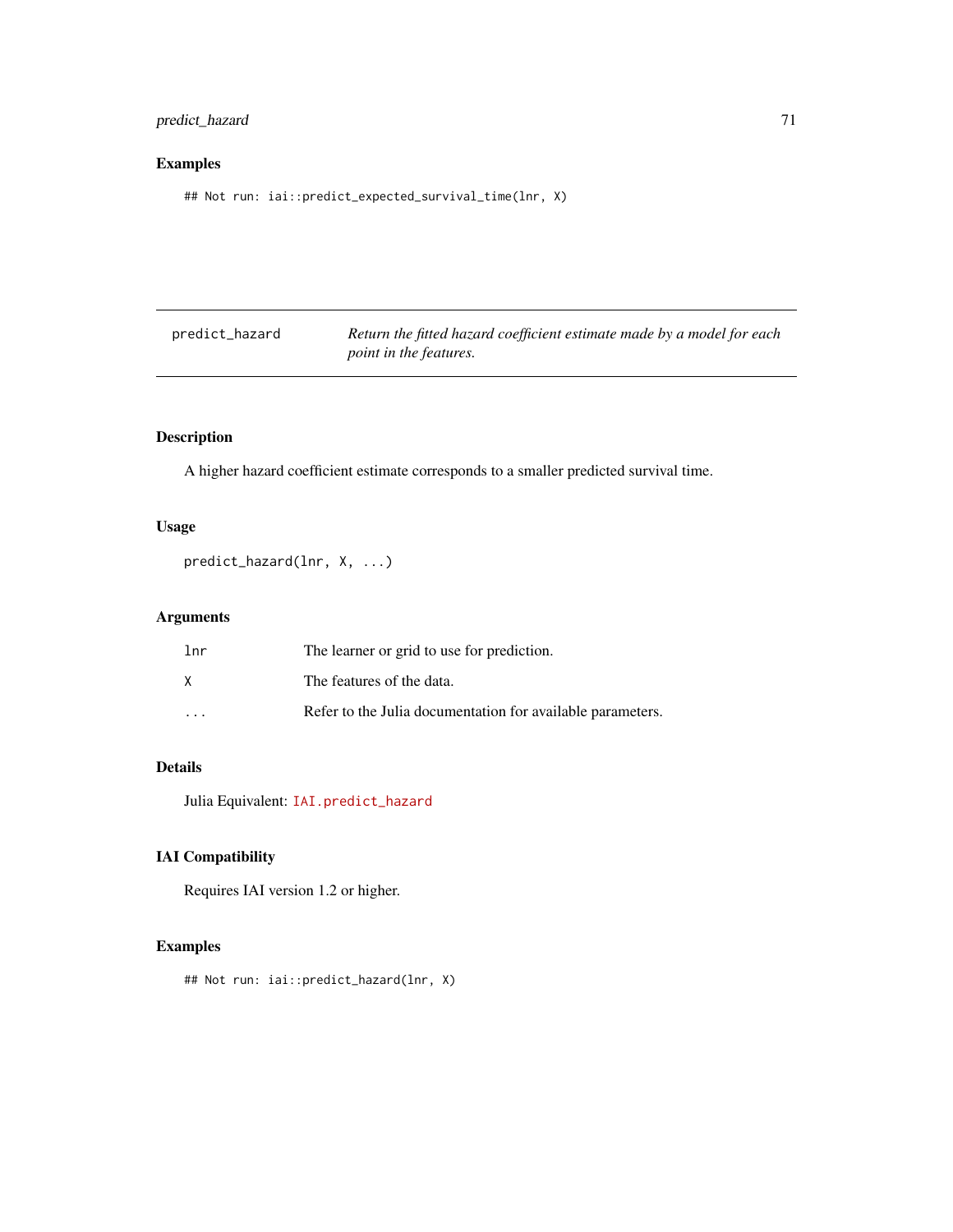## predict\_hazard 71

# Examples

## Not run: iai::predict\_expected\_survival\_time(lnr, X)

| predict_hazard | Return the fitted hazard coefficient estimate made by a model for each |
|----------------|------------------------------------------------------------------------|
|                | <i>point in the features.</i>                                          |

# Description

A higher hazard coefficient estimate corresponds to a smaller predicted survival time.

## Usage

```
predict_hazard(lnr, X, ...)
```
# Arguments

| lnr                     | The learner or grid to use for prediction.                 |
|-------------------------|------------------------------------------------------------|
| x                       | The features of the data.                                  |
| $\cdot$ $\cdot$ $\cdot$ | Refer to the Julia documentation for available parameters. |

# Details

Julia Equivalent: [IAI.predict\\_hazard](https://docs.interpretable.ai/v3.0.0/IAIBase/reference/#IAI.predict_hazard)

# IAI Compatibility

Requires IAI version 1.2 or higher.

## Examples

## Not run: iai::predict\_hazard(lnr, X)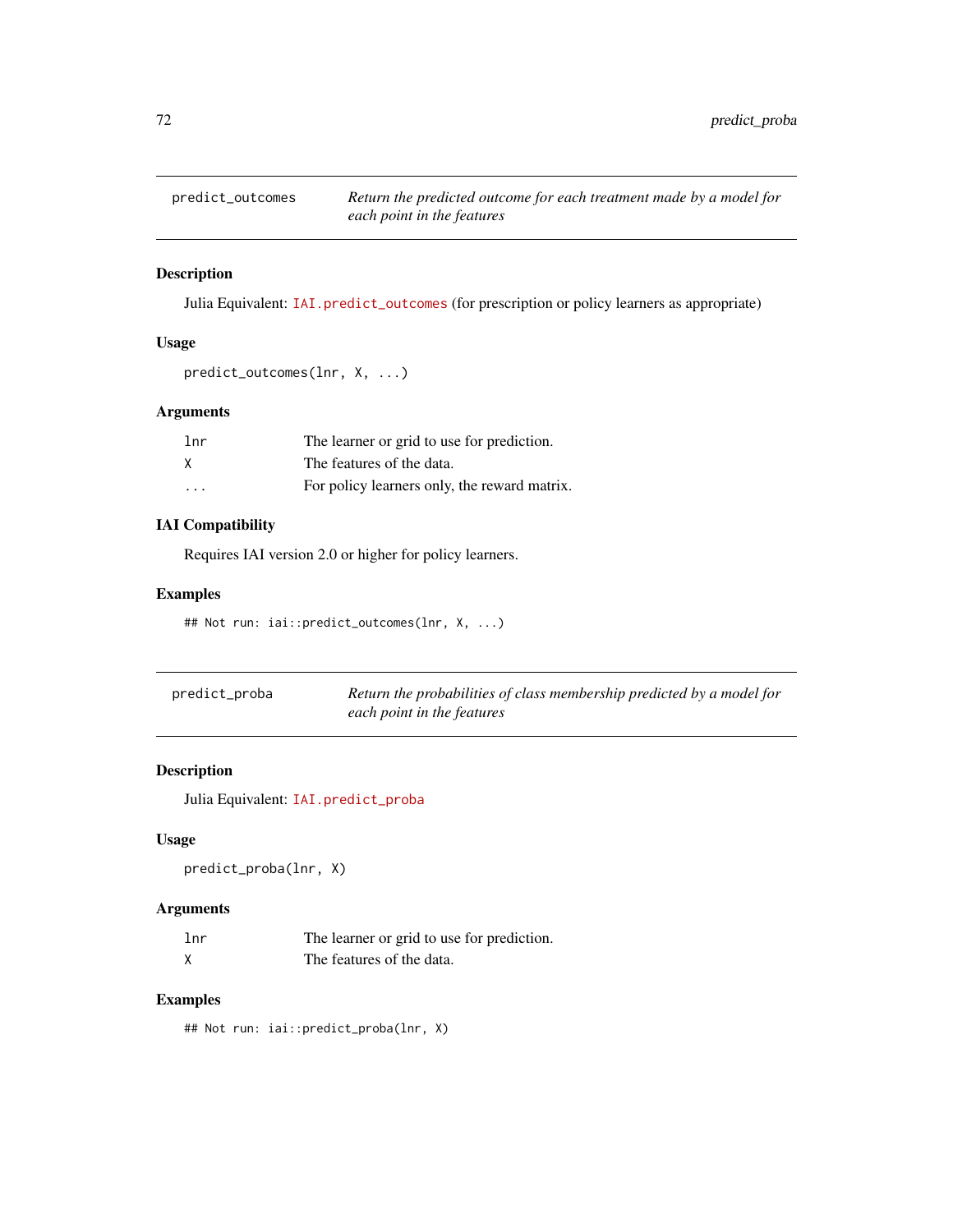# Description

Julia Equivalent: [IAI.predict\\_outcomes](https://docs.interpretable.ai/v3.0.0/IAIBase/reference/#IAIBase-API-Reference-1) (for prescription or policy learners as appropriate)

# Usage

```
predict_outcomes(lnr, X, ...)
```
## Arguments

| lnr                     | The learner or grid to use for prediction.   |
|-------------------------|----------------------------------------------|
| X                       | The features of the data.                    |
| $\cdot$ $\cdot$ $\cdot$ | For policy learners only, the reward matrix. |

## IAI Compatibility

Requires IAI version 2.0 or higher for policy learners.

## Examples

## Not run: iai::predict\_outcomes(lnr, X, ...)

| predict_proba | Return the probabilities of class membership predicted by a model for |
|---------------|-----------------------------------------------------------------------|
|               | each point in the features                                            |

# Description

Julia Equivalent: [IAI.predict\\_proba](https://docs.interpretable.ai/v3.0.0/IAIBase/reference/#IAI.predict_proba)

## Usage

predict\_proba(lnr, X)

## Arguments

| 1 <sub>nr</sub> | The learner or grid to use for prediction. |
|-----------------|--------------------------------------------|
|                 | The features of the data.                  |

## Examples

## Not run: iai::predict\_proba(lnr, X)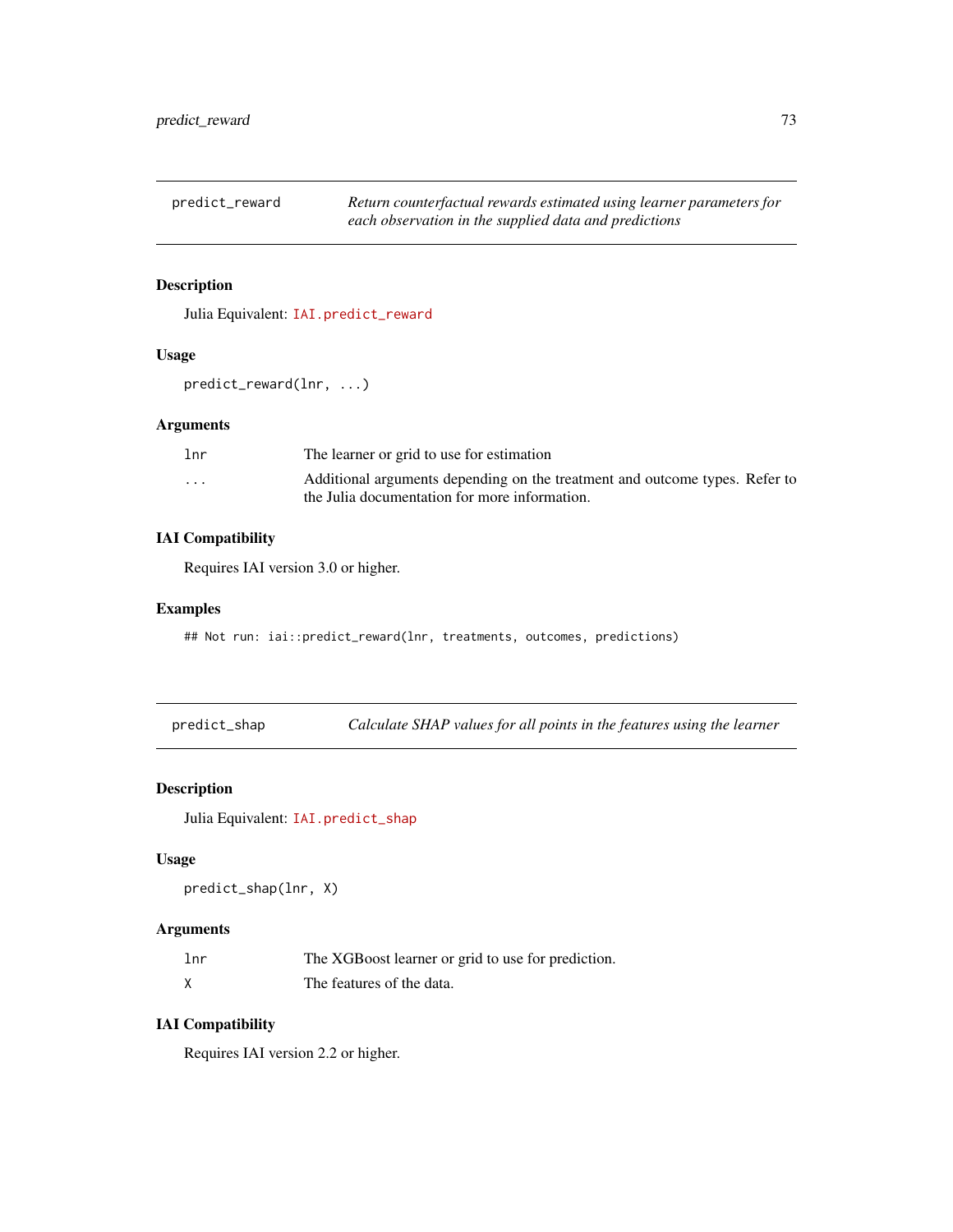<span id="page-72-0"></span>predict\_reward *Return counterfactual rewards estimated using learner parameters for each observation in the supplied data and predictions*

# Description

Julia Equivalent: [IAI.predict\\_reward](https://docs.interpretable.ai/v3.0.0/RewardEstimation/reference/#IAI.predict_reward)

#### Usage

predict\_reward(lnr, ...)

#### Arguments

| lnr                     | The learner or grid to use for estimation                                                                                    |
|-------------------------|------------------------------------------------------------------------------------------------------------------------------|
| $\cdot$ $\cdot$ $\cdot$ | Additional arguments depending on the treatment and outcome types. Refer to<br>the Julia documentation for more information. |

# IAI Compatibility

Requires IAI version 3.0 or higher.

#### Examples

## Not run: iai::predict\_reward(lnr, treatments, outcomes, predictions)

predict\_shap *Calculate SHAP values for all points in the features using the learner*

#### Description

Julia Equivalent: [IAI.predict\\_shap](https://docs.interpretable.ai/v3.0.0/Heuristics/reference/#IAI.predict_shap)

#### Usage

predict\_shap(lnr, X)

# Arguments

| 1 <sub>nr</sub> | The XGB oost learner or grid to use for prediction. |
|-----------------|-----------------------------------------------------|
|                 | The features of the data.                           |

# IAI Compatibility

Requires IAI version 2.2 or higher.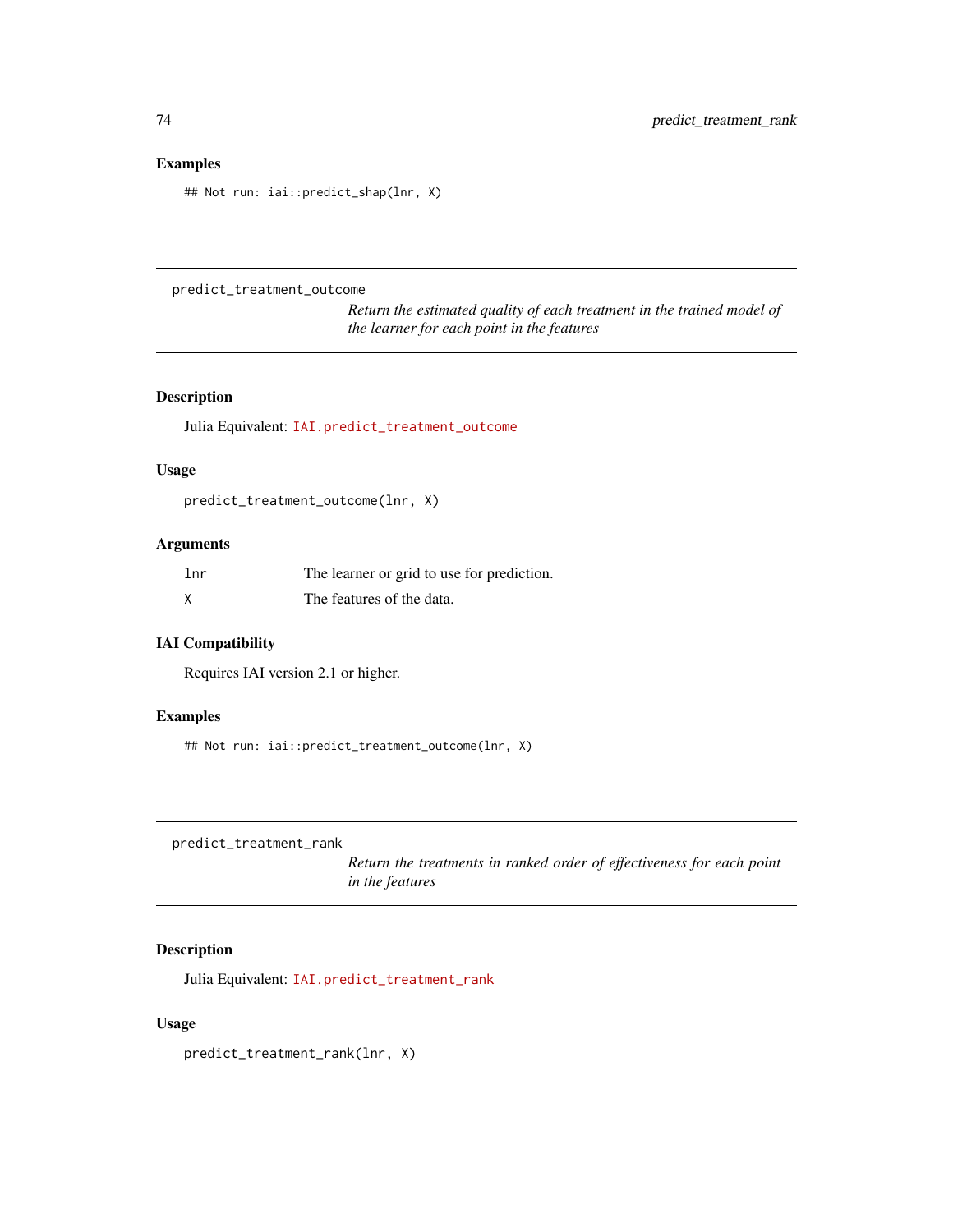<span id="page-73-0"></span>## Not run: iai::predict\_shap(lnr, X)

#### predict\_treatment\_outcome

*Return the estimated quality of each treatment in the trained model of the learner for each point in the features*

# Description

Julia Equivalent: [IAI.predict\\_treatment\\_outcome](https://docs.interpretable.ai/v3.0.0/IAIBase/reference/#IAI.predict_treatment_outcome)

#### Usage

predict\_treatment\_outcome(lnr, X)

#### Arguments

| 1 <sub>nr</sub> | The learner or grid to use for prediction. |
|-----------------|--------------------------------------------|
| X               | The features of the data.                  |

# IAI Compatibility

Requires IAI version 2.1 or higher.

# Examples

## Not run: iai::predict\_treatment\_outcome(lnr, X)

predict\_treatment\_rank

*Return the treatments in ranked order of effectiveness for each point in the features*

# Description

Julia Equivalent: [IAI.predict\\_treatment\\_rank](https://docs.interpretable.ai/v3.0.0/IAIBase/reference/#IAI.predict_treatment_rank)

#### Usage

predict\_treatment\_rank(lnr, X)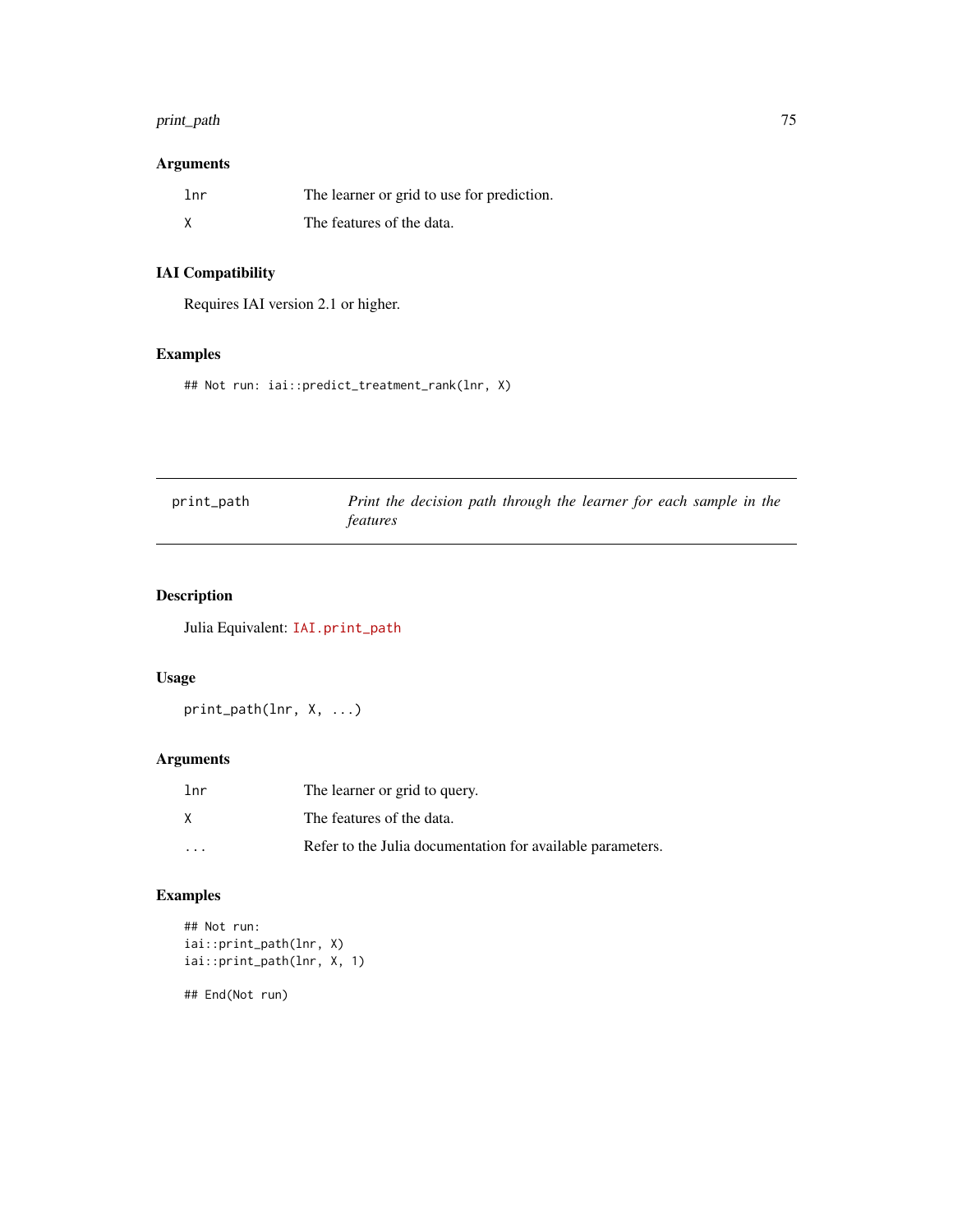# <span id="page-74-0"></span>print\_path 75

# Arguments

| 1 <sub>nr</sub> | The learner or grid to use for prediction. |
|-----------------|--------------------------------------------|
|                 | The features of the data.                  |

# IAI Compatibility

Requires IAI version 2.1 or higher.

# Examples

## Not run: iai::predict\_treatment\_rank(lnr, X)

| print_path | Print the decision path through the learner for each sample in the |
|------------|--------------------------------------------------------------------|
|            | <i>features</i>                                                    |

# Description

Julia Equivalent: [IAI.print\\_path](https://docs.interpretable.ai/v3.0.0/IAITrees/reference/#IAI.print_path)

#### Usage

print\_path(lnr, X, ...)

# Arguments

| lnr     | The learner or grid to query.                              |
|---------|------------------------------------------------------------|
| X       | The features of the data.                                  |
| $\cdot$ | Refer to the Julia documentation for available parameters. |

# Examples

```
## Not run:
iai::print_path(lnr, X)
iai::print_path(lnr, X, 1)
```
## End(Not run)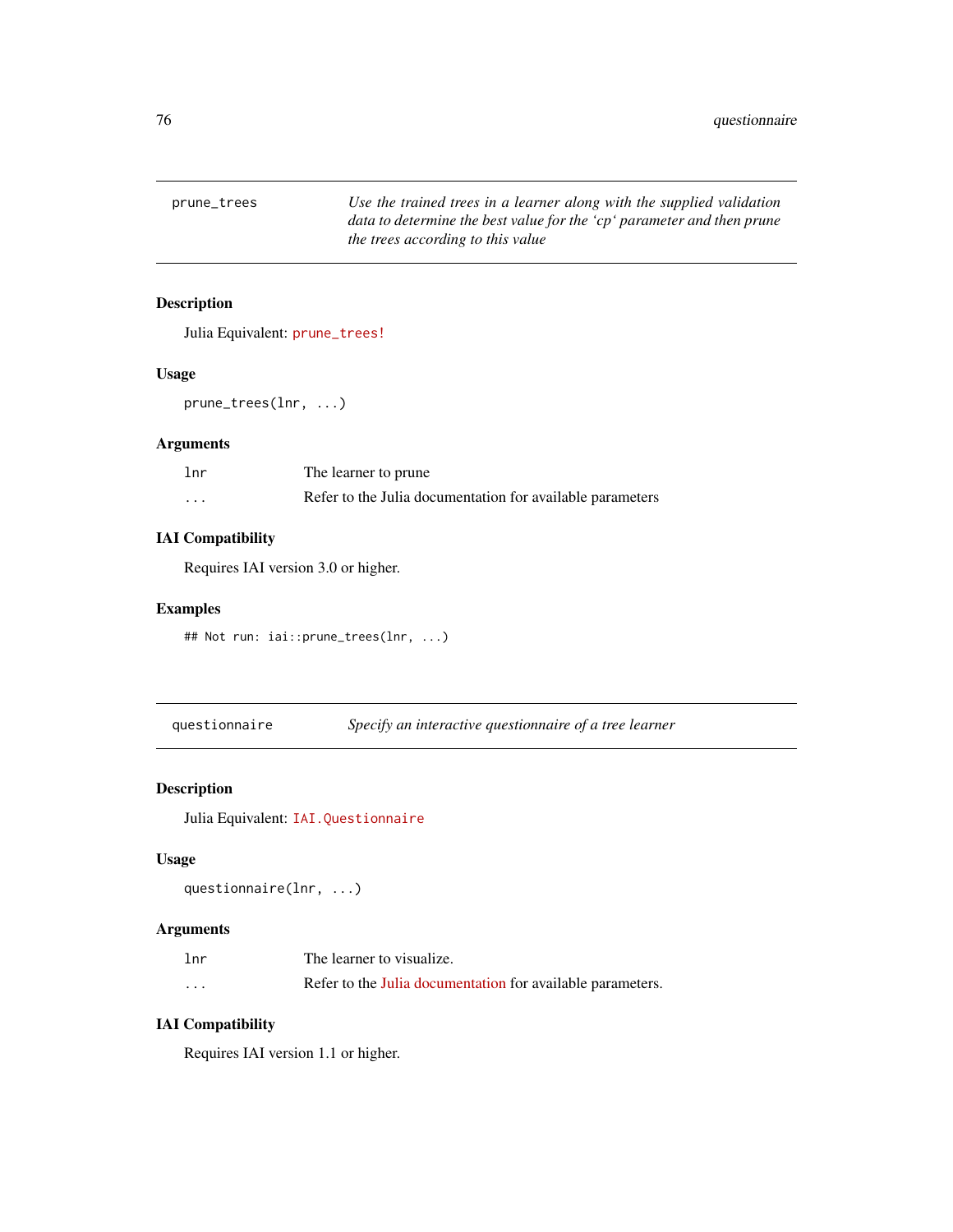<span id="page-75-0"></span>prune\_trees *Use the trained trees in a learner along with the supplied validation data to determine the best value for the 'cp' parameter and then prune the trees according to this value*

# Description

Julia Equivalent: [prune\\_trees!](https://docs.interpretable.ai/v3.0.0/OptimalTrees/reference/#IAI.prune_trees!)

#### Usage

prune\_trees(lnr, ...)

# Arguments

| lnr     | The learner to prune                                      |
|---------|-----------------------------------------------------------|
| $\cdot$ | Refer to the Julia documentation for available parameters |

# IAI Compatibility

Requires IAI version 3.0 or higher.

#### Examples

```
## Not run: iai::prune_trees(lnr, ...)
```
questionnaire *Specify an interactive questionnaire of a tree learner*

#### Description

Julia Equivalent: [IAI.Questionnaire](https://docs.interpretable.ai/v3.0.0/IAITrees/reference/#IAI.Questionnaire)

#### Usage

questionnaire(lnr, ...)

# Arguments

| lnr | The learner to visualize.                                  |
|-----|------------------------------------------------------------|
| .   | Refer to the Julia documentation for available parameters. |

# IAI Compatibility

Requires IAI version 1.1 or higher.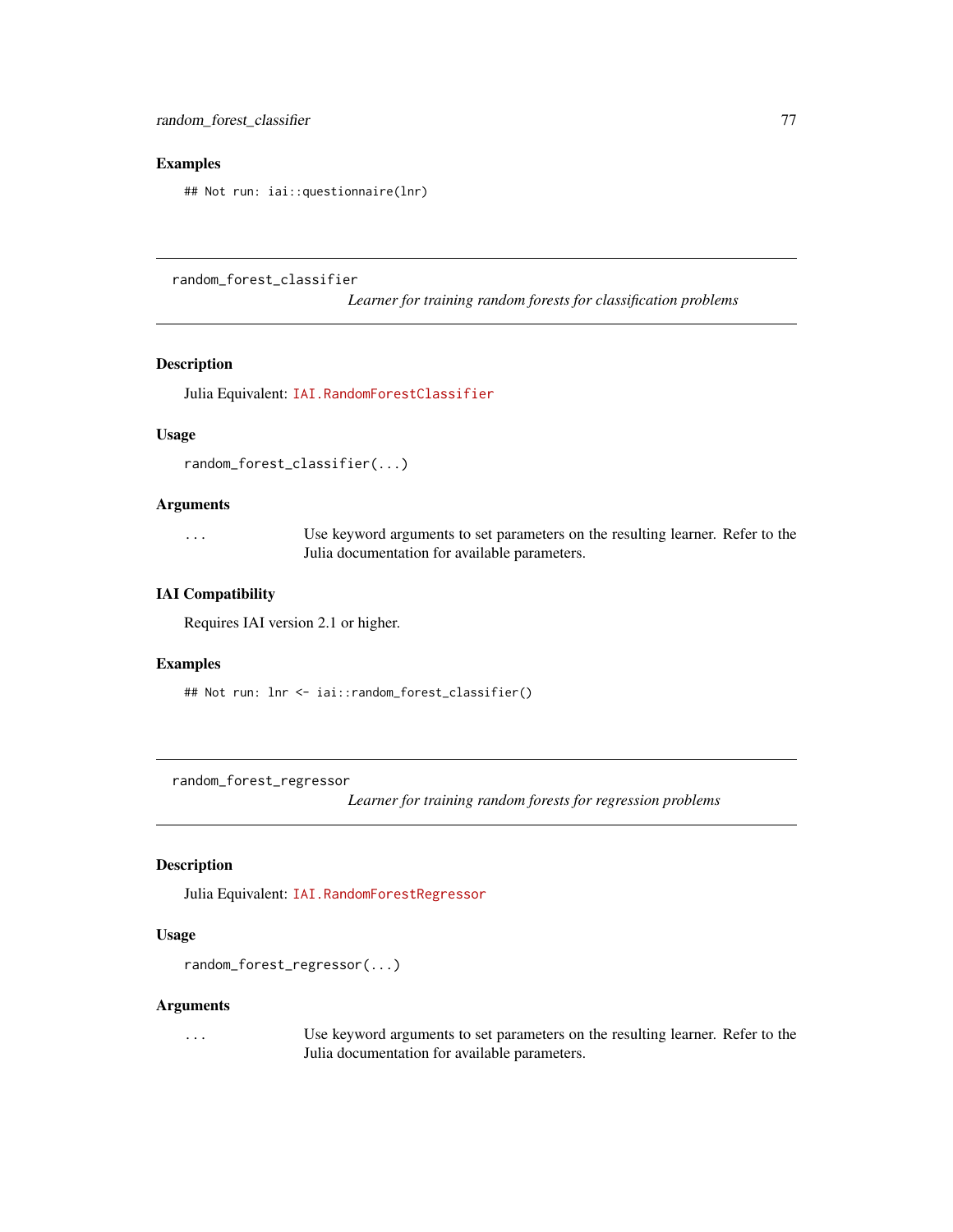<span id="page-76-0"></span>## Not run: iai::questionnaire(lnr)

random\_forest\_classifier

*Learner for training random forests for classification problems*

#### Description

Julia Equivalent: [IAI.RandomForestClassifier](https://docs.interpretable.ai/v3.0.0/Heuristics/reference/#IAI.RandomForestClassifier)

# Usage

```
random_forest_classifier(...)
```
# Arguments

... Use keyword arguments to set parameters on the resulting learner. Refer to the Julia documentation for available parameters.

#### IAI Compatibility

Requires IAI version 2.1 or higher.

#### Examples

```
## Not run: lnr <- iai::random_forest_classifier()
```
random\_forest\_regressor

*Learner for training random forests for regression problems*

# Description

Julia Equivalent: [IAI.RandomForestRegressor](https://docs.interpretable.ai/v3.0.0/Heuristics/reference/#IAI.RandomForestRegressor)

#### Usage

```
random_forest_regressor(...)
```
#### Arguments

... Use keyword arguments to set parameters on the resulting learner. Refer to the Julia documentation for available parameters.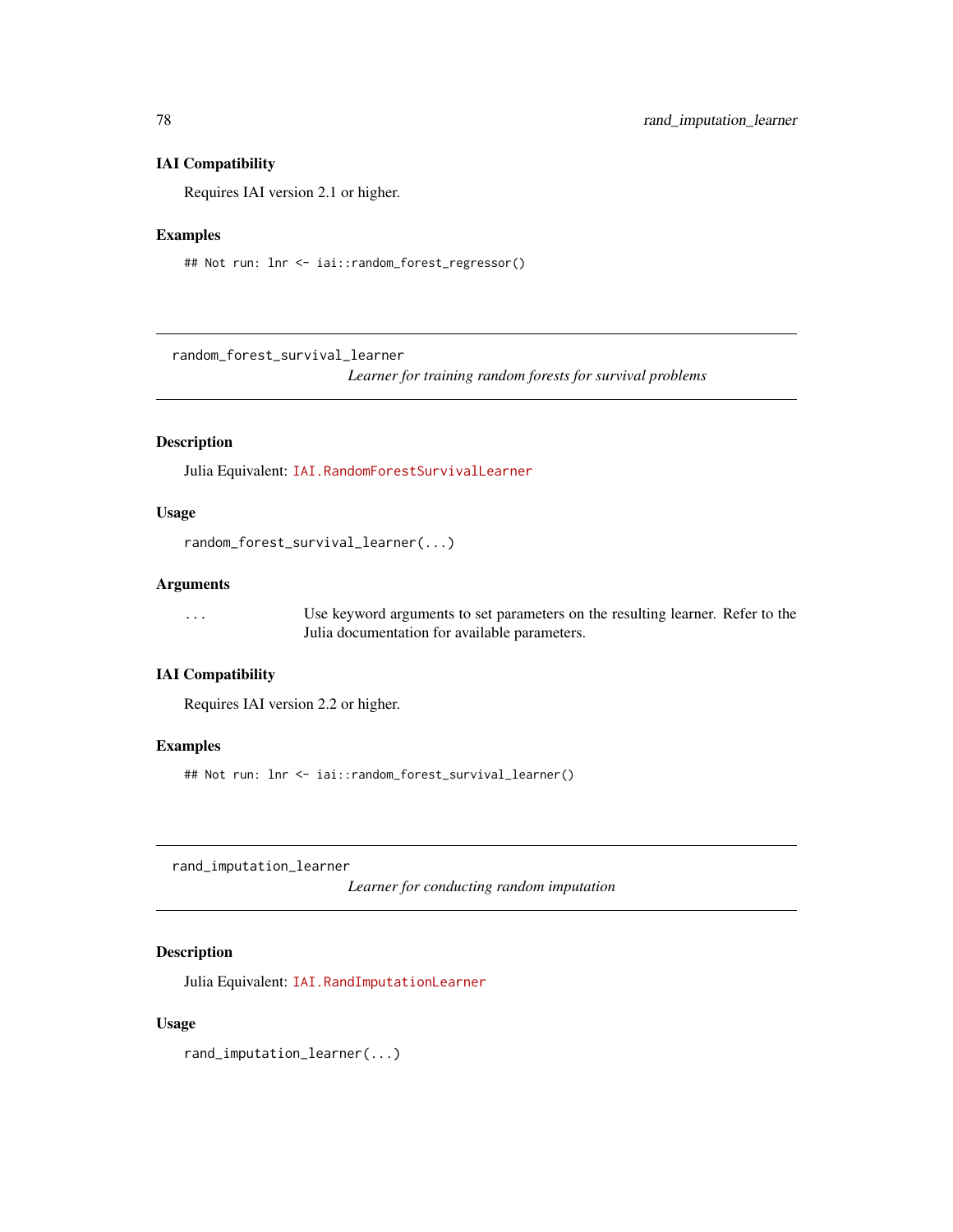#### <span id="page-77-0"></span>IAI Compatibility

Requires IAI version 2.1 or higher.

#### Examples

## Not run: lnr <- iai::random\_forest\_regressor()

random\_forest\_survival\_learner

*Learner for training random forests for survival problems*

# Description

Julia Equivalent: [IAI.RandomForestSurvivalLearner](https://docs.interpretable.ai/v3.0.0/Heuristics/reference/#IAI.RandomForestSurvivalLearner)

# Usage

```
random_forest_survival_learner(...)
```
# Arguments

... Use keyword arguments to set parameters on the resulting learner. Refer to the Julia documentation for available parameters.

# IAI Compatibility

Requires IAI version 2.2 or higher.

#### Examples

## Not run: lnr <- iai::random\_forest\_survival\_learner()

rand\_imputation\_learner

*Learner for conducting random imputation*

#### Description

Julia Equivalent: [IAI.RandImputationLearner](https://docs.interpretable.ai/v3.0.0/OptImpute/reference/#IAI.RandImputationLearner)

#### Usage

rand\_imputation\_learner(...)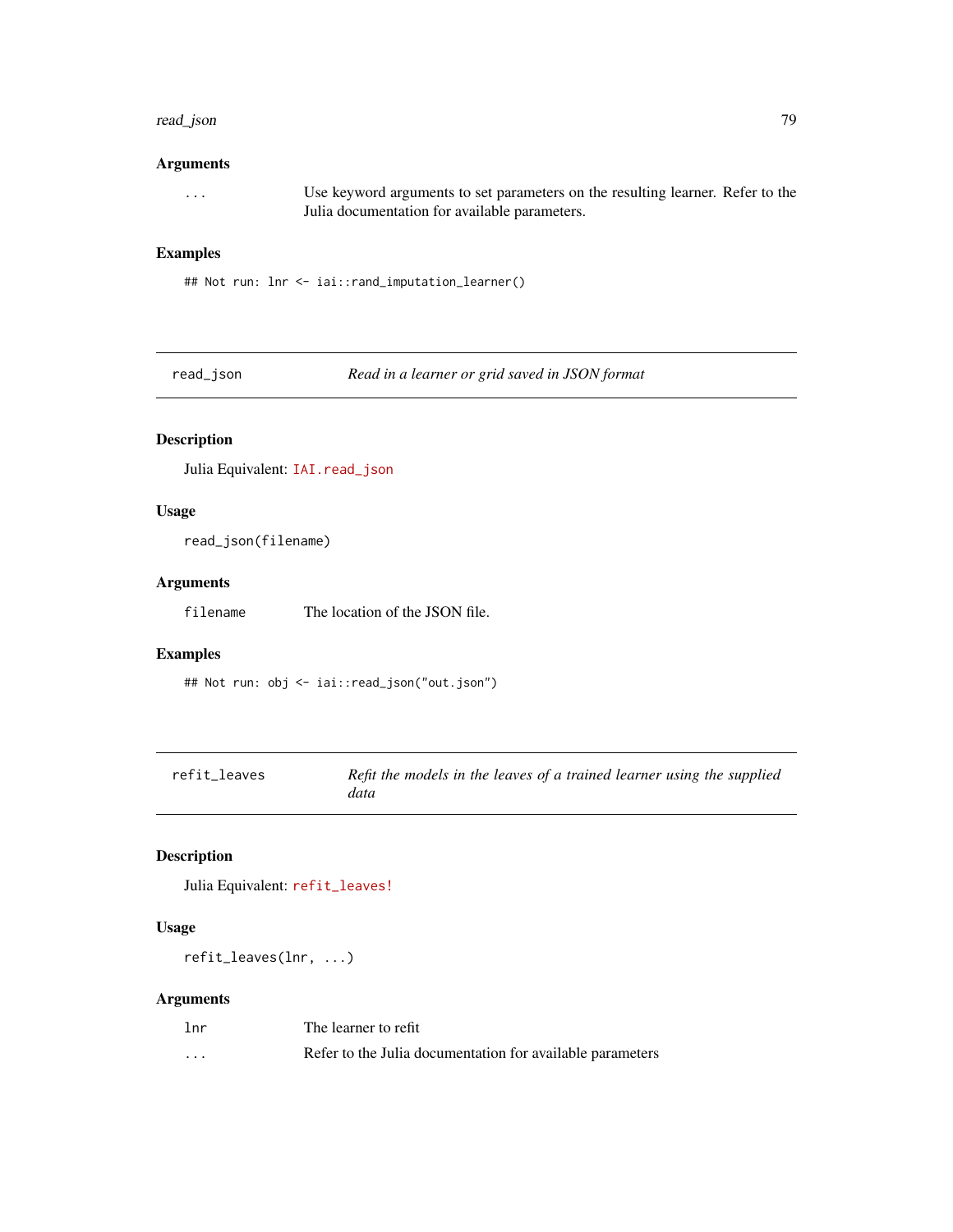#### <span id="page-78-0"></span>read\_json 79

#### Arguments

... Use keyword arguments to set parameters on the resulting learner. Refer to the Julia documentation for available parameters.

#### Examples

## Not run: lnr <- iai::rand\_imputation\_learner()

read\_json *Read in a learner or grid saved in JSON format*

#### Description

Julia Equivalent: [IAI.read\\_json](https://docs.interpretable.ai/v3.0.0/IAIBase/reference/#IAI.read_json)

#### Usage

read\_json(filename)

#### Arguments

filename The location of the JSON file.

# Examples

## Not run: obj <- iai::read\_json("out.json")

| refit leaves | Refit the models in the leaves of a trained learner using the supplied |
|--------------|------------------------------------------------------------------------|
|              | data                                                                   |

# Description

Julia Equivalent: [refit\\_leaves!](https://docs.interpretable.ai/v3.0.0/OptimalTrees/reference/#IAI.refit_leaves!)

#### Usage

refit\_leaves(lnr, ...)

| 1 <sub>nr</sub> | The learner to refit                                      |
|-----------------|-----------------------------------------------------------|
| $\cdots$        | Refer to the Julia documentation for available parameters |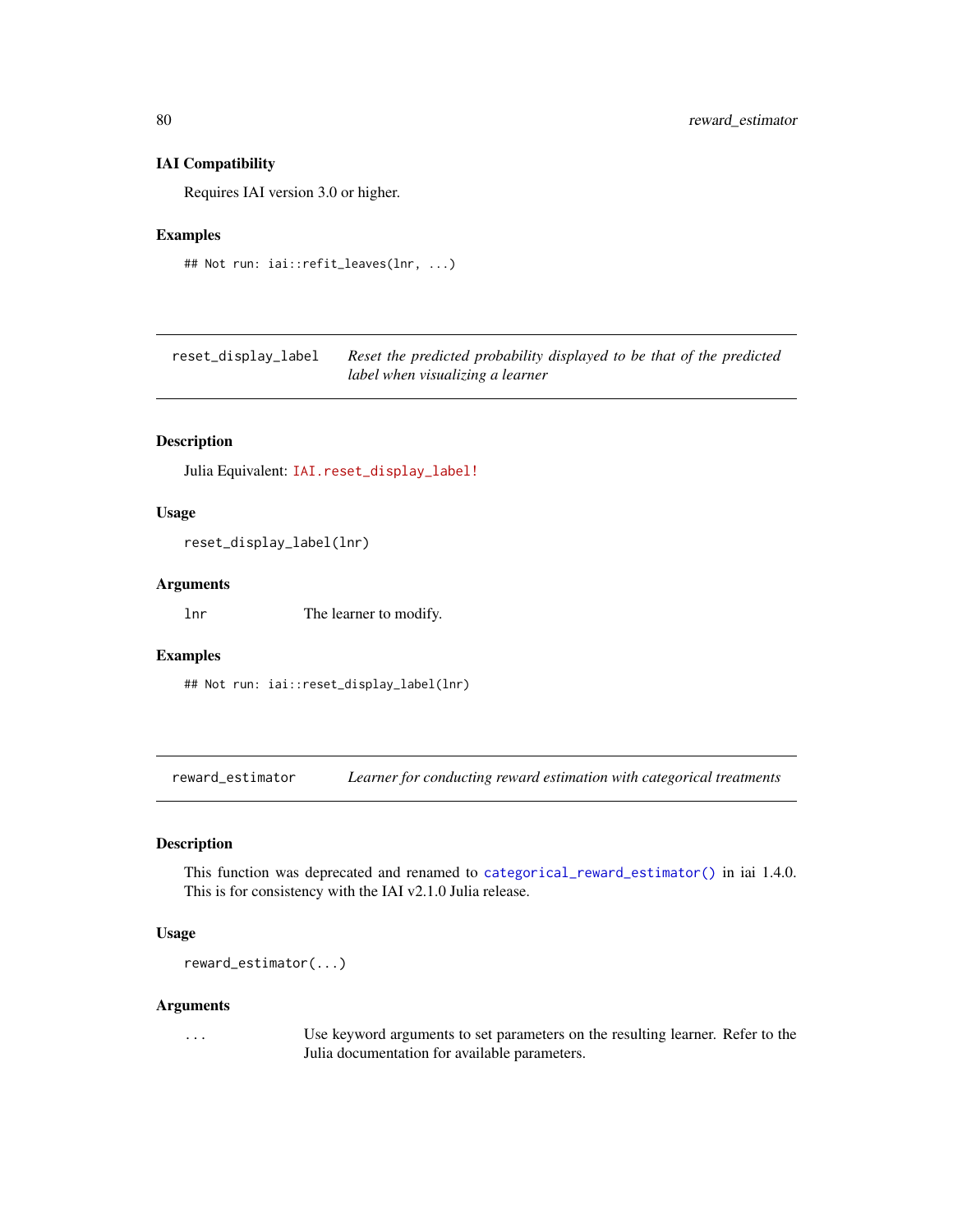#### IAI Compatibility

Requires IAI version 3.0 or higher.

#### Examples

```
## Not run: iai::refit_leaves(lnr, ...)
```
reset\_display\_label *Reset the predicted probability displayed to be that of the predicted label when visualizing a learner*

# Description

Julia Equivalent: [IAI.reset\\_display\\_label!](https://docs.interpretable.ai/v3.0.0/IAITrees/reference/#IAI.reset_display_label!)

#### Usage

reset\_display\_label(lnr)

#### Arguments

lnr The learner to modify.

#### Examples

## Not run: iai::reset\_display\_label(lnr)

reward\_estimator *Learner for conducting reward estimation with categorical treatments*

#### Description

This function was deprecated and renamed to [categorical\\_reward\\_estimator\(\)](#page-11-0) in iai 1.4.0. This is for consistency with the IAI v2.1.0 Julia release.

# Usage

```
reward_estimator(...)
```
#### Arguments

... Use keyword arguments to set parameters on the resulting learner. Refer to the Julia documentation for available parameters.

<span id="page-79-0"></span>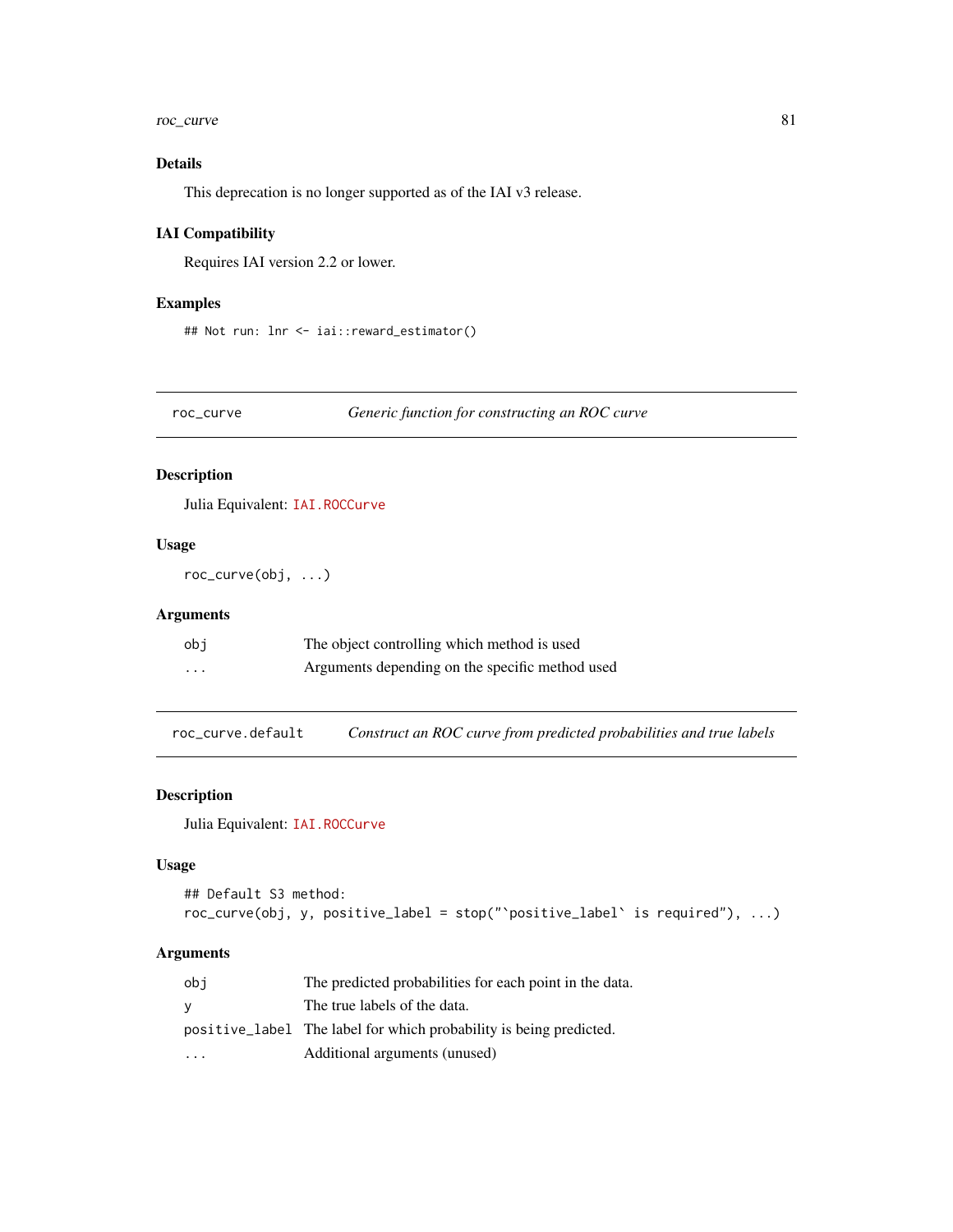#### <span id="page-80-0"></span>roc\_curve 81

# Details

This deprecation is no longer supported as of the IAI v3 release.

#### IAI Compatibility

Requires IAI version 2.2 or lower.

#### Examples

## Not run: lnr <- iai::reward\_estimator()

roc\_curve *Generic function for constructing an ROC curve*

#### Description

Julia Equivalent: [IAI.ROCCurve](https://docs.interpretable.ai/v3.0.0/IAIBase/reference/#IAI.ROCCurve)

# Usage

roc\_curve(obj, ...)

#### Arguments

| obi      | The object controlling which method is used     |
|----------|-------------------------------------------------|
| $\cdots$ | Arguments depending on the specific method used |

roc\_curve.default *Construct an ROC curve from predicted probabilities and true labels*

# Description

Julia Equivalent: [IAI.ROCCurve](https://docs.interpretable.ai/v3.0.0/IAIBase/reference/#IAI.ROCCurve)

#### Usage

```
## Default S3 method:
roc_curve(obj, y, positive_label = stop("`positive_label` is required"), ...)
```

| obi                     | The predicted probabilities for each point in the data.            |
|-------------------------|--------------------------------------------------------------------|
| v                       | The true labels of the data.                                       |
|                         | positive_label The label for which probability is being predicted. |
| $\cdot$ $\cdot$ $\cdot$ | Additional arguments (unused)                                      |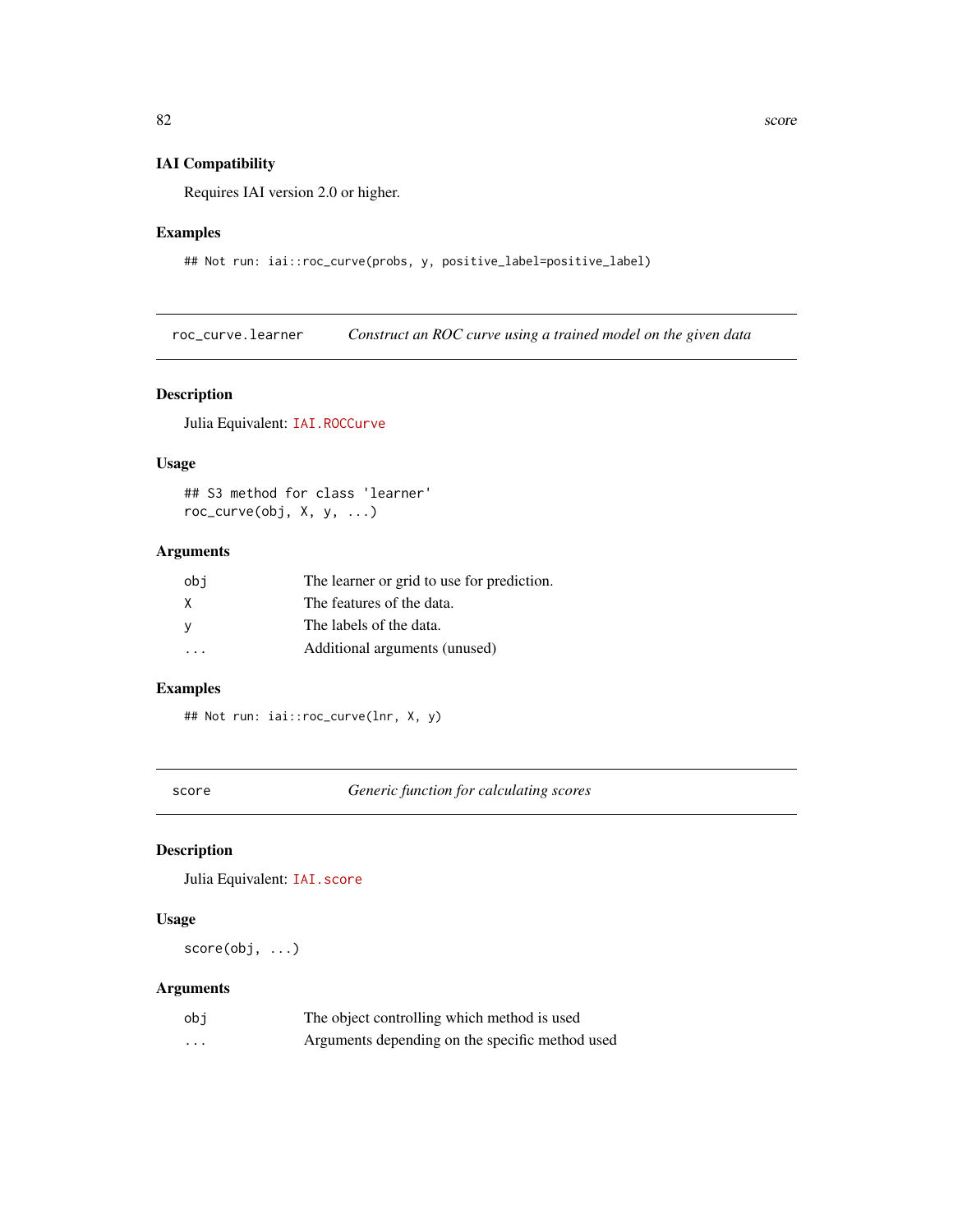#### <span id="page-81-0"></span>IAI Compatibility

Requires IAI version 2.0 or higher.

# Examples

## Not run: iai::roc\_curve(probs, y, positive\_label=positive\_label)

roc\_curve.learner *Construct an ROC curve using a trained model on the given data*

# Description

Julia Equivalent: [IAI.ROCCurve](https://docs.interpretable.ai/v3.0.0/IAIBase/reference/#IAI.ROCCurve)

#### Usage

## S3 method for class 'learner' roc\_curve(obj, X, y, ...)

# Arguments

| obi | The learner or grid to use for prediction. |
|-----|--------------------------------------------|
| X   | The features of the data.                  |
| - V | The labels of the data.                    |
|     | Additional arguments (unused)              |

#### Examples

## Not run: iai::roc\_curve(lnr, X, y)

score *Generic function for calculating scores*

# Description

Julia Equivalent: [IAI.score](https://docs.interpretable.ai/v3.0.0/IAIBase/reference/#IAI.score)

#### Usage

score(obj, ...)

| obi | The object controlling which method is used     |
|-----|-------------------------------------------------|
| .   | Arguments depending on the specific method used |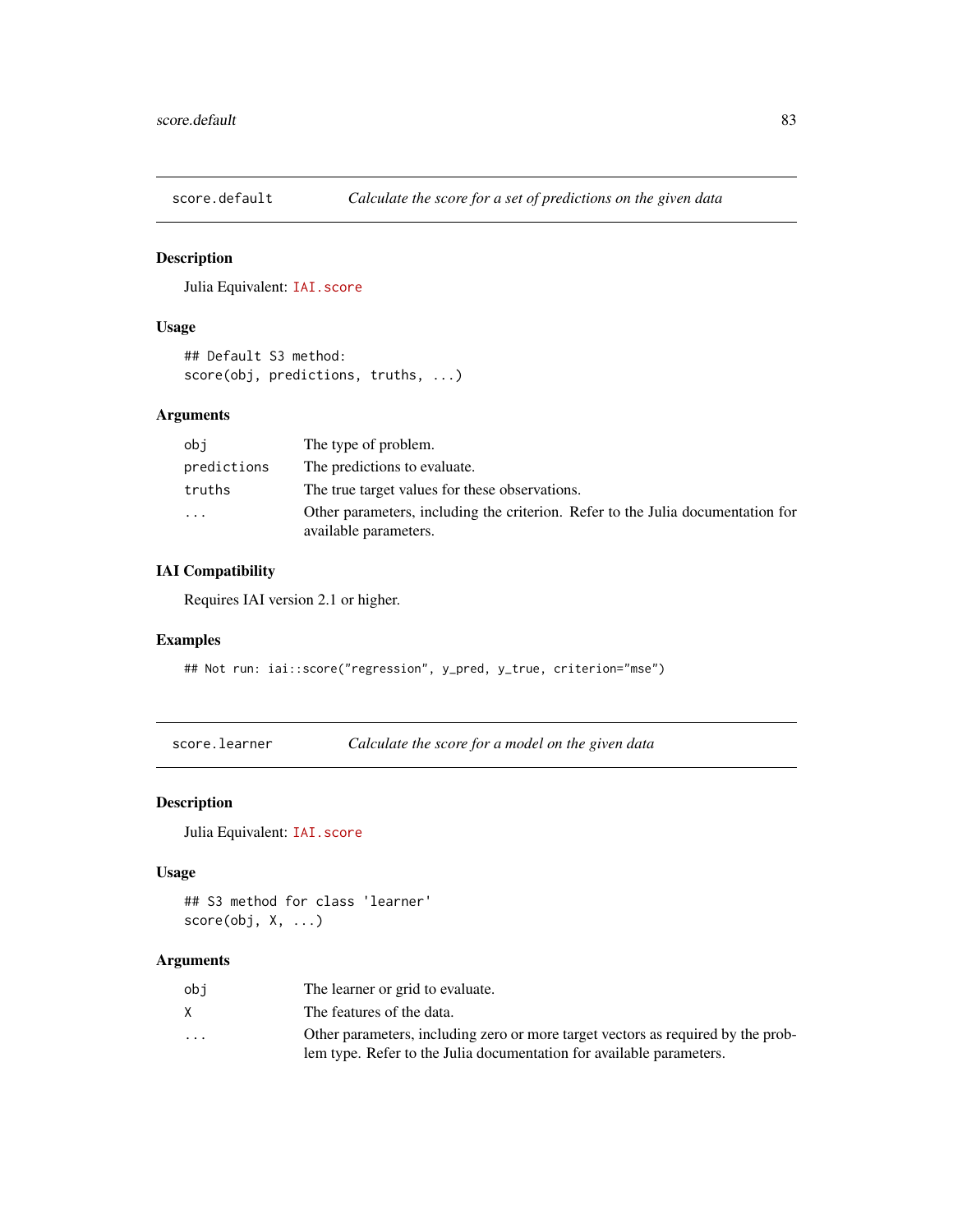<span id="page-82-0"></span>

# Description

Julia Equivalent: [IAI.score](https://docs.interpretable.ai/v3.0.0/IAIBase/reference/#IAI.score)

# Usage

## Default S3 method: score(obj, predictions, truths, ...)

# Arguments

| obi         | The type of problem.                                                                                     |
|-------------|----------------------------------------------------------------------------------------------------------|
| predictions | The predictions to evaluate.                                                                             |
| truths      | The true target values for these observations.                                                           |
| .           | Other parameters, including the criterion. Refer to the Julia documentation for<br>available parameters. |

# IAI Compatibility

Requires IAI version 2.1 or higher.

#### Examples

## Not run: iai::score("regression", y\_pred, y\_true, criterion="mse")

score.learner *Calculate the score for a model on the given data*

# Description

Julia Equivalent: [IAI.score](https://docs.interpretable.ai/v3.0.0/IAIBase/reference/#IAI.score)

# Usage

## S3 method for class 'learner' score(obj, X, ...)

| obi                     | The learner or grid to evaluate.                                                 |
|-------------------------|----------------------------------------------------------------------------------|
|                         | The features of the data.                                                        |
| $\cdot$ $\cdot$ $\cdot$ | Other parameters, including zero or more target vectors as required by the prob- |
|                         | lem type. Refer to the Julia documentation for available parameters.             |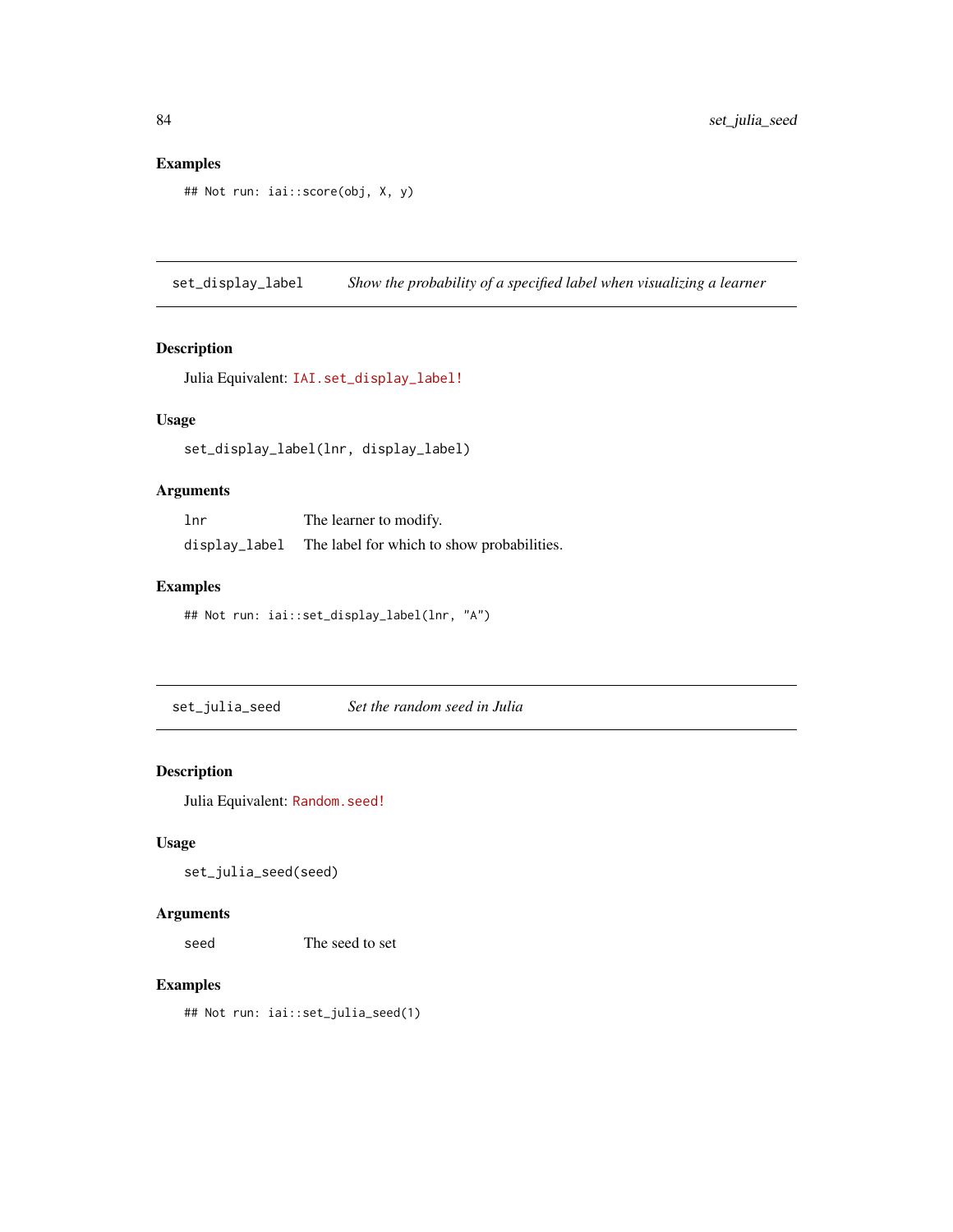```
## Not run: iai::score(obj, X, y)
```
set\_display\_label *Show the probability of a specified label when visualizing a learner*

# Description

```
Julia Equivalent: IAI.set_display_label!
```
# Usage

```
set_display_label(lnr, display_label)
```
#### Arguments

| 1 <sub>nr</sub> | The learner to modify.                     |
|-----------------|--------------------------------------------|
| display_label   | The label for which to show probabilities. |

#### Examples

## Not run: iai::set\_display\_label(lnr, "A")

set\_julia\_seed *Set the random seed in Julia*

#### Description

Julia Equivalent: [Random.seed!](https://docs.julialang.org/en/v1/stdlib/Random/index.html#Random.seed!)

# Usage

set\_julia\_seed(seed)

#### Arguments

seed The seed to set

#### Examples

## Not run: iai::set\_julia\_seed(1)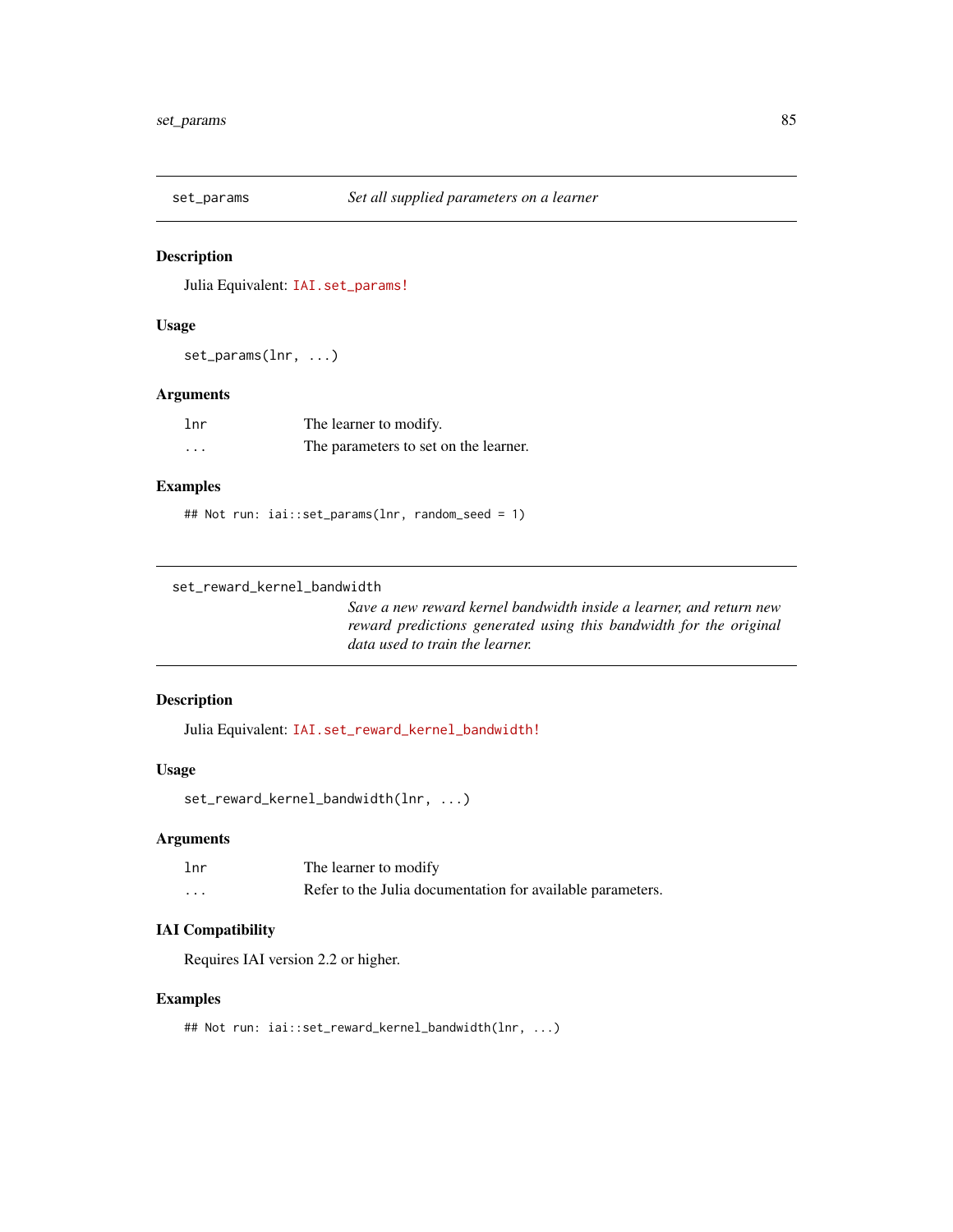<span id="page-84-0"></span>

# Description

Julia Equivalent: [IAI.set\\_params!](https://docs.interpretable.ai/v3.0.0/IAIBase/reference/#IAI.set_params!)

# Usage

set\_params(lnr, ...)

#### Arguments

| 1 <sub>nr</sub> | The learner to modify.                |
|-----------------|---------------------------------------|
| .               | The parameters to set on the learner. |

# Examples

## Not run: iai::set\_params(lnr, random\_seed = 1)

```
set_reward_kernel_bandwidth
```
*Save a new reward kernel bandwidth inside a learner, and return new reward predictions generated using this bandwidth for the original data used to train the learner.*

# Description

Julia Equivalent: [IAI.set\\_reward\\_kernel\\_bandwidth!](https://docs.interpretable.ai/v3.0.0/RewardEstimation/reference/#IAI.set_reward_kernel_bandwidth!)

# Usage

```
set_reward_kernel_bandwidth(lnr, ...)
```
# Arguments

| 1 <sub>nr</sub> | The learner to modify                                      |
|-----------------|------------------------------------------------------------|
| .               | Refer to the Julia documentation for available parameters. |

# IAI Compatibility

Requires IAI version 2.2 or higher.

#### Examples

```
## Not run: iai::set_reward_kernel_bandwidth(lnr, ...)
```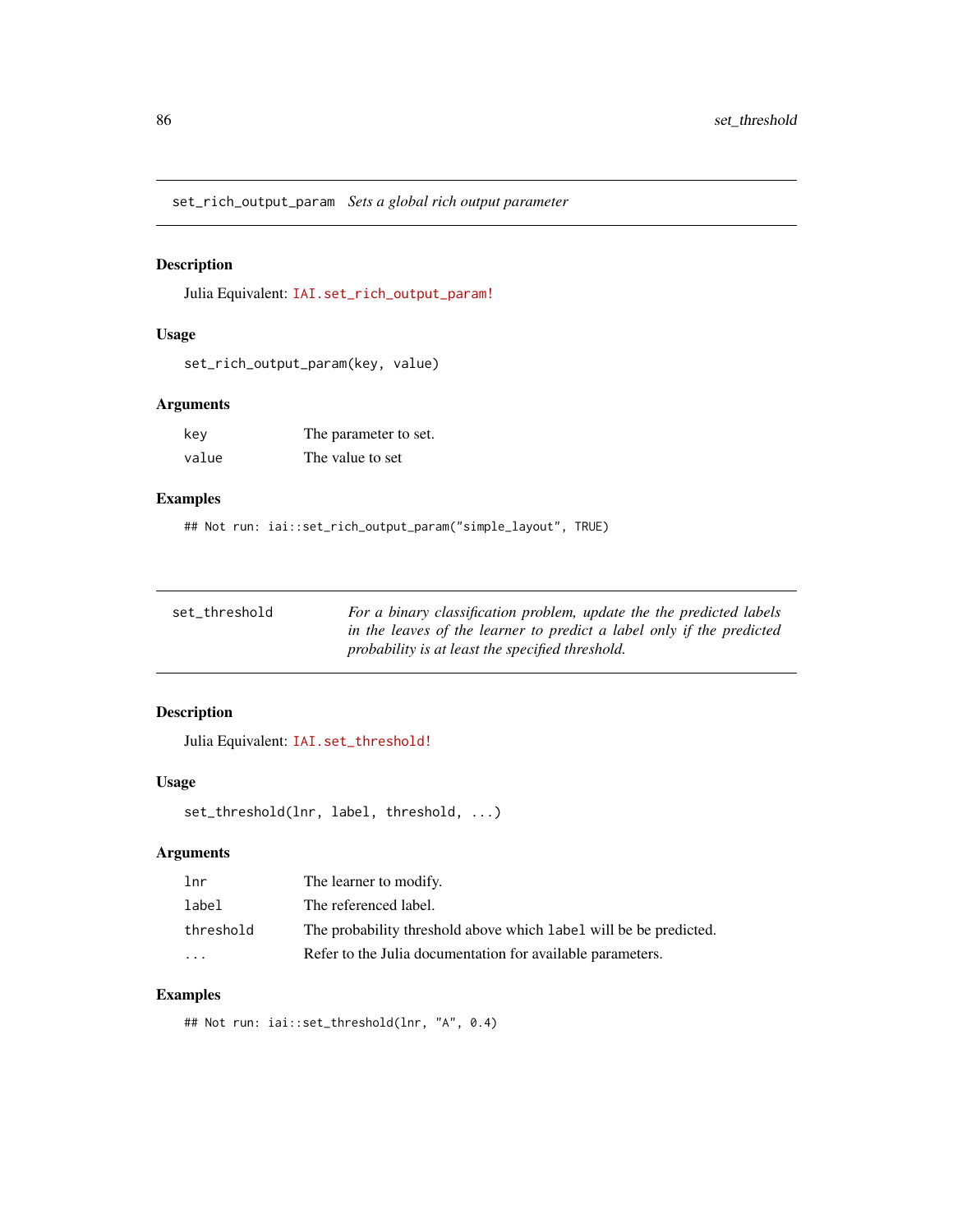<span id="page-85-0"></span>set\_rich\_output\_param *Sets a global rich output parameter*

# Description

Julia Equivalent: [IAI.set\\_rich\\_output\\_param!](https://docs.interpretable.ai/v3.0.0/IAIBase/reference/#IAI.set_rich_output_param!)

# Usage

set\_rich\_output\_param(key, value)

#### Arguments

| kev   | The parameter to set. |
|-------|-----------------------|
| value | The value to set      |

# Examples

## Not run: iai::set\_rich\_output\_param("simple\_layout", TRUE)

| set threshold | For a binary classification problem, update the the predicted labels  |
|---------------|-----------------------------------------------------------------------|
|               | in the leaves of the learner to predict a label only if the predicted |
|               | probability is at least the specified threshold.                      |

# Description

Julia Equivalent: [IAI.set\\_threshold!](https://docs.interpretable.ai/v3.0.0/IAITrees/reference/#IAI.set_threshold!)

#### Usage

```
set_threshold(lnr, label, threshold, ...)
```
# Arguments

| 1 <sub>nr</sub> | The learner to modify.                                            |
|-----------------|-------------------------------------------------------------------|
| label           | The referenced label.                                             |
| threshold       | The probability threshold above which label will be be predicted. |
| $\cdot$         | Refer to the Julia documentation for available parameters.        |

# Examples

## Not run: iai::set\_threshold(lnr, "A", 0.4)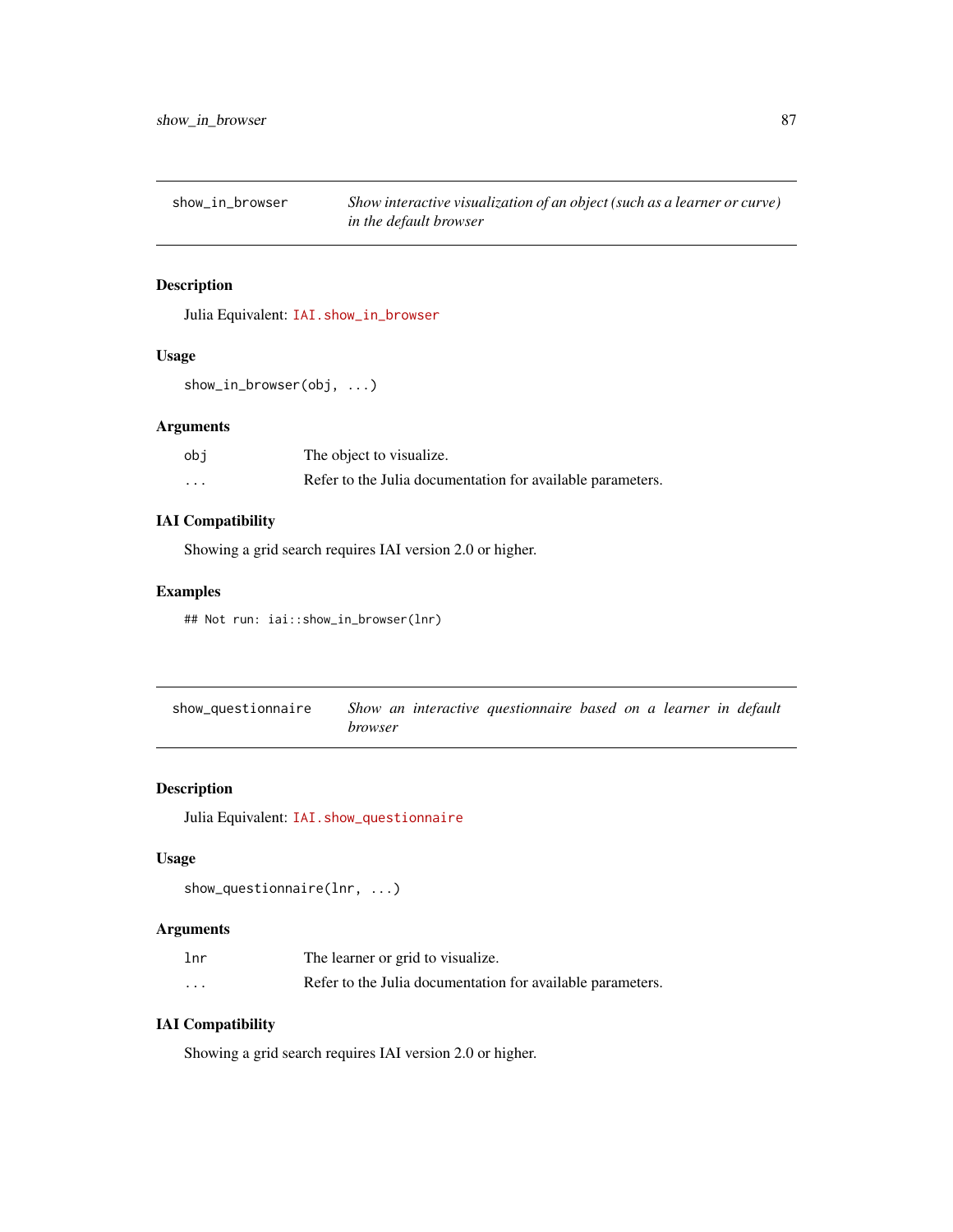<span id="page-86-0"></span>show\_in\_browser *Show interactive visualization of an object (such as a learner or curve) in the default browser*

#### Description

Julia Equivalent: [IAI.show\\_in\\_browser](https://docs.interpretable.ai/v3.0.0/IAIBase/reference/#IAI.show_in_browser)

#### Usage

```
show_in_browser(obj, ...)
```
# Arguments

| obi     | The object to visualize.                                   |
|---------|------------------------------------------------------------|
| $\cdot$ | Refer to the Julia documentation for available parameters. |

# IAI Compatibility

Showing a grid search requires IAI version 2.0 or higher.

#### Examples

```
## Not run: iai::show_in_browser(lnr)
```

| show_questionnaire | Show an interactive questionnaire based on a learner in default |  |
|--------------------|-----------------------------------------------------------------|--|
|                    | <i>browser</i>                                                  |  |

# Description

Julia Equivalent: [IAI.show\\_questionnaire](https://docs.interpretable.ai/v3.0.0/IAITrees/reference/#IAI.show_questionnaire)

#### Usage

```
show_questionnaire(lnr, ...)
```
# Arguments

| lnr                     | The learner or grid to visualize.                          |
|-------------------------|------------------------------------------------------------|
| $\cdot$ $\cdot$ $\cdot$ | Refer to the Julia documentation for available parameters. |

# IAI Compatibility

Showing a grid search requires IAI version 2.0 or higher.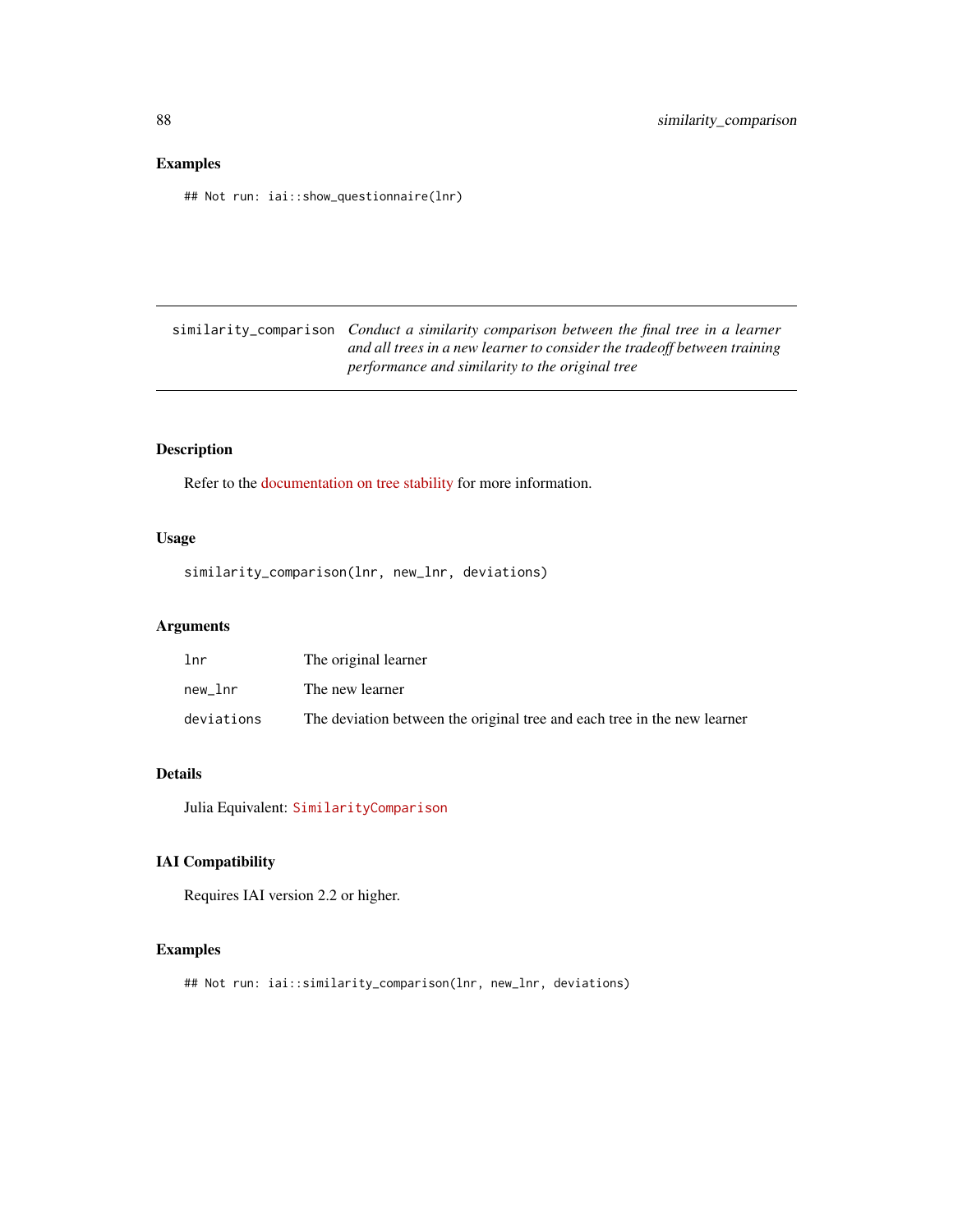<span id="page-87-0"></span>## Not run: iai::show\_questionnaire(lnr)

similarity\_comparison *Conduct a similarity comparison between the final tree in a learner and all trees in a new learner to consider the tradeoff between training performance and similarity to the original tree*

# Description

Refer to the [documentation on tree stability](https://docs.interpretable.ai/v3.0.0/IAITrees/stability/#Tree-Stability-1) for more information.

#### Usage

similarity\_comparison(lnr, new\_lnr, deviations)

# Arguments

| lnr        | The original learner                                                     |
|------------|--------------------------------------------------------------------------|
| new lnr    | The new learner                                                          |
| deviations | The deviation between the original tree and each tree in the new learner |

#### Details

Julia Equivalent: [SimilarityComparison](https://docs.interpretable.ai/v3.0.0/IAITrees/reference/#IAI.SimilarityComparison)

#### IAI Compatibility

Requires IAI version 2.2 or higher.

#### Examples

## Not run: iai::similarity\_comparison(lnr, new\_lnr, deviations)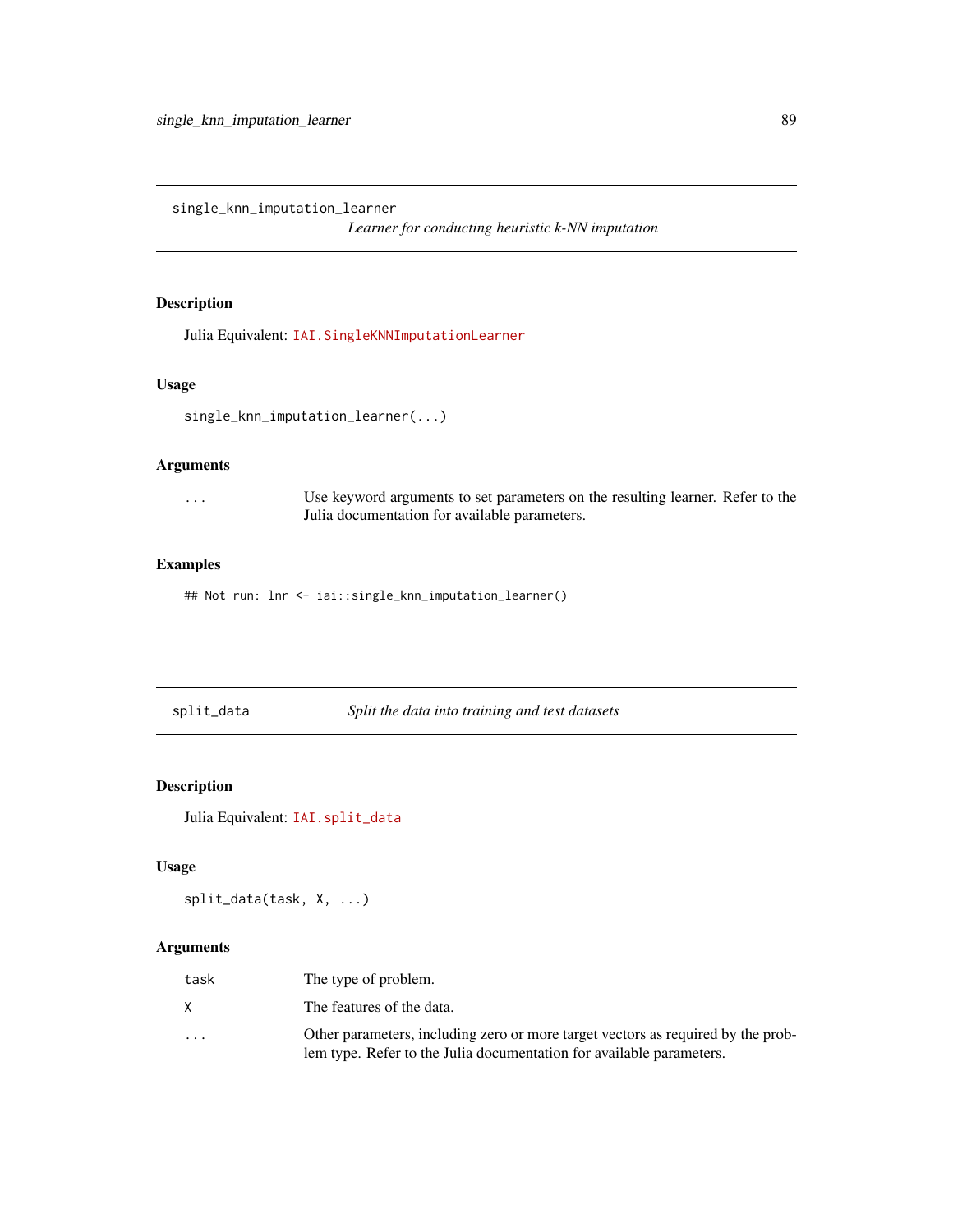<span id="page-88-0"></span>single\_knn\_imputation\_learner

*Learner for conducting heuristic k-NN imputation*

# Description

Julia Equivalent: [IAI.SingleKNNImputationLearner](https://docs.interpretable.ai/v3.0.0/OptImpute/reference/#IAI.SingleKNNImputationLearner)

#### Usage

```
single_knn_imputation_learner(...)
```
# Arguments

... Use keyword arguments to set parameters on the resulting learner. Refer to the Julia documentation for available parameters.

# Examples

## Not run: lnr <- iai::single\_knn\_imputation\_learner()

| split_data | Split the data into training and test datasets |
|------------|------------------------------------------------|
|            |                                                |

# Description

Julia Equivalent: [IAI.split\\_data](https://docs.interpretable.ai/v3.0.0/IAIBase/reference/#IAI.split_data)

#### Usage

```
split_data(task, X, ...)
```

| task    | The type of problem.                                                                                                                                     |
|---------|----------------------------------------------------------------------------------------------------------------------------------------------------------|
| X       | The features of the data.                                                                                                                                |
| $\cdot$ | Other parameters, including zero or more target vectors as required by the prob-<br>lem type. Refer to the Julia documentation for available parameters. |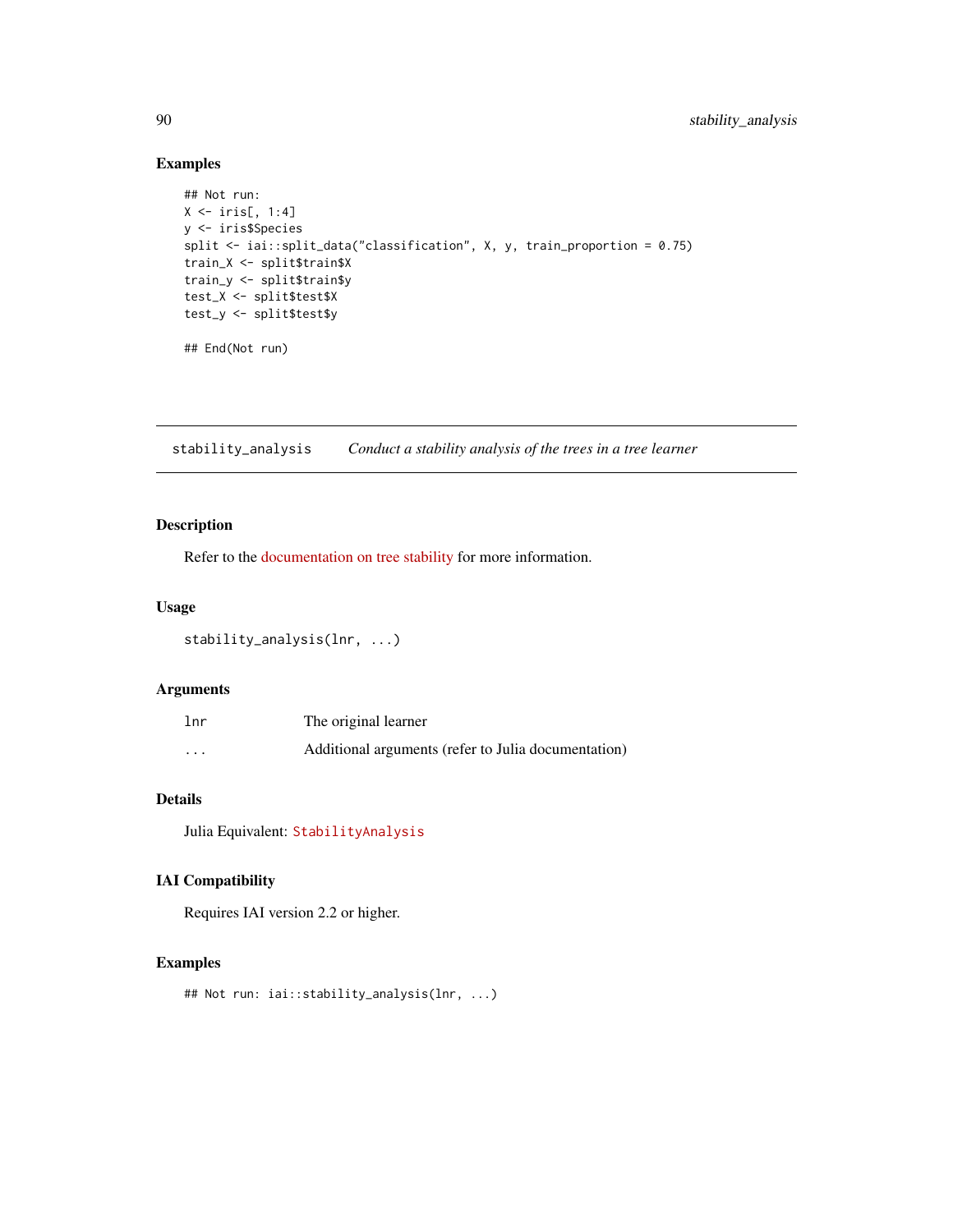```
## Not run:
X \leftarrow \text{iris}[, 1:4]y <- iris$Species
split <- iai::split_data("classification", X, y, train_proportion = 0.75)
train_X <- split$train$X
train_y <- split$train$y
test_X <- split$test$X
test_y <- split$test$y
## End(Not run)
```
stability\_analysis *Conduct a stability analysis of the trees in a tree learner*

# Description

Refer to the [documentation on tree stability](https://docs.interpretable.ai/v3.0.0/IAITrees/stability/#Tree-Stability-1) for more information.

#### Usage

```
stability_analysis(lnr, ...)
```
#### Arguments

| lnr      | The original learner                                |
|----------|-----------------------------------------------------|
| $\cdots$ | Additional arguments (refer to Julia documentation) |

# Details

Julia Equivalent: [StabilityAnalysis](https://docs.interpretable.ai/v3.0.0/IAITrees/reference/#IAI.StabilityAnalysis)

# IAI Compatibility

Requires IAI version 2.2 or higher.

#### Examples

```
## Not run: iai::stability_analysis(lnr, ...)
```
<span id="page-89-0"></span>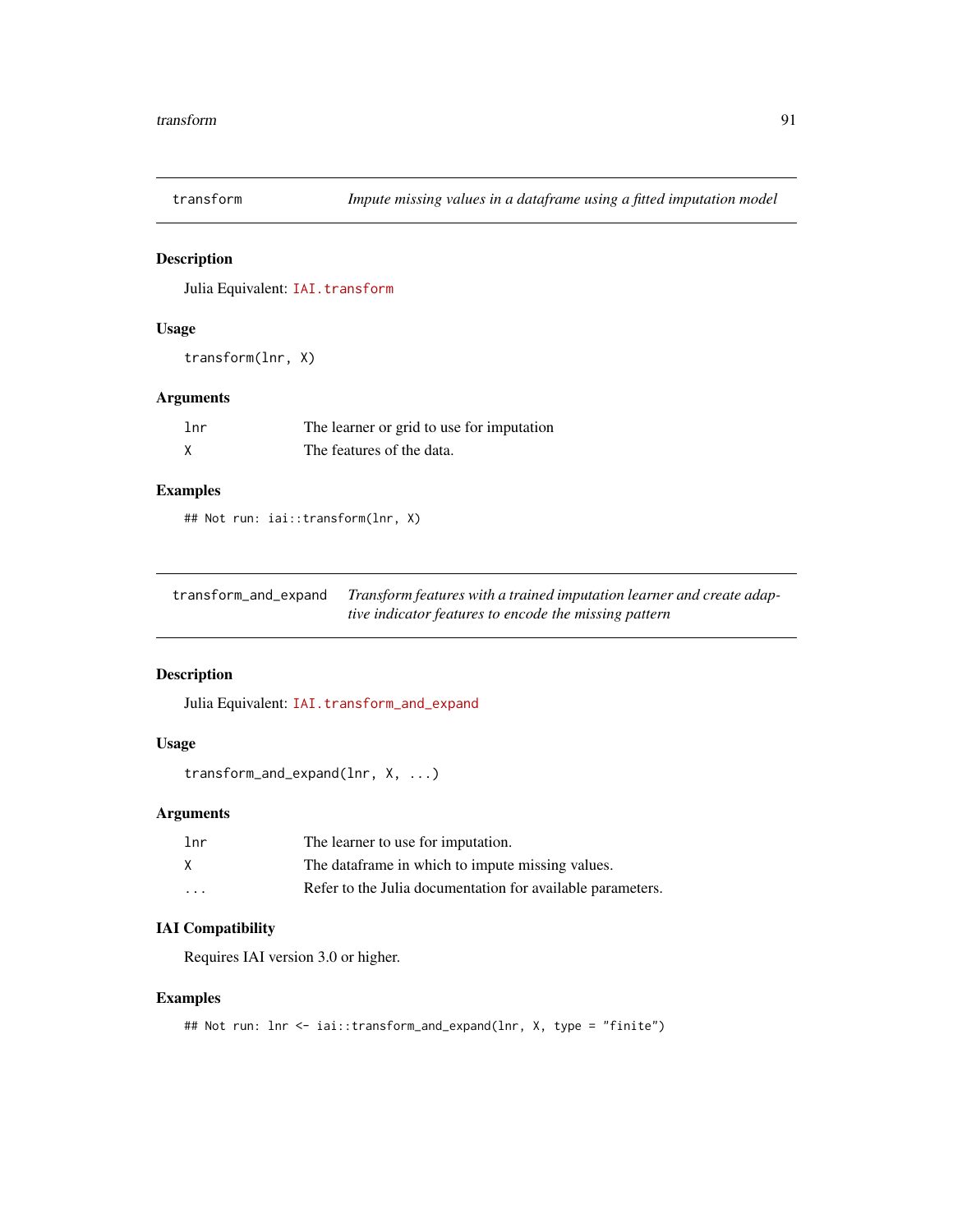<span id="page-90-0"></span>

# Description

Julia Equivalent: [IAI.transform](https://docs.interpretable.ai/v3.0.0/IAIBase/reference/#IAI.transform)

# Usage

transform(lnr, X)

# Arguments

| 1 <sub>nr</sub> | The learner or grid to use for imputation |
|-----------------|-------------------------------------------|
| $\times$        | The features of the data.                 |

#### Examples

## Not run: iai::transform(lnr, X)

| transform_and_expand | Transform features with a trained imputation learner and create adap- |
|----------------------|-----------------------------------------------------------------------|
|                      | tive indicator features to encode the missing pattern                 |

# Description

Julia Equivalent: [IAI.transform\\_and\\_expand](https://docs.interpretable.ai/v3.0.0/OptImpute/reference/#IAI.transform_and_expand)

# Usage

```
transform_and_expand(lnr, X, ...)
```
# Arguments

| 1 <sub>nr</sub> | The learner to use for imputation.                         |
|-----------------|------------------------------------------------------------|
| X               | The data frame in which to impute missing values.          |
| $\cdots$        | Refer to the Julia documentation for available parameters. |

# IAI Compatibility

Requires IAI version 3.0 or higher.

# Examples

```
## Not run: lnr <- iai::transform_and_expand(lnr, X, type = "finite")
```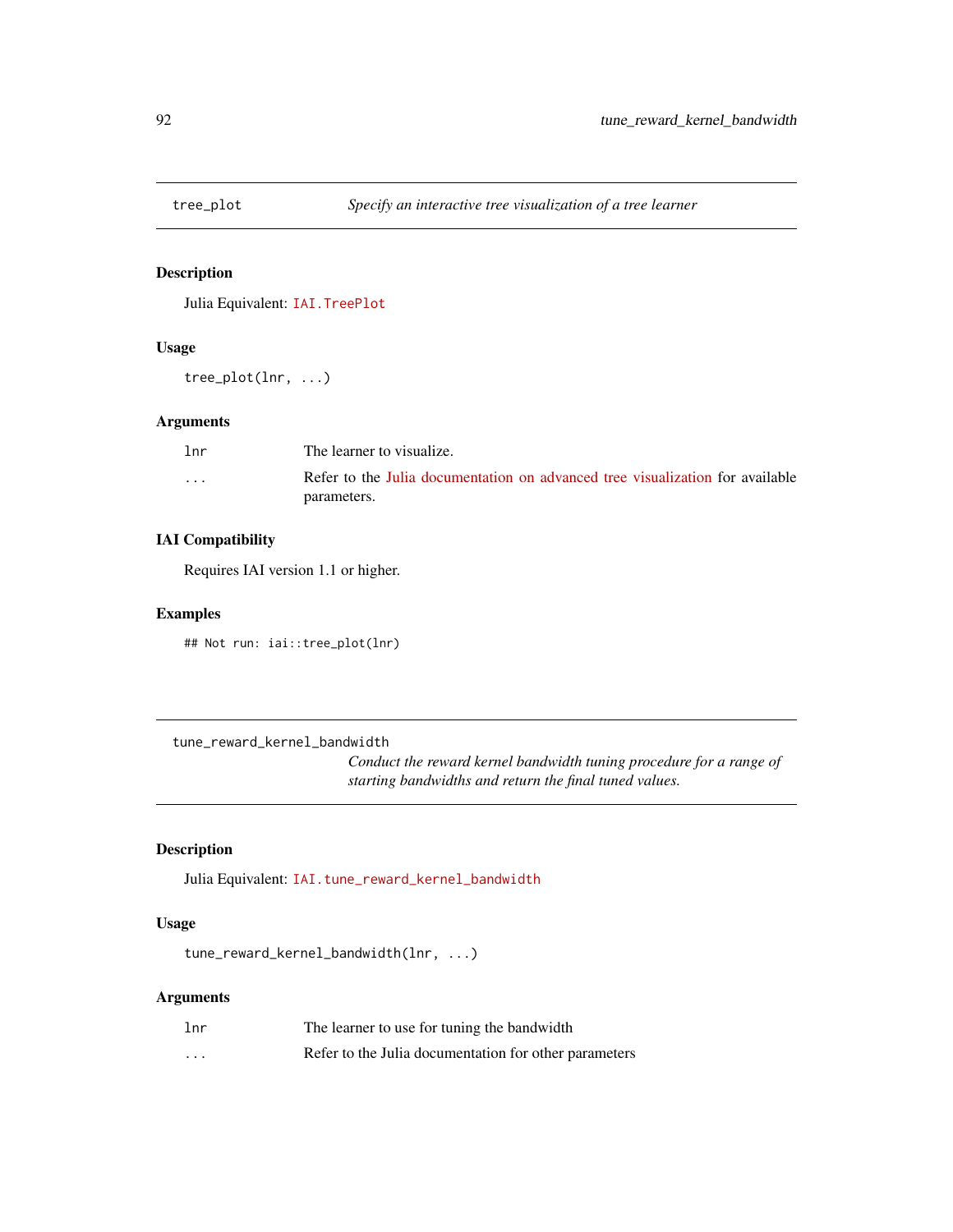<span id="page-91-0"></span>

# Description

Julia Equivalent: [IAI.TreePlot](https://docs.interpretable.ai/v3.0.0/IAITrees/reference/#IAI.TreePlot)

#### Usage

tree\_plot(lnr, ...)

#### Arguments

| 1 <sub>nr</sub> | The learner to visualize.                                                     |
|-----------------|-------------------------------------------------------------------------------|
| $\cdots$        | Refer to the Julia documentation on advanced tree visualization for available |
|                 | parameters.                                                                   |

# IAI Compatibility

Requires IAI version 1.1 or higher.

# Examples

## Not run: iai::tree\_plot(lnr)

tune\_reward\_kernel\_bandwidth

*Conduct the reward kernel bandwidth tuning procedure for a range of starting bandwidths and return the final tuned values.*

# Description

Julia Equivalent: [IAI.tune\\_reward\\_kernel\\_bandwidth](https://docs.interpretable.ai/v3.0.0/RewardEstimation/reference/#IAI.tune_reward_kernel_bandwidth)

# Usage

tune\_reward\_kernel\_bandwidth(lnr, ...)

| 1 <sub>nr</sub> | The learner to use for tuning the bandwidth           |
|-----------------|-------------------------------------------------------|
| $\cdot$         | Refer to the Julia documentation for other parameters |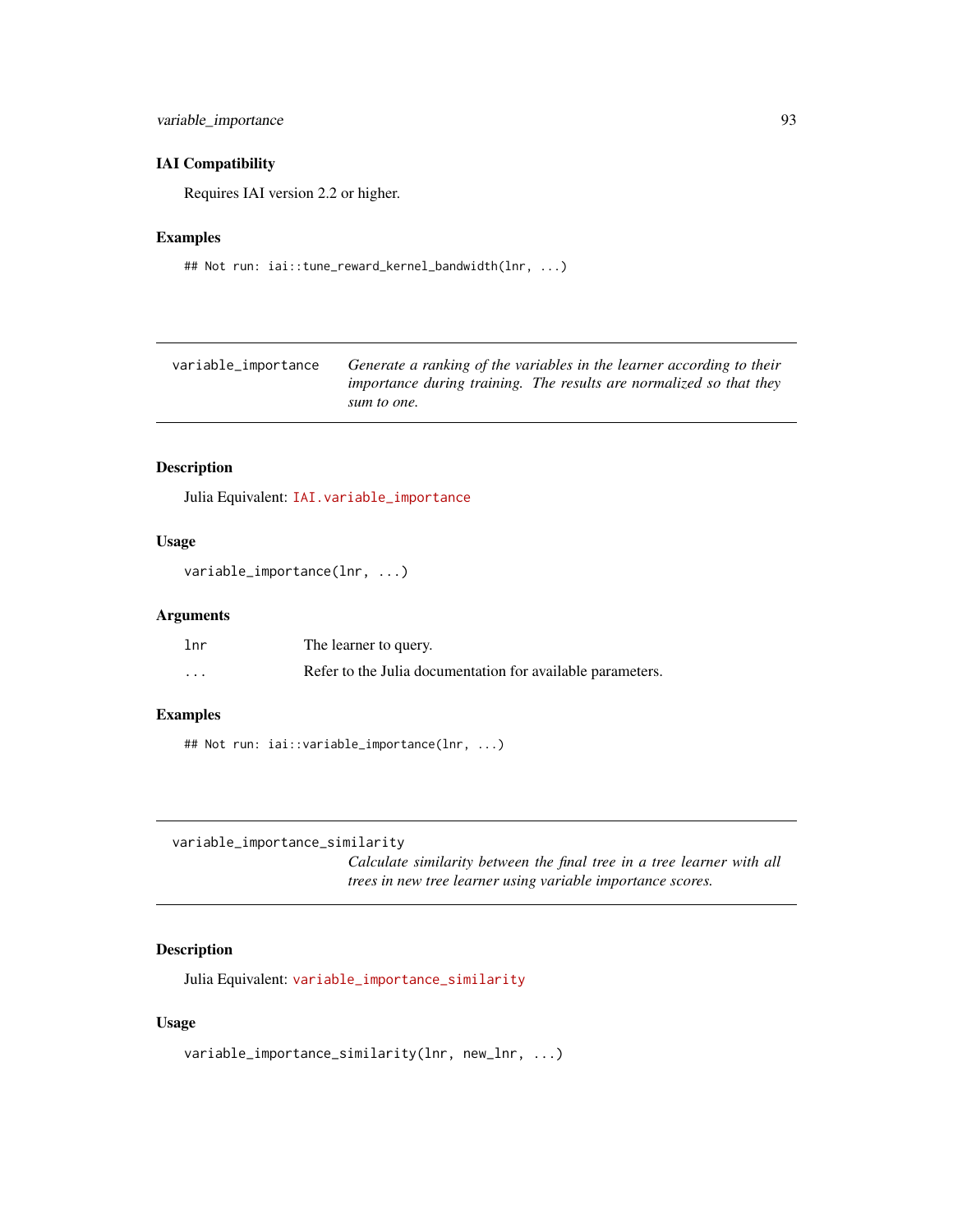# <span id="page-92-0"></span>variable\_importance 93

#### IAI Compatibility

Requires IAI version 2.2 or higher.

#### Examples

## Not run: iai::tune\_reward\_kernel\_bandwidth(lnr, ...)

| variable_importance | Generate a ranking of the variables in the learner according to their |
|---------------------|-----------------------------------------------------------------------|
|                     | importance during training. The results are normalized so that they   |
|                     | sum to one.                                                           |

# Description

Julia Equivalent: [IAI.variable\\_importance](https://docs.interpretable.ai/v3.0.0/IAIBase/reference/#IAI.variable_importance)

#### Usage

```
variable_importance(lnr, ...)
```
#### Arguments

| lnr      | The learner to query.                                      |
|----------|------------------------------------------------------------|
| $\cdots$ | Refer to the Julia documentation for available parameters. |

#### Examples

## Not run: iai::variable\_importance(lnr, ...)

```
variable_importance_similarity
```
*Calculate similarity between the final tree in a tree learner with all trees in new tree learner using variable importance scores.*

# Description

Julia Equivalent: [variable\\_importance\\_similarity](https://docs.interpretable.ai/v3.0.0/IAITrees/reference/#IAI.variable_importance_similarity)

#### Usage

variable\_importance\_similarity(lnr, new\_lnr, ...)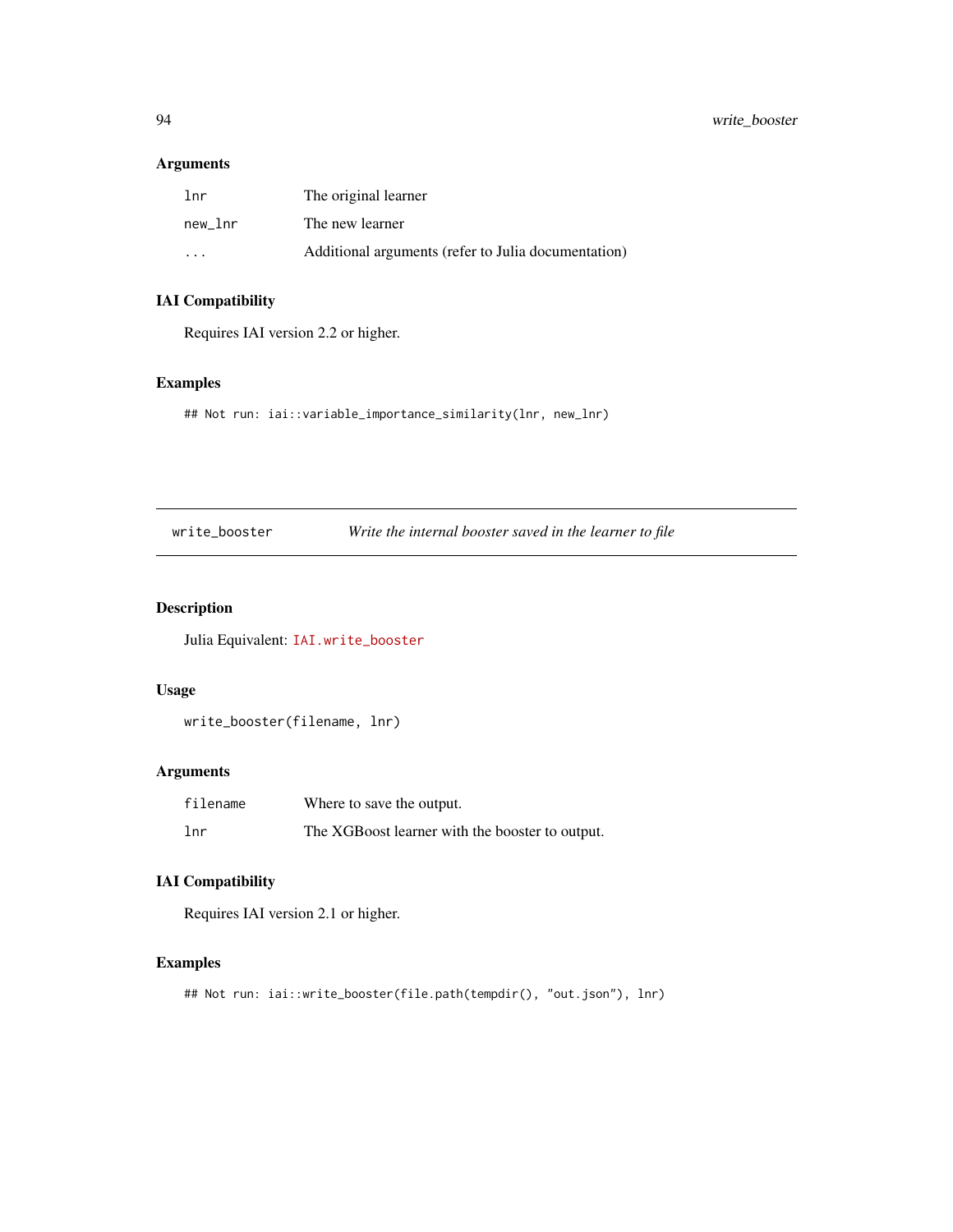# <span id="page-93-0"></span>Arguments

| lnr                     | The original learner                                |
|-------------------------|-----------------------------------------------------|
| new lnr                 | The new learner                                     |
| $\cdot$ $\cdot$ $\cdot$ | Additional arguments (refer to Julia documentation) |

# IAI Compatibility

Requires IAI version 2.2 or higher.

# Examples

## Not run: iai::variable\_importance\_similarity(lnr, new\_lnr)

write\_booster *Write the internal booster saved in the learner to file*

# Description

Julia Equivalent: [IAI.write\\_booster](https://docs.interpretable.ai/v3.0.0/Heuristics/reference/#IAI.write_booster)

#### Usage

write\_booster(filename, lnr)

# Arguments

| filename        | Where to save the output.                       |
|-----------------|-------------------------------------------------|
| 1 <sub>nr</sub> | The XGBoost learner with the booster to output. |

# IAI Compatibility

Requires IAI version 2.1 or higher.

# Examples

## Not run: iai::write\_booster(file.path(tempdir(), "out.json"), lnr)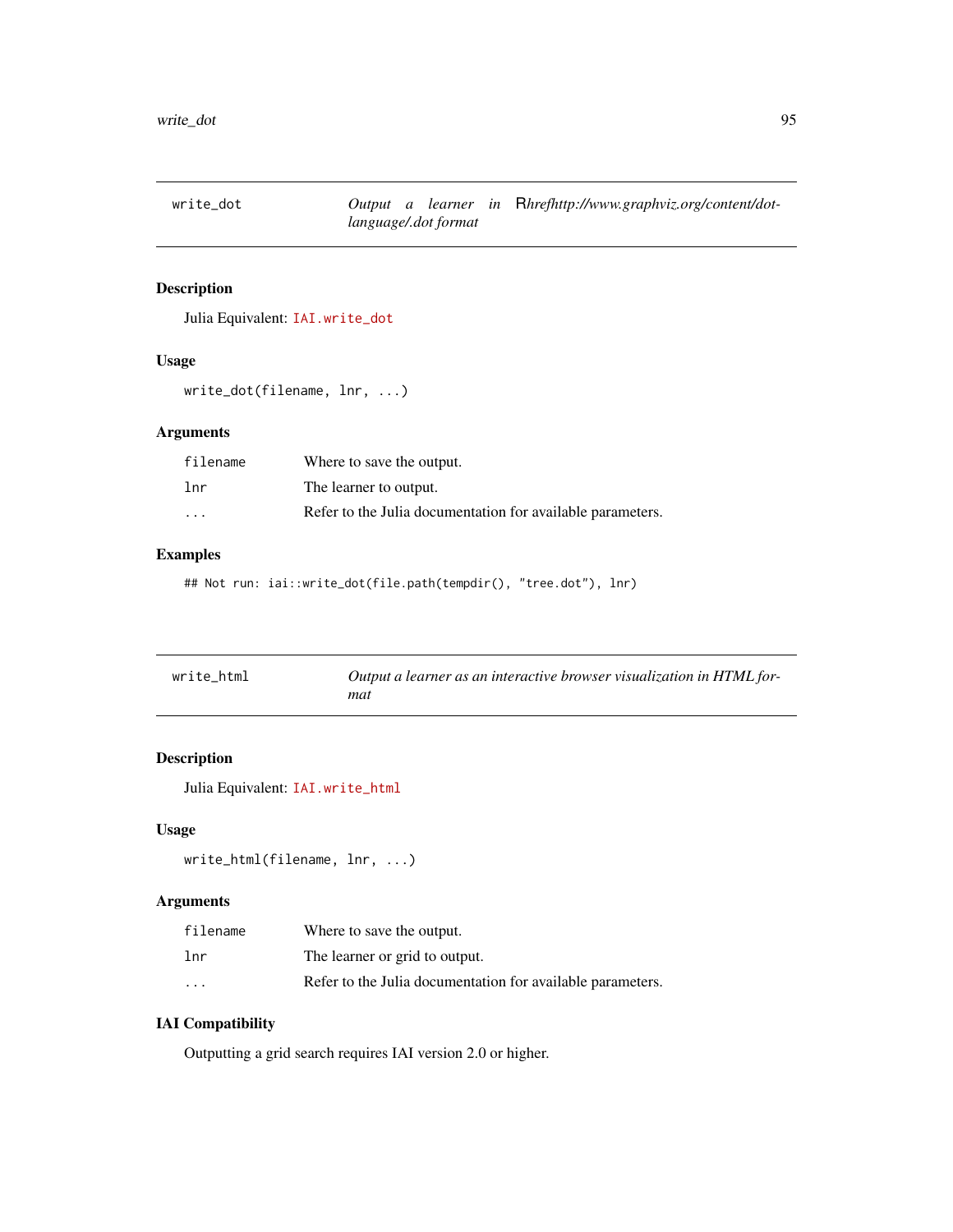<span id="page-94-0"></span>

# Description

Julia Equivalent: [IAI.write\\_dot](https://docs.interpretable.ai/v3.0.0/IAITrees/reference/#IAI.write_dot)

#### Usage

```
write_dot(filename, lnr, ...)
```
# Arguments

| filename | Where to save the output.                                  |
|----------|------------------------------------------------------------|
| lnr      | The learner to output.                                     |
| $\cdot$  | Refer to the Julia documentation for available parameters. |

# Examples

## Not run: iai::write\_dot(file.path(tempdir(), "tree.dot"), lnr)

| write_html | Output a learner as an interactive browser visualization in HTML for- |
|------------|-----------------------------------------------------------------------|
|            | mat                                                                   |

# Description

Julia Equivalent: [IAI.write\\_html](https://docs.interpretable.ai/v3.0.0/IAITrees/reference/#IAI.write_html)

#### Usage

```
write_html(filename, lnr, ...)
```
# Arguments

| filename             | Where to save the output.                                  |
|----------------------|------------------------------------------------------------|
| lnr                  | The learner or grid to output.                             |
| $\ddot{\phantom{0}}$ | Refer to the Julia documentation for available parameters. |

# IAI Compatibility

Outputting a grid search requires IAI version 2.0 or higher.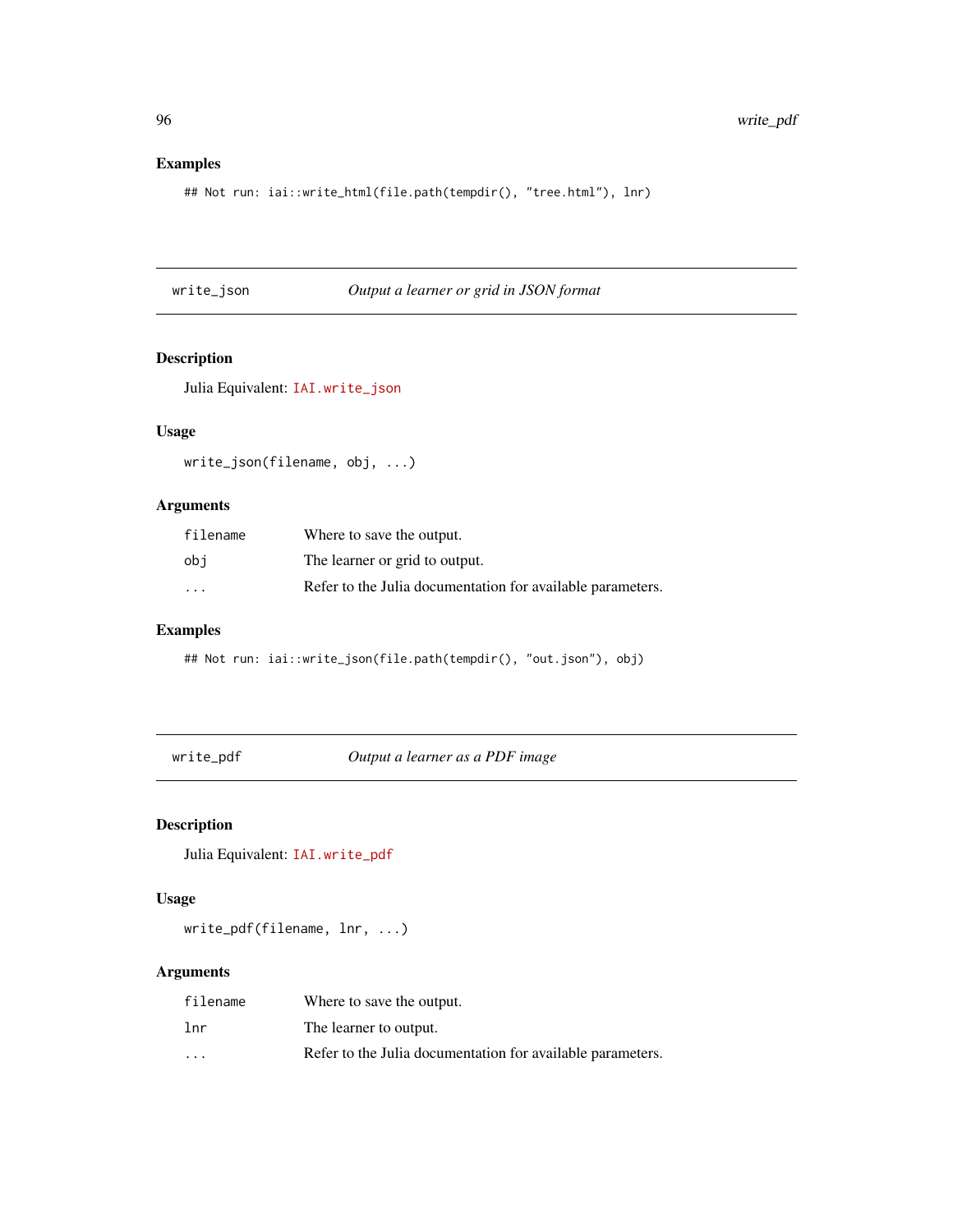```
## Not run: iai::write_html(file.path(tempdir(), "tree.html"), lnr)
```
write\_json *Output a learner or grid in JSON format*

# Description

Julia Equivalent: [IAI.write\\_json](https://docs.interpretable.ai/v3.0.0/IAIBase/reference/#IAI.write_json)

# Usage

write\_json(filename, obj, ...)

# Arguments

| filename                | Where to save the output.                                  |
|-------------------------|------------------------------------------------------------|
| obi                     | The learner or grid to output.                             |
| $\cdot$ $\cdot$ $\cdot$ | Refer to the Julia documentation for available parameters. |

# Examples

## Not run: iai::write\_json(file.path(tempdir(), "out.json"), obj)

write\_pdf *Output a learner as a PDF image*

# Description

Julia Equivalent: [IAI.write\\_pdf](https://docs.interpretable.ai/v3.0.0/IAITrees/reference/#IAI.write_pdf)

# Usage

write\_pdf(filename, lnr, ...)

| filename | Where to save the output.                                  |
|----------|------------------------------------------------------------|
| lnr      | The learner to output.                                     |
| $\cdots$ | Refer to the Julia documentation for available parameters. |

<span id="page-95-0"></span>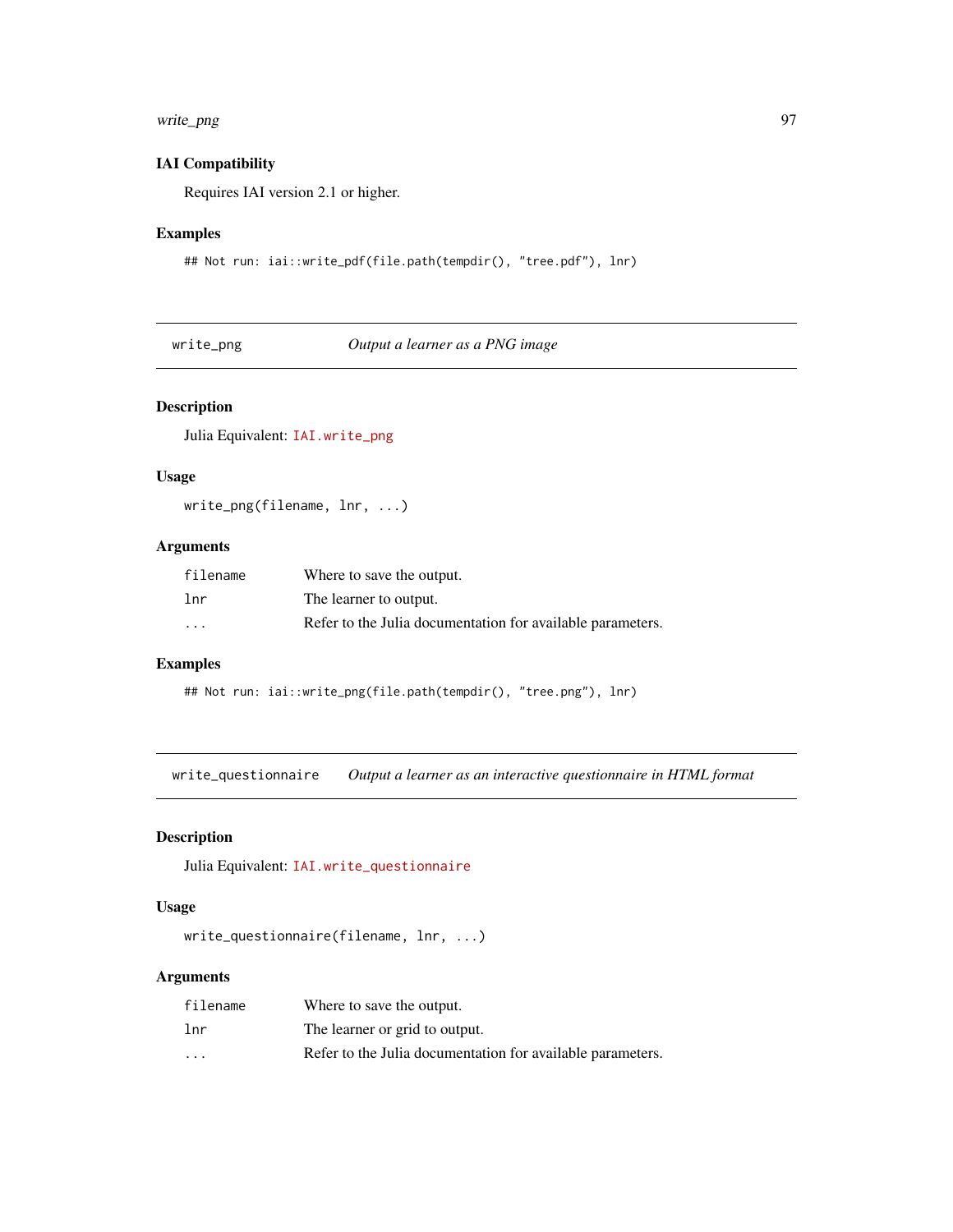# <span id="page-96-0"></span>write\_png 97

#### IAI Compatibility

Requires IAI version 2.1 or higher.

# Examples

```
## Not run: iai::write_pdf(file.path(tempdir(), "tree.pdf"), lnr)
```
write\_png *Output a learner as a PNG image*

# Description

Julia Equivalent: [IAI.write\\_png](https://docs.interpretable.ai/v3.0.0/IAITrees/reference/#IAI.write_png)

#### Usage

write\_png(filename, lnr, ...)

# Arguments

| filename | Where to save the output.                                  |
|----------|------------------------------------------------------------|
| lnr      | The learner to output.                                     |
| $\cdot$  | Refer to the Julia documentation for available parameters. |

#### Examples

```
## Not run: iai::write_png(file.path(tempdir(), "tree.png"), lnr)
```
write\_questionnaire *Output a learner as an interactive questionnaire in HTML format*

#### Description

Julia Equivalent: [IAI.write\\_questionnaire](https://docs.interpretable.ai/v3.0.0/IAITrees/reference/#IAI.write_questionnaire)

#### Usage

```
write_questionnaire(filename, lnr, ...)
```

| filename                | Where to save the output.                                  |
|-------------------------|------------------------------------------------------------|
| 1 <sub>nr</sub>         | The learner or grid to output.                             |
| $\cdot$ $\cdot$ $\cdot$ | Refer to the Julia documentation for available parameters. |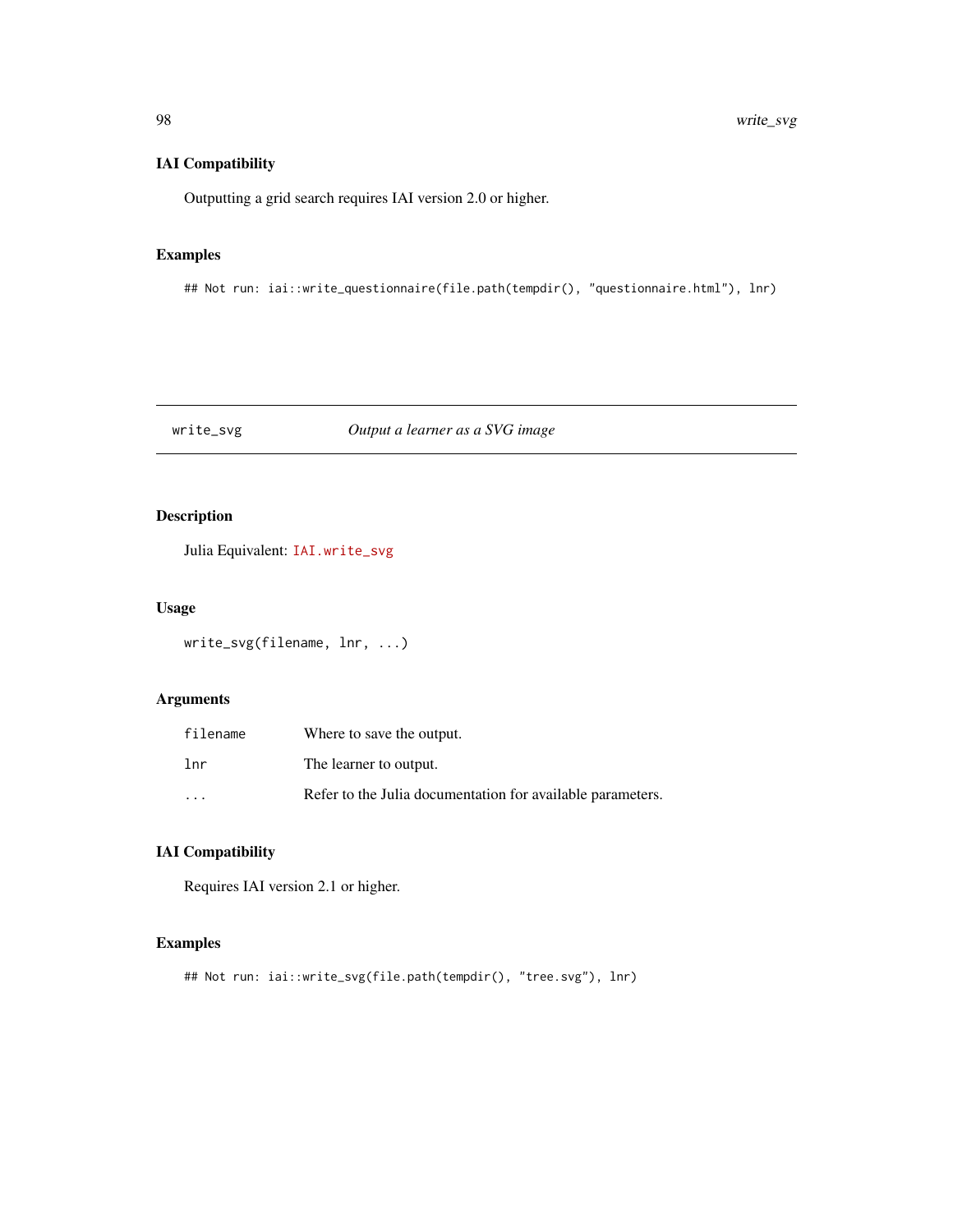# IAI Compatibility

Outputting a grid search requires IAI version 2.0 or higher.

# Examples

## Not run: iai::write\_questionnaire(file.path(tempdir(), "questionnaire.html"), lnr)

# write\_svg *Output a learner as a SVG image*

# Description

Julia Equivalent: [IAI.write\\_svg](https://docs.interpretable.ai/v3.0.0/IAITrees/reference/#IAI.write_svg)

# Usage

```
write_svg(filename, lnr, ...)
```
# Arguments

| filename        | Where to save the output.                                  |
|-----------------|------------------------------------------------------------|
| 1 <sub>nr</sub> | The learner to output.                                     |
| $\cdot$         | Refer to the Julia documentation for available parameters. |

# IAI Compatibility

Requires IAI version 2.1 or higher.

#### Examples

```
## Not run: iai::write_svg(file.path(tempdir(), "tree.svg"), lnr)
```
<span id="page-97-0"></span>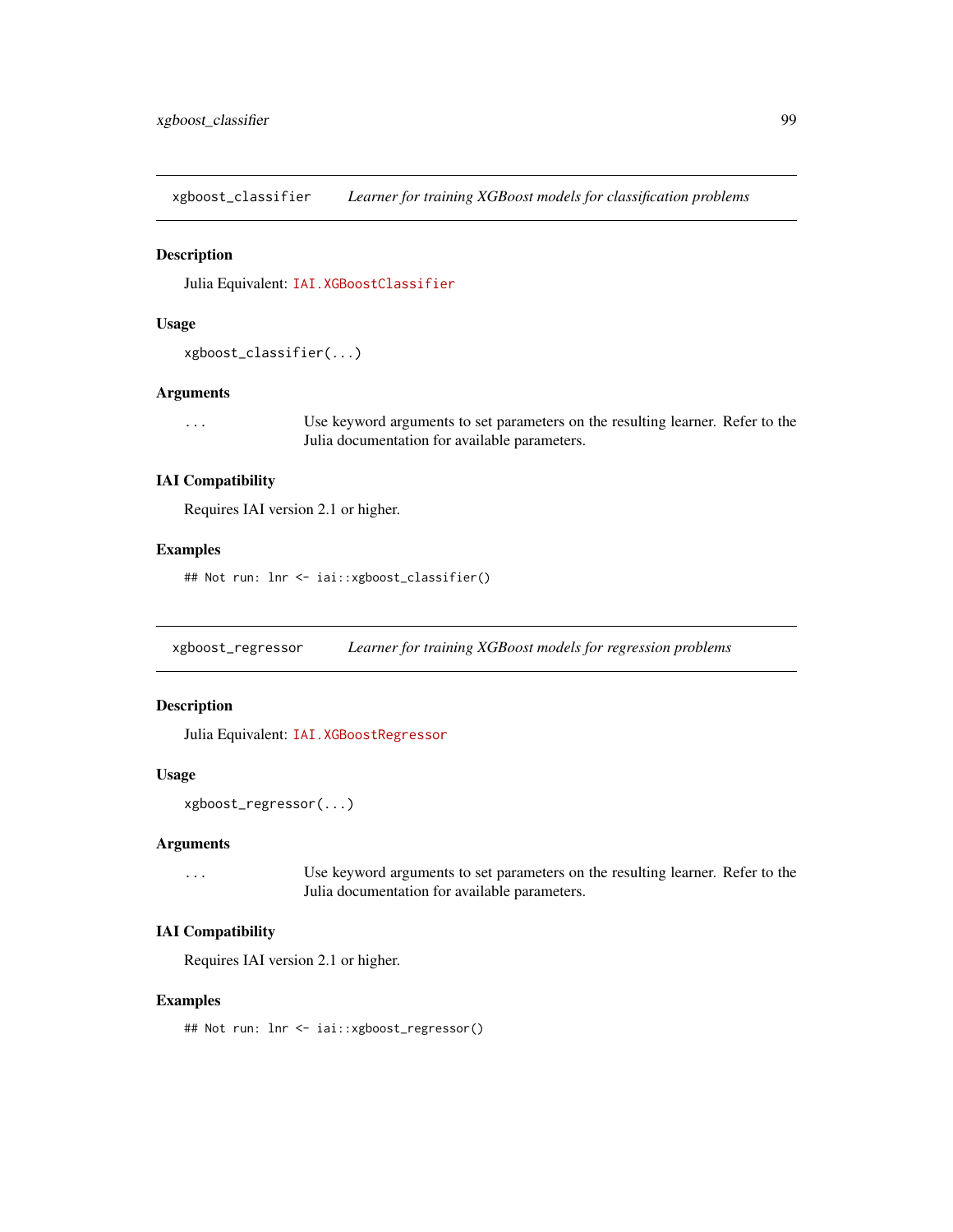<span id="page-98-0"></span>xgboost\_classifier *Learner for training XGBoost models for classification problems*

#### Description

Julia Equivalent: [IAI.XGBoostClassifier](https://docs.interpretable.ai/v3.0.0/Heuristics/reference/#IAI.XGBoostClassifier)

#### Usage

```
xgboost_classifier(...)
```
#### Arguments

... Use keyword arguments to set parameters on the resulting learner. Refer to the Julia documentation for available parameters.

# IAI Compatibility

Requires IAI version 2.1 or higher.

#### Examples

## Not run: lnr <- iai::xgboost\_classifier()

xgboost\_regressor *Learner for training XGBoost models for regression problems*

#### Description

Julia Equivalent: [IAI.XGBoostRegressor](https://docs.interpretable.ai/v3.0.0/Heuristics/reference/#IAI.XGBoostRegressor)

#### Usage

```
xgboost_regressor(...)
```
#### Arguments

... Use keyword arguments to set parameters on the resulting learner. Refer to the Julia documentation for available parameters.

# IAI Compatibility

Requires IAI version 2.1 or higher.

#### Examples

## Not run: lnr <- iai::xgboost\_regressor()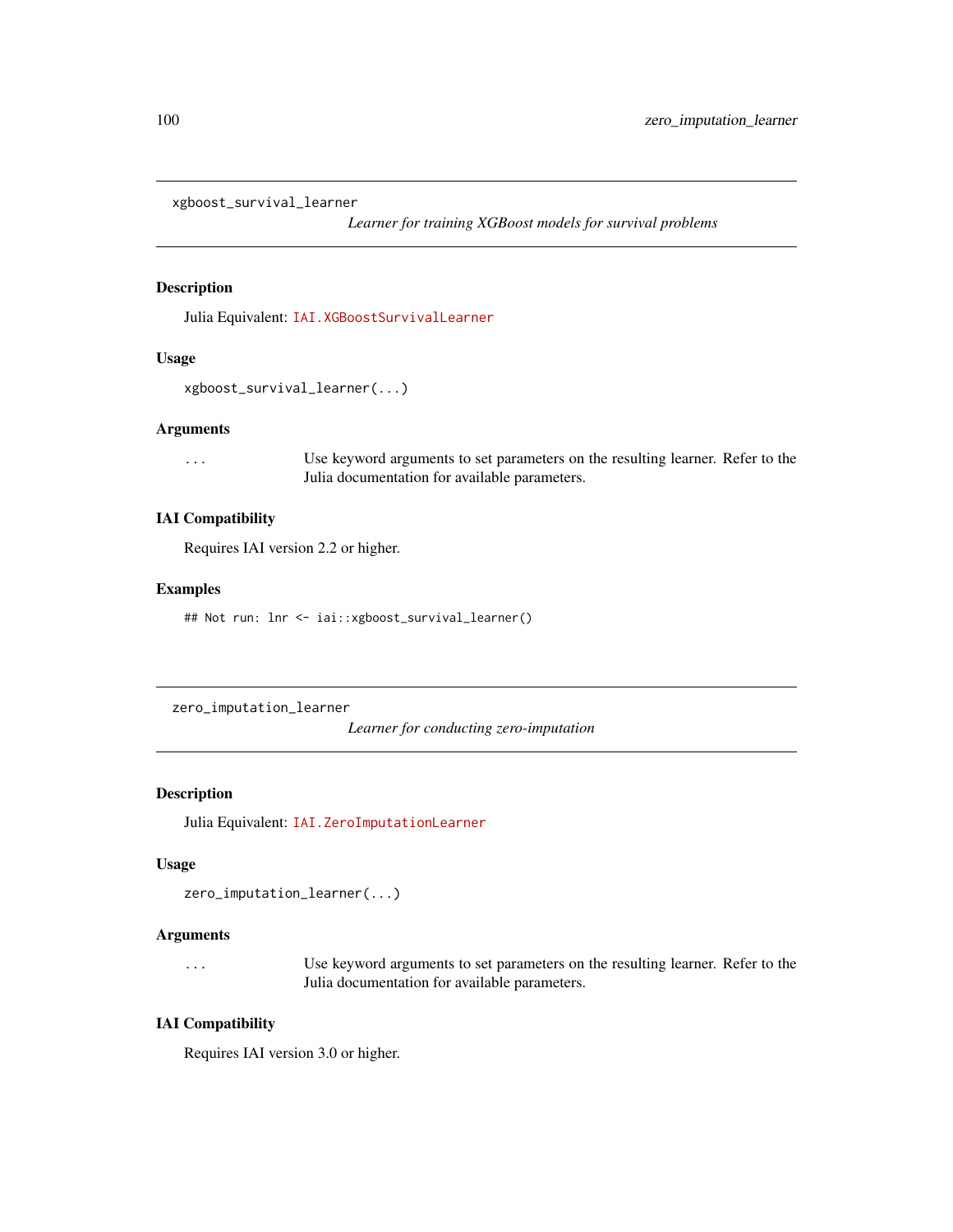<span id="page-99-0"></span>xgboost\_survival\_learner

*Learner for training XGBoost models for survival problems*

#### Description

Julia Equivalent: [IAI.XGBoostSurvivalLearner](https://docs.interpretable.ai/v3.0.0/Heuristics/reference/#IAI.XGBoostSurvivalLearner)

#### Usage

```
xgboost_survival_learner(...)
```
#### Arguments

... Use keyword arguments to set parameters on the resulting learner. Refer to the Julia documentation for available parameters.

#### IAI Compatibility

Requires IAI version 2.2 or higher.

#### Examples

## Not run: lnr <- iai::xgboost\_survival\_learner()

zero\_imputation\_learner

*Learner for conducting zero-imputation*

#### Description

Julia Equivalent: [IAI.ZeroImputationLearner](https://docs.interpretable.ai/v3.0.0/OptImpute/reference/#IAI.ZeroImputationLearner)

# Usage

```
zero_imputation_learner(...)
```
#### Arguments

... Use keyword arguments to set parameters on the resulting learner. Refer to the Julia documentation for available parameters.

# IAI Compatibility

Requires IAI version 3.0 or higher.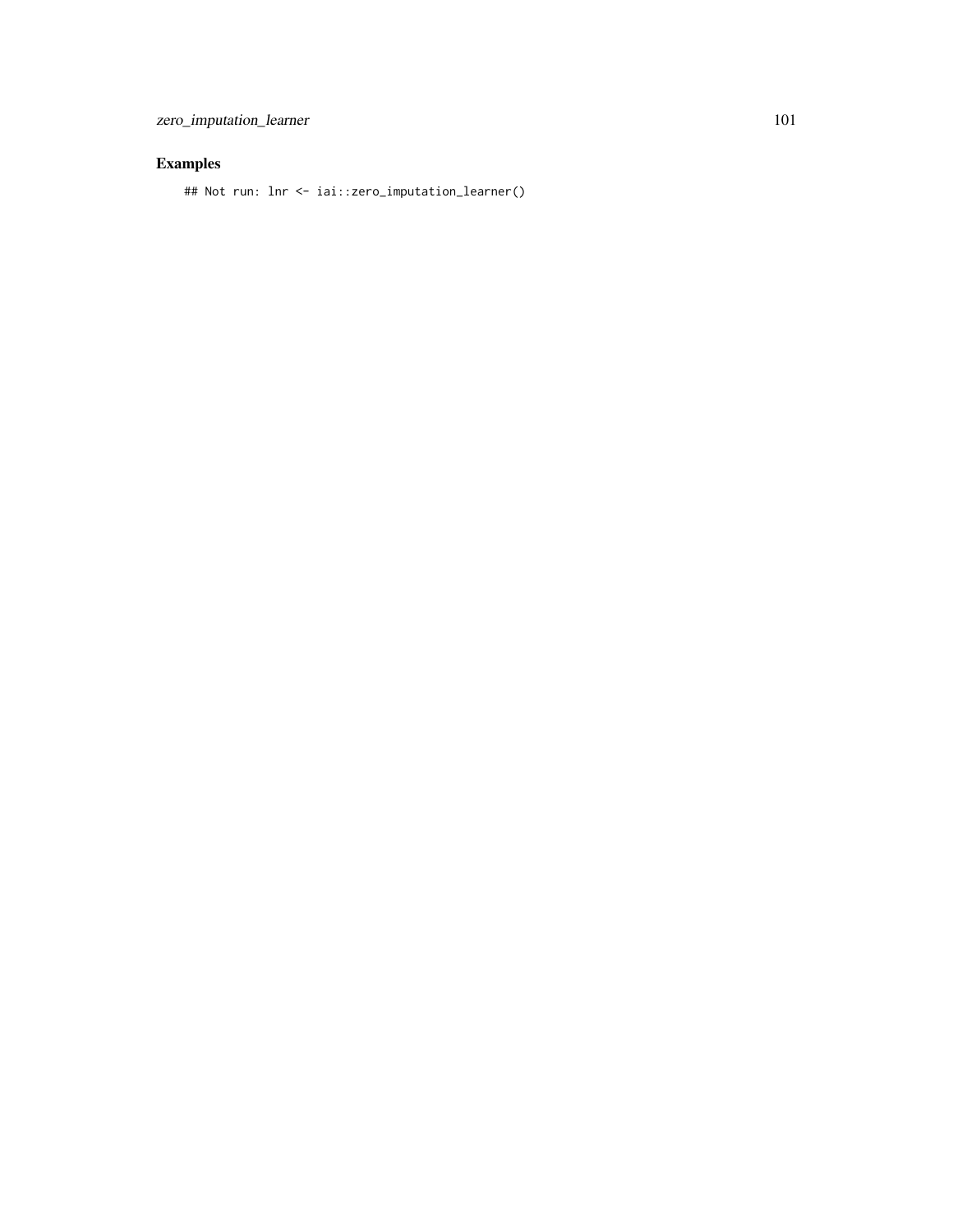## Not run: lnr <- iai::zero\_imputation\_learner()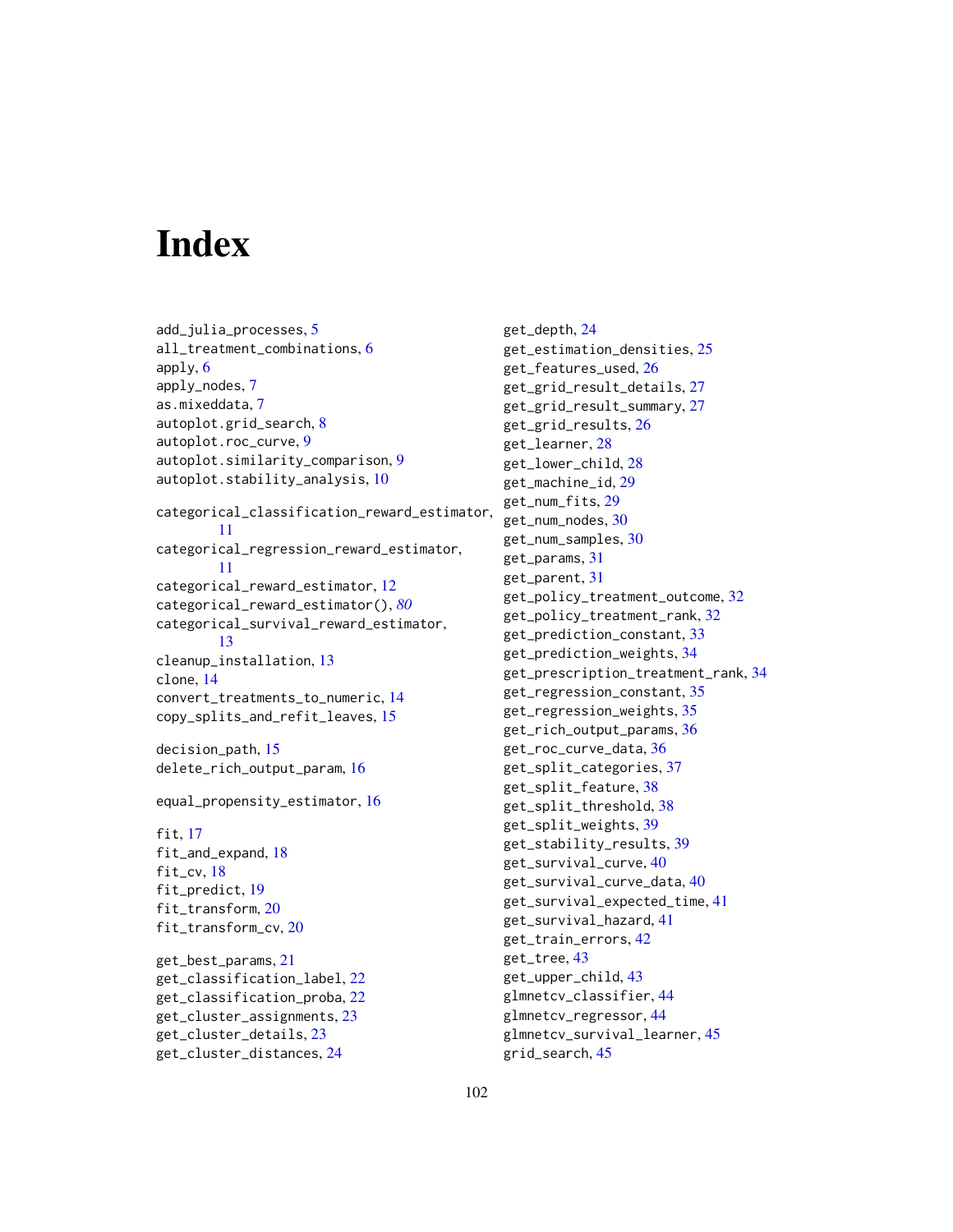# **Index**

add\_julia\_processes, [5](#page-4-0) all\_treatment\_combinations, [6](#page-5-0) apply, [6](#page-5-0) apply\_nodes, [7](#page-6-0) as.mixeddata, [7](#page-6-0) autoplot.grid\_search, [8](#page-7-0) autoplot.roc\_curve, [9](#page-8-0) autoplot.similarity\_comparison, [9](#page-8-0) autoplot.stability\_analysis, [10](#page-9-0) categorical\_classification\_reward\_estimator, [11](#page-10-0) categorical\_regression\_reward\_estimator, [11](#page-10-0) categorical\_reward\_estimator, [12](#page-11-1) categorical\_reward\_estimator(), *[80](#page-79-0)* categorical\_survival\_reward\_estimator, [13](#page-12-0) cleanup\_installation, [13](#page-12-0) clone, [14](#page-13-0) convert\_treatments\_to\_numeric, [14](#page-13-0) copy\_splits\_and\_refit\_leaves, [15](#page-14-0) decision\_path, [15](#page-14-0)

```
delete_rich_output_param, 16
```
equal\_propensity\_estimator, [16](#page-15-0)

fit, [17](#page-16-0) fit\_and\_expand, [18](#page-17-0) fit\_cv, [18](#page-17-0) fit\_predict, [19](#page-18-0) fit\_transform, [20](#page-19-0) fit\_transform\_cv, [20](#page-19-0)

get\_best\_params, [21](#page-20-0) get\_classification\_label, [22](#page-21-0) get\_classification\_proba, [22](#page-21-0) get\_cluster\_assignments, [23](#page-22-0) get\_cluster\_details, [23](#page-22-0) get\_cluster\_distances, [24](#page-23-0)

get\_depth, [24](#page-23-0) get\_estimation\_densities, [25](#page-24-0) get\_features\_used, [26](#page-25-0) get\_grid\_result\_details, [27](#page-26-0) get\_grid\_result\_summary, [27](#page-26-0) get\_grid\_results, [26](#page-25-0) get\_learner, [28](#page-27-0) get\_lower\_child, [28](#page-27-0) get\_machine\_id, [29](#page-28-0) get\_num\_fits, [29](#page-28-0) get\_num\_nodes, [30](#page-29-0) get\_num\_samples, [30](#page-29-0) get\_params, [31](#page-30-0) get\_parent, [31](#page-30-0) get\_policy\_treatment\_outcome, [32](#page-31-0) get\_policy\_treatment\_rank, [32](#page-31-0) get\_prediction\_constant, [33](#page-32-0) get\_prediction\_weights, [34](#page-33-0) get\_prescription\_treatment\_rank, [34](#page-33-0) get\_regression\_constant, [35](#page-34-0) get\_regression\_weights, [35](#page-34-0) get\_rich\_output\_params, [36](#page-35-0) get\_roc\_curve\_data, [36](#page-35-0) get\_split\_categories, [37](#page-36-0) get\_split\_feature, [38](#page-37-0) get\_split\_threshold, [38](#page-37-0) get\_split\_weights, [39](#page-38-0) get\_stability\_results, [39](#page-38-0) get\_survival\_curve, [40](#page-39-0) get\_survival\_curve\_data, [40](#page-39-0) get\_survival\_expected\_time, [41](#page-40-0) get\_survival\_hazard, [41](#page-40-0) get\_train\_errors, [42](#page-41-0) get\_tree, [43](#page-42-0) get\_upper\_child, [43](#page-42-0) glmnetcv\_classifier, [44](#page-43-0) glmnetcv\_regressor, [44](#page-43-0) glmnetcv\_survival\_learner, [45](#page-44-0) grid\_search, [45](#page-44-0)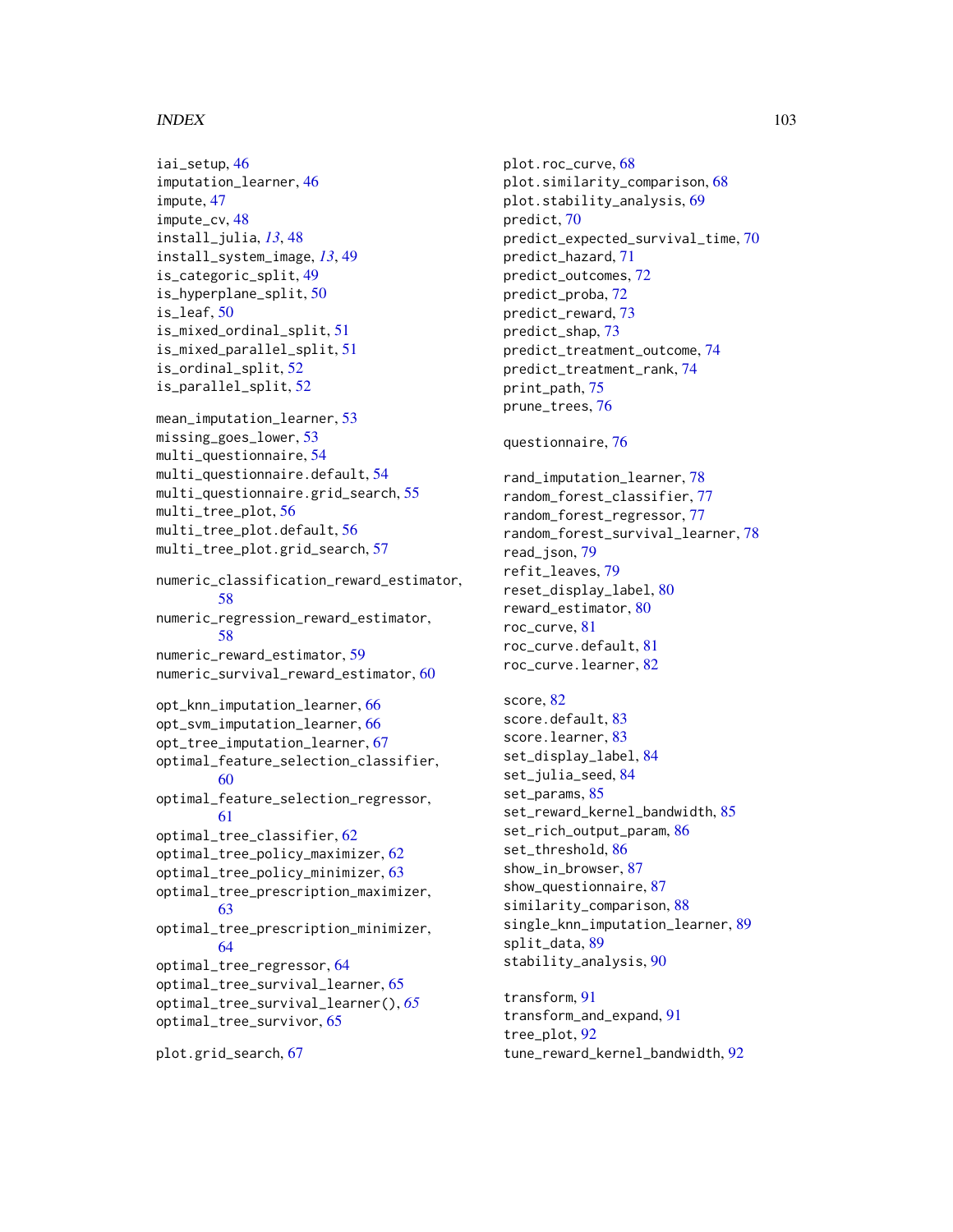#### INDEX  $103$

```
iai_setup, 46
imputation_learner, 46
impute, 47
impute_cv, 48
install_julia, 13, 48
install_system_image, 13, 49
is_categoric_split, 49
is_hyperplane_split, 50
is_leaf, 50
is_mixed_ordinal_split, 51
is_mixed_parallel_split, 51
is_ordinal_split, 52
is_parallel_split, 52
mean_imputation_learner, 53
missing_goes_lower, 53
multi_questionnaire, 54
multi_questionnaire.default, 54
multi_questionnaire.grid_search, 55
multi_tree_plot, 56
multi_tree_plot.default, 56
multi_tree_plot.grid_search, 57
numeric_classification_reward_estimator,
        58
numeric_regression_reward_estimator,
        58
numeric_reward_estimator, 59
numeric_survival_reward_estimator, 60
opt_knn_imputation_learner, 66
opt_svm_imputation_learner, 66
opt_tree_imputation_learner, 67
optimal_feature_selection_classifier,
        60
optimal_feature_selection_regressor,
        61
optimal_tree_classifier, 62
optimal_tree_policy_maximizer, 62
optimal_tree_policy_minimizer, 63
optimal_tree_prescription_maximizer,
        63
optimal_tree_prescription_minimizer,
        64
optimal_tree_regressor, 64
optimal_tree_survival_learner, 65
optimal_tree_survival_learner(), 65
optimal_tree_survivor, 65
```
plot.grid\_search, [67](#page-66-0)

plot.roc\_curve, [68](#page-67-0) plot.similarity\_comparison, [68](#page-67-0) plot.stability\_analysis, [69](#page-68-0) predict, [70](#page-69-0) predict\_expected\_survival\_time, [70](#page-69-0) predict\_hazard, [71](#page-70-0) predict\_outcomes, [72](#page-71-0) predict\_proba, [72](#page-71-0) predict\_reward, [73](#page-72-0) predict\_shap, [73](#page-72-0) predict\_treatment\_outcome, [74](#page-73-0) predict\_treatment\_rank, [74](#page-73-0) print\_path, [75](#page-74-0) prune\_trees, [76](#page-75-0)

#### questionnaire, [76](#page-75-0)

rand\_imputation\_learner, [78](#page-77-0) random\_forest\_classifier, [77](#page-76-0) random\_forest\_regressor, [77](#page-76-0) random\_forest\_survival\_learner, [78](#page-77-0) read\_json, [79](#page-78-0) refit\_leaves, [79](#page-78-0) reset\_display\_label, [80](#page-79-0) reward\_estimator, [80](#page-79-0) roc\_curve, [81](#page-80-0) roc\_curve.default, [81](#page-80-0) roc\_curve.learner, [82](#page-81-0)

score, [82](#page-81-0) score.default, [83](#page-82-0) score.learner, [83](#page-82-0) set\_display\_label, [84](#page-83-0) set\_julia\_seed, [84](#page-83-0) set\_params, [85](#page-84-0) set\_reward\_kernel\_bandwidth, [85](#page-84-0) set\_rich\_output\_param, [86](#page-85-0) set\_threshold, [86](#page-85-0) show\_in\_browser, [87](#page-86-0) show\_questionnaire, [87](#page-86-0) similarity\_comparison, [88](#page-87-0) single\_knn\_imputation\_learner, [89](#page-88-0) split\_data, [89](#page-88-0) stability\_analysis, [90](#page-89-0)

transform, [91](#page-90-0) transform\_and\_expand, [91](#page-90-0) tree\_plot, [92](#page-91-0) tune\_reward\_kernel\_bandwidth, [92](#page-91-0)